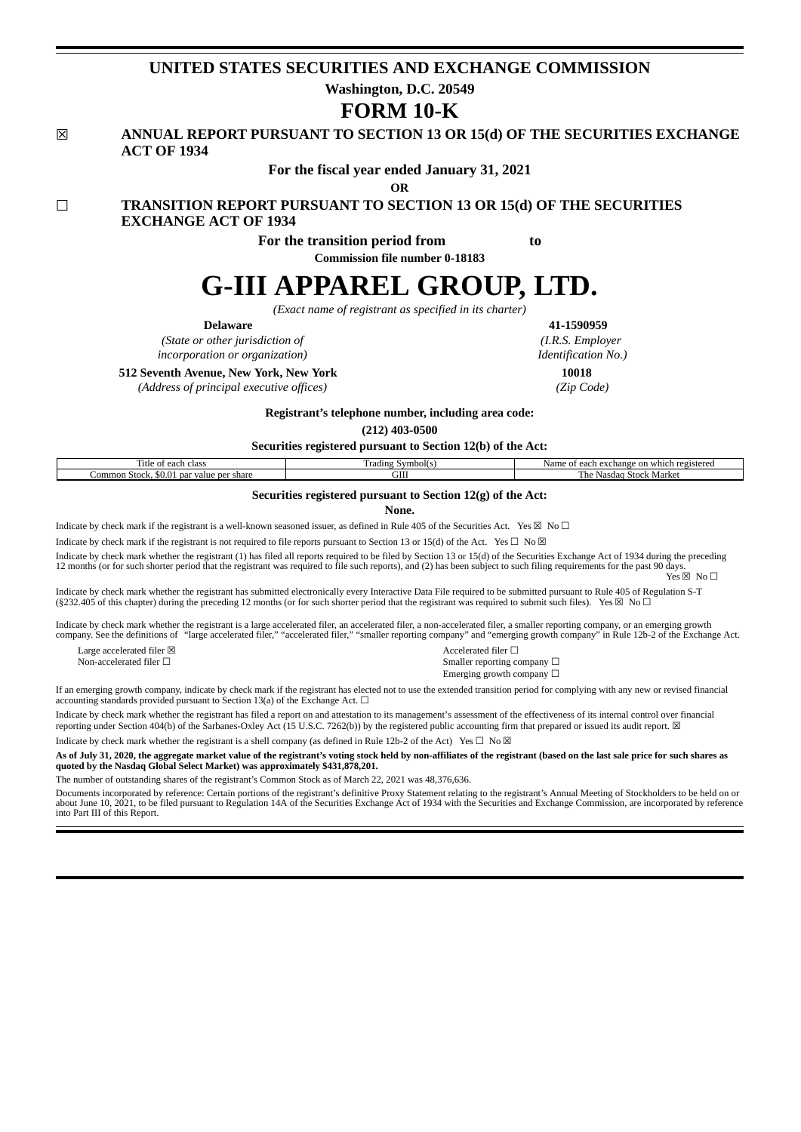## **UNITED STATES SECURITIES AND EXCHANGE COMMISSION**

**Washington, D.C. 20549**

## **FORM 10-K**

☒ **ANNUAL REPORT PURSUANT TO SECTION 13 OR 15(d) OF THE SECURITIES EXCHANGE ACT OF 1934**

**For the fiscal year ended January 31, 2021**

**OR**

☐ **TRANSITION REPORT PURSUANT TO SECTION 13 OR 15(d) OF THE SECURITIES EXCHANGE ACT OF 1934**

**For the transition period from to**

# **G-III APPAREL GROUP, LTD.**

**Commission file number 0-18183**

*(Exact name of registrant as specified in its charter)*

**Delaware**

*(State or other jurisdiction of incorporation or organization)*

**41-1590959** *(I.R.S. Employer*

**512 Seventh Avenue, New York, New York**

*(Address of principal executive offices)*

**Registrant's telephone number, including area code:**

**(212) 403-0500**

**Securities registered pursuant to Section 12(b) of the Act:**

| $\sim$<br>clas<br>.1tle<br>' each                    | :)ומכ<br>$-$<br>rading.<br> | registerer<br>Name<br>on<br>$\sim$ change $\sim$<br>which<br>$\Omega$<br>гач н<br>$\cdots$ |
|------------------------------------------------------|-----------------------------|--------------------------------------------------------------------------------------------|
| common<br>. par value per share<br>Stock.<br>. ას.ა. | UII                         | Stock Market<br>nsdag<br>115                                                               |
|                                                      |                             |                                                                                            |

#### **Securities registered pursuant to Section 12(g) of the Act:**

**None.**

Indicate by check mark if the registrant is a well-known seasoned issuer, as defined in Rule 405 of the Securities Act. Yes  $\boxtimes\,$  No  $\Box$ 

Indicate by check mark if the registrant is not required to file reports pursuant to Section 13 or 15(d) of the Act. Yes  $\Box$  No  $\boxtimes$ 

Indicate by check mark whether the registrant (1) has filed all reports required to be filed by Section 13 or 15(d) of the Securities Exchange Act of 1934 during the preceding 12 months (or for such shorter period that the registrant was required to file such reports), and (2) has been subject to such filing requirements for the past 90 days.  $Yes \boxtimes No \square$ 

Indicate by check mark whether the registrant has submitted electronically every Interactive Data File required to be submitted pursuant to Rule 405 of Regulation S-T (§232.405 of this chapter) during the preceding 12 months (or for such shorter period that the registrant was required to submit such files). Yes  $\boxtimes$  No  $\Box$ 

Indicate by check mark whether the registrant is a large accelerated filer, an accelerated filer, a non-accelerated filer, a smaller reporting company, or an emerging growth company. See the definitions of "large accelerated filer," "accelerated filer," "smaller reporting company" and "emerging growth company" in Rule 12b-2 of the Exchange Act.

Large accelerated filer  $\boxtimes$ Non-accelerated filer  $\Box$ Emerging growth company ☐

If an emerging growth company, indicate by check mark if the registrant has elected not to use the extended transition period for complying with any new or revised financial accounting standards provided pursuant to Section 13(a) of the Exchange Act.  $\Box$ 

Indicate by check mark whether the registrant has filed a report on and attestation to its management's assessment of the effectiveness of its internal control over financial reporting under Section 404(b) of the Sarbanes-Oxley Act (15 U.S.C. 7262(b)) by the registered public accounting firm that prepared or issued its audit report. ☒

Indicate by check mark whether the registrant is a shell company (as defined in Rule 12b-2 of the Act) Yes  $\Box$  No  $\boxtimes$ 

As of July 31, 2020, the aggregate market value of the registrant's voting stock held by non-affiliates of the registrant (based on the last sale price for such shares as **quoted by the Nasdaq Global Select Market) was approximately \$431,878,201.**

The number of outstanding shares of the registrant's Common Stock as of March 22, 2021 was 48,376,636.

Documents incorporated by reference: Certain portions of the registrant's definitive Proxy Statement relating to the registrant's Annual Meeting of Stockholders to be held on or about June 10, 2021, to be filed pursuant to Regulation 14A of the Securities Exchange Act of 1934 with the Securities and Exchange Commission, are incorporated by reference into Part III of this Report.

*Identification No.)* **10018**

*(Zip Code)*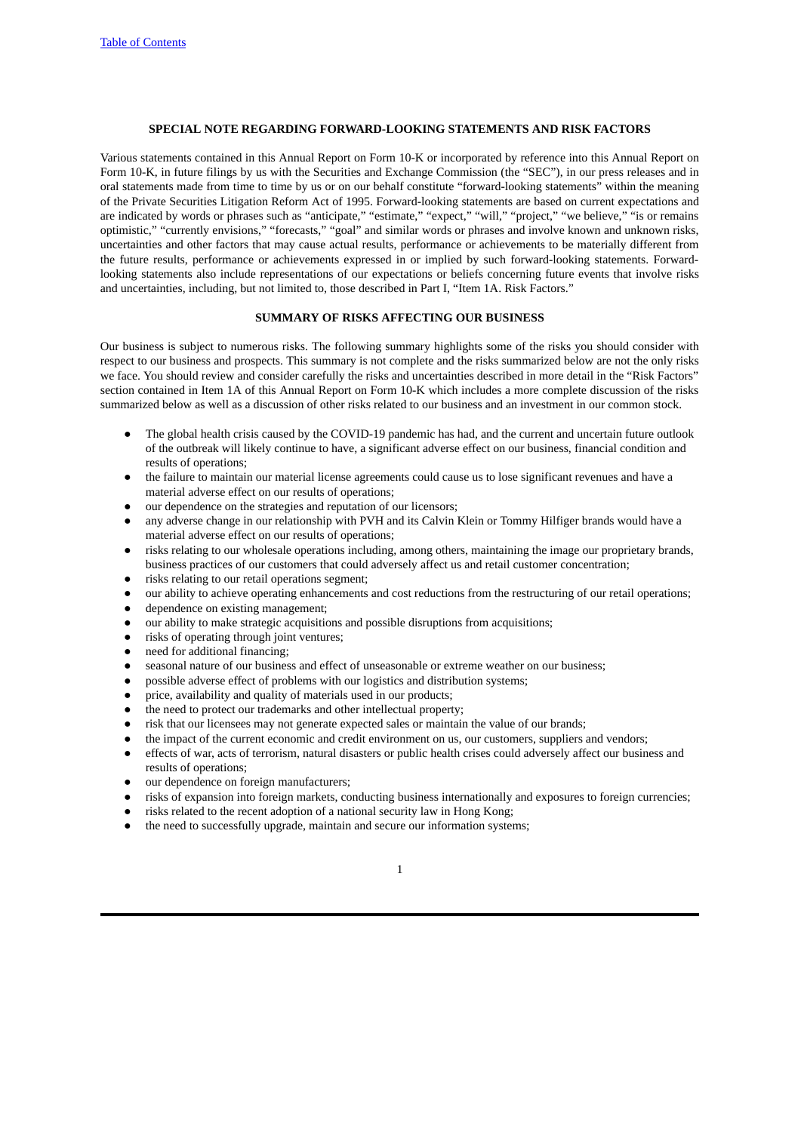#### **SPECIAL NOTE REGARDING FORWARD-LOOKING STATEMENTS AND RISK FACTORS**

Various statements contained in this Annual Report on Form 10-K or incorporated by reference into this Annual Report on Form 10-K, in future filings by us with the Securities and Exchange Commission (the "SEC"), in our press releases and in oral statements made from time to time by us or on our behalf constitute "forward-looking statements" within the meaning of the Private Securities Litigation Reform Act of 1995. Forward-looking statements are based on current expectations and are indicated by words or phrases such as "anticipate," "estimate," "expect," "will," "project," "we believe," "is or remains optimistic," "currently envisions," "forecasts," "goal" and similar words or phrases and involve known and unknown risks, uncertainties and other factors that may cause actual results, performance or achievements to be materially different from the future results, performance or achievements expressed in or implied by such forward-looking statements. Forwardlooking statements also include representations of our expectations or beliefs concerning future events that involve risks and uncertainties, including, but not limited to, those described in Part I, "Item 1A. Risk Factors."

## **SUMMARY OF RISKS AFFECTING OUR BUSINESS**

Our business is subject to numerous risks. The following summary highlights some of the risks you should consider with respect to our business and prospects. This summary is not complete and the risks summarized below are not the only risks we face. You should review and consider carefully the risks and uncertainties described in more detail in the "Risk Factors" section contained in Item 1A of this Annual Report on Form 10-K which includes a more complete discussion of the risks summarized below as well as a discussion of other risks related to our business and an investment in our common stock.

- The global health crisis caused by the COVID-19 pandemic has had, and the current and uncertain future outlook of the outbreak will likely continue to have, a significant adverse effect on our business, financial condition and results of operations;
- the failure to maintain our material license agreements could cause us to lose significant revenues and have a material adverse effect on our results of operations;
- our dependence on the strategies and reputation of our licensors;
- any adverse change in our relationship with PVH and its Calvin Klein or Tommy Hilfiger brands would have a material adverse effect on our results of operations;
- risks relating to our wholesale operations including, among others, maintaining the image our proprietary brands, business practices of our customers that could adversely affect us and retail customer concentration;
- risks relating to our retail operations segment;
- our ability to achieve operating enhancements and cost reductions from the restructuring of our retail operations;
- dependence on existing management;
- our ability to make strategic acquisitions and possible disruptions from acquisitions;
- risks of operating through joint ventures;
- need for additional financing;
- seasonal nature of our business and effect of unseasonable or extreme weather on our business;
- possible adverse effect of problems with our logistics and distribution systems;
- price, availability and quality of materials used in our products;
- the need to protect our trademarks and other intellectual property;
- risk that our licensees may not generate expected sales or maintain the value of our brands;
- the impact of the current economic and credit environment on us, our customers, suppliers and vendors;
- effects of war, acts of terrorism, natural disasters or public health crises could adversely affect our business and results of operations;
- our dependence on foreign manufacturers;
- risks of expansion into foreign markets, conducting business internationally and exposures to foreign currencies;
- risks related to the recent adoption of a national security law in Hong Kong;
- the need to successfully upgrade, maintain and secure our information systems;

#### 1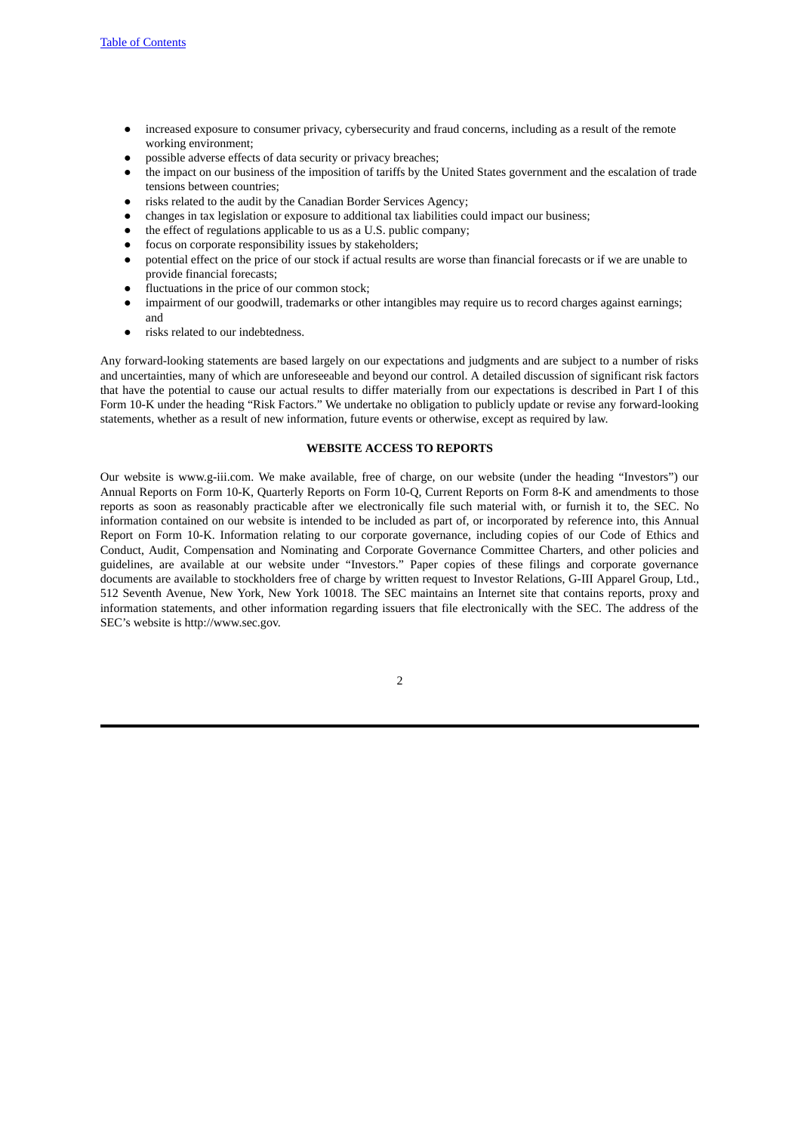- increased exposure to consumer privacy, cybersecurity and fraud concerns, including as a result of the remote working environment;
- possible adverse effects of data security or privacy breaches;
- the impact on our business of the imposition of tariffs by the United States government and the escalation of trade tensions between countries;
- risks related to the audit by the Canadian Border Services Agency;
- changes in tax legislation or exposure to additional tax liabilities could impact our business;
- the effect of regulations applicable to us as a U.S. public company;
- focus on corporate responsibility issues by stakeholders;
- potential effect on the price of our stock if actual results are worse than financial forecasts or if we are unable to provide financial forecasts;
- fluctuations in the price of our common stock;
- impairment of our goodwill, trademarks or other intangibles may require us to record charges against earnings; and
- risks related to our indebtedness.

Any forward-looking statements are based largely on our expectations and judgments and are subject to a number of risks and uncertainties, many of which are unforeseeable and beyond our control. A detailed discussion of significant risk factors that have the potential to cause our actual results to differ materially from our expectations is described in Part I of this Form 10-K under the heading "Risk Factors." We undertake no obligation to publicly update or revise any forward-looking statements, whether as a result of new information, future events or otherwise, except as required by law.

## **WEBSITE ACCESS TO REPORTS**

Our website is www.g-iii.com. We make available, free of charge, on our website (under the heading "Investors") our Annual Reports on Form 10-K, Quarterly Reports on Form 10-Q, Current Reports on Form 8-K and amendments to those reports as soon as reasonably practicable after we electronically file such material with, or furnish it to, the SEC. No information contained on our website is intended to be included as part of, or incorporated by reference into, this Annual Report on Form 10-K. Information relating to our corporate governance, including copies of our Code of Ethics and Conduct, Audit, Compensation and Nominating and Corporate Governance Committee Charters, and other policies and guidelines, are available at our website under "Investors." Paper copies of these filings and corporate governance documents are available to stockholders free of charge by written request to Investor Relations, G-III Apparel Group, Ltd., 512 Seventh Avenue, New York, New York 10018. The SEC maintains an Internet site that contains reports, proxy and information statements, and other information regarding issuers that file electronically with the SEC. The address of the SEC's website is http://www.sec.gov.

2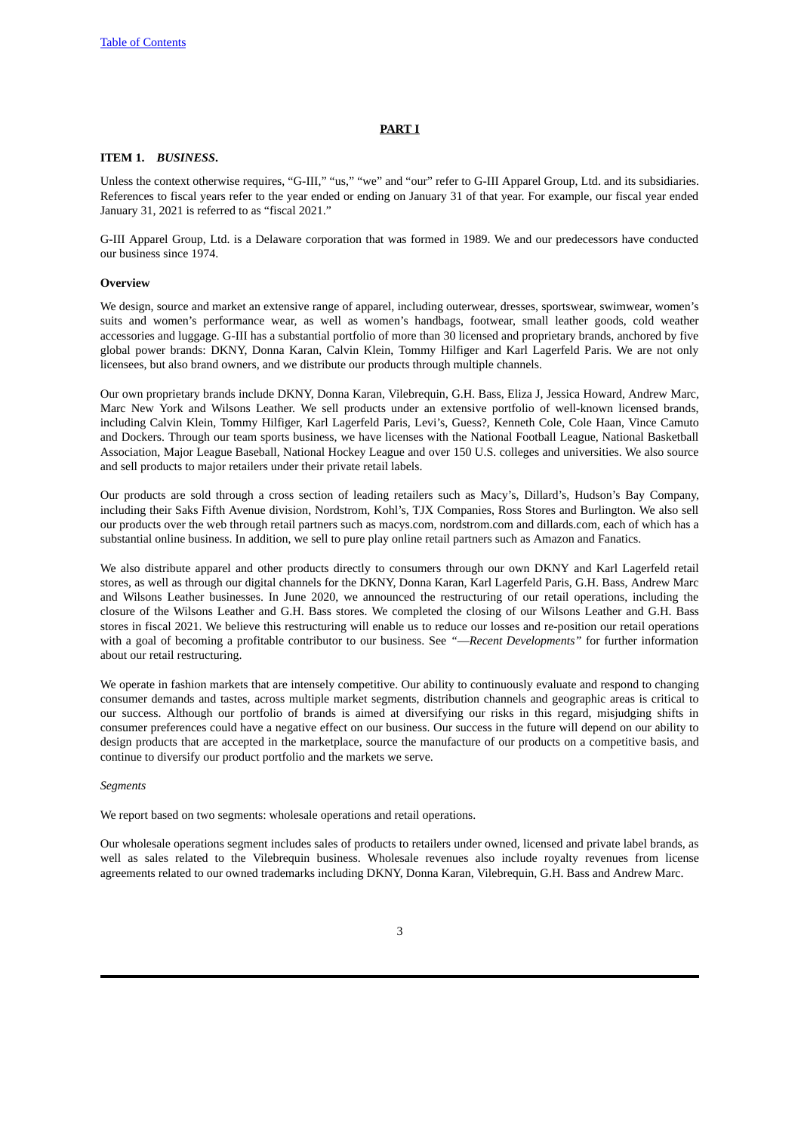#### **PART I**

#### **ITEM 1.** *BUSINESS***.**

Unless the context otherwise requires, "G-III," "us," "we" and "our" refer to G-III Apparel Group, Ltd. and its subsidiaries. References to fiscal years refer to the year ended or ending on January 31 of that year. For example, our fiscal year ended January 31, 2021 is referred to as "fiscal 2021."

G-III Apparel Group, Ltd. is a Delaware corporation that was formed in 1989. We and our predecessors have conducted our business since 1974.

## **Overview**

We design, source and market an extensive range of apparel, including outerwear, dresses, sportswear, swimwear, women's suits and women's performance wear, as well as women's handbags, footwear, small leather goods, cold weather accessories and luggage. G-III has a substantial portfolio of more than 30 licensed and proprietary brands, anchored by five global power brands: DKNY, Donna Karan, Calvin Klein, Tommy Hilfiger and Karl Lagerfeld Paris. We are not only licensees, but also brand owners, and we distribute our products through multiple channels.

Our own proprietary brands include DKNY, Donna Karan, Vilebrequin, G.H. Bass, Eliza J, Jessica Howard, Andrew Marc, Marc New York and Wilsons Leather. We sell products under an extensive portfolio of well-known licensed brands, including Calvin Klein, Tommy Hilfiger, Karl Lagerfeld Paris, Levi's, Guess?, Kenneth Cole, Cole Haan, Vince Camuto and Dockers. Through our team sports business, we have licenses with the National Football League, National Basketball Association, Major League Baseball, National Hockey League and over 150 U.S. colleges and universities. We also source and sell products to major retailers under their private retail labels.

Our products are sold through a cross section of leading retailers such as Macy's, Dillard's, Hudson's Bay Company, including their Saks Fifth Avenue division, Nordstrom, Kohl's, TJX Companies, Ross Stores and Burlington. We also sell our products over the web through retail partners such as macys.com, nordstrom.com and dillards.com, each of which has a substantial online business. In addition, we sell to pure play online retail partners such as Amazon and Fanatics.

We also distribute apparel and other products directly to consumers through our own DKNY and Karl Lagerfeld retail stores, as well as through our digital channels for the DKNY, Donna Karan, Karl Lagerfeld Paris, G.H. Bass, Andrew Marc and Wilsons Leather businesses. In June 2020, we announced the restructuring of our retail operations, including the closure of the Wilsons Leather and G.H. Bass stores. We completed the closing of our Wilsons Leather and G.H. Bass stores in fiscal 2021. We believe this restructuring will enable us to reduce our losses and re-position our retail operations with a goal of becoming a profitable contributor to our business. See *"―Recent Developments"* for further information about our retail restructuring.

We operate in fashion markets that are intensely competitive. Our ability to continuously evaluate and respond to changing consumer demands and tastes, across multiple market segments, distribution channels and geographic areas is critical to our success. Although our portfolio of brands is aimed at diversifying our risks in this regard, misjudging shifts in consumer preferences could have a negative effect on our business. Our success in the future will depend on our ability to design products that are accepted in the marketplace, source the manufacture of our products on a competitive basis, and continue to diversify our product portfolio and the markets we serve.

#### *Segments*

We report based on two segments: wholesale operations and retail operations.

Our wholesale operations segment includes sales of products to retailers under owned, licensed and private label brands, as well as sales related to the Vilebrequin business. Wholesale revenues also include royalty revenues from license agreements related to our owned trademarks including DKNY, Donna Karan, Vilebrequin, G.H. Bass and Andrew Marc.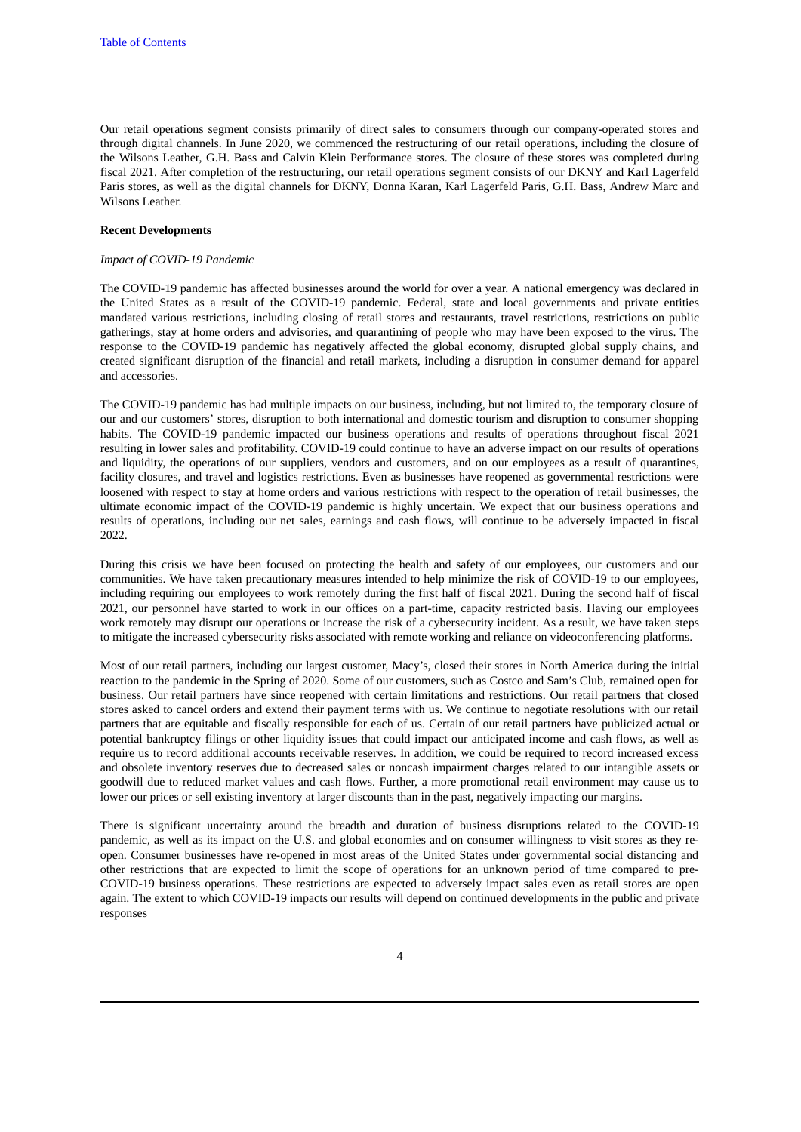Our retail operations segment consists primarily of direct sales to consumers through our company-operated stores and through digital channels. In June 2020, we commenced the restructuring of our retail operations, including the closure of the Wilsons Leather, G.H. Bass and Calvin Klein Performance stores. The closure of these stores was completed during fiscal 2021. After completion of the restructuring, our retail operations segment consists of our DKNY and Karl Lagerfeld Paris stores, as well as the digital channels for DKNY, Donna Karan, Karl Lagerfeld Paris, G.H. Bass, Andrew Marc and Wilsons Leather.

#### **Recent Developments**

#### *Impact of COVID-19 Pandemic*

The COVID-19 pandemic has affected businesses around the world for over a year. A national emergency was declared in the United States as a result of the COVID-19 pandemic. Federal, state and local governments and private entities mandated various restrictions, including closing of retail stores and restaurants, travel restrictions, restrictions on public gatherings, stay at home orders and advisories, and quarantining of people who may have been exposed to the virus. The response to the COVID-19 pandemic has negatively affected the global economy, disrupted global supply chains, and created significant disruption of the financial and retail markets, including a disruption in consumer demand for apparel and accessories.

The COVID-19 pandemic has had multiple impacts on our business, including, but not limited to, the temporary closure of our and our customers' stores, disruption to both international and domestic tourism and disruption to consumer shopping habits. The COVID-19 pandemic impacted our business operations and results of operations throughout fiscal 2021 resulting in lower sales and profitability. COVID-19 could continue to have an adverse impact on our results of operations and liquidity, the operations of our suppliers, vendors and customers, and on our employees as a result of quarantines, facility closures, and travel and logistics restrictions. Even as businesses have reopened as governmental restrictions were loosened with respect to stay at home orders and various restrictions with respect to the operation of retail businesses, the ultimate economic impact of the COVID-19 pandemic is highly uncertain. We expect that our business operations and results of operations, including our net sales, earnings and cash flows, will continue to be adversely impacted in fiscal 2022.

During this crisis we have been focused on protecting the health and safety of our employees, our customers and our communities. We have taken precautionary measures intended to help minimize the risk of COVID-19 to our employees, including requiring our employees to work remotely during the first half of fiscal 2021. During the second half of fiscal 2021, our personnel have started to work in our offices on a part-time, capacity restricted basis. Having our employees work remotely may disrupt our operations or increase the risk of a cybersecurity incident. As a result, we have taken steps to mitigate the increased cybersecurity risks associated with remote working and reliance on videoconferencing platforms.

Most of our retail partners, including our largest customer, Macy's, closed their stores in North America during the initial reaction to the pandemic in the Spring of 2020. Some of our customers, such as Costco and Sam's Club, remained open for business. Our retail partners have since reopened with certain limitations and restrictions. Our retail partners that closed stores asked to cancel orders and extend their payment terms with us. We continue to negotiate resolutions with our retail partners that are equitable and fiscally responsible for each of us. Certain of our retail partners have publicized actual or potential bankruptcy filings or other liquidity issues that could impact our anticipated income and cash flows, as well as require us to record additional accounts receivable reserves. In addition, we could be required to record increased excess and obsolete inventory reserves due to decreased sales or noncash impairment charges related to our intangible assets or goodwill due to reduced market values and cash flows. Further, a more promotional retail environment may cause us to lower our prices or sell existing inventory at larger discounts than in the past, negatively impacting our margins.

There is significant uncertainty around the breadth and duration of business disruptions related to the COVID-19 pandemic, as well as its impact on the U.S. and global economies and on consumer willingness to visit stores as they reopen. Consumer businesses have re-opened in most areas of the United States under governmental social distancing and other restrictions that are expected to limit the scope of operations for an unknown period of time compared to pre-COVID-19 business operations. These restrictions are expected to adversely impact sales even as retail stores are open again. The extent to which COVID-19 impacts our results will depend on continued developments in the public and private responses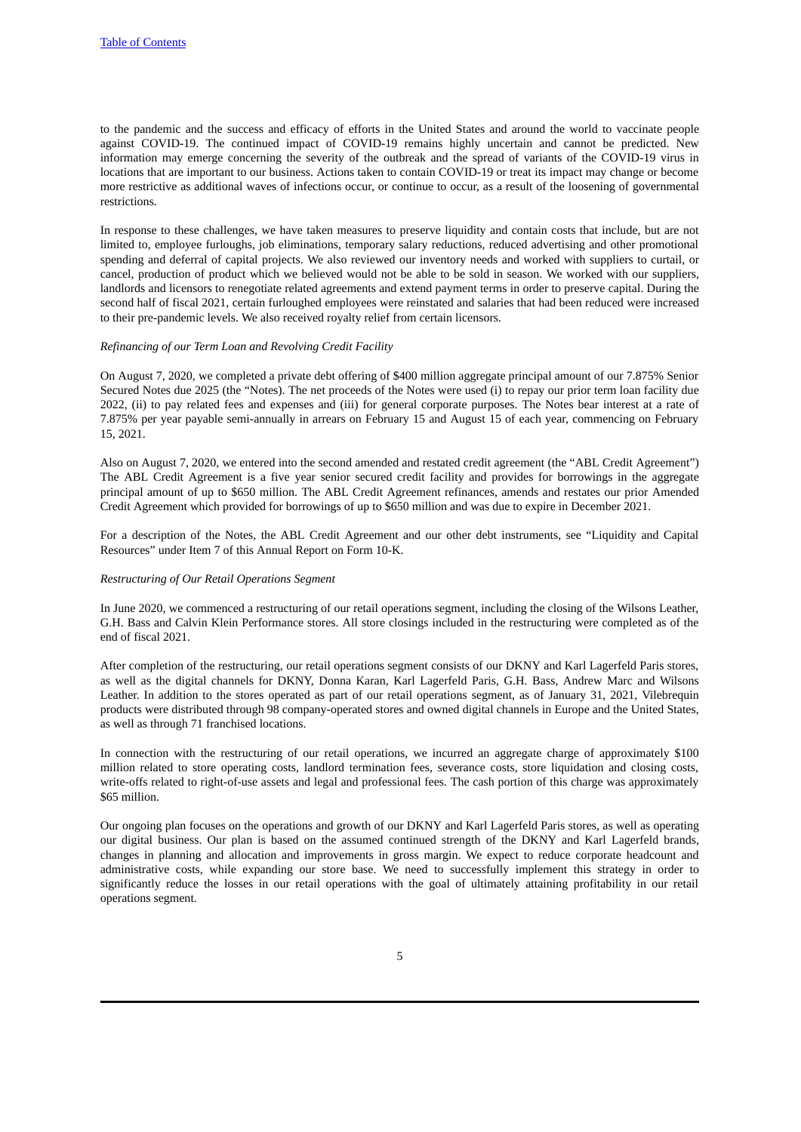to the pandemic and the success and efficacy of efforts in the United States and around the world to vaccinate people against COVID-19. The continued impact of COVID-19 remains highly uncertain and cannot be predicted. New information may emerge concerning the severity of the outbreak and the spread of variants of the COVID-19 virus in locations that are important to our business. Actions taken to contain COVID-19 or treat its impact may change or become more restrictive as additional waves of infections occur, or continue to occur, as a result of the loosening of governmental restrictions.

In response to these challenges, we have taken measures to preserve liquidity and contain costs that include, but are not limited to, employee furloughs, job eliminations, temporary salary reductions, reduced advertising and other promotional spending and deferral of capital projects. We also reviewed our inventory needs and worked with suppliers to curtail, or cancel, production of product which we believed would not be able to be sold in season. We worked with our suppliers, landlords and licensors to renegotiate related agreements and extend payment terms in order to preserve capital. During the second half of fiscal 2021, certain furloughed employees were reinstated and salaries that had been reduced were increased to their pre-pandemic levels. We also received royalty relief from certain licensors.

#### *Refinancing of our Term Loan and Revolving Credit Facility*

On August 7, 2020, we completed a private debt offering of \$400 million aggregate principal amount of our 7.875% Senior Secured Notes due 2025 (the "Notes). The net proceeds of the Notes were used (i) to repay our prior term loan facility due 2022, (ii) to pay related fees and expenses and (iii) for general corporate purposes. The Notes bear interest at a rate of 7.875% per year payable semi-annually in arrears on February 15 and August 15 of each year, commencing on February 15, 2021.

Also on August 7, 2020, we entered into the second amended and restated credit agreement (the "ABL Credit Agreement") The ABL Credit Agreement is a five year senior secured credit facility and provides for borrowings in the aggregate principal amount of up to \$650 million. The ABL Credit Agreement refinances, amends and restates our prior Amended Credit Agreement which provided for borrowings of up to \$650 million and was due to expire in December 2021.

For a description of the Notes, the ABL Credit Agreement and our other debt instruments, see "Liquidity and Capital Resources" under Item 7 of this Annual Report on Form 10-K.

#### *Restructuring of Our Retail Operations Segment*

In June 2020, we commenced a restructuring of our retail operations segment, including the closing of the Wilsons Leather, G.H. Bass and Calvin Klein Performance stores. All store closings included in the restructuring were completed as of the end of fiscal 2021.

After completion of the restructuring, our retail operations segment consists of our DKNY and Karl Lagerfeld Paris stores, as well as the digital channels for DKNY, Donna Karan, Karl Lagerfeld Paris, G.H. Bass, Andrew Marc and Wilsons Leather. In addition to the stores operated as part of our retail operations segment, as of January 31, 2021, Vilebrequin products were distributed through 98 company-operated stores and owned digital channels in Europe and the United States, as well as through 71 franchised locations.

In connection with the restructuring of our retail operations, we incurred an aggregate charge of approximately \$100 million related to store operating costs, landlord termination fees, severance costs, store liquidation and closing costs, write-offs related to right-of-use assets and legal and professional fees. The cash portion of this charge was approximately \$65 million.

Our ongoing plan focuses on the operations and growth of our DKNY and Karl Lagerfeld Paris stores, as well as operating our digital business. Our plan is based on the assumed continued strength of the DKNY and Karl Lagerfeld brands, changes in planning and allocation and improvements in gross margin. We expect to reduce corporate headcount and administrative costs, while expanding our store base. We need to successfully implement this strategy in order to significantly reduce the losses in our retail operations with the goal of ultimately attaining profitability in our retail operations segment.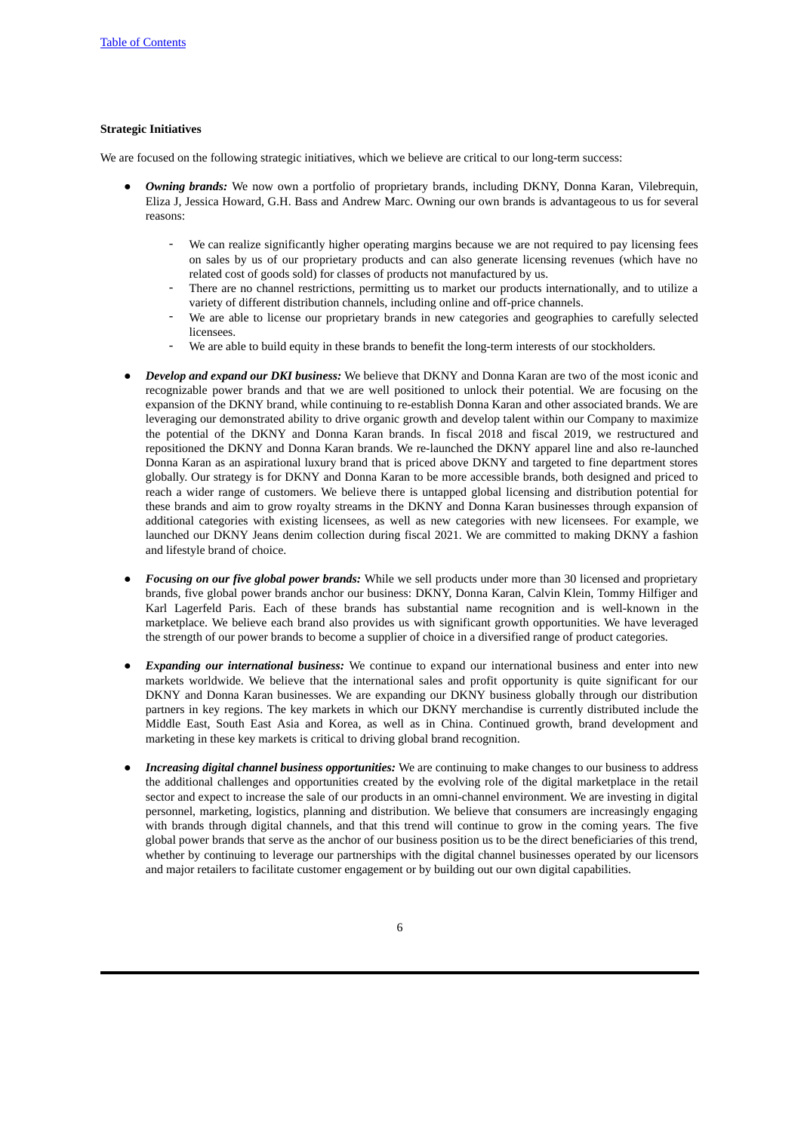## **Strategic Initiatives**

We are focused on the following strategic initiatives, which we believe are critical to our long-term success:

- *Owning brands:* We now own a portfolio of proprietary brands, including DKNY, Donna Karan, Vilebrequin, Eliza J, Jessica Howard, G.H. Bass and Andrew Marc. Owning our own brands is advantageous to us for several reasons:
	- We can realize significantly higher operating margins because we are not required to pay licensing fees on sales by us of our proprietary products and can also generate licensing revenues (which have no related cost of goods sold) for classes of products not manufactured by us.
	- There are no channel restrictions, permitting us to market our products internationally, and to utilize a variety of different distribution channels, including online and off-price channels.
	- We are able to license our proprietary brands in new categories and geographies to carefully selected licensees.
	- We are able to build equity in these brands to benefit the long-term interests of our stockholders.
- *Develop and expand our DKI business:* We believe that DKNY and Donna Karan are two of the most iconic and recognizable power brands and that we are well positioned to unlock their potential. We are focusing on the expansion of the DKNY brand, while continuing to re-establish Donna Karan and other associated brands. We are leveraging our demonstrated ability to drive organic growth and develop talent within our Company to maximize the potential of the DKNY and Donna Karan brands. In fiscal 2018 and fiscal 2019, we restructured and repositioned the DKNY and Donna Karan brands. We re-launched the DKNY apparel line and also re-launched Donna Karan as an aspirational luxury brand that is priced above DKNY and targeted to fine department stores globally. Our strategy is for DKNY and Donna Karan to be more accessible brands, both designed and priced to reach a wider range of customers. We believe there is untapped global licensing and distribution potential for these brands and aim to grow royalty streams in the DKNY and Donna Karan businesses through expansion of additional categories with existing licensees, as well as new categories with new licensees. For example, we launched our DKNY Jeans denim collection during fiscal 2021. We are committed to making DKNY a fashion and lifestyle brand of choice.
- *Focusing on our five global power brands:* While we sell products under more than 30 licensed and proprietary brands, five global power brands anchor our business: DKNY, Donna Karan, Calvin Klein, Tommy Hilfiger and Karl Lagerfeld Paris. Each of these brands has substantial name recognition and is well-known in the marketplace. We believe each brand also provides us with significant growth opportunities. We have leveraged the strength of our power brands to become a supplier of choice in a diversified range of product categories.
- **Expanding our international business:** We continue to expand our international business and enter into new markets worldwide. We believe that the international sales and profit opportunity is quite significant for our DKNY and Donna Karan businesses. We are expanding our DKNY business globally through our distribution partners in key regions. The key markets in which our DKNY merchandise is currently distributed include the Middle East, South East Asia and Korea, as well as in China. Continued growth, brand development and marketing in these key markets is critical to driving global brand recognition.
- *Increasing digital channel business opportunities:* We are continuing to make changes to our business to address the additional challenges and opportunities created by the evolving role of the digital marketplace in the retail sector and expect to increase the sale of our products in an omni-channel environment. We are investing in digital personnel, marketing, logistics, planning and distribution. We believe that consumers are increasingly engaging with brands through digital channels, and that this trend will continue to grow in the coming years. The five global power brands that serve as the anchor of our business position us to be the direct beneficiaries of this trend, whether by continuing to leverage our partnerships with the digital channel businesses operated by our licensors and major retailers to facilitate customer engagement or by building out our own digital capabilities.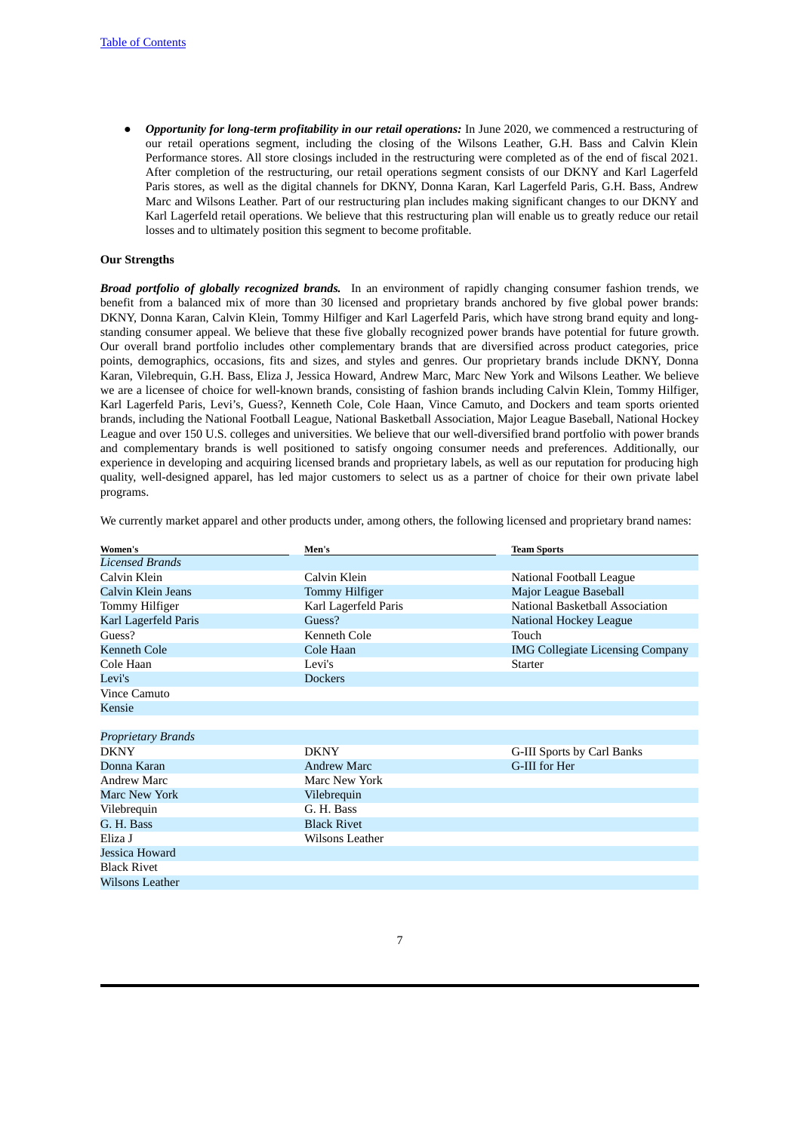● *Opportunity for long-term profitability in our retail operations:* In June 2020, we commenced a restructuring of our retail operations segment, including the closing of the Wilsons Leather, G.H. Bass and Calvin Klein Performance stores. All store closings included in the restructuring were completed as of the end of fiscal 2021. After completion of the restructuring, our retail operations segment consists of our DKNY and Karl Lagerfeld Paris stores, as well as the digital channels for DKNY, Donna Karan, Karl Lagerfeld Paris, G.H. Bass, Andrew Marc and Wilsons Leather. Part of our restructuring plan includes making significant changes to our DKNY and Karl Lagerfeld retail operations. We believe that this restructuring plan will enable us to greatly reduce our retail losses and to ultimately position this segment to become profitable.

#### **Our Strengths**

*Broad portfolio of globally recognized brands.* In an environment of rapidly changing consumer fashion trends, we benefit from a balanced mix of more than 30 licensed and proprietary brands anchored by five global power brands: DKNY, Donna Karan, Calvin Klein, Tommy Hilfiger and Karl Lagerfeld Paris, which have strong brand equity and longstanding consumer appeal. We believe that these five globally recognized power brands have potential for future growth. Our overall brand portfolio includes other complementary brands that are diversified across product categories, price points, demographics, occasions, fits and sizes, and styles and genres. Our proprietary brands include DKNY, Donna Karan, Vilebrequin, G.H. Bass, Eliza J, Jessica Howard, Andrew Marc, Marc New York and Wilsons Leather. We believe we are a licensee of choice for well-known brands, consisting of fashion brands including Calvin Klein, Tommy Hilfiger, Karl Lagerfeld Paris, Levi's, Guess?, Kenneth Cole, Cole Haan, Vince Camuto, and Dockers and team sports oriented brands, including the National Football League, National Basketball Association, Major League Baseball, National Hockey League and over 150 U.S. colleges and universities. We believe that our well-diversified brand portfolio with power brands and complementary brands is well positioned to satisfy ongoing consumer needs and preferences. Additionally, our experience in developing and acquiring licensed brands and proprietary labels, as well as our reputation for producing high quality, well-designed apparel, has led major customers to select us as a partner of choice for their own private label programs.

|  | We currently market apparel and other products under, among others, the following licensed and proprietary brand names: |  |  |  |
|--|-------------------------------------------------------------------------------------------------------------------------|--|--|--|
|  |                                                                                                                         |  |  |  |

| Women's                   | Men's                                                | <b>Team Sports</b>              |  |
|---------------------------|------------------------------------------------------|---------------------------------|--|
| Licensed Brands           |                                                      |                                 |  |
| Calvin Klein              | Calvin Klein                                         | National Football League        |  |
| Calvin Klein Jeans        | <b>Tommy Hilfiger</b>                                | Major League Baseball           |  |
| Tommy Hilfiger            | Karl Lagerfeld Paris                                 | National Basketball Association |  |
| Karl Lagerfeld Paris      | Guess?<br>National Hockey League                     |                                 |  |
| Guess?                    | Kenneth Cole                                         | Touch                           |  |
| <b>Kenneth Cole</b>       | Cole Haan<br><b>IMG Collegiate Licensing Company</b> |                                 |  |
| Cole Haan                 | Levi's                                               | <b>Starter</b>                  |  |
| Levi's                    | <b>Dockers</b>                                       |                                 |  |
| Vince Camuto              |                                                      |                                 |  |
| Kensie                    |                                                      |                                 |  |
|                           |                                                      |                                 |  |
| <b>Proprietary Brands</b> |                                                      |                                 |  |
| <b>DKNY</b>               | <b>DKNY</b><br>G-III Sports by Carl Banks            |                                 |  |
| Donna Karan               | G-III for Her<br><b>Andrew Marc</b>                  |                                 |  |
| Andrew Marc               | Marc New York                                        |                                 |  |
| Marc New York             | Vilebrequin                                          |                                 |  |
| Vilebrequin               | G. H. Bass                                           |                                 |  |
| G. H. Bass                | <b>Black Rivet</b>                                   |                                 |  |
| Eliza J                   | Wilsons Leather                                      |                                 |  |
| Jessica Howard            |                                                      |                                 |  |
| <b>Black Rivet</b>        |                                                      |                                 |  |
| Wilsons Leather           |                                                      |                                 |  |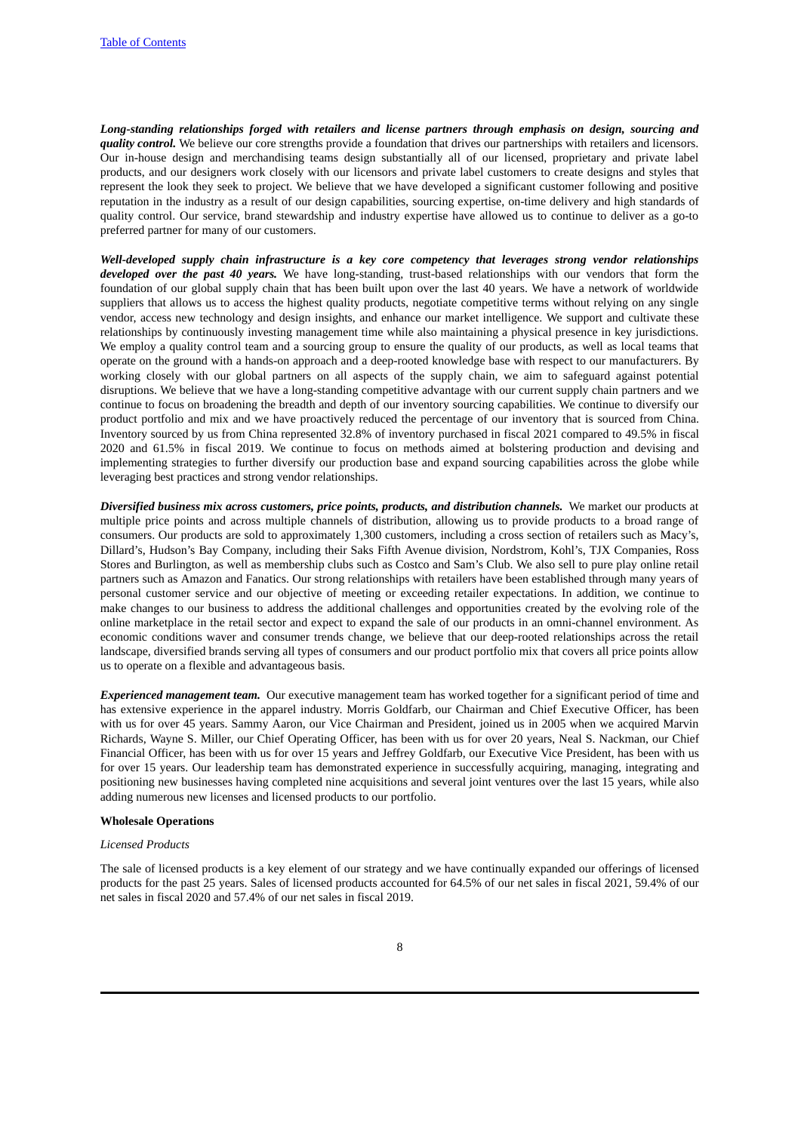*Long-standing relationships forged with retailers and license partners through emphasis on design, sourcing and quality control.* We believe our core strengths provide a foundation that drives our partnerships with retailers and licensors. Our in-house design and merchandising teams design substantially all of our licensed, proprietary and private label products, and our designers work closely with our licensors and private label customers to create designs and styles that represent the look they seek to project. We believe that we have developed a significant customer following and positive reputation in the industry as a result of our design capabilities, sourcing expertise, on-time delivery and high standards of quality control. Our service, brand stewardship and industry expertise have allowed us to continue to deliver as a go-to preferred partner for many of our customers.

*Well-developed supply chain infrastructure is a key core competency that leverages strong vendor relationships developed over the past 40 years.* We have long-standing, trust-based relationships with our vendors that form the foundation of our global supply chain that has been built upon over the last 40 years. We have a network of worldwide suppliers that allows us to access the highest quality products, negotiate competitive terms without relying on any single vendor, access new technology and design insights, and enhance our market intelligence. We support and cultivate these relationships by continuously investing management time while also maintaining a physical presence in key jurisdictions. We employ a quality control team and a sourcing group to ensure the quality of our products, as well as local teams that operate on the ground with a hands-on approach and a deep-rooted knowledge base with respect to our manufacturers. By working closely with our global partners on all aspects of the supply chain, we aim to safeguard against potential disruptions. We believe that we have a long-standing competitive advantage with our current supply chain partners and we continue to focus on broadening the breadth and depth of our inventory sourcing capabilities. We continue to diversify our product portfolio and mix and we have proactively reduced the percentage of our inventory that is sourced from China. Inventory sourced by us from China represented 32.8% of inventory purchased in fiscal 2021 compared to 49.5% in fiscal 2020 and 61.5% in fiscal 2019. We continue to focus on methods aimed at bolstering production and devising and implementing strategies to further diversify our production base and expand sourcing capabilities across the globe while leveraging best practices and strong vendor relationships.

*Diversified business mix across customers, price points, products, and distribution channels.* We market our products at multiple price points and across multiple channels of distribution, allowing us to provide products to a broad range of consumers. Our products are sold to approximately 1,300 customers, including a cross section of retailers such as Macy's, Dillard's, Hudson's Bay Company, including their Saks Fifth Avenue division, Nordstrom, Kohl's, TJX Companies, Ross Stores and Burlington, as well as membership clubs such as Costco and Sam's Club. We also sell to pure play online retail partners such as Amazon and Fanatics. Our strong relationships with retailers have been established through many years of personal customer service and our objective of meeting or exceeding retailer expectations. In addition, we continue to make changes to our business to address the additional challenges and opportunities created by the evolving role of the online marketplace in the retail sector and expect to expand the sale of our products in an omni-channel environment. As economic conditions waver and consumer trends change, we believe that our deep-rooted relationships across the retail landscape, diversified brands serving all types of consumers and our product portfolio mix that covers all price points allow us to operate on a flexible and advantageous basis.

*Experienced management team.* Our executive management team has worked together for a significant period of time and has extensive experience in the apparel industry. Morris Goldfarb, our Chairman and Chief Executive Officer, has been with us for over 45 years. Sammy Aaron, our Vice Chairman and President, joined us in 2005 when we acquired Marvin Richards, Wayne S. Miller, our Chief Operating Officer, has been with us for over 20 years, Neal S. Nackman, our Chief Financial Officer, has been with us for over 15 years and Jeffrey Goldfarb, our Executive Vice President, has been with us for over 15 years. Our leadership team has demonstrated experience in successfully acquiring, managing, integrating and positioning new businesses having completed nine acquisitions and several joint ventures over the last 15 years, while also adding numerous new licenses and licensed products to our portfolio.

#### **Wholesale Operations**

## *Licensed Products*

The sale of licensed products is a key element of our strategy and we have continually expanded our offerings of licensed products for the past 25 years. Sales of licensed products accounted for 64.5% of our net sales in fiscal 2021, 59.4% of our net sales in fiscal 2020 and 57.4% of our net sales in fiscal 2019.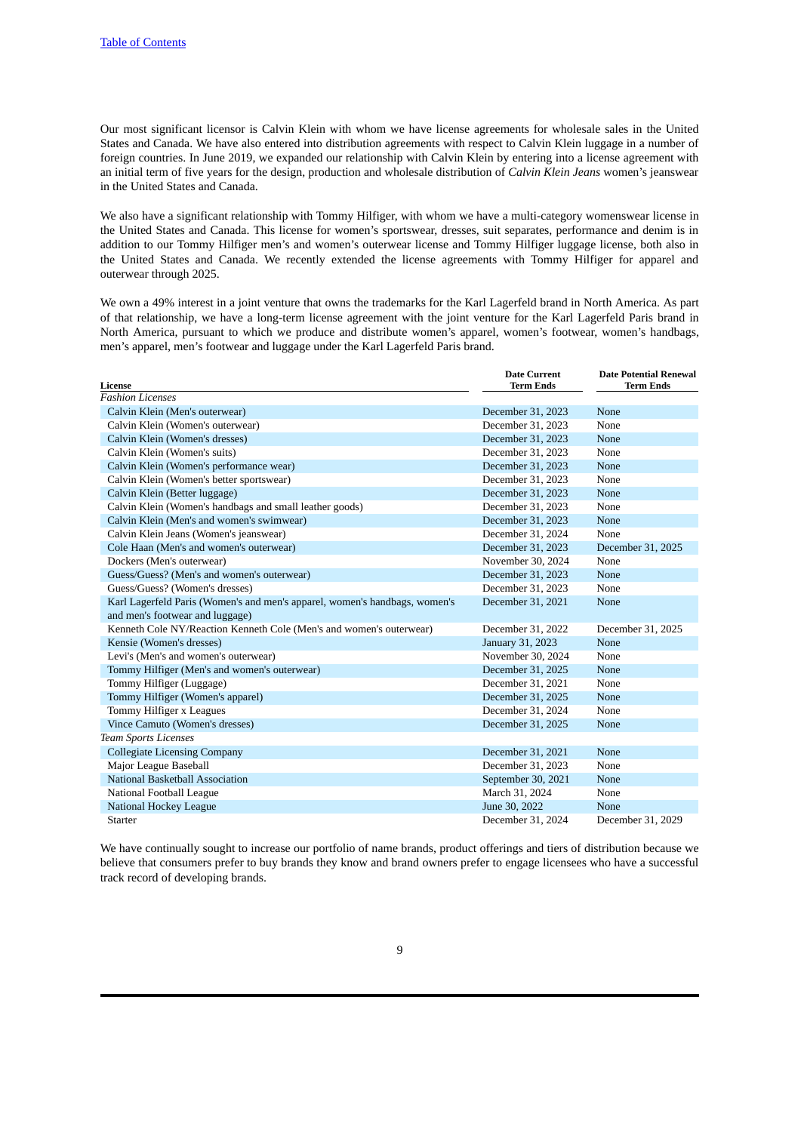Our most significant licensor is Calvin Klein with whom we have license agreements for wholesale sales in the United States and Canada. We have also entered into distribution agreements with respect to Calvin Klein luggage in a number of foreign countries. In June 2019, we expanded our relationship with Calvin Klein by entering into a license agreement with an initial term of five years for the design, production and wholesale distribution of *Calvin Klein Jeans* women's jeanswear in the United States and Canada.

We also have a significant relationship with Tommy Hilfiger, with whom we have a multi-category womenswear license in the United States and Canada. This license for women's sportswear, dresses, suit separates, performance and denim is in addition to our Tommy Hilfiger men's and women's outerwear license and Tommy Hilfiger luggage license, both also in the United States and Canada. We recently extended the license agreements with Tommy Hilfiger for apparel and outerwear through 2025.

We own a 49% interest in a joint venture that owns the trademarks for the Karl Lagerfeld brand in North America. As part of that relationship, we have a long-term license agreement with the joint venture for the Karl Lagerfeld Paris brand in North America, pursuant to which we produce and distribute women's apparel, women's footwear, women's handbags, men's apparel, men's footwear and luggage under the Karl Lagerfeld Paris brand.

| License                                                                                                       | <b>Date Current</b><br><b>Term Ends</b> | <b>Date Potential Renewal</b><br><b>Term Ends</b> |
|---------------------------------------------------------------------------------------------------------------|-----------------------------------------|---------------------------------------------------|
| <b>Fashion Licenses</b>                                                                                       |                                         |                                                   |
| Calvin Klein (Men's outerwear)                                                                                | December 31, 2023                       | None                                              |
| Calvin Klein (Women's outerwear)                                                                              | December 31, 2023                       | None                                              |
| Calvin Klein (Women's dresses)                                                                                | December 31, 2023                       | None                                              |
| Calvin Klein (Women's suits)                                                                                  | December 31, 2023                       | None                                              |
| Calvin Klein (Women's performance wear)                                                                       | December 31, 2023                       | None                                              |
| Calvin Klein (Women's better sportswear)                                                                      | December 31, 2023                       | None                                              |
| Calvin Klein (Better luggage)                                                                                 | December 31, 2023                       | None                                              |
| Calvin Klein (Women's handbags and small leather goods)                                                       | December 31, 2023                       | None                                              |
| Calvin Klein (Men's and women's swimwear)                                                                     | December 31, 2023                       | None                                              |
| Calvin Klein Jeans (Women's jeanswear)                                                                        | December 31, 2024                       | None                                              |
| Cole Haan (Men's and women's outerwear)                                                                       | December 31, 2023                       | December 31, 2025                                 |
| Dockers (Men's outerwear)                                                                                     | November 30, 2024                       | None                                              |
| Guess/Guess? (Men's and women's outerwear)                                                                    | December 31, 2023                       | None                                              |
| Guess/Guess? (Women's dresses)                                                                                | December 31, 2023                       | None                                              |
| Karl Lagerfeld Paris (Women's and men's apparel, women's handbags, women's<br>and men's footwear and luggage) | December 31, 2021                       | None                                              |
| Kenneth Cole NY/Reaction Kenneth Cole (Men's and women's outerwear)                                           | December 31, 2022                       | December 31, 2025                                 |
| Kensie (Women's dresses)                                                                                      | January 31, 2023                        | None                                              |
| Levi's (Men's and women's outerwear)                                                                          | November 30, 2024                       | None                                              |
| Tommy Hilfiger (Men's and women's outerwear)                                                                  | December 31, 2025                       | None                                              |
| Tommy Hilfiger (Luggage)                                                                                      | December 31, 2021                       | None                                              |
| Tommy Hilfiger (Women's apparel)                                                                              | December 31, 2025                       | None                                              |
| Tommy Hilfiger x Leagues                                                                                      | December 31, 2024                       | None                                              |
| Vince Camuto (Women's dresses)                                                                                | December 31, 2025                       | None                                              |
| <b>Team Sports Licenses</b>                                                                                   |                                         |                                                   |
| <b>Collegiate Licensing Company</b>                                                                           | December 31, 2021                       | None                                              |
| Major League Baseball                                                                                         | December 31, 2023                       | None                                              |
| National Basketball Association                                                                               | September 30, 2021                      | None                                              |
| National Football League                                                                                      | March 31, 2024                          | None                                              |
| National Hockey League                                                                                        | June 30, 2022                           | None                                              |
| <b>Starter</b>                                                                                                | December 31, 2024                       | December 31, 2029                                 |

We have continually sought to increase our portfolio of name brands, product offerings and tiers of distribution because we believe that consumers prefer to buy brands they know and brand owners prefer to engage licensees who have a successful track record of developing brands.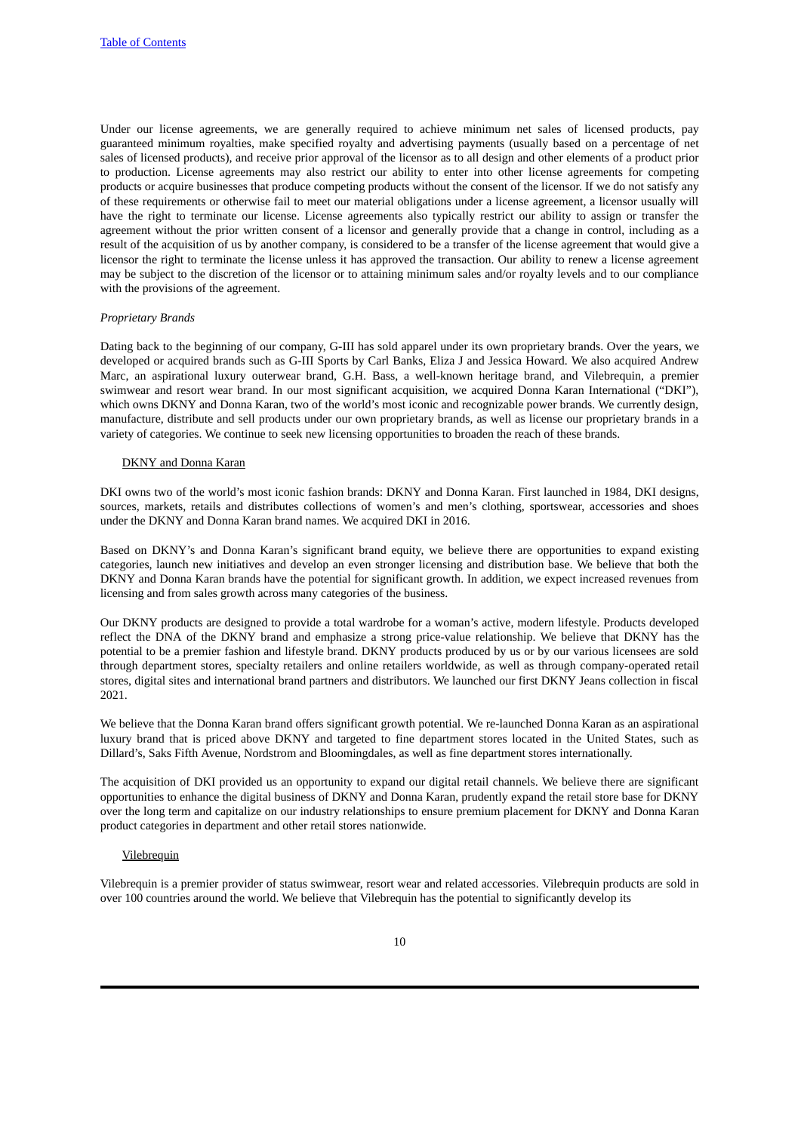Under our license agreements, we are generally required to achieve minimum net sales of licensed products, pay guaranteed minimum royalties, make specified royalty and advertising payments (usually based on a percentage of net sales of licensed products), and receive prior approval of the licensor as to all design and other elements of a product prior to production. License agreements may also restrict our ability to enter into other license agreements for competing products or acquire businesses that produce competing products without the consent of the licensor. If we do not satisfy any of these requirements or otherwise fail to meet our material obligations under a license agreement, a licensor usually will have the right to terminate our license. License agreements also typically restrict our ability to assign or transfer the agreement without the prior written consent of a licensor and generally provide that a change in control, including as a result of the acquisition of us by another company, is considered to be a transfer of the license agreement that would give a licensor the right to terminate the license unless it has approved the transaction. Our ability to renew a license agreement may be subject to the discretion of the licensor or to attaining minimum sales and/or royalty levels and to our compliance with the provisions of the agreement.

#### *Proprietary Brands*

Dating back to the beginning of our company, G-III has sold apparel under its own proprietary brands. Over the years, we developed or acquired brands such as G-III Sports by Carl Banks, Eliza J and Jessica Howard. We also acquired Andrew Marc, an aspirational luxury outerwear brand, G.H. Bass, a well-known heritage brand, and Vilebrequin, a premier swimwear and resort wear brand. In our most significant acquisition, we acquired Donna Karan International ("DKI"), which owns DKNY and Donna Karan, two of the world's most iconic and recognizable power brands. We currently design, manufacture, distribute and sell products under our own proprietary brands, as well as license our proprietary brands in a variety of categories. We continue to seek new licensing opportunities to broaden the reach of these brands.

#### DKNY and Donna Karan

DKI owns two of the world's most iconic fashion brands: DKNY and Donna Karan. First launched in 1984, DKI designs, sources, markets, retails and distributes collections of women's and men's clothing, sportswear, accessories and shoes under the DKNY and Donna Karan brand names. We acquired DKI in 2016.

Based on DKNY's and Donna Karan's significant brand equity, we believe there are opportunities to expand existing categories, launch new initiatives and develop an even stronger licensing and distribution base. We believe that both the DKNY and Donna Karan brands have the potential for significant growth. In addition, we expect increased revenues from licensing and from sales growth across many categories of the business.

Our DKNY products are designed to provide a total wardrobe for a woman's active, modern lifestyle. Products developed reflect the DNA of the DKNY brand and emphasize a strong price-value relationship. We believe that DKNY has the potential to be a premier fashion and lifestyle brand. DKNY products produced by us or by our various licensees are sold through department stores, specialty retailers and online retailers worldwide, as well as through company-operated retail stores, digital sites and international brand partners and distributors. We launched our first DKNY Jeans collection in fiscal 2021.

We believe that the Donna Karan brand offers significant growth potential. We re-launched Donna Karan as an aspirational luxury brand that is priced above DKNY and targeted to fine department stores located in the United States, such as Dillard's, Saks Fifth Avenue, Nordstrom and Bloomingdales, as well as fine department stores internationally.

The acquisition of DKI provided us an opportunity to expand our digital retail channels. We believe there are significant opportunities to enhance the digital business of DKNY and Donna Karan, prudently expand the retail store base for DKNY over the long term and capitalize on our industry relationships to ensure premium placement for DKNY and Donna Karan product categories in department and other retail stores nationwide.

#### **Vilebrequin**

Vilebrequin is a premier provider of status swimwear, resort wear and related accessories. Vilebrequin products are sold in over 100 countries around the world. We believe that Vilebrequin has the potential to significantly develop its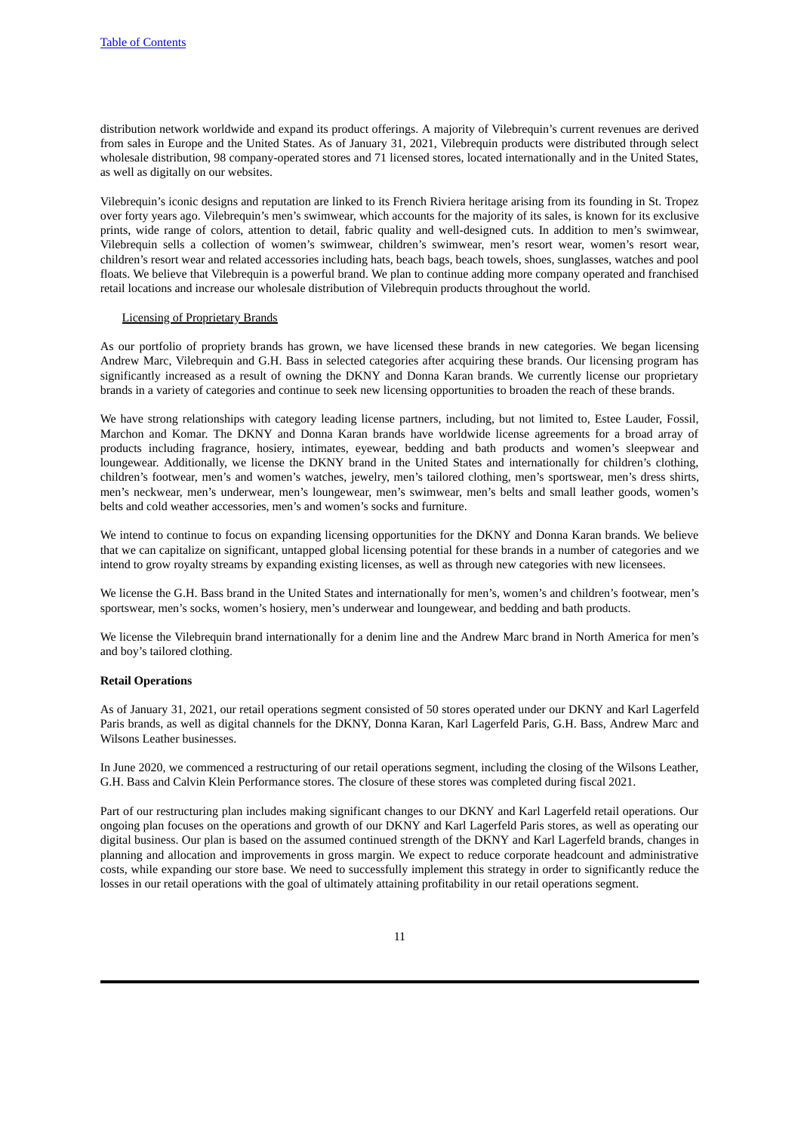distribution network worldwide and expand its product offerings. A majority of Vilebrequin's current revenues are derived from sales in Europe and the United States. As of January 31, 2021, Vilebrequin products were distributed through select wholesale distribution, 98 company-operated stores and 71 licensed stores, located internationally and in the United States, as well as digitally on our websites.

Vilebrequin's iconic designs and reputation are linked to its French Riviera heritage arising from its founding in St. Tropez over forty years ago. Vilebrequin's men's swimwear, which accounts for the majority of its sales, is known for its exclusive prints, wide range of colors, attention to detail, fabric quality and well-designed cuts. In addition to men's swimwear, Vilebrequin sells a collection of women's swimwear, children's swimwear, men's resort wear, women's resort wear, children's resort wear and related accessories including hats, beach bags, beach towels, shoes, sunglasses, watches and pool floats. We believe that Vilebrequin is a powerful brand. We plan to continue adding more company operated and franchised retail locations and increase our wholesale distribution of Vilebrequin products throughout the world.

## Licensing of Proprietary Brands

As our portfolio of propriety brands has grown, we have licensed these brands in new categories. We began licensing Andrew Marc, Vilebrequin and G.H. Bass in selected categories after acquiring these brands. Our licensing program has significantly increased as a result of owning the DKNY and Donna Karan brands. We currently license our proprietary brands in a variety of categories and continue to seek new licensing opportunities to broaden the reach of these brands.

We have strong relationships with category leading license partners, including, but not limited to, Estee Lauder, Fossil, Marchon and Komar. The DKNY and Donna Karan brands have worldwide license agreements for a broad array of products including fragrance, hosiery, intimates, eyewear, bedding and bath products and women's sleepwear and loungewear. Additionally, we license the DKNY brand in the United States and internationally for children's clothing, children's footwear, men's and women's watches, jewelry, men's tailored clothing, men's sportswear, men's dress shirts, men's neckwear, men's underwear, men's loungewear, men's swimwear, men's belts and small leather goods, women's belts and cold weather accessories, men's and women's socks and furniture.

We intend to continue to focus on expanding licensing opportunities for the DKNY and Donna Karan brands. We believe that we can capitalize on significant, untapped global licensing potential for these brands in a number of categories and we intend to grow royalty streams by expanding existing licenses, as well as through new categories with new licensees.

We license the G.H. Bass brand in the United States and internationally for men's, women's and children's footwear, men's sportswear, men's socks, women's hosiery, men's underwear and loungewear, and bedding and bath products.

We license the Vilebrequin brand internationally for a denim line and the Andrew Marc brand in North America for men's and boy's tailored clothing.

#### **Retail Operations**

As of January 31, 2021, our retail operations segment consisted of 50 stores operated under our DKNY and Karl Lagerfeld Paris brands, as well as digital channels for the DKNY, Donna Karan, Karl Lagerfeld Paris, G.H. Bass, Andrew Marc and Wilsons Leather businesses.

In June 2020, we commenced a restructuring of our retail operations segment, including the closing of the Wilsons Leather, G.H. Bass and Calvin Klein Performance stores. The closure of these stores was completed during fiscal 2021.

Part of our restructuring plan includes making significant changes to our DKNY and Karl Lagerfeld retail operations. Our ongoing plan focuses on the operations and growth of our DKNY and Karl Lagerfeld Paris stores, as well as operating our digital business. Our plan is based on the assumed continued strength of the DKNY and Karl Lagerfeld brands, changes in planning and allocation and improvements in gross margin. We expect to reduce corporate headcount and administrative costs, while expanding our store base. We need to successfully implement this strategy in order to significantly reduce the losses in our retail operations with the goal of ultimately attaining profitability in our retail operations segment.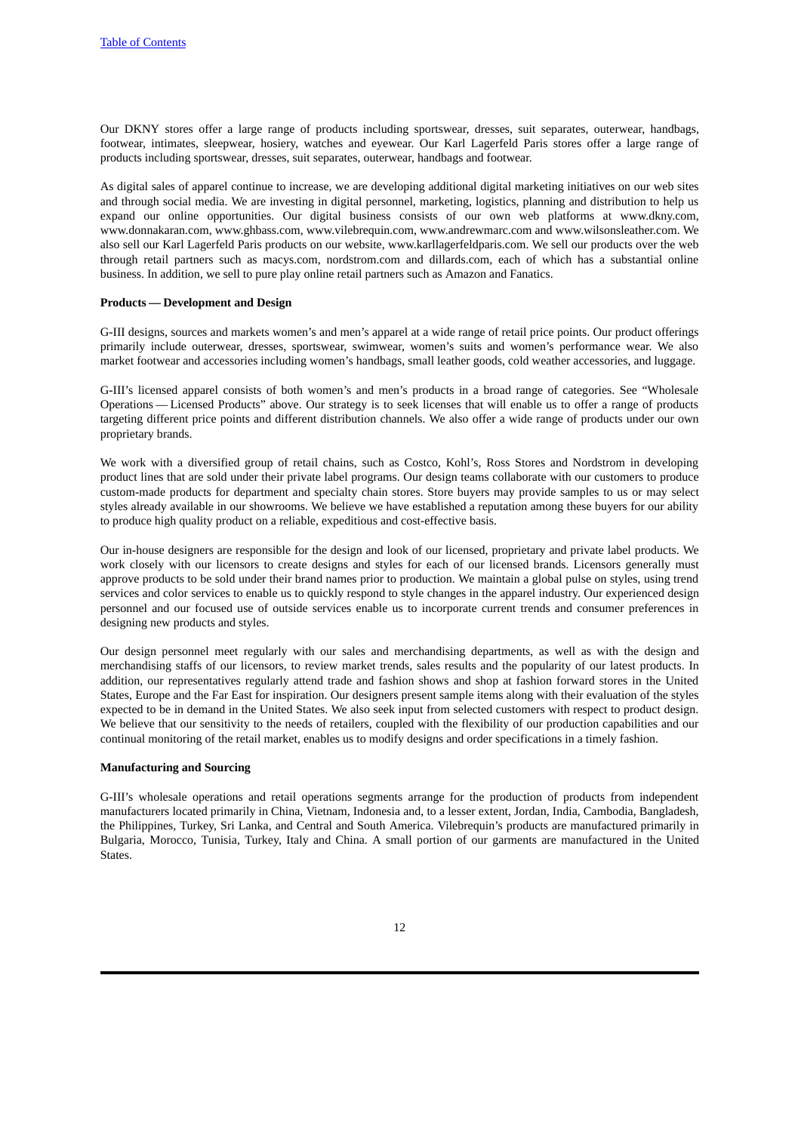Our DKNY stores offer a large range of products including sportswear, dresses, suit separates, outerwear, handbags, footwear, intimates, sleepwear, hosiery, watches and eyewear. Our Karl Lagerfeld Paris stores offer a large range of products including sportswear, dresses, suit separates, outerwear, handbags and footwear.

As digital sales of apparel continue to increase, we are developing additional digital marketing initiatives on our web sites and through social media. We are investing in digital personnel, marketing, logistics, planning and distribution to help us expand our online opportunities. Our digital business consists of our own web platforms at www.dkny.com, www.donnakaran.com, www.ghbass.com, www.vilebrequin.com, www.andrewmarc.com and www.wilsonsleather.com. We also sell our Karl Lagerfeld Paris products on our website, www.karllagerfeldparis.com. We sell our products over the web through retail partners such as macys.com, nordstrom.com and dillards.com, each of which has a substantial online business. In addition, we sell to pure play online retail partners such as Amazon and Fanatics.

#### **Products — Development and Design**

G-III designs, sources and markets women's and men's apparel at a wide range of retail price points. Our product offerings primarily include outerwear, dresses, sportswear, swimwear, women's suits and women's performance wear. We also market footwear and accessories including women's handbags, small leather goods, cold weather accessories, and luggage.

G-III's licensed apparel consists of both women's and men's products in a broad range of categories. See "Wholesale Operations — Licensed Products" above. Our strategy is to seek licenses that will enable us to offer a range of products targeting different price points and different distribution channels. We also offer a wide range of products under our own proprietary brands.

We work with a diversified group of retail chains, such as Costco, Kohl's, Ross Stores and Nordstrom in developing product lines that are sold under their private label programs. Our design teams collaborate with our customers to produce custom-made products for department and specialty chain stores. Store buyers may provide samples to us or may select styles already available in our showrooms. We believe we have established a reputation among these buyers for our ability to produce high quality product on a reliable, expeditious and cost-effective basis.

Our in-house designers are responsible for the design and look of our licensed, proprietary and private label products. We work closely with our licensors to create designs and styles for each of our licensed brands. Licensors generally must approve products to be sold under their brand names prior to production. We maintain a global pulse on styles, using trend services and color services to enable us to quickly respond to style changes in the apparel industry. Our experienced design personnel and our focused use of outside services enable us to incorporate current trends and consumer preferences in designing new products and styles.

Our design personnel meet regularly with our sales and merchandising departments, as well as with the design and merchandising staffs of our licensors, to review market trends, sales results and the popularity of our latest products. In addition, our representatives regularly attend trade and fashion shows and shop at fashion forward stores in the United States, Europe and the Far East for inspiration. Our designers present sample items along with their evaluation of the styles expected to be in demand in the United States. We also seek input from selected customers with respect to product design. We believe that our sensitivity to the needs of retailers, coupled with the flexibility of our production capabilities and our continual monitoring of the retail market, enables us to modify designs and order specifications in a timely fashion.

#### **Manufacturing and Sourcing**

G-III's wholesale operations and retail operations segments arrange for the production of products from independent manufacturers located primarily in China, Vietnam, Indonesia and, to a lesser extent, Jordan, India, Cambodia, Bangladesh, the Philippines, Turkey, Sri Lanka, and Central and South America. Vilebrequin's products are manufactured primarily in Bulgaria, Morocco, Tunisia, Turkey, Italy and China. A small portion of our garments are manufactured in the United States.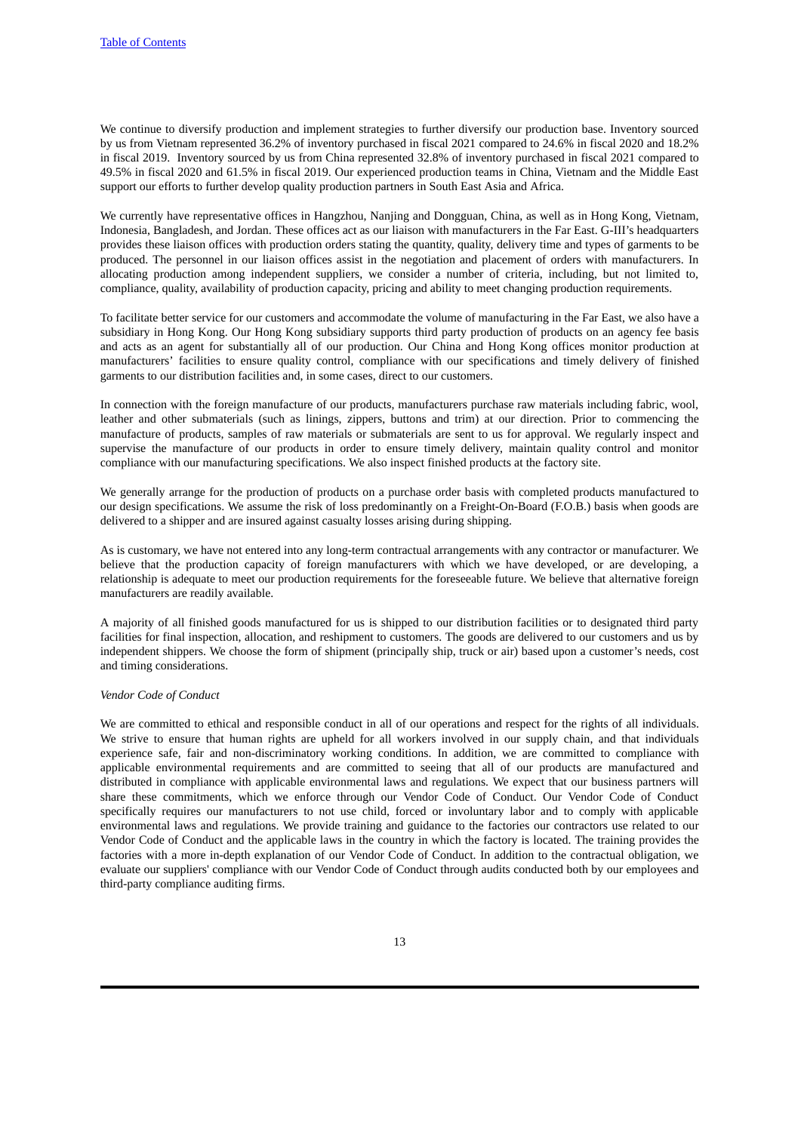We continue to diversify production and implement strategies to further diversify our production base. Inventory sourced by us from Vietnam represented 36.2% of inventory purchased in fiscal 2021 compared to 24.6% in fiscal 2020 and 18.2% in fiscal 2019. Inventory sourced by us from China represented 32.8% of inventory purchased in fiscal 2021 compared to 49.5% in fiscal 2020 and 61.5% in fiscal 2019. Our experienced production teams in China, Vietnam and the Middle East support our efforts to further develop quality production partners in South East Asia and Africa.

We currently have representative offices in Hangzhou, Nanjing and Dongguan, China, as well as in Hong Kong, Vietnam, Indonesia, Bangladesh, and Jordan. These offices act as our liaison with manufacturers in the Far East. G-III's headquarters provides these liaison offices with production orders stating the quantity, quality, delivery time and types of garments to be produced. The personnel in our liaison offices assist in the negotiation and placement of orders with manufacturers. In allocating production among independent suppliers, we consider a number of criteria, including, but not limited to, compliance, quality, availability of production capacity, pricing and ability to meet changing production requirements.

To facilitate better service for our customers and accommodate the volume of manufacturing in the Far East, we also have a subsidiary in Hong Kong. Our Hong Kong subsidiary supports third party production of products on an agency fee basis and acts as an agent for substantially all of our production. Our China and Hong Kong offices monitor production at manufacturers' facilities to ensure quality control, compliance with our specifications and timely delivery of finished garments to our distribution facilities and, in some cases, direct to our customers.

In connection with the foreign manufacture of our products, manufacturers purchase raw materials including fabric, wool, leather and other submaterials (such as linings, zippers, buttons and trim) at our direction. Prior to commencing the manufacture of products, samples of raw materials or submaterials are sent to us for approval. We regularly inspect and supervise the manufacture of our products in order to ensure timely delivery, maintain quality control and monitor compliance with our manufacturing specifications. We also inspect finished products at the factory site.

We generally arrange for the production of products on a purchase order basis with completed products manufactured to our design specifications. We assume the risk of loss predominantly on a Freight-On-Board (F.O.B.) basis when goods are delivered to a shipper and are insured against casualty losses arising during shipping.

As is customary, we have not entered into any long-term contractual arrangements with any contractor or manufacturer. We believe that the production capacity of foreign manufacturers with which we have developed, or are developing, a relationship is adequate to meet our production requirements for the foreseeable future. We believe that alternative foreign manufacturers are readily available.

A majority of all finished goods manufactured for us is shipped to our distribution facilities or to designated third party facilities for final inspection, allocation, and reshipment to customers. The goods are delivered to our customers and us by independent shippers. We choose the form of shipment (principally ship, truck or air) based upon a customer's needs, cost and timing considerations.

#### *Vendor Code of Conduct*

We are committed to ethical and responsible conduct in all of our operations and respect for the rights of all individuals. We strive to ensure that human rights are upheld for all workers involved in our supply chain, and that individuals experience safe, fair and non-discriminatory working conditions. In addition, we are committed to compliance with applicable environmental requirements and are committed to seeing that all of our products are manufactured and distributed in compliance with applicable environmental laws and regulations. We expect that our business partners will share these commitments, which we enforce through our Vendor Code of Conduct. Our Vendor Code of Conduct specifically requires our manufacturers to not use child, forced or involuntary labor and to comply with applicable environmental laws and regulations. We provide training and guidance to the factories our contractors use related to our Vendor Code of Conduct and the applicable laws in the country in which the factory is located. The training provides the factories with a more in-depth explanation of our Vendor Code of Conduct. In addition to the contractual obligation, we evaluate our suppliers' compliance with our Vendor Code of Conduct through audits conducted both by our employees and third-party compliance auditing firms.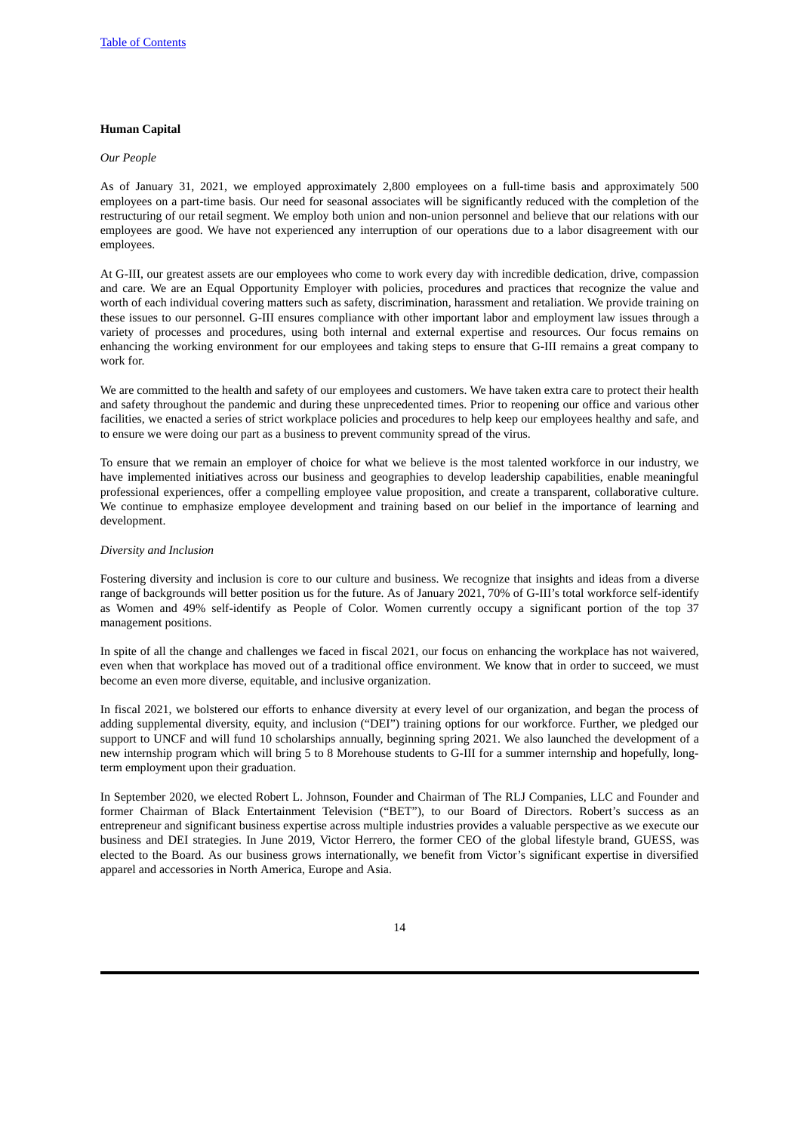## **Human Capital**

#### *Our People*

As of January 31, 2021, we employed approximately 2,800 employees on a full-time basis and approximately 500 employees on a part-time basis. Our need for seasonal associates will be significantly reduced with the completion of the restructuring of our retail segment. We employ both union and non-union personnel and believe that our relations with our employees are good. We have not experienced any interruption of our operations due to a labor disagreement with our employees.

At G-III, our greatest assets are our employees who come to work every day with incredible dedication, drive, compassion and care. We are an Equal Opportunity Employer with policies, procedures and practices that recognize the value and worth of each individual covering matters such as safety, discrimination, harassment and retaliation. We provide training on these issues to our personnel. G-III ensures compliance with other important labor and employment law issues through a variety of processes and procedures, using both internal and external expertise and resources. Our focus remains on enhancing the working environment for our employees and taking steps to ensure that G-III remains a great company to work for.

We are committed to the health and safety of our employees and customers. We have taken extra care to protect their health and safety throughout the pandemic and during these unprecedented times. Prior to reopening our office and various other facilities, we enacted a series of strict workplace policies and procedures to help keep our employees healthy and safe, and to ensure we were doing our part as a business to prevent community spread of the virus.

To ensure that we remain an employer of choice for what we believe is the most talented workforce in our industry, we have implemented initiatives across our business and geographies to develop leadership capabilities, enable meaningful professional experiences, offer a compelling employee value proposition, and create a transparent, collaborative culture. We continue to emphasize employee development and training based on our belief in the importance of learning and development.

#### *Diversity and Inclusion*

Fostering diversity and inclusion is core to our culture and business. We recognize that insights and ideas from a diverse range of backgrounds will better position us for the future. As of January 2021, 70% of G-III's total workforce self-identify as Women and 49% self-identify as People of Color. Women currently occupy a significant portion of the top 37 management positions.

In spite of all the change and challenges we faced in fiscal 2021, our focus on enhancing the workplace has not waivered, even when that workplace has moved out of a traditional office environment. We know that in order to succeed, we must become an even more diverse, equitable, and inclusive organization.

In fiscal 2021, we bolstered our efforts to enhance diversity at every level of our organization, and began the process of adding supplemental diversity, equity, and inclusion ("DEI") training options for our workforce. Further, we pledged our support to UNCF and will fund 10 scholarships annually, beginning spring 2021. We also launched the development of a new internship program which will bring 5 to 8 Morehouse students to G-III for a summer internship and hopefully, longterm employment upon their graduation.

In September 2020, we elected Robert L. Johnson, Founder and Chairman of The RLJ Companies, LLC and Founder and former Chairman of Black Entertainment Television ("BET"), to our Board of Directors. Robert's success as an entrepreneur and significant business expertise across multiple industries provides a valuable perspective as we execute our business and DEI strategies. In June 2019, Victor Herrero, the former CEO of the global lifestyle brand, GUESS, was elected to the Board. As our business grows internationally, we benefit from Victor's significant expertise in diversified apparel and accessories in North America, Europe and Asia.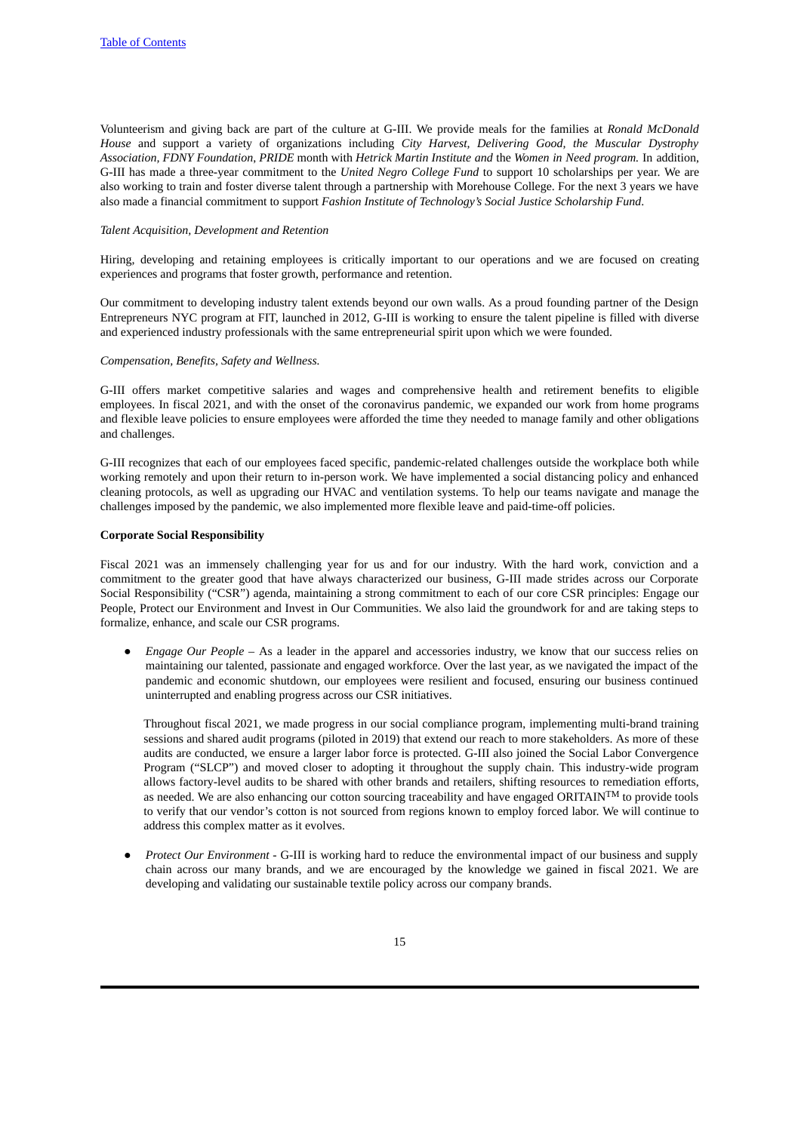Volunteerism and giving back are part of the culture at G-III. We provide meals for the families at *Ronald McDonald House* and support a variety of organizations including *City Harvest, Delivering Good, the Muscular Dystrophy Association, FDNY Foundation*, *PRIDE* month with *Hetrick Martin Institute and* the *Women in Need program.* In addition, G-III has made a three-year commitment to the *United Negro College Fund* to support 10 scholarships per year. We are also working to train and foster diverse talent through a partnership with Morehouse College. For the next 3 years we have also made a financial commitment to support *Fashion Institute of Technology's Social Justice Scholarship Fund*.

#### *Talent Acquisition, Development and Retention*

Hiring, developing and retaining employees is critically important to our operations and we are focused on creating experiences and programs that foster growth, performance and retention.

Our commitment to developing industry talent extends beyond our own walls. As a proud founding partner of the Design Entrepreneurs NYC program at FIT, launched in 2012, G-III is working to ensure the talent pipeline is filled with diverse and experienced industry professionals with the same entrepreneurial spirit upon which we were founded.

#### *Compensation, Benefits, Safety and Wellness.*

G-III offers market competitive salaries and wages and comprehensive health and retirement benefits to eligible employees. In fiscal 2021, and with the onset of the coronavirus pandemic, we expanded our work from home programs and flexible leave policies to ensure employees were afforded the time they needed to manage family and other obligations and challenges.

G-III recognizes that each of our employees faced specific, pandemic-related challenges outside the workplace both while working remotely and upon their return to in-person work. We have implemented a social distancing policy and enhanced cleaning protocols, as well as upgrading our HVAC and ventilation systems. To help our teams navigate and manage the challenges imposed by the pandemic, we also implemented more flexible leave and paid-time-off policies.

#### **Corporate Social Responsibility**

Fiscal 2021 was an immensely challenging year for us and for our industry. With the hard work, conviction and a commitment to the greater good that have always characterized our business, G-III made strides across our Corporate Social Responsibility ("CSR") agenda, maintaining a strong commitment to each of our core CSR principles: Engage our People, Protect our Environment and Invest in Our Communities. We also laid the groundwork for and are taking steps to formalize, enhance, and scale our CSR programs.

● *Engage Our People* – As a leader in the apparel and accessories industry, we know that our success relies on maintaining our talented, passionate and engaged workforce. Over the last year, as we navigated the impact of the pandemic and economic shutdown, our employees were resilient and focused, ensuring our business continued uninterrupted and enabling progress across our CSR initiatives.

Throughout fiscal 2021, we made progress in our social compliance program, implementing multi-brand training sessions and shared audit programs (piloted in 2019) that extend our reach to more stakeholders. As more of these audits are conducted, we ensure a larger labor force is protected. G-III also joined the Social Labor Convergence Program ("SLCP") and moved closer to adopting it throughout the supply chain. This industry-wide program allows factory-level audits to be shared with other brands and retailers, shifting resources to remediation efforts, as needed. We are also enhancing our cotton sourcing traceability and have engaged ORITAINTM to provide tools to verify that our vendor's cotton is not sourced from regions known to employ forced labor. We will continue to address this complex matter as it evolves.

● *Protect Our Environment* - G-III is working hard to reduce the environmental impact of our business and supply chain across our many brands, and we are encouraged by the knowledge we gained in fiscal 2021. We are developing and validating our sustainable textile policy across our company brands.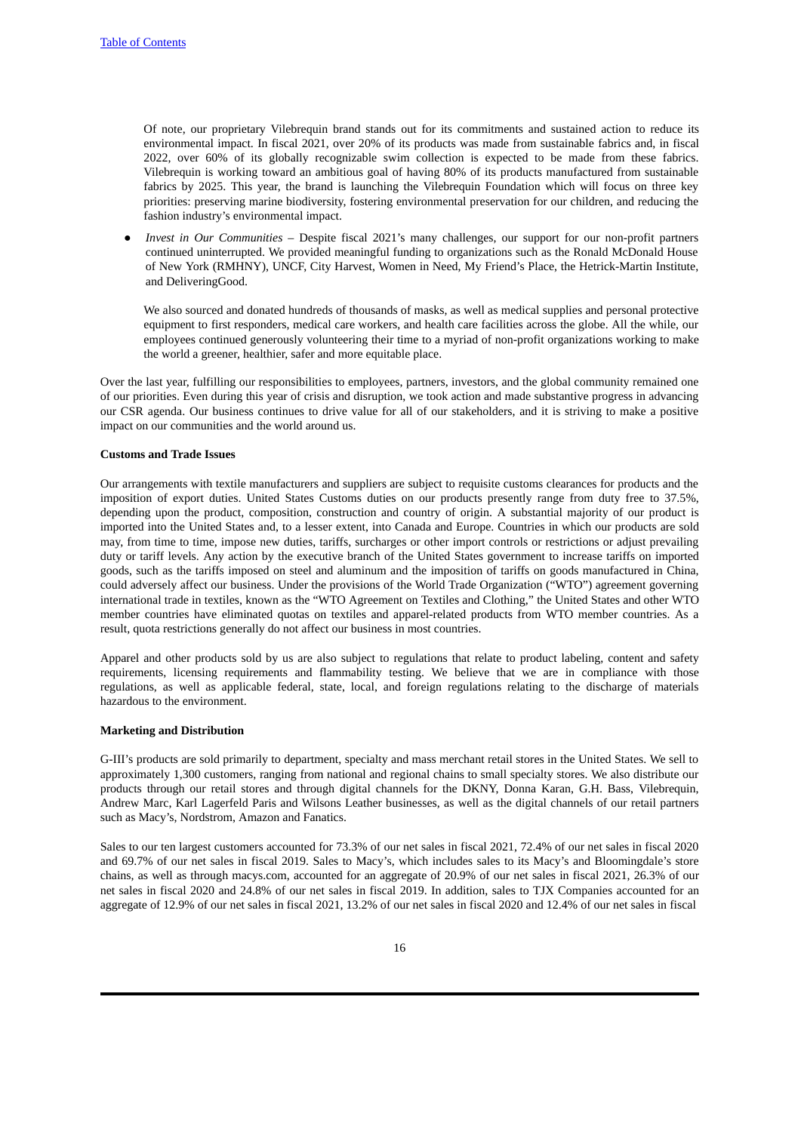Of note, our proprietary Vilebrequin brand stands out for its commitments and sustained action to reduce its environmental impact. In fiscal 2021, over 20% of its products was made from sustainable fabrics and, in fiscal 2022, over 60% of its globally recognizable swim collection is expected to be made from these fabrics. Vilebrequin is working toward an ambitious goal of having 80% of its products manufactured from sustainable fabrics by 2025. This year, the brand is launching the Vilebrequin Foundation which will focus on three key priorities: preserving marine biodiversity, fostering environmental preservation for our children, and reducing the fashion industry's environmental impact.

● *Invest in Our Communities* – Despite fiscal 2021's many challenges, our support for our non-profit partners continued uninterrupted. We provided meaningful funding to organizations such as the Ronald McDonald House of New York (RMHNY), UNCF, City Harvest, Women in Need, My Friend's Place, the Hetrick-Martin Institute, and DeliveringGood.

We also sourced and donated hundreds of thousands of masks, as well as medical supplies and personal protective equipment to first responders, medical care workers, and health care facilities across the globe. All the while, our employees continued generously volunteering their time to a myriad of non-profit organizations working to make the world a greener, healthier, safer and more equitable place.

Over the last year, fulfilling our responsibilities to employees, partners, investors, and the global community remained one of our priorities. Even during this year of crisis and disruption, we took action and made substantive progress in advancing our CSR agenda. Our business continues to drive value for all of our stakeholders, and it is striving to make a positive impact on our communities and the world around us.

#### **Customs and Trade Issues**

Our arrangements with textile manufacturers and suppliers are subject to requisite customs clearances for products and the imposition of export duties. United States Customs duties on our products presently range from duty free to 37.5%, depending upon the product, composition, construction and country of origin. A substantial majority of our product is imported into the United States and, to a lesser extent, into Canada and Europe. Countries in which our products are sold may, from time to time, impose new duties, tariffs, surcharges or other import controls or restrictions or adjust prevailing duty or tariff levels. Any action by the executive branch of the United States government to increase tariffs on imported goods, such as the tariffs imposed on steel and aluminum and the imposition of tariffs on goods manufactured in China, could adversely affect our business. Under the provisions of the World Trade Organization ("WTO") agreement governing international trade in textiles, known as the "WTO Agreement on Textiles and Clothing," the United States and other WTO member countries have eliminated quotas on textiles and apparel-related products from WTO member countries. As a result, quota restrictions generally do not affect our business in most countries.

Apparel and other products sold by us are also subject to regulations that relate to product labeling, content and safety requirements, licensing requirements and flammability testing. We believe that we are in compliance with those regulations, as well as applicable federal, state, local, and foreign regulations relating to the discharge of materials hazardous to the environment.

#### **Marketing and Distribution**

G-III's products are sold primarily to department, specialty and mass merchant retail stores in the United States. We sell to approximately 1,300 customers, ranging from national and regional chains to small specialty stores. We also distribute our products through our retail stores and through digital channels for the DKNY, Donna Karan, G.H. Bass, Vilebrequin, Andrew Marc, Karl Lagerfeld Paris and Wilsons Leather businesses, as well as the digital channels of our retail partners such as Macy's, Nordstrom, Amazon and Fanatics.

Sales to our ten largest customers accounted for 73.3% of our net sales in fiscal 2021, 72.4% of our net sales in fiscal 2020 and 69.7% of our net sales in fiscal 2019. Sales to Macy's, which includes sales to its Macy's and Bloomingdale's store chains, as well as through macys.com, accounted for an aggregate of 20.9% of our net sales in fiscal 2021, 26.3% of our net sales in fiscal 2020 and 24.8% of our net sales in fiscal 2019. In addition, sales to TJX Companies accounted for an aggregate of 12.9% of our net sales in fiscal 2021, 13.2% of our net sales in fiscal 2020 and 12.4% of our net sales in fiscal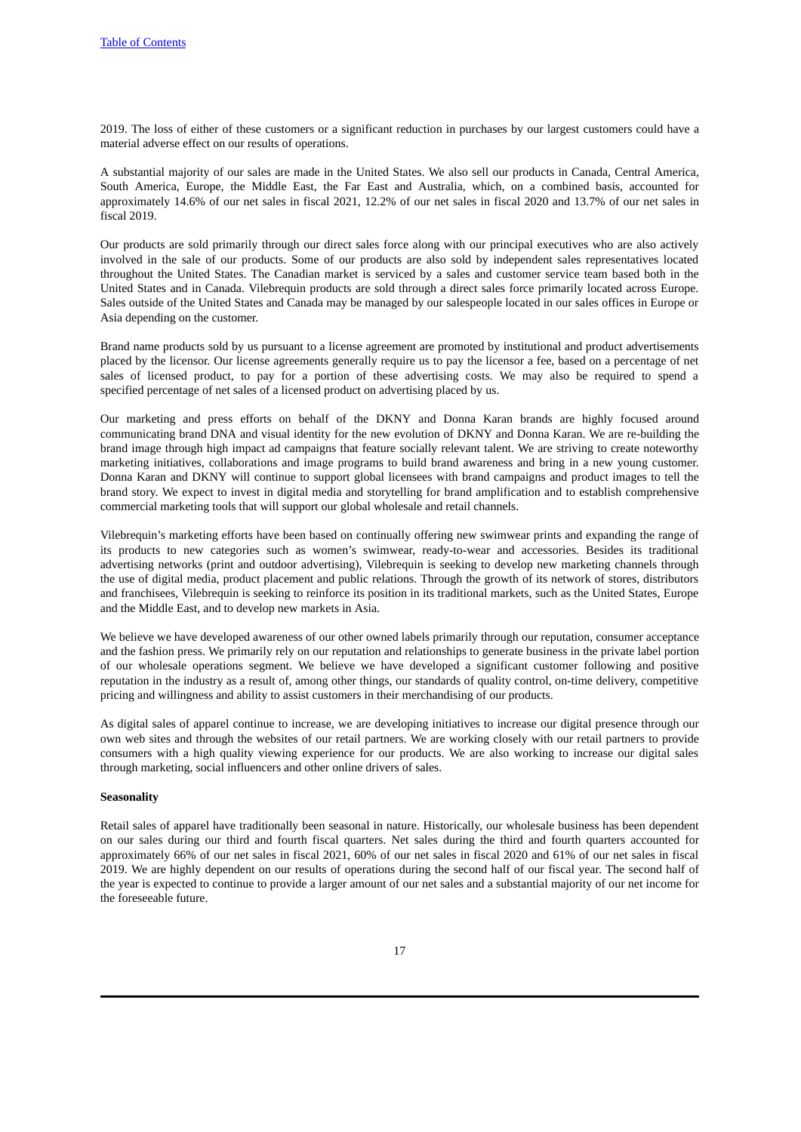2019. The loss of either of these customers or a significant reduction in purchases by our largest customers could have a material adverse effect on our results of operations.

A substantial majority of our sales are made in the United States. We also sell our products in Canada, Central America, South America, Europe, the Middle East, the Far East and Australia, which, on a combined basis, accounted for approximately 14.6% of our net sales in fiscal 2021, 12.2% of our net sales in fiscal 2020 and 13.7% of our net sales in fiscal 2019.

Our products are sold primarily through our direct sales force along with our principal executives who are also actively involved in the sale of our products. Some of our products are also sold by independent sales representatives located throughout the United States. The Canadian market is serviced by a sales and customer service team based both in the United States and in Canada. Vilebrequin products are sold through a direct sales force primarily located across Europe. Sales outside of the United States and Canada may be managed by our salespeople located in our sales offices in Europe or Asia depending on the customer.

Brand name products sold by us pursuant to a license agreement are promoted by institutional and product advertisements placed by the licensor. Our license agreements generally require us to pay the licensor a fee, based on a percentage of net sales of licensed product, to pay for a portion of these advertising costs. We may also be required to spend a specified percentage of net sales of a licensed product on advertising placed by us.

Our marketing and press efforts on behalf of the DKNY and Donna Karan brands are highly focused around communicating brand DNA and visual identity for the new evolution of DKNY and Donna Karan. We are re-building the brand image through high impact ad campaigns that feature socially relevant talent. We are striving to create noteworthy marketing initiatives, collaborations and image programs to build brand awareness and bring in a new young customer. Donna Karan and DKNY will continue to support global licensees with brand campaigns and product images to tell the brand story. We expect to invest in digital media and storytelling for brand amplification and to establish comprehensive commercial marketing tools that will support our global wholesale and retail channels.

Vilebrequin's marketing efforts have been based on continually offering new swimwear prints and expanding the range of its products to new categories such as women's swimwear, ready-to-wear and accessories. Besides its traditional advertising networks (print and outdoor advertising), Vilebrequin is seeking to develop new marketing channels through the use of digital media, product placement and public relations. Through the growth of its network of stores, distributors and franchisees, Vilebrequin is seeking to reinforce its position in its traditional markets, such as the United States, Europe and the Middle East, and to develop new markets in Asia.

We believe we have developed awareness of our other owned labels primarily through our reputation, consumer acceptance and the fashion press. We primarily rely on our reputation and relationships to generate business in the private label portion of our wholesale operations segment. We believe we have developed a significant customer following and positive reputation in the industry as a result of, among other things, our standards of quality control, on-time delivery, competitive pricing and willingness and ability to assist customers in their merchandising of our products.

As digital sales of apparel continue to increase, we are developing initiatives to increase our digital presence through our own web sites and through the websites of our retail partners. We are working closely with our retail partners to provide consumers with a high quality viewing experience for our products. We are also working to increase our digital sales through marketing, social influencers and other online drivers of sales.

#### **Seasonality**

Retail sales of apparel have traditionally been seasonal in nature. Historically, our wholesale business has been dependent on our sales during our third and fourth fiscal quarters. Net sales during the third and fourth quarters accounted for approximately 66% of our net sales in fiscal 2021, 60% of our net sales in fiscal 2020 and 61% of our net sales in fiscal 2019. We are highly dependent on our results of operations during the second half of our fiscal year. The second half of the year is expected to continue to provide a larger amount of our net sales and a substantial majority of our net income for the foreseeable future.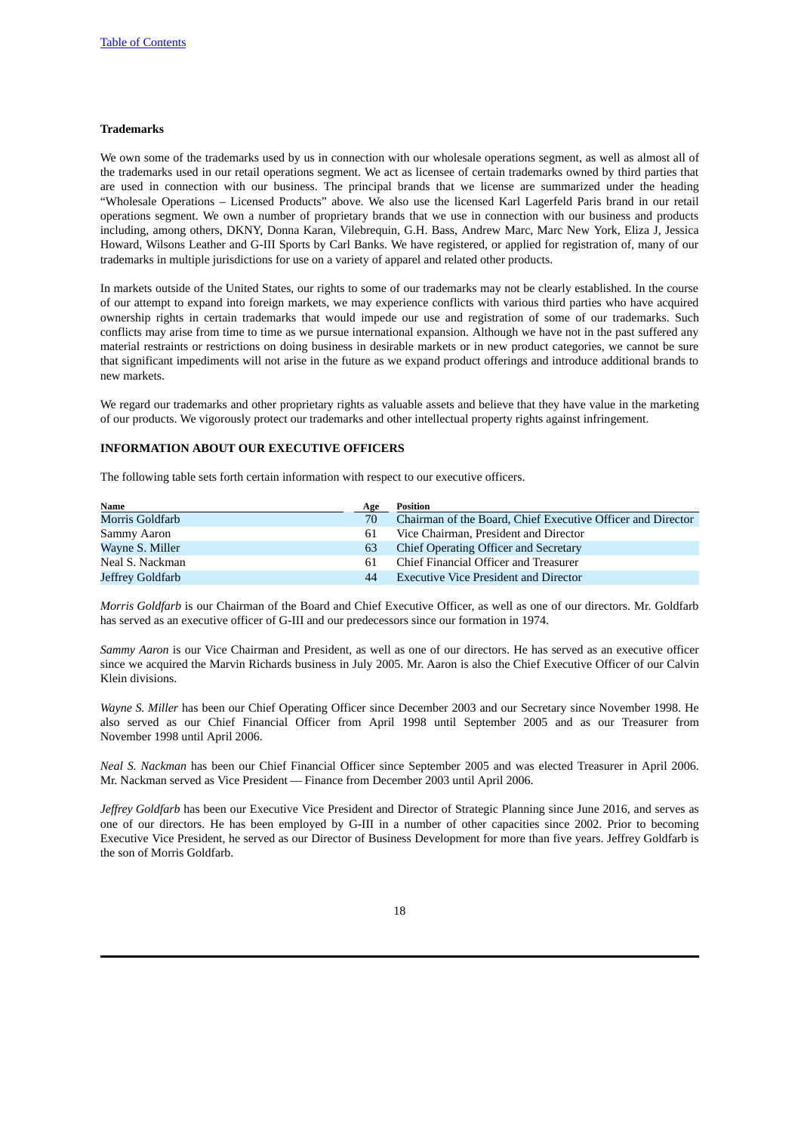#### **Trademarks**

We own some of the trademarks used by us in connection with our wholesale operations segment, as well as almost all of the trademarks used in our retail operations segment. We act as licensee of certain trademarks owned by third parties that are used in connection with our business. The principal brands that we license are summarized under the heading "Wholesale Operations – Licensed Products" above. We also use the licensed Karl Lagerfeld Paris brand in our retail operations segment. We own a number of proprietary brands that we use in connection with our business and products including, among others, DKNY, Donna Karan, Vilebrequin, G.H. Bass, Andrew Marc, Marc New York, Eliza J, Jessica Howard, Wilsons Leather and G-III Sports by Carl Banks. We have registered, or applied for registration of, many of our trademarks in multiple jurisdictions for use on a variety of apparel and related other products.

In markets outside of the United States, our rights to some of our trademarks may not be clearly established. In the course of our attempt to expand into foreign markets, we may experience conflicts with various third parties who have acquired ownership rights in certain trademarks that would impede our use and registration of some of our trademarks. Such conflicts may arise from time to time as we pursue international expansion. Although we have not in the past suffered any material restraints or restrictions on doing business in desirable markets or in new product categories, we cannot be sure that significant impediments will not arise in the future as we expand product offerings and introduce additional brands to new markets.

We regard our trademarks and other proprietary rights as valuable assets and believe that they have value in the marketing of our products. We vigorously protect our trademarks and other intellectual property rights against infringement.

## **INFORMATION ABOUT OUR EXECUTIVE OFFICERS**

The following table sets forth certain information with respect to our executive officers.

| Name             | Age | Position                                                    |
|------------------|-----|-------------------------------------------------------------|
| Morris Goldfarb  | 70  | Chairman of the Board, Chief Executive Officer and Director |
| Sammy Aaron      | 61  | Vice Chairman, President and Director                       |
| Wayne S. Miller  | 63  | Chief Operating Officer and Secretary                       |
| Neal S. Nackman  | 61  | Chief Financial Officer and Treasurer                       |
| Jeffrey Goldfarb | 44  | <b>Executive Vice President and Director</b>                |

*Morris Goldfarb* is our Chairman of the Board and Chief Executive Officer, as well as one of our directors. Mr. Goldfarb has served as an executive officer of G-III and our predecessors since our formation in 1974.

*Sammy Aaron* is our Vice Chairman and President, as well as one of our directors. He has served as an executive officer since we acquired the Marvin Richards business in July 2005. Mr. Aaron is also the Chief Executive Officer of our Calvin Klein divisions.

*Wayne S. Miller* has been our Chief Operating Officer since December 2003 and our Secretary since November 1998. He also served as our Chief Financial Officer from April 1998 until September 2005 and as our Treasurer from November 1998 until April 2006.

*Neal S. Nackman* has been our Chief Financial Officer since September 2005 and was elected Treasurer in April 2006. Mr. Nackman served as Vice President — Finance from December 2003 until April 2006.

*Jeffrey Goldfarb* has been our Executive Vice President and Director of Strategic Planning since June 2016, and serves as one of our directors. He has been employed by G-III in a number of other capacities since 2002. Prior to becoming Executive Vice President, he served as our Director of Business Development for more than five years. Jeffrey Goldfarb is the son of Morris Goldfarb.

18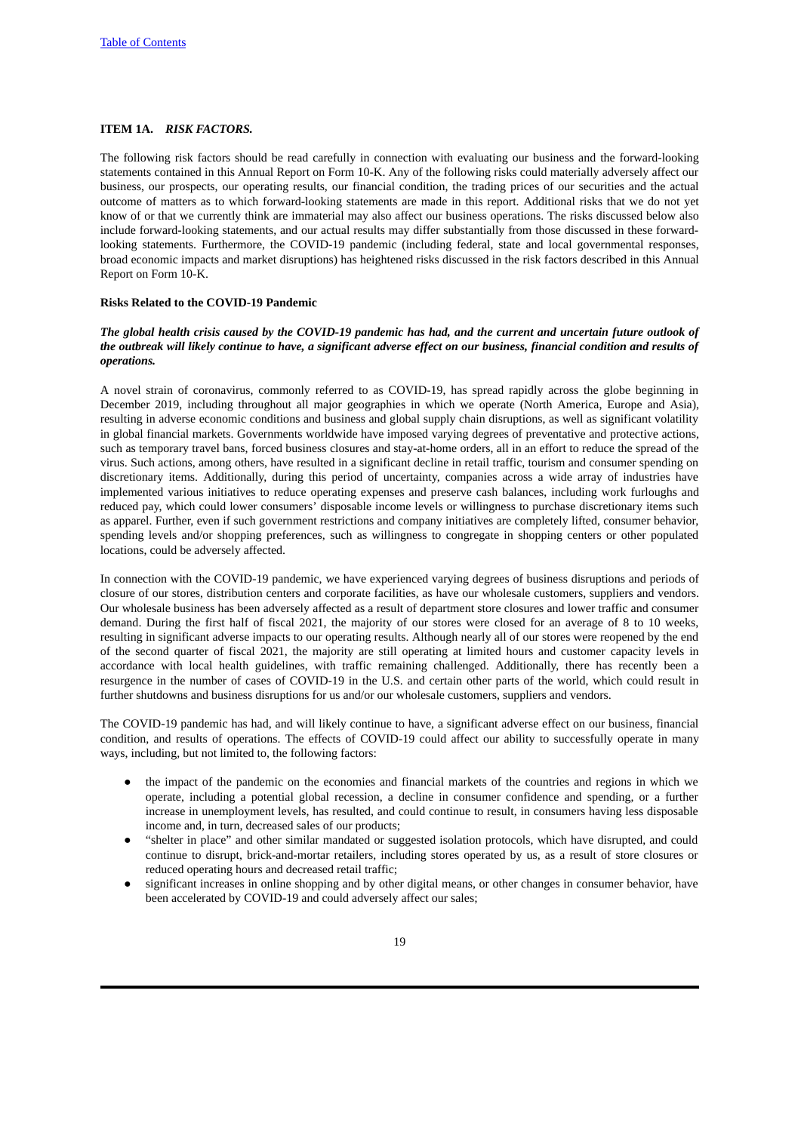## **ITEM 1A.** *RISK FACTORS.*

The following risk factors should be read carefully in connection with evaluating our business and the forward-looking statements contained in this Annual Report on Form 10-K. Any of the following risks could materially adversely affect our business, our prospects, our operating results, our financial condition, the trading prices of our securities and the actual outcome of matters as to which forward-looking statements are made in this report. Additional risks that we do not yet know of or that we currently think are immaterial may also affect our business operations. The risks discussed below also include forward-looking statements, and our actual results may differ substantially from those discussed in these forwardlooking statements. Furthermore, the COVID-19 pandemic (including federal, state and local governmental responses, broad economic impacts and market disruptions) has heightened risks discussed in the risk factors described in this Annual Report on Form 10-K.

## **Risks Related to the COVID-19 Pandemic**

## The global health crisis caused by the COVID-19 pandemic has had, and the current and uncertain future outlook of the outbreak will likely continue to have, a significant adverse effect on our business, financial condition and results of *operations.*

A novel strain of coronavirus, commonly referred to as COVID-19, has spread rapidly across the globe beginning in December 2019, including throughout all major geographies in which we operate (North America, Europe and Asia), resulting in adverse economic conditions and business and global supply chain disruptions, as well as significant volatility in global financial markets. Governments worldwide have imposed varying degrees of preventative and protective actions, such as temporary travel bans, forced business closures and stay-at-home orders, all in an effort to reduce the spread of the virus. Such actions, among others, have resulted in a significant decline in retail traffic, tourism and consumer spending on discretionary items. Additionally, during this period of uncertainty, companies across a wide array of industries have implemented various initiatives to reduce operating expenses and preserve cash balances, including work furloughs and reduced pay, which could lower consumers' disposable income levels or willingness to purchase discretionary items such as apparel. Further, even if such government restrictions and company initiatives are completely lifted, consumer behavior, spending levels and/or shopping preferences, such as willingness to congregate in shopping centers or other populated locations, could be adversely affected.

In connection with the COVID-19 pandemic, we have experienced varying degrees of business disruptions and periods of closure of our stores, distribution centers and corporate facilities, as have our wholesale customers, suppliers and vendors. Our wholesale business has been adversely affected as a result of department store closures and lower traffic and consumer demand. During the first half of fiscal 2021, the majority of our stores were closed for an average of 8 to 10 weeks, resulting in significant adverse impacts to our operating results. Although nearly all of our stores were reopened by the end of the second quarter of fiscal 2021, the majority are still operating at limited hours and customer capacity levels in accordance with local health guidelines, with traffic remaining challenged. Additionally, there has recently been a resurgence in the number of cases of COVID-19 in the U.S. and certain other parts of the world, which could result in further shutdowns and business disruptions for us and/or our wholesale customers, suppliers and vendors.

The COVID-19 pandemic has had, and will likely continue to have, a significant adverse effect on our business, financial condition, and results of operations. The effects of COVID-19 could affect our ability to successfully operate in many ways, including, but not limited to, the following factors:

- the impact of the pandemic on the economies and financial markets of the countries and regions in which we operate, including a potential global recession, a decline in consumer confidence and spending, or a further increase in unemployment levels, has resulted, and could continue to result, in consumers having less disposable income and, in turn, decreased sales of our products;
- "shelter in place" and other similar mandated or suggested isolation protocols, which have disrupted, and could continue to disrupt, brick-and-mortar retailers, including stores operated by us, as a result of store closures or reduced operating hours and decreased retail traffic;
- significant increases in online shopping and by other digital means, or other changes in consumer behavior, have been accelerated by COVID-19 and could adversely affect our sales;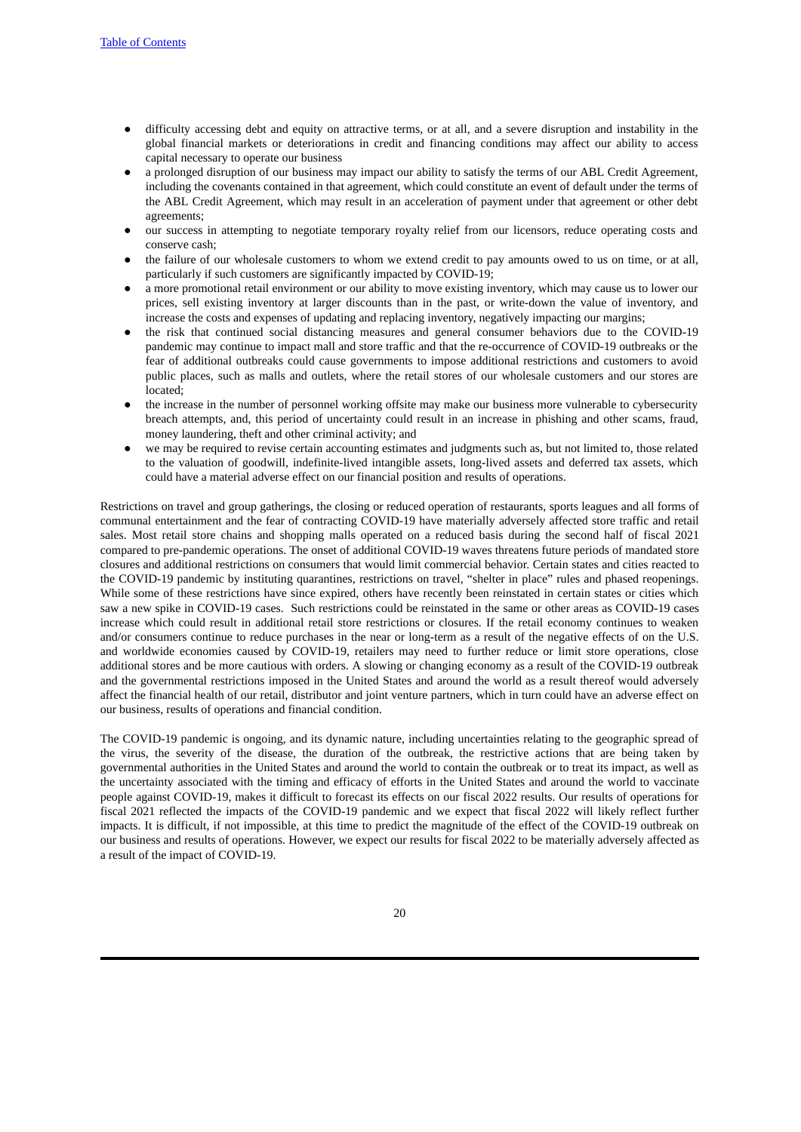- difficulty accessing debt and equity on attractive terms, or at all, and a severe disruption and instability in the global financial markets or deteriorations in credit and financing conditions may affect our ability to access capital necessary to operate our business
- a prolonged disruption of our business may impact our ability to satisfy the terms of our ABL Credit Agreement, including the covenants contained in that agreement, which could constitute an event of default under the terms of the ABL Credit Agreement, which may result in an acceleration of payment under that agreement or other debt agreements;
- our success in attempting to negotiate temporary royalty relief from our licensors, reduce operating costs and conserve cash;
- the failure of our wholesale customers to whom we extend credit to pay amounts owed to us on time, or at all, particularly if such customers are significantly impacted by COVID-19;
- a more promotional retail environment or our ability to move existing inventory, which may cause us to lower our prices, sell existing inventory at larger discounts than in the past, or write-down the value of inventory, and increase the costs and expenses of updating and replacing inventory, negatively impacting our margins;
- the risk that continued social distancing measures and general consumer behaviors due to the COVID-19 pandemic may continue to impact mall and store traffic and that the re-occurrence of COVID-19 outbreaks or the fear of additional outbreaks could cause governments to impose additional restrictions and customers to avoid public places, such as malls and outlets, where the retail stores of our wholesale customers and our stores are located;
- the increase in the number of personnel working offsite may make our business more vulnerable to cybersecurity breach attempts, and, this period of uncertainty could result in an increase in phishing and other scams, fraud, money laundering, theft and other criminal activity; and
- we may be required to revise certain accounting estimates and judgments such as, but not limited to, those related to the valuation of goodwill, indefinite-lived intangible assets, long-lived assets and deferred tax assets, which could have a material adverse effect on our financial position and results of operations.

Restrictions on travel and group gatherings, the closing or reduced operation of restaurants, sports leagues and all forms of communal entertainment and the fear of contracting COVID-19 have materially adversely affected store traffic and retail sales. Most retail store chains and shopping malls operated on a reduced basis during the second half of fiscal 2021 compared to pre-pandemic operations. The onset of additional COVID-19 waves threatens future periods of mandated store closures and additional restrictions on consumers that would limit commercial behavior. Certain states and cities reacted to the COVID-19 pandemic by instituting quarantines, restrictions on travel, "shelter in place" rules and phased reopenings. While some of these restrictions have since expired, others have recently been reinstated in certain states or cities which saw a new spike in COVID-19 cases. Such restrictions could be reinstated in the same or other areas as COVID-19 cases increase which could result in additional retail store restrictions or closures. If the retail economy continues to weaken and/or consumers continue to reduce purchases in the near or long-term as a result of the negative effects of on the U.S. and worldwide economies caused by COVID-19, retailers may need to further reduce or limit store operations, close additional stores and be more cautious with orders. A slowing or changing economy as a result of the COVID-19 outbreak and the governmental restrictions imposed in the United States and around the world as a result thereof would adversely affect the financial health of our retail, distributor and joint venture partners, which in turn could have an adverse effect on our business, results of operations and financial condition.

The COVID-19 pandemic is ongoing, and its dynamic nature, including uncertainties relating to the geographic spread of the virus, the severity of the disease, the duration of the outbreak, the restrictive actions that are being taken by governmental authorities in the United States and around the world to contain the outbreak or to treat its impact, as well as the uncertainty associated with the timing and efficacy of efforts in the United States and around the world to vaccinate people against COVID-19, makes it difficult to forecast its effects on our fiscal 2022 results. Our results of operations for fiscal 2021 reflected the impacts of the COVID-19 pandemic and we expect that fiscal 2022 will likely reflect further impacts. It is difficult, if not impossible, at this time to predict the magnitude of the effect of the COVID-19 outbreak on our business and results of operations. However, we expect our results for fiscal 2022 to be materially adversely affected as a result of the impact of COVID-19.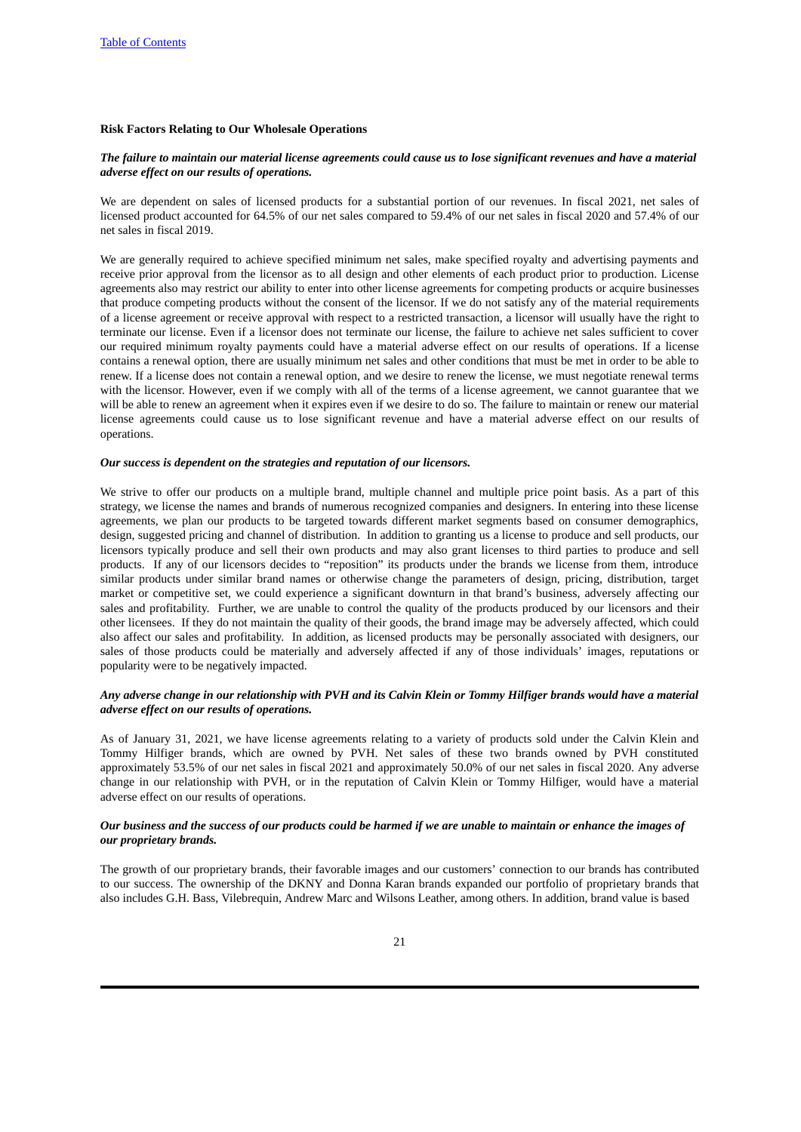## **Risk Factors Relating to Our Wholesale Operations**

## The failure to maintain our material license agreements could cause us to lose significant revenues and have a material *adverse effect on our results of operations.*

We are dependent on sales of licensed products for a substantial portion of our revenues. In fiscal 2021, net sales of licensed product accounted for 64.5% of our net sales compared to 59.4% of our net sales in fiscal 2020 and 57.4% of our net sales in fiscal 2019.

We are generally required to achieve specified minimum net sales, make specified royalty and advertising payments and receive prior approval from the licensor as to all design and other elements of each product prior to production. License agreements also may restrict our ability to enter into other license agreements for competing products or acquire businesses that produce competing products without the consent of the licensor. If we do not satisfy any of the material requirements of a license agreement or receive approval with respect to a restricted transaction, a licensor will usually have the right to terminate our license. Even if a licensor does not terminate our license, the failure to achieve net sales sufficient to cover our required minimum royalty payments could have a material adverse effect on our results of operations. If a license contains a renewal option, there are usually minimum net sales and other conditions that must be met in order to be able to renew. If a license does not contain a renewal option, and we desire to renew the license, we must negotiate renewal terms with the licensor. However, even if we comply with all of the terms of a license agreement, we cannot guarantee that we will be able to renew an agreement when it expires even if we desire to do so. The failure to maintain or renew our material license agreements could cause us to lose significant revenue and have a material adverse effect on our results of operations.

#### *Our success is dependent on the strategies and reputation of our licensors.*

We strive to offer our products on a multiple brand, multiple channel and multiple price point basis. As a part of this strategy, we license the names and brands of numerous recognized companies and designers. In entering into these license agreements, we plan our products to be targeted towards different market segments based on consumer demographics, design, suggested pricing and channel of distribution. In addition to granting us a license to produce and sell products, our licensors typically produce and sell their own products and may also grant licenses to third parties to produce and sell products. If any of our licensors decides to "reposition" its products under the brands we license from them, introduce similar products under similar brand names or otherwise change the parameters of design, pricing, distribution, target market or competitive set, we could experience a significant downturn in that brand's business, adversely affecting our sales and profitability. Further, we are unable to control the quality of the products produced by our licensors and their other licensees. If they do not maintain the quality of their goods, the brand image may be adversely affected, which could also affect our sales and profitability. In addition, as licensed products may be personally associated with designers, our sales of those products could be materially and adversely affected if any of those individuals' images, reputations or popularity were to be negatively impacted.

#### Any adverse change in our relationship with PVH and its Calvin Klein or Tommy Hilfiger brands would have a material *adverse effect on our results of operations.*

As of January 31, 2021, we have license agreements relating to a variety of products sold under the Calvin Klein and Tommy Hilfiger brands, which are owned by PVH. Net sales of these two brands owned by PVH constituted approximately 53.5% of our net sales in fiscal 2021 and approximately 50.0% of our net sales in fiscal 2020. Any adverse change in our relationship with PVH, or in the reputation of Calvin Klein or Tommy Hilfiger, would have a material adverse effect on our results of operations.

#### Our business and the success of our products could be harmed if we are unable to maintain or enhance the images of *our proprietary brands.*

The growth of our proprietary brands, their favorable images and our customers' connection to our brands has contributed to our success. The ownership of the DKNY and Donna Karan brands expanded our portfolio of proprietary brands that also includes G.H. Bass, Vilebrequin, Andrew Marc and Wilsons Leather, among others. In addition, brand value is based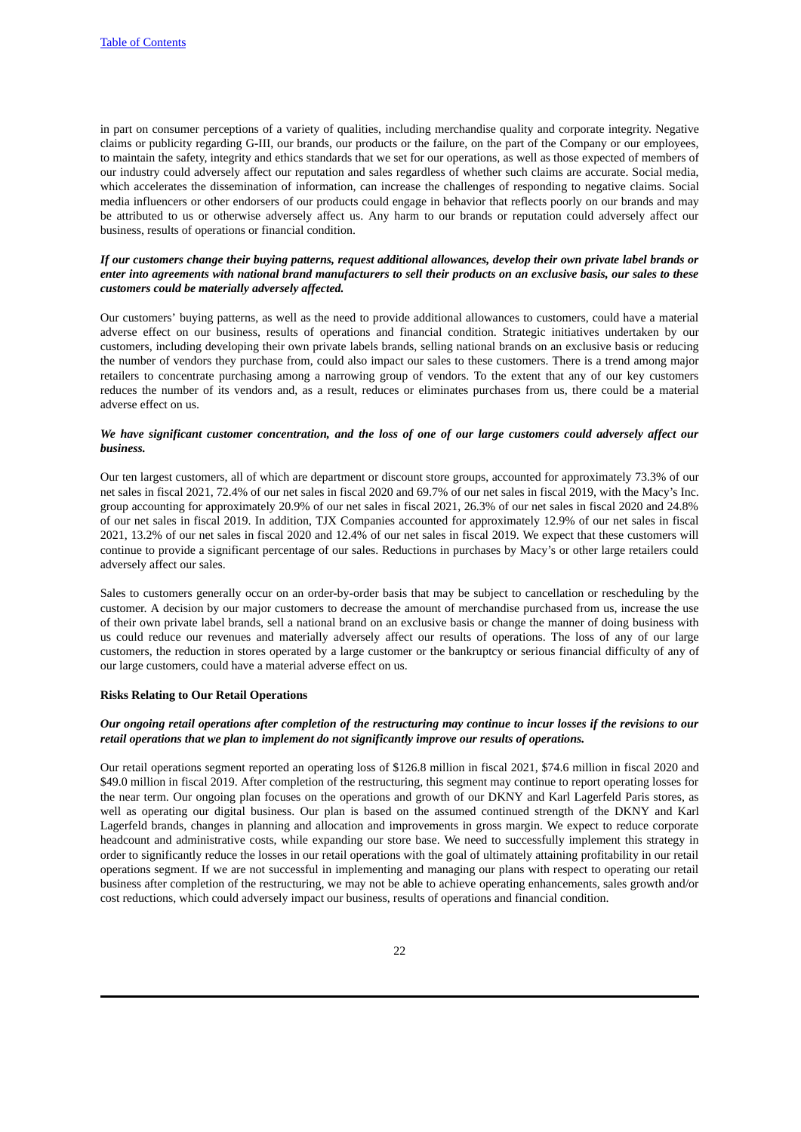in part on consumer perceptions of a variety of qualities, including merchandise quality and corporate integrity. Negative claims or publicity regarding G-III, our brands, our products or the failure, on the part of the Company or our employees, to maintain the safety, integrity and ethics standards that we set for our operations, as well as those expected of members of our industry could adversely affect our reputation and sales regardless of whether such claims are accurate. Social media, which accelerates the dissemination of information, can increase the challenges of responding to negative claims. Social media influencers or other endorsers of our products could engage in behavior that reflects poorly on our brands and may be attributed to us or otherwise adversely affect us. Any harm to our brands or reputation could adversely affect our business, results of operations or financial condition.

#### If our customers change their buying patterns, request additional allowances, develop their own private label brands or enter into agreements with national brand manufacturers to sell their products on an exclusive basis, our sales to these *customers could be materially adversely affected.*

Our customers' buying patterns, as well as the need to provide additional allowances to customers, could have a material adverse effect on our business, results of operations and financial condition. Strategic initiatives undertaken by our customers, including developing their own private labels brands, selling national brands on an exclusive basis or reducing the number of vendors they purchase from, could also impact our sales to these customers. There is a trend among major retailers to concentrate purchasing among a narrowing group of vendors. To the extent that any of our key customers reduces the number of its vendors and, as a result, reduces or eliminates purchases from us, there could be a material adverse effect on us.

## We have significant customer concentration, and the loss of one of our large customers could adversely affect our *business.*

Our ten largest customers, all of which are department or discount store groups, accounted for approximately 73.3% of our net sales in fiscal 2021, 72.4% of our net sales in fiscal 2020 and 69.7% of our net sales in fiscal 2019, with the Macy's Inc. group accounting for approximately 20.9% of our net sales in fiscal 2021, 26.3% of our net sales in fiscal 2020 and 24.8% of our net sales in fiscal 2019. In addition, TJX Companies accounted for approximately 12.9% of our net sales in fiscal 2021, 13.2% of our net sales in fiscal 2020 and 12.4% of our net sales in fiscal 2019. We expect that these customers will continue to provide a significant percentage of our sales. Reductions in purchases by Macy's or other large retailers could adversely affect our sales.

Sales to customers generally occur on an order-by-order basis that may be subject to cancellation or rescheduling by the customer. A decision by our major customers to decrease the amount of merchandise purchased from us, increase the use of their own private label brands, sell a national brand on an exclusive basis or change the manner of doing business with us could reduce our revenues and materially adversely affect our results of operations. The loss of any of our large customers, the reduction in stores operated by a large customer or the bankruptcy or serious financial difficulty of any of our large customers, could have a material adverse effect on us.

#### **Risks Relating to Our Retail Operations**

#### Our ongoing retail operations after completion of the restructuring may continue to incur losses if the revisions to our *retail operations that we plan to implement do not significantly improve our results of operations.*

Our retail operations segment reported an operating loss of \$126.8 million in fiscal 2021, \$74.6 million in fiscal 2020 and \$49.0 million in fiscal 2019. After completion of the restructuring, this segment may continue to report operating losses for the near term. Our ongoing plan focuses on the operations and growth of our DKNY and Karl Lagerfeld Paris stores, as well as operating our digital business. Our plan is based on the assumed continued strength of the DKNY and Karl Lagerfeld brands, changes in planning and allocation and improvements in gross margin. We expect to reduce corporate headcount and administrative costs, while expanding our store base. We need to successfully implement this strategy in order to significantly reduce the losses in our retail operations with the goal of ultimately attaining profitability in our retail operations segment. If we are not successful in implementing and managing our plans with respect to operating our retail business after completion of the restructuring, we may not be able to achieve operating enhancements, sales growth and/or cost reductions, which could adversely impact our business, results of operations and financial condition.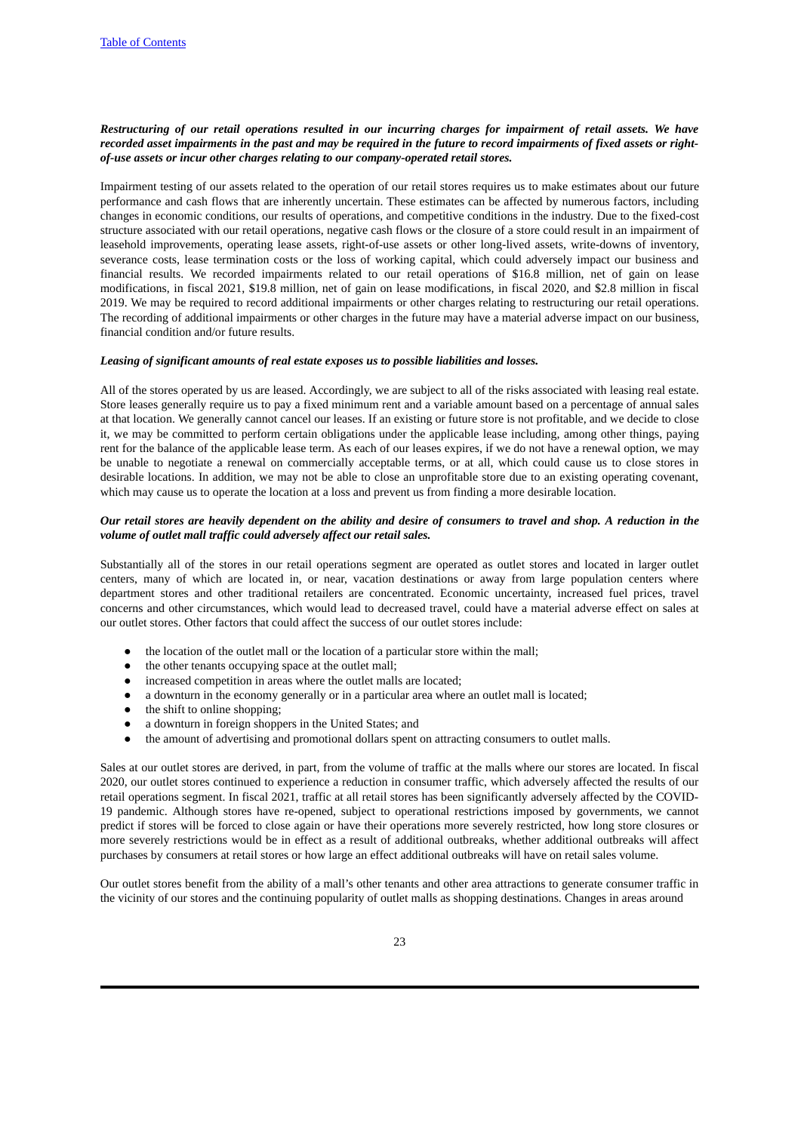## Restructuring of our retail operations resulted in our incurring charges for impairment of retail assets. We have recorded asset impairments in the past and may be required in the future to record impairments of fixed assets or right*of-use assets or incur other charges relating to our company-operated retail stores.*

Impairment testing of our assets related to the operation of our retail stores requires us to make estimates about our future performance and cash flows that are inherently uncertain. These estimates can be affected by numerous factors, including changes in economic conditions, our results of operations, and competitive conditions in the industry. Due to the fixed-cost structure associated with our retail operations, negative cash flows or the closure of a store could result in an impairment of leasehold improvements, operating lease assets, right-of-use assets or other long-lived assets, write-downs of inventory, severance costs, lease termination costs or the loss of working capital, which could adversely impact our business and financial results. We recorded impairments related to our retail operations of \$16.8 million, net of gain on lease modifications, in fiscal 2021, \$19.8 million, net of gain on lease modifications, in fiscal 2020, and \$2.8 million in fiscal 2019. We may be required to record additional impairments or other charges relating to restructuring our retail operations. The recording of additional impairments or other charges in the future may have a material adverse impact on our business, financial condition and/or future results.

#### *Leasing of significant amounts of real estate exposes us to possible liabilities and losses.*

All of the stores operated by us are leased. Accordingly, we are subject to all of the risks associated with leasing real estate. Store leases generally require us to pay a fixed minimum rent and a variable amount based on a percentage of annual sales at that location. We generally cannot cancel our leases. If an existing or future store is not profitable, and we decide to close it, we may be committed to perform certain obligations under the applicable lease including, among other things, paying rent for the balance of the applicable lease term. As each of our leases expires, if we do not have a renewal option, we may be unable to negotiate a renewal on commercially acceptable terms, or at all, which could cause us to close stores in desirable locations. In addition, we may not be able to close an unprofitable store due to an existing operating covenant, which may cause us to operate the location at a loss and prevent us from finding a more desirable location.

## Our retail stores are heavily dependent on the ability and desire of consumers to travel and shop. A reduction in the *volume of outlet mall traffic could adversely affect our retail sales.*

Substantially all of the stores in our retail operations segment are operated as outlet stores and located in larger outlet centers, many of which are located in, or near, vacation destinations or away from large population centers where department stores and other traditional retailers are concentrated. Economic uncertainty, increased fuel prices, travel concerns and other circumstances, which would lead to decreased travel, could have a material adverse effect on sales at our outlet stores. Other factors that could affect the success of our outlet stores include:

- the location of the outlet mall or the location of a particular store within the mall;
- the other tenants occupying space at the outlet mall;
- increased competition in areas where the outlet malls are located;
- a downturn in the economy generally or in a particular area where an outlet mall is located;
- the shift to online shopping;
- a downturn in foreign shoppers in the United States; and
- the amount of advertising and promotional dollars spent on attracting consumers to outlet malls.

Sales at our outlet stores are derived, in part, from the volume of traffic at the malls where our stores are located. In fiscal 2020, our outlet stores continued to experience a reduction in consumer traffic, which adversely affected the results of our retail operations segment. In fiscal 2021, traffic at all retail stores has been significantly adversely affected by the COVID-19 pandemic. Although stores have re-opened, subject to operational restrictions imposed by governments, we cannot predict if stores will be forced to close again or have their operations more severely restricted, how long store closures or more severely restrictions would be in effect as a result of additional outbreaks, whether additional outbreaks will affect purchases by consumers at retail stores or how large an effect additional outbreaks will have on retail sales volume.

Our outlet stores benefit from the ability of a mall's other tenants and other area attractions to generate consumer traffic in the vicinity of our stores and the continuing popularity of outlet malls as shopping destinations. Changes in areas around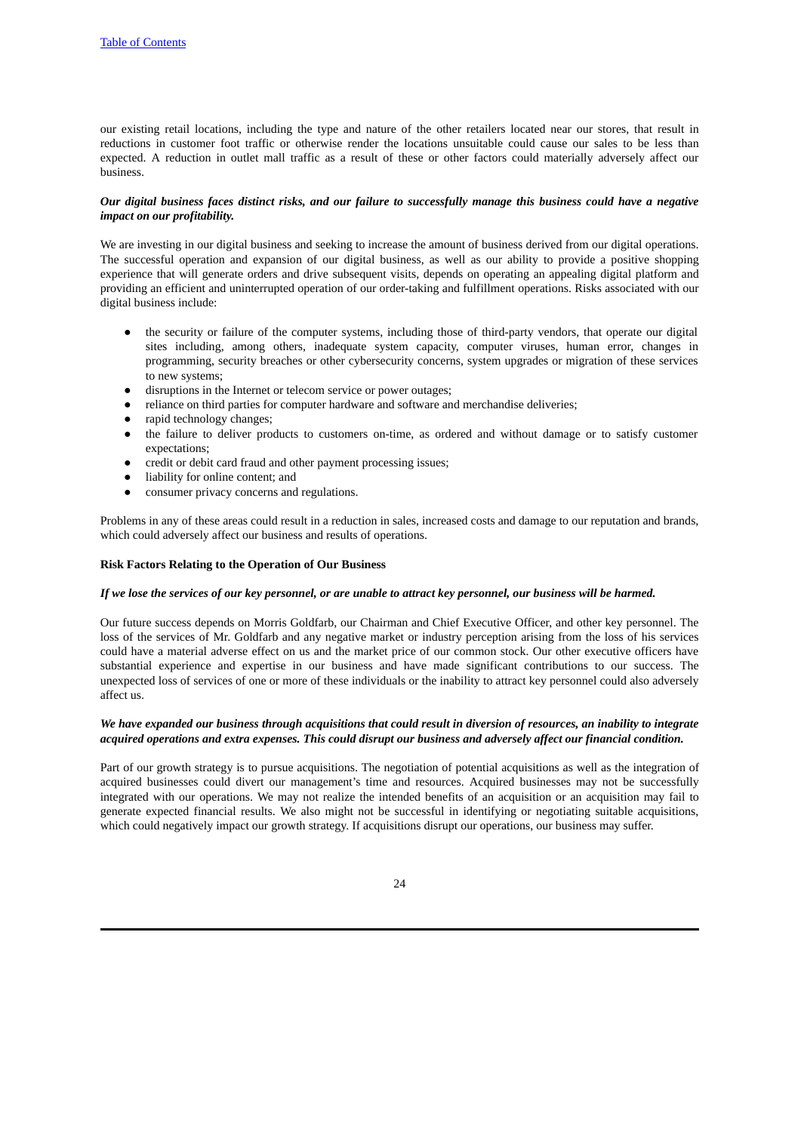our existing retail locations, including the type and nature of the other retailers located near our stores, that result in reductions in customer foot traffic or otherwise render the locations unsuitable could cause our sales to be less than expected. A reduction in outlet mall traffic as a result of these or other factors could materially adversely affect our business.

## Our digital business faces distinct risks, and our failure to successfully manage this business could have a negative *impact on our profitability.*

We are investing in our digital business and seeking to increase the amount of business derived from our digital operations. The successful operation and expansion of our digital business, as well as our ability to provide a positive shopping experience that will generate orders and drive subsequent visits, depends on operating an appealing digital platform and providing an efficient and uninterrupted operation of our order-taking and fulfillment operations. Risks associated with our digital business include:

- the security or failure of the computer systems, including those of third-party vendors, that operate our digital sites including, among others, inadequate system capacity, computer viruses, human error, changes in programming, security breaches or other cybersecurity concerns, system upgrades or migration of these services to new systems;
- disruptions in the Internet or telecom service or power outages;
- reliance on third parties for computer hardware and software and merchandise deliveries;
- rapid technology changes;
- the failure to deliver products to customers on-time, as ordered and without damage or to satisfy customer expectations;
- credit or debit card fraud and other payment processing issues;
- liability for online content; and
- consumer privacy concerns and regulations.

Problems in any of these areas could result in a reduction in sales, increased costs and damage to our reputation and brands, which could adversely affect our business and results of operations.

#### **Risk Factors Relating to the Operation of Our Business**

## If we lose the services of our key personnel, or are unable to attract key personnel, our business will be harmed.

Our future success depends on Morris Goldfarb, our Chairman and Chief Executive Officer, and other key personnel. The loss of the services of Mr. Goldfarb and any negative market or industry perception arising from the loss of his services could have a material adverse effect on us and the market price of our common stock. Our other executive officers have substantial experience and expertise in our business and have made significant contributions to our success. The unexpected loss of services of one or more of these individuals or the inability to attract key personnel could also adversely affect us.

## We have expanded our business through acquisitions that could result in diversion of resources, an inability to integrate acquired operations and extra expenses. This could disrupt our business and adversely affect our financial condition.

Part of our growth strategy is to pursue acquisitions. The negotiation of potential acquisitions as well as the integration of acquired businesses could divert our management's time and resources. Acquired businesses may not be successfully integrated with our operations. We may not realize the intended benefits of an acquisition or an acquisition may fail to generate expected financial results. We also might not be successful in identifying or negotiating suitable acquisitions, which could negatively impact our growth strategy. If acquisitions disrupt our operations, our business may suffer.

## 24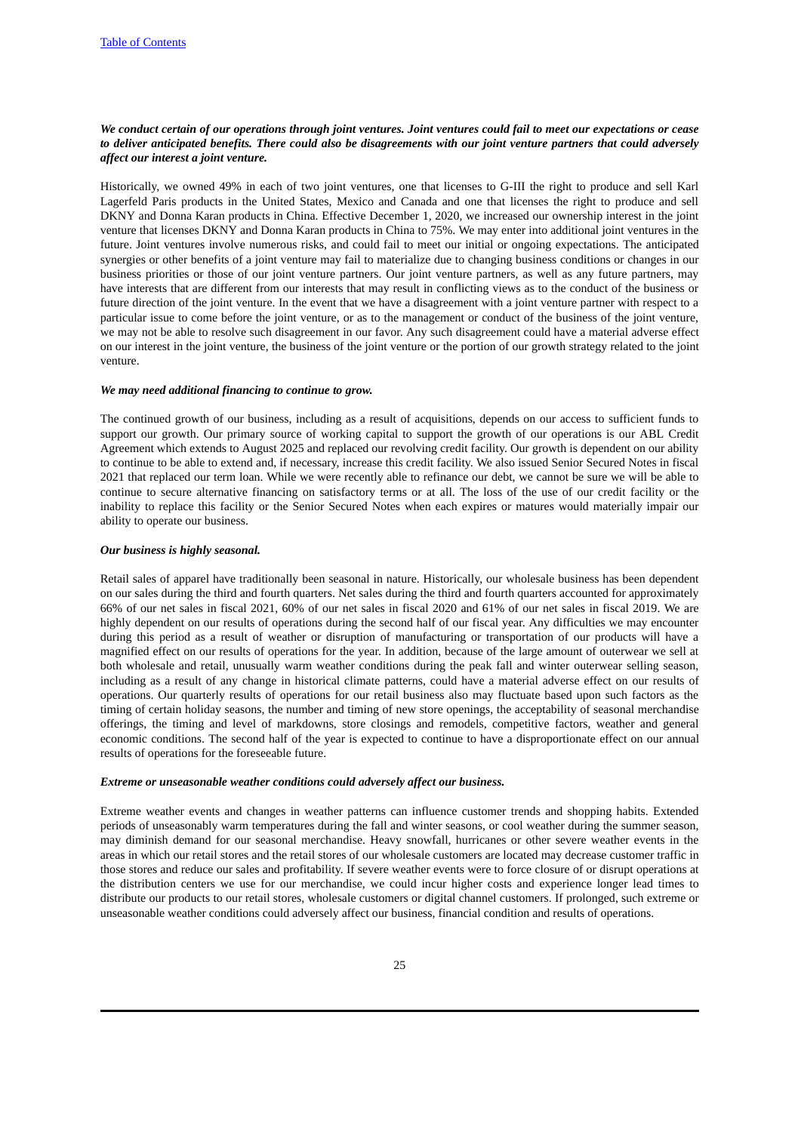## We conduct certain of our operations through joint ventures. Joint ventures could fail to meet our expectations or cease to deliver anticipated benefits. There could also be disagreements with our joint venture partners that could adversely *affect our interest a joint venture.*

Historically, we owned 49% in each of two joint ventures, one that licenses to G-III the right to produce and sell Karl Lagerfeld Paris products in the United States, Mexico and Canada and one that licenses the right to produce and sell DKNY and Donna Karan products in China. Effective December 1, 2020, we increased our ownership interest in the joint venture that licenses DKNY and Donna Karan products in China to 75%. We may enter into additional joint ventures in the future. Joint ventures involve numerous risks, and could fail to meet our initial or ongoing expectations. The anticipated synergies or other benefits of a joint venture may fail to materialize due to changing business conditions or changes in our business priorities or those of our joint venture partners. Our joint venture partners, as well as any future partners, may have interests that are different from our interests that may result in conflicting views as to the conduct of the business or future direction of the joint venture. In the event that we have a disagreement with a joint venture partner with respect to a particular issue to come before the joint venture, or as to the management or conduct of the business of the joint venture, we may not be able to resolve such disagreement in our favor. Any such disagreement could have a material adverse effect on our interest in the joint venture, the business of the joint venture or the portion of our growth strategy related to the joint venture.

#### *We may need additional financing to continue to grow.*

The continued growth of our business, including as a result of acquisitions, depends on our access to sufficient funds to support our growth. Our primary source of working capital to support the growth of our operations is our ABL Credit Agreement which extends to August 2025 and replaced our revolving credit facility. Our growth is dependent on our ability to continue to be able to extend and, if necessary, increase this credit facility. We also issued Senior Secured Notes in fiscal 2021 that replaced our term loan. While we were recently able to refinance our debt, we cannot be sure we will be able to continue to secure alternative financing on satisfactory terms or at all. The loss of the use of our credit facility or the inability to replace this facility or the Senior Secured Notes when each expires or matures would materially impair our ability to operate our business.

#### *Our business is highly seasonal.*

Retail sales of apparel have traditionally been seasonal in nature. Historically, our wholesale business has been dependent on our sales during the third and fourth quarters. Net sales during the third and fourth quarters accounted for approximately 66% of our net sales in fiscal 2021, 60% of our net sales in fiscal 2020 and 61% of our net sales in fiscal 2019. We are highly dependent on our results of operations during the second half of our fiscal year. Any difficulties we may encounter during this period as a result of weather or disruption of manufacturing or transportation of our products will have a magnified effect on our results of operations for the year. In addition, because of the large amount of outerwear we sell at both wholesale and retail, unusually warm weather conditions during the peak fall and winter outerwear selling season, including as a result of any change in historical climate patterns, could have a material adverse effect on our results of operations. Our quarterly results of operations for our retail business also may fluctuate based upon such factors as the timing of certain holiday seasons, the number and timing of new store openings, the acceptability of seasonal merchandise offerings, the timing and level of markdowns, store closings and remodels, competitive factors, weather and general economic conditions. The second half of the year is expected to continue to have a disproportionate effect on our annual results of operations for the foreseeable future.

#### *Extreme or unseasonable weather conditions could adversely affect our business.*

Extreme weather events and changes in weather patterns can influence customer trends and shopping habits. Extended periods of unseasonably warm temperatures during the fall and winter seasons, or cool weather during the summer season, may diminish demand for our seasonal merchandise. Heavy snowfall, hurricanes or other severe weather events in the areas in which our retail stores and the retail stores of our wholesale customers are located may decrease customer traffic in those stores and reduce our sales and profitability. If severe weather events were to force closure of or disrupt operations at the distribution centers we use for our merchandise, we could incur higher costs and experience longer lead times to distribute our products to our retail stores, wholesale customers or digital channel customers. If prolonged, such extreme or unseasonable weather conditions could adversely affect our business, financial condition and results of operations.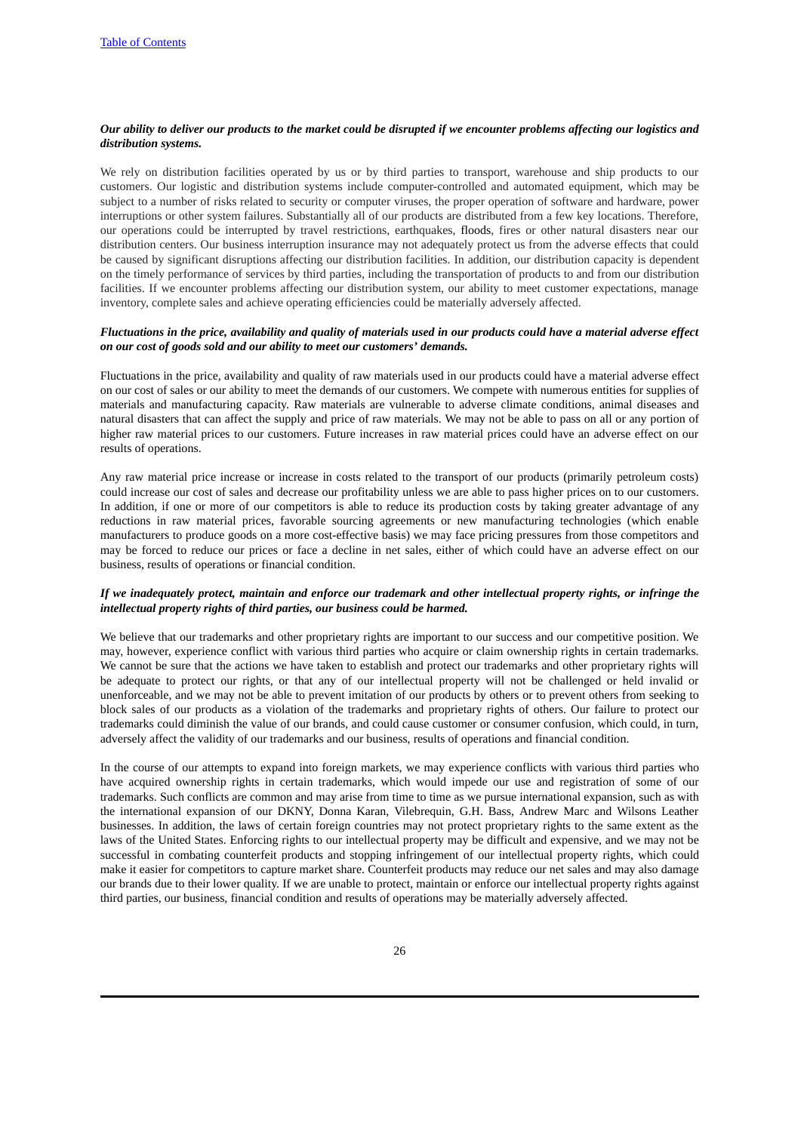## Our ability to deliver our products to the market could be disrupted if we encounter problems affecting our logistics and *distribution systems.*

We rely on distribution facilities operated by us or by third parties to transport, warehouse and ship products to our customers. Our logistic and distribution systems include computer-controlled and automated equipment, which may be subject to a number of risks related to security or computer viruses, the proper operation of software and hardware, power interruptions or other system failures. Substantially all of our products are distributed from a few key locations. Therefore, our operations could be interrupted by travel restrictions, earthquakes, floods, fires or other natural disasters near our distribution centers. Our business interruption insurance may not adequately protect us from the adverse effects that could be caused by significant disruptions affecting our distribution facilities. In addition, our distribution capacity is dependent on the timely performance of services by third parties, including the transportation of products to and from our distribution facilities. If we encounter problems affecting our distribution system, our ability to meet customer expectations, manage inventory, complete sales and achieve operating efficiencies could be materially adversely affected.

## Fluctuations in the price, availability and quality of materials used in our products could have a material adverse effect *on our cost of goods sold and our ability to meet our customers' demands.*

Fluctuations in the price, availability and quality of raw materials used in our products could have a material adverse effect on our cost of sales or our ability to meet the demands of our customers. We compete with numerous entities for supplies of materials and manufacturing capacity. Raw materials are vulnerable to adverse climate conditions, animal diseases and natural disasters that can affect the supply and price of raw materials. We may not be able to pass on all or any portion of higher raw material prices to our customers. Future increases in raw material prices could have an adverse effect on our results of operations.

Any raw material price increase or increase in costs related to the transport of our products (primarily petroleum costs) could increase our cost of sales and decrease our profitability unless we are able to pass higher prices on to our customers. In addition, if one or more of our competitors is able to reduce its production costs by taking greater advantage of any reductions in raw material prices, favorable sourcing agreements or new manufacturing technologies (which enable manufacturers to produce goods on a more cost-effective basis) we may face pricing pressures from those competitors and may be forced to reduce our prices or face a decline in net sales, either of which could have an adverse effect on our business, results of operations or financial condition.

## If we inadequately protect, maintain and enforce our trademark and other intellectual property rights, or infringe the *intellectual property rights of third parties, our business could be harmed.*

We believe that our trademarks and other proprietary rights are important to our success and our competitive position. We may, however, experience conflict with various third parties who acquire or claim ownership rights in certain trademarks. We cannot be sure that the actions we have taken to establish and protect our trademarks and other proprietary rights will be adequate to protect our rights, or that any of our intellectual property will not be challenged or held invalid or unenforceable, and we may not be able to prevent imitation of our products by others or to prevent others from seeking to block sales of our products as a violation of the trademarks and proprietary rights of others. Our failure to protect our trademarks could diminish the value of our brands, and could cause customer or consumer confusion, which could, in turn, adversely affect the validity of our trademarks and our business, results of operations and financial condition.

In the course of our attempts to expand into foreign markets, we may experience conflicts with various third parties who have acquired ownership rights in certain trademarks, which would impede our use and registration of some of our trademarks. Such conflicts are common and may arise from time to time as we pursue international expansion, such as with the international expansion of our DKNY, Donna Karan, Vilebrequin, G.H. Bass, Andrew Marc and Wilsons Leather businesses. In addition, the laws of certain foreign countries may not protect proprietary rights to the same extent as the laws of the United States. Enforcing rights to our intellectual property may be difficult and expensive, and we may not be successful in combating counterfeit products and stopping infringement of our intellectual property rights, which could make it easier for competitors to capture market share. Counterfeit products may reduce our net sales and may also damage our brands due to their lower quality. If we are unable to protect, maintain or enforce our intellectual property rights against third parties, our business, financial condition and results of operations may be materially adversely affected.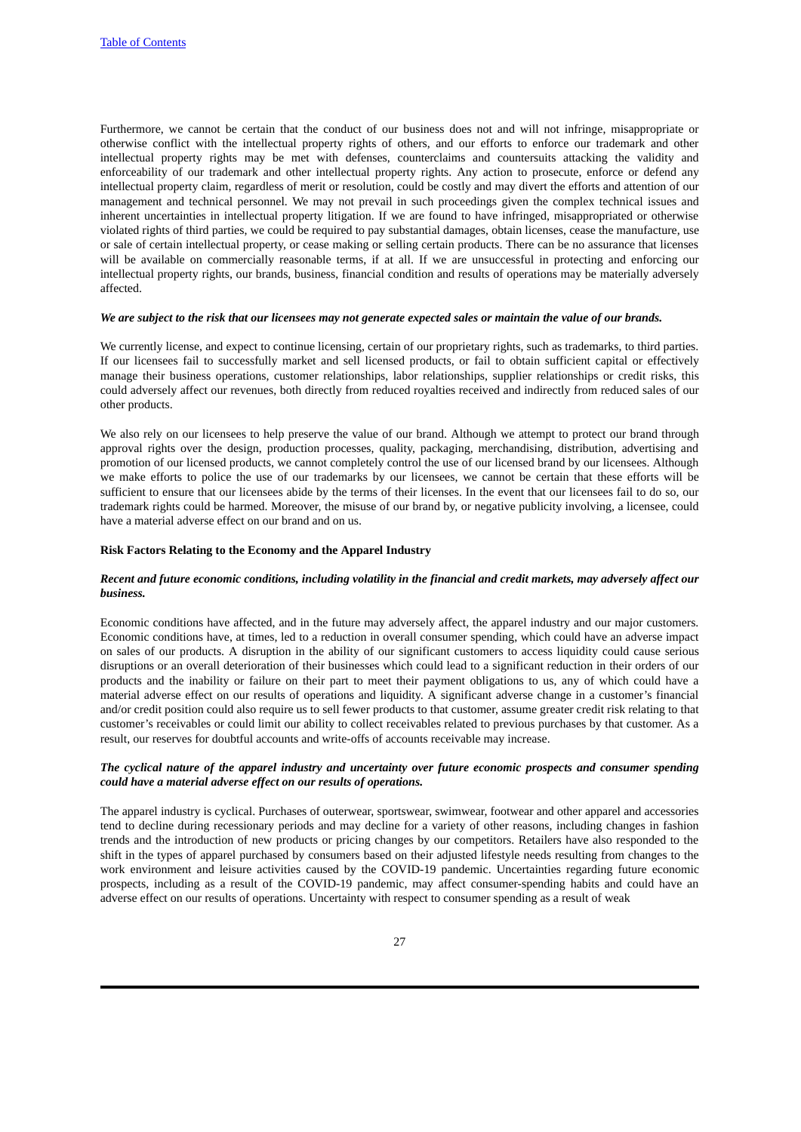Furthermore, we cannot be certain that the conduct of our business does not and will not infringe, misappropriate or otherwise conflict with the intellectual property rights of others, and our efforts to enforce our trademark and other intellectual property rights may be met with defenses, counterclaims and countersuits attacking the validity and enforceability of our trademark and other intellectual property rights. Any action to prosecute, enforce or defend any intellectual property claim, regardless of merit or resolution, could be costly and may divert the efforts and attention of our management and technical personnel. We may not prevail in such proceedings given the complex technical issues and inherent uncertainties in intellectual property litigation. If we are found to have infringed, misappropriated or otherwise violated rights of third parties, we could be required to pay substantial damages, obtain licenses, cease the manufacture, use or sale of certain intellectual property, or cease making or selling certain products. There can be no assurance that licenses will be available on commercially reasonable terms, if at all. If we are unsuccessful in protecting and enforcing our intellectual property rights, our brands, business, financial condition and results of operations may be materially adversely affected.

#### We are subject to the risk that our licensees may not generate expected sales or maintain the value of our brands.

We currently license, and expect to continue licensing, certain of our proprietary rights, such as trademarks, to third parties. If our licensees fail to successfully market and sell licensed products, or fail to obtain sufficient capital or effectively manage their business operations, customer relationships, labor relationships, supplier relationships or credit risks, this could adversely affect our revenues, both directly from reduced royalties received and indirectly from reduced sales of our other products.

We also rely on our licensees to help preserve the value of our brand. Although we attempt to protect our brand through approval rights over the design, production processes, quality, packaging, merchandising, distribution, advertising and promotion of our licensed products, we cannot completely control the use of our licensed brand by our licensees. Although we make efforts to police the use of our trademarks by our licensees, we cannot be certain that these efforts will be sufficient to ensure that our licensees abide by the terms of their licenses. In the event that our licensees fail to do so, our trademark rights could be harmed. Moreover, the misuse of our brand by, or negative publicity involving, a licensee, could have a material adverse effect on our brand and on us.

#### **Risk Factors Relating to the Economy and the Apparel Industry**

## Recent and future economic conditions, including volatility in the financial and credit markets, may adversely affect our *business.*

Economic conditions have affected, and in the future may adversely affect, the apparel industry and our major customers. Economic conditions have, at times, led to a reduction in overall consumer spending, which could have an adverse impact on sales of our products. A disruption in the ability of our significant customers to access liquidity could cause serious disruptions or an overall deterioration of their businesses which could lead to a significant reduction in their orders of our products and the inability or failure on their part to meet their payment obligations to us, any of which could have a material adverse effect on our results of operations and liquidity. A significant adverse change in a customer's financial and/or credit position could also require us to sell fewer products to that customer, assume greater credit risk relating to that customer's receivables or could limit our ability to collect receivables related to previous purchases by that customer. As a result, our reserves for doubtful accounts and write-offs of accounts receivable may increase.

#### *The cyclical nature of the apparel industry and uncertainty over future economic prospects and consumer spending could have a material adverse effect on our results of operations.*

The apparel industry is cyclical. Purchases of outerwear, sportswear, swimwear, footwear and other apparel and accessories tend to decline during recessionary periods and may decline for a variety of other reasons, including changes in fashion trends and the introduction of new products or pricing changes by our competitors. Retailers have also responded to the shift in the types of apparel purchased by consumers based on their adjusted lifestyle needs resulting from changes to the work environment and leisure activities caused by the COVID-19 pandemic. Uncertainties regarding future economic prospects, including as a result of the COVID-19 pandemic, may affect consumer-spending habits and could have an adverse effect on our results of operations. Uncertainty with respect to consumer spending as a result of weak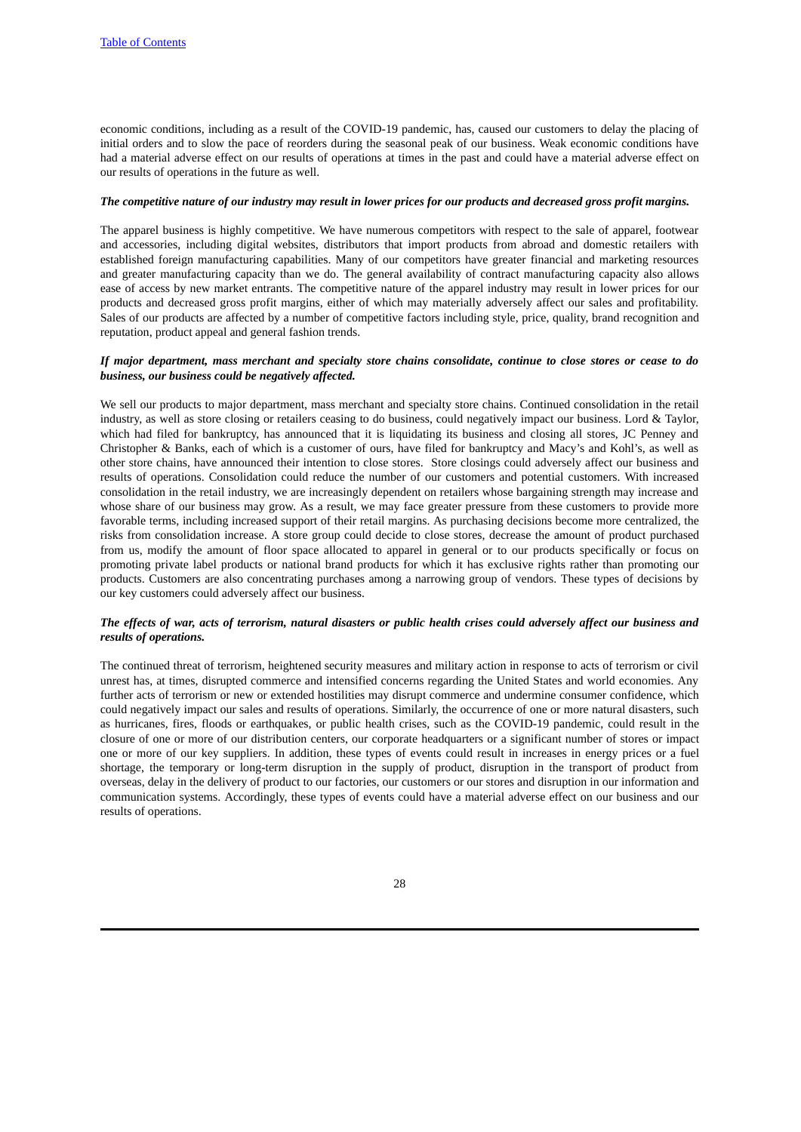economic conditions, including as a result of the COVID-19 pandemic, has, caused our customers to delay the placing of initial orders and to slow the pace of reorders during the seasonal peak of our business. Weak economic conditions have had a material adverse effect on our results of operations at times in the past and could have a material adverse effect on our results of operations in the future as well.

#### The competitive nature of our industry may result in lower prices for our products and decreased gross profit margins.

The apparel business is highly competitive. We have numerous competitors with respect to the sale of apparel, footwear and accessories, including digital websites, distributors that import products from abroad and domestic retailers with established foreign manufacturing capabilities. Many of our competitors have greater financial and marketing resources and greater manufacturing capacity than we do. The general availability of contract manufacturing capacity also allows ease of access by new market entrants. The competitive nature of the apparel industry may result in lower prices for our products and decreased gross profit margins, either of which may materially adversely affect our sales and profitability. Sales of our products are affected by a number of competitive factors including style, price, quality, brand recognition and reputation, product appeal and general fashion trends.

#### If major department, mass merchant and specialty store chains consolidate, continue to close stores or cease to do *business, our business could be negatively affected.*

We sell our products to major department, mass merchant and specialty store chains. Continued consolidation in the retail industry, as well as store closing or retailers ceasing to do business, could negatively impact our business. Lord & Taylor, which had filed for bankruptcy, has announced that it is liquidating its business and closing all stores, JC Penney and Christopher & Banks, each of which is a customer of ours, have filed for bankruptcy and Macy's and Kohl's, as well as other store chains, have announced their intention to close stores. Store closings could adversely affect our business and results of operations. Consolidation could reduce the number of our customers and potential customers. With increased consolidation in the retail industry, we are increasingly dependent on retailers whose bargaining strength may increase and whose share of our business may grow. As a result, we may face greater pressure from these customers to provide more favorable terms, including increased support of their retail margins. As purchasing decisions become more centralized, the risks from consolidation increase. A store group could decide to close stores, decrease the amount of product purchased from us, modify the amount of floor space allocated to apparel in general or to our products specifically or focus on promoting private label products or national brand products for which it has exclusive rights rather than promoting our products. Customers are also concentrating purchases among a narrowing group of vendors. These types of decisions by our key customers could adversely affect our business.

## The effects of war, acts of terrorism, natural disasters or public health crises could adversely affect our business and *results of operations.*

The continued threat of terrorism, heightened security measures and military action in response to acts of terrorism or civil unrest has, at times, disrupted commerce and intensified concerns regarding the United States and world economies. Any further acts of terrorism or new or extended hostilities may disrupt commerce and undermine consumer confidence, which could negatively impact our sales and results of operations. Similarly, the occurrence of one or more natural disasters, such as hurricanes, fires, floods or earthquakes, or public health crises, such as the COVID-19 pandemic, could result in the closure of one or more of our distribution centers, our corporate headquarters or a significant number of stores or impact one or more of our key suppliers. In addition, these types of events could result in increases in energy prices or a fuel shortage, the temporary or long-term disruption in the supply of product, disruption in the transport of product from overseas, delay in the delivery of product to our factories, our customers or our stores and disruption in our information and communication systems. Accordingly, these types of events could have a material adverse effect on our business and our results of operations.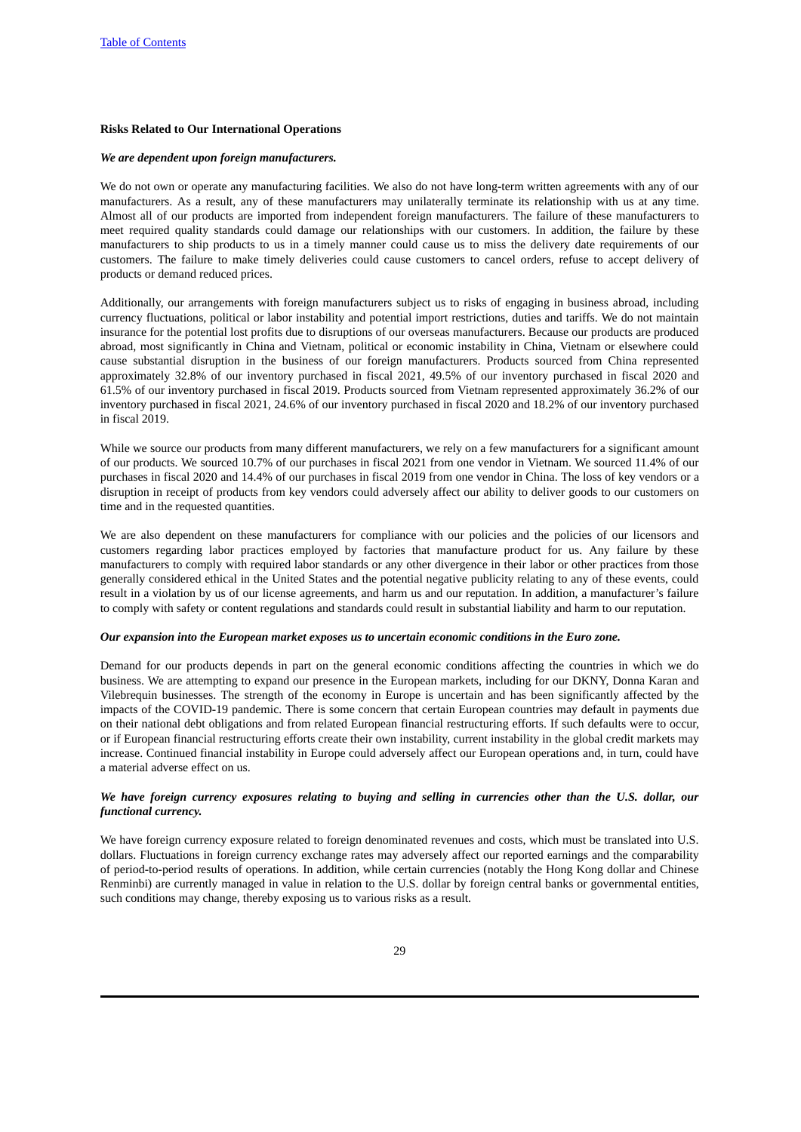#### **Risks Related to Our International Operations**

#### *We are dependent upon foreign manufacturers.*

We do not own or operate any manufacturing facilities. We also do not have long-term written agreements with any of our manufacturers. As a result, any of these manufacturers may unilaterally terminate its relationship with us at any time. Almost all of our products are imported from independent foreign manufacturers. The failure of these manufacturers to meet required quality standards could damage our relationships with our customers. In addition, the failure by these manufacturers to ship products to us in a timely manner could cause us to miss the delivery date requirements of our customers. The failure to make timely deliveries could cause customers to cancel orders, refuse to accept delivery of products or demand reduced prices.

Additionally, our arrangements with foreign manufacturers subject us to risks of engaging in business abroad, including currency fluctuations, political or labor instability and potential import restrictions, duties and tariffs. We do not maintain insurance for the potential lost profits due to disruptions of our overseas manufacturers. Because our products are produced abroad, most significantly in China and Vietnam, political or economic instability in China, Vietnam or elsewhere could cause substantial disruption in the business of our foreign manufacturers. Products sourced from China represented approximately 32.8% of our inventory purchased in fiscal 2021, 49.5% of our inventory purchased in fiscal 2020 and 61.5% of our inventory purchased in fiscal 2019. Products sourced from Vietnam represented approximately 36.2% of our inventory purchased in fiscal 2021, 24.6% of our inventory purchased in fiscal 2020 and 18.2% of our inventory purchased in fiscal 2019.

While we source our products from many different manufacturers, we rely on a few manufacturers for a significant amount of our products. We sourced 10.7% of our purchases in fiscal 2021 from one vendor in Vietnam. We sourced 11.4% of our purchases in fiscal 2020 and 14.4% of our purchases in fiscal 2019 from one vendor in China. The loss of key vendors or a disruption in receipt of products from key vendors could adversely affect our ability to deliver goods to our customers on time and in the requested quantities.

We are also dependent on these manufacturers for compliance with our policies and the policies of our licensors and customers regarding labor practices employed by factories that manufacture product for us. Any failure by these manufacturers to comply with required labor standards or any other divergence in their labor or other practices from those generally considered ethical in the United States and the potential negative publicity relating to any of these events, could result in a violation by us of our license agreements, and harm us and our reputation. In addition, a manufacturer's failure to comply with safety or content regulations and standards could result in substantial liability and harm to our reputation.

#### *Our expansion into the European market exposes us to uncertain economic conditions in the Euro zone.*

Demand for our products depends in part on the general economic conditions affecting the countries in which we do business. We are attempting to expand our presence in the European markets, including for our DKNY, Donna Karan and Vilebrequin businesses. The strength of the economy in Europe is uncertain and has been significantly affected by the impacts of the COVID-19 pandemic. There is some concern that certain European countries may default in payments due on their national debt obligations and from related European financial restructuring efforts. If such defaults were to occur, or if European financial restructuring efforts create their own instability, current instability in the global credit markets may increase. Continued financial instability in Europe could adversely affect our European operations and, in turn, could have a material adverse effect on us.

## We have foreign currency exposures relating to buying and selling in currencies other than the U.S. dollar, our *functional currency.*

We have foreign currency exposure related to foreign denominated revenues and costs, which must be translated into U.S. dollars. Fluctuations in foreign currency exchange rates may adversely affect our reported earnings and the comparability of period-to-period results of operations. In addition, while certain currencies (notably the Hong Kong dollar and Chinese Renminbi) are currently managed in value in relation to the U.S. dollar by foreign central banks or governmental entities, such conditions may change, thereby exposing us to various risks as a result.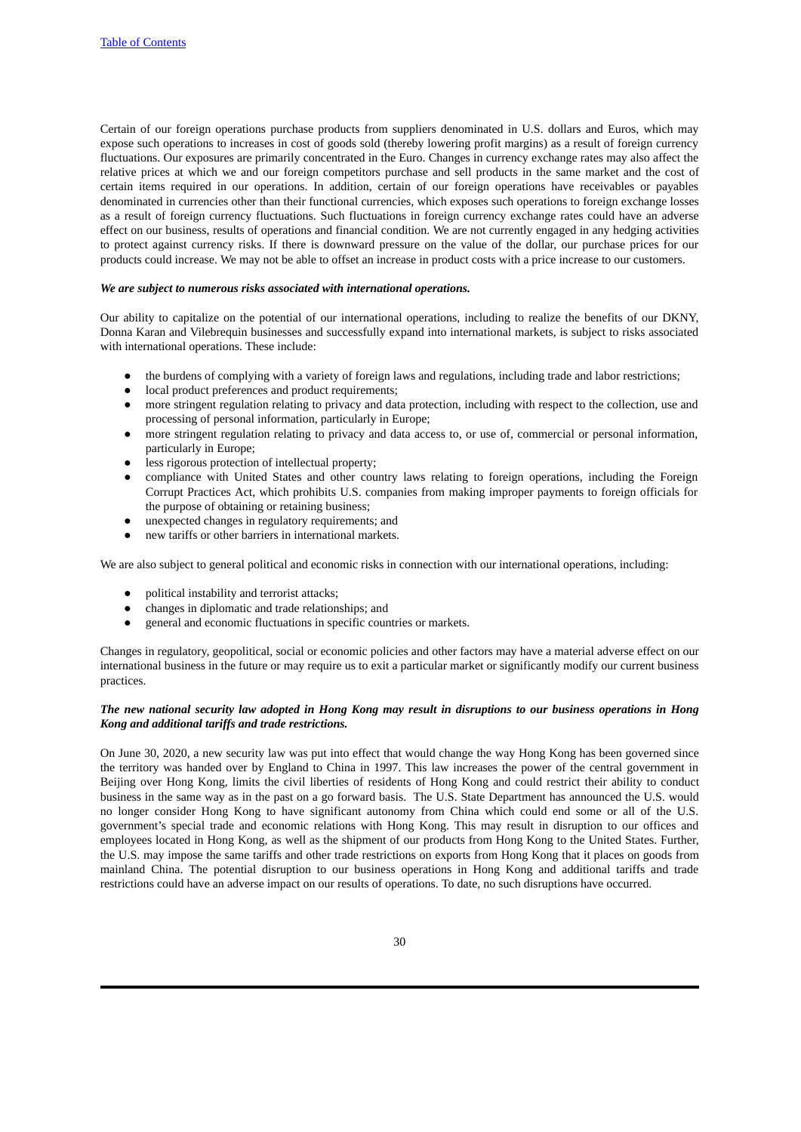Certain of our foreign operations purchase products from suppliers denominated in U.S. dollars and Euros, which may expose such operations to increases in cost of goods sold (thereby lowering profit margins) as a result of foreign currency fluctuations. Our exposures are primarily concentrated in the Euro. Changes in currency exchange rates may also affect the relative prices at which we and our foreign competitors purchase and sell products in the same market and the cost of certain items required in our operations. In addition, certain of our foreign operations have receivables or payables denominated in currencies other than their functional currencies, which exposes such operations to foreign exchange losses as a result of foreign currency fluctuations. Such fluctuations in foreign currency exchange rates could have an adverse effect on our business, results of operations and financial condition. We are not currently engaged in any hedging activities to protect against currency risks. If there is downward pressure on the value of the dollar, our purchase prices for our products could increase. We may not be able to offset an increase in product costs with a price increase to our customers.

#### *We are subject to numerous risks associated with international operations.*

Our ability to capitalize on the potential of our international operations, including to realize the benefits of our DKNY, Donna Karan and Vilebrequin businesses and successfully expand into international markets, is subject to risks associated with international operations. These include:

- the burdens of complying with a variety of foreign laws and regulations, including trade and labor restrictions;
- local product preferences and product requirements;
- more stringent regulation relating to privacy and data protection, including with respect to the collection, use and processing of personal information, particularly in Europe;
- more stringent regulation relating to privacy and data access to, or use of, commercial or personal information, particularly in Europe;
- less rigorous protection of intellectual property;
- compliance with United States and other country laws relating to foreign operations, including the Foreign Corrupt Practices Act, which prohibits U.S. companies from making improper payments to foreign officials for the purpose of obtaining or retaining business;
- unexpected changes in regulatory requirements; and
- new tariffs or other barriers in international markets.

We are also subject to general political and economic risks in connection with our international operations, including:

- political instability and terrorist attacks;
- changes in diplomatic and trade relationships; and
- general and economic fluctuations in specific countries or markets.

Changes in regulatory, geopolitical, social or economic policies and other factors may have a material adverse effect on our international business in the future or may require us to exit a particular market or significantly modify our current business practices.

## The new national security law adopted in Hong Kong may result in disruptions to our business operations in Hong *Kong and additional tariffs and trade restrictions.*

On June 30, 2020, a new security law was put into effect that would change the way Hong Kong has been governed since the territory was handed over by England to China in 1997. This law increases the power of the central government in Beijing over Hong Kong, limits the civil liberties of residents of Hong Kong and could restrict their ability to conduct business in the same way as in the past on a go forward basis. The U.S. State Department has announced the U.S. would no longer consider Hong Kong to have significant autonomy from China which could end some or all of the U.S. government's special trade and economic relations with Hong Kong. This may result in disruption to our offices and employees located in Hong Kong, as well as the shipment of our products from Hong Kong to the United States. Further, the U.S. may impose the same tariffs and other trade restrictions on exports from Hong Kong that it places on goods from mainland China. The potential disruption to our business operations in Hong Kong and additional tariffs and trade restrictions could have an adverse impact on our results of operations. To date, no such disruptions have occurred.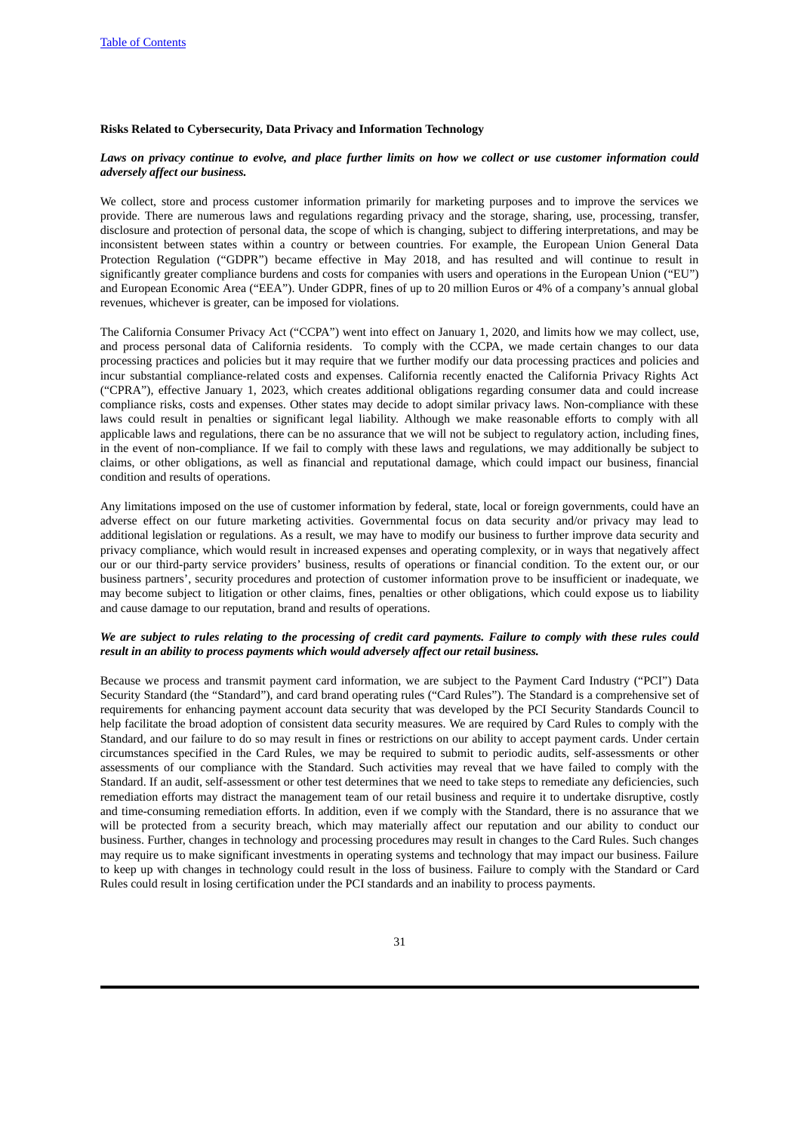#### **Risks Related to Cybersecurity, Data Privacy and Information Technology**

## Laws on privacy continue to evolve, and place further limits on how we collect or use customer information could *adversely affect our business.*

We collect, store and process customer information primarily for marketing purposes and to improve the services we provide. There are numerous laws and regulations regarding privacy and the storage, sharing, use, processing, transfer, disclosure and protection of personal data, the scope of which is changing, subject to differing interpretations, and may be inconsistent between states within a country or between countries. For example, the European Union General Data Protection Regulation ("GDPR") became effective in May 2018, and has resulted and will continue to result in significantly greater compliance burdens and costs for companies with users and operations in the European Union ("EU") and European Economic Area ("EEA"). Under GDPR, fines of up to 20 million Euros or 4% of a company's annual global revenues, whichever is greater, can be imposed for violations.

The California Consumer Privacy Act ("CCPA") went into effect on January 1, 2020, and limits how we may collect, use, and process personal data of California residents. To comply with the CCPA, we made certain changes to our data processing practices and policies but it may require that we further modify our data processing practices and policies and incur substantial compliance-related costs and expenses. California recently enacted the California Privacy Rights Act ("CPRA"), effective January 1, 2023, which creates additional obligations regarding consumer data and could increase compliance risks, costs and expenses. Other states may decide to adopt similar privacy laws. Non-compliance with these laws could result in penalties or significant legal liability. Although we make reasonable efforts to comply with all applicable laws and regulations, there can be no assurance that we will not be subject to regulatory action, including fines, in the event of non-compliance. If we fail to comply with these laws and regulations, we may additionally be subject to claims, or other obligations, as well as financial and reputational damage, which could impact our business, financial condition and results of operations.

Any limitations imposed on the use of customer information by federal, state, local or foreign governments, could have an adverse effect on our future marketing activities. Governmental focus on data security and/or privacy may lead to additional legislation or regulations. As a result, we may have to modify our business to further improve data security and privacy compliance, which would result in increased expenses and operating complexity, or in ways that negatively affect our or our third-party service providers' business, results of operations or financial condition. To the extent our, or our business partners', security procedures and protection of customer information prove to be insufficient or inadequate, we may become subject to litigation or other claims, fines, penalties or other obligations, which could expose us to liability and cause damage to our reputation, brand and results of operations.

#### We are subject to rules relating to the processing of credit card payments. Failure to comply with these rules could *result in an ability to process payments which would adversely affect our retail business.*

Because we process and transmit payment card information, we are subject to the Payment Card Industry ("PCI") Data Security Standard (the "Standard"), and card brand operating rules ("Card Rules"). The Standard is a comprehensive set of requirements for enhancing payment account data security that was developed by the PCI Security Standards Council to help facilitate the broad adoption of consistent data security measures. We are required by Card Rules to comply with the Standard, and our failure to do so may result in fines or restrictions on our ability to accept payment cards. Under certain circumstances specified in the Card Rules, we may be required to submit to periodic audits, self-assessments or other assessments of our compliance with the Standard. Such activities may reveal that we have failed to comply with the Standard. If an audit, self-assessment or other test determines that we need to take steps to remediate any deficiencies, such remediation efforts may distract the management team of our retail business and require it to undertake disruptive, costly and time-consuming remediation efforts. In addition, even if we comply with the Standard, there is no assurance that we will be protected from a security breach, which may materially affect our reputation and our ability to conduct our business. Further, changes in technology and processing procedures may result in changes to the Card Rules. Such changes may require us to make significant investments in operating systems and technology that may impact our business. Failure to keep up with changes in technology could result in the loss of business. Failure to comply with the Standard or Card Rules could result in losing certification under the PCI standards and an inability to process payments.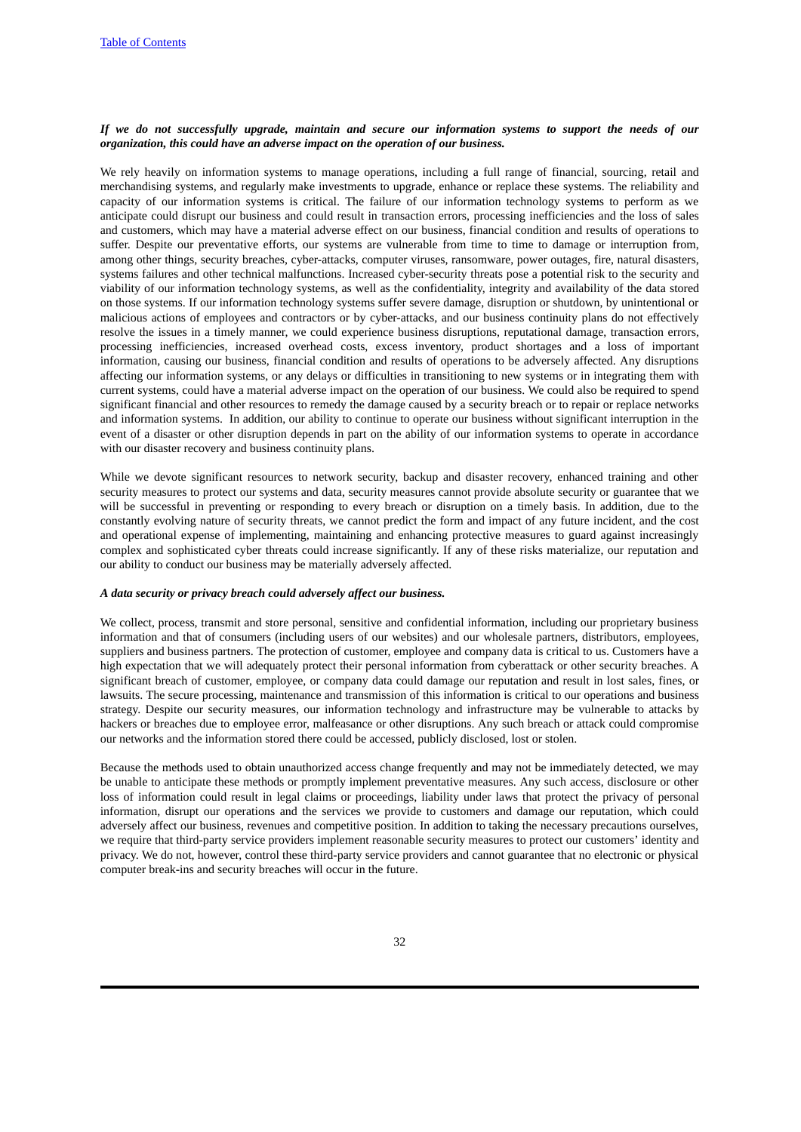## If we do not successfully upgrade, maintain and secure our information systems to support the needs of our *organization, this could have an adverse impact on the operation of our business.*

We rely heavily on information systems to manage operations, including a full range of financial, sourcing, retail and merchandising systems, and regularly make investments to upgrade, enhance or replace these systems. The reliability and capacity of our information systems is critical. The failure of our information technology systems to perform as we anticipate could disrupt our business and could result in transaction errors, processing inefficiencies and the loss of sales and customers, which may have a material adverse effect on our business, financial condition and results of operations to suffer. Despite our preventative efforts, our systems are vulnerable from time to time to damage or interruption from, among other things, security breaches, cyber-attacks, computer viruses, ransomware, power outages, fire, natural disasters, systems failures and other technical malfunctions. Increased cyber-security threats pose a potential risk to the security and viability of our information technology systems, as well as the confidentiality, integrity and availability of the data stored on those systems. If our information technology systems suffer severe damage, disruption or shutdown, by unintentional or malicious actions of employees and contractors or by cyber-attacks, and our business continuity plans do not effectively resolve the issues in a timely manner, we could experience business disruptions, reputational damage, transaction errors, processing inefficiencies, increased overhead costs, excess inventory, product shortages and a loss of important information, causing our business, financial condition and results of operations to be adversely affected. Any disruptions affecting our information systems, or any delays or difficulties in transitioning to new systems or in integrating them with current systems, could have a material adverse impact on the operation of our business. We could also be required to spend significant financial and other resources to remedy the damage caused by a security breach or to repair or replace networks and information systems. In addition, our ability to continue to operate our business without significant interruption in the event of a disaster or other disruption depends in part on the ability of our information systems to operate in accordance with our disaster recovery and business continuity plans.

While we devote significant resources to network security, backup and disaster recovery, enhanced training and other security measures to protect our systems and data, security measures cannot provide absolute security or guarantee that we will be successful in preventing or responding to every breach or disruption on a timely basis. In addition, due to the constantly evolving nature of security threats, we cannot predict the form and impact of any future incident, and the cost and operational expense of implementing, maintaining and enhancing protective measures to guard against increasingly complex and sophisticated cyber threats could increase significantly. If any of these risks materialize, our reputation and our ability to conduct our business may be materially adversely affected.

#### *A data security or privacy breach could adversely affect our business.*

We collect, process, transmit and store personal, sensitive and confidential information, including our proprietary business information and that of consumers (including users of our websites) and our wholesale partners, distributors, employees, suppliers and business partners. The protection of customer, employee and company data is critical to us. Customers have a high expectation that we will adequately protect their personal information from cyberattack or other security breaches. A significant breach of customer, employee, or company data could damage our reputation and result in lost sales, fines, or lawsuits. The secure processing, maintenance and transmission of this information is critical to our operations and business strategy. Despite our security measures, our information technology and infrastructure may be vulnerable to attacks by hackers or breaches due to employee error, malfeasance or other disruptions. Any such breach or attack could compromise our networks and the information stored there could be accessed, publicly disclosed, lost or stolen.

Because the methods used to obtain unauthorized access change frequently and may not be immediately detected, we may be unable to anticipate these methods or promptly implement preventative measures. Any such access, disclosure or other loss of information could result in legal claims or proceedings, liability under laws that protect the privacy of personal information, disrupt our operations and the services we provide to customers and damage our reputation, which could adversely affect our business, revenues and competitive position. In addition to taking the necessary precautions ourselves, we require that third-party service providers implement reasonable security measures to protect our customers' identity and privacy. We do not, however, control these third-party service providers and cannot guarantee that no electronic or physical computer break-ins and security breaches will occur in the future.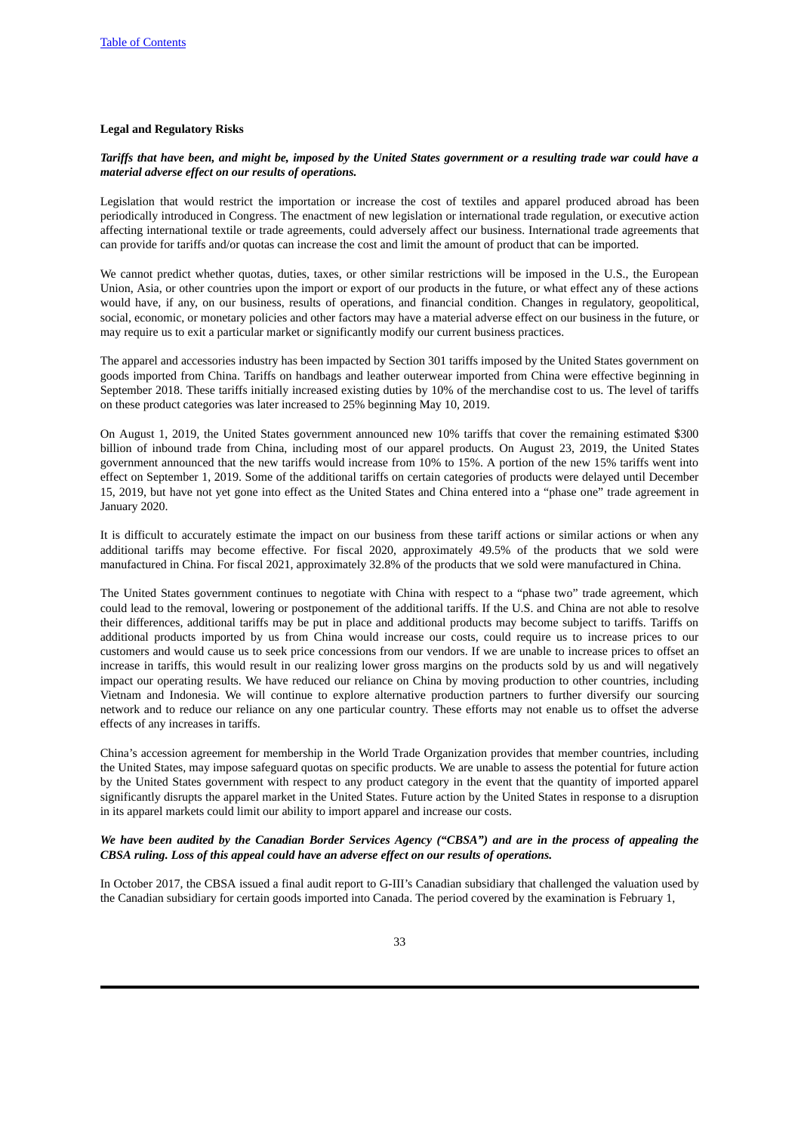## **Legal and Regulatory Risks**

#### Tariffs that have been, and might be, imposed by the United States government or a resulting trade war could have a *material adverse effect on our results of operations.*

Legislation that would restrict the importation or increase the cost of textiles and apparel produced abroad has been periodically introduced in Congress. The enactment of new legislation or international trade regulation, or executive action affecting international textile or trade agreements, could adversely affect our business. International trade agreements that can provide for tariffs and/or quotas can increase the cost and limit the amount of product that can be imported.

We cannot predict whether quotas, duties, taxes, or other similar restrictions will be imposed in the U.S., the European Union, Asia, or other countries upon the import or export of our products in the future, or what effect any of these actions would have, if any, on our business, results of operations, and financial condition. Changes in regulatory, geopolitical, social, economic, or monetary policies and other factors may have a material adverse effect on our business in the future, or may require us to exit a particular market or significantly modify our current business practices.

The apparel and accessories industry has been impacted by Section 301 tariffs imposed by the United States government on goods imported from China. Tariffs on handbags and leather outerwear imported from China were effective beginning in September 2018. These tariffs initially increased existing duties by 10% of the merchandise cost to us. The level of tariffs on these product categories was later increased to 25% beginning May 10, 2019.

On August 1, 2019, the United States government announced new 10% tariffs that cover the remaining estimated \$300 billion of inbound trade from China, including most of our apparel products. On August 23, 2019, the United States government announced that the new tariffs would increase from 10% to 15%. A portion of the new 15% tariffs went into effect on September 1, 2019. Some of the additional tariffs on certain categories of products were delayed until December 15, 2019, but have not yet gone into effect as the United States and China entered into a "phase one" trade agreement in January 2020.

It is difficult to accurately estimate the impact on our business from these tariff actions or similar actions or when any additional tariffs may become effective. For fiscal 2020, approximately 49.5% of the products that we sold were manufactured in China. For fiscal 2021, approximately 32.8% of the products that we sold were manufactured in China.

The United States government continues to negotiate with China with respect to a "phase two" trade agreement, which could lead to the removal, lowering or postponement of the additional tariffs. If the U.S. and China are not able to resolve their differences, additional tariffs may be put in place and additional products may become subject to tariffs. Tariffs on additional products imported by us from China would increase our costs, could require us to increase prices to our customers and would cause us to seek price concessions from our vendors. If we are unable to increase prices to offset an increase in tariffs, this would result in our realizing lower gross margins on the products sold by us and will negatively impact our operating results. We have reduced our reliance on China by moving production to other countries, including Vietnam and Indonesia. We will continue to explore alternative production partners to further diversify our sourcing network and to reduce our reliance on any one particular country. These efforts may not enable us to offset the adverse effects of any increases in tariffs.

China's accession agreement for membership in the World Trade Organization provides that member countries, including the United States, may impose safeguard quotas on specific products. We are unable to assess the potential for future action by the United States government with respect to any product category in the event that the quantity of imported apparel significantly disrupts the apparel market in the United States. Future action by the United States in response to a disruption in its apparel markets could limit our ability to import apparel and increase our costs.

#### We have been audited by the Canadian Border Services Agency ("CBSA") and are in the process of appealing the *CBSA ruling. Loss of this appeal could have an adverse effect on our results of operations.*

In October 2017, the CBSA issued a final audit report to G-III's Canadian subsidiary that challenged the valuation used by the Canadian subsidiary for certain goods imported into Canada. The period covered by the examination is February 1,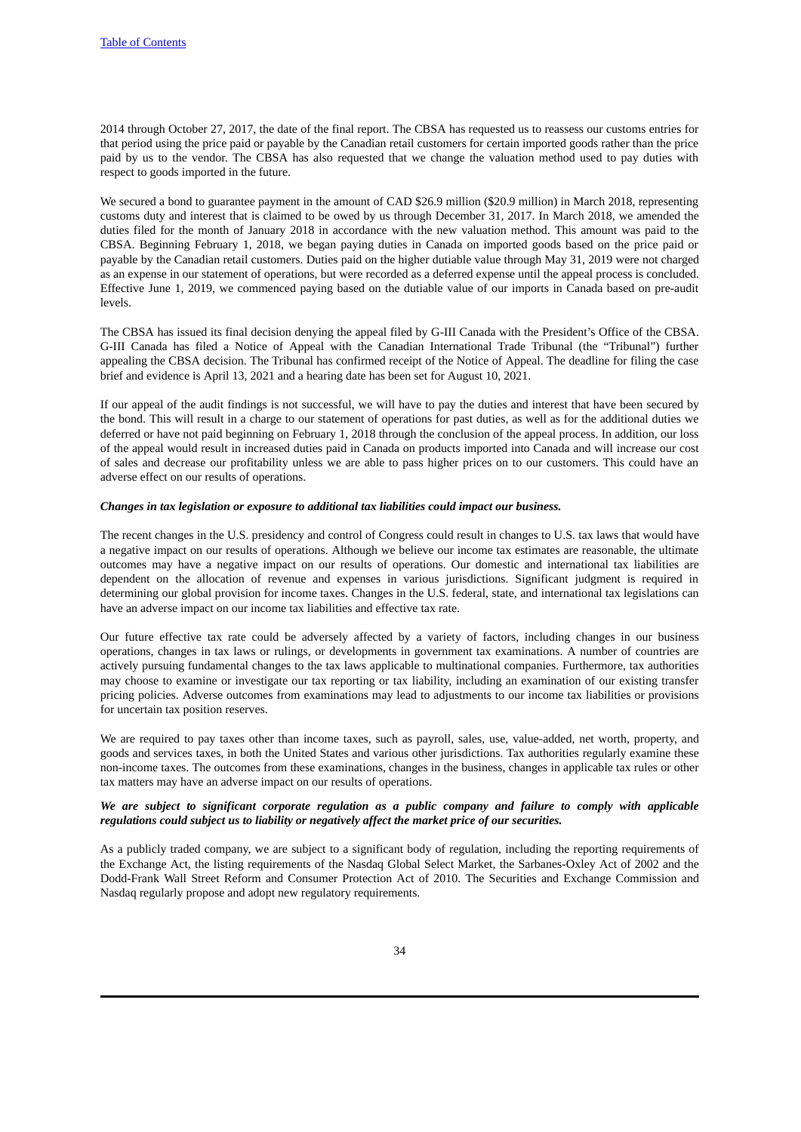2014 through October 27, 2017, the date of the final report. The CBSA has requested us to reassess our customs entries for that period using the price paid or payable by the Canadian retail customers for certain imported goods rather than the price paid by us to the vendor. The CBSA has also requested that we change the valuation method used to pay duties with respect to goods imported in the future.

We secured a bond to guarantee payment in the amount of CAD \$26.9 million (\$20.9 million) in March 2018, representing customs duty and interest that is claimed to be owed by us through December 31, 2017. In March 2018, we amended the duties filed for the month of January 2018 in accordance with the new valuation method. This amount was paid to the CBSA. Beginning February 1, 2018, we began paying duties in Canada on imported goods based on the price paid or payable by the Canadian retail customers. Duties paid on the higher dutiable value through May 31, 2019 were not charged as an expense in our statement of operations, but were recorded as a deferred expense until the appeal process is concluded. Effective June 1, 2019, we commenced paying based on the dutiable value of our imports in Canada based on pre-audit levels.

The CBSA has issued its final decision denying the appeal filed by G-III Canada with the President's Office of the CBSA. G-III Canada has filed a Notice of Appeal with the Canadian International Trade Tribunal (the "Tribunal") further appealing the CBSA decision. The Tribunal has confirmed receipt of the Notice of Appeal. The deadline for filing the case brief and evidence is April 13, 2021 and a hearing date has been set for August 10, 2021.

If our appeal of the audit findings is not successful, we will have to pay the duties and interest that have been secured by the bond. This will result in a charge to our statement of operations for past duties, as well as for the additional duties we deferred or have not paid beginning on February 1, 2018 through the conclusion of the appeal process. In addition, our loss of the appeal would result in increased duties paid in Canada on products imported into Canada and will increase our cost of sales and decrease our profitability unless we are able to pass higher prices on to our customers. This could have an adverse effect on our results of operations.

## *Changes in tax legislation or exposure to additional tax liabilities could impact our business.*

The recent changes in the U.S. presidency and control of Congress could result in changes to U.S. tax laws that would have a negative impact on our results of operations. Although we believe our income tax estimates are reasonable, the ultimate outcomes may have a negative impact on our results of operations. Our domestic and international tax liabilities are dependent on the allocation of revenue and expenses in various jurisdictions. Significant judgment is required in determining our global provision for income taxes. Changes in the U.S. federal, state, and international tax legislations can have an adverse impact on our income tax liabilities and effective tax rate.

Our future effective tax rate could be adversely affected by a variety of factors, including changes in our business operations, changes in tax laws or rulings, or developments in government tax examinations. A number of countries are actively pursuing fundamental changes to the tax laws applicable to multinational companies. Furthermore, tax authorities may choose to examine or investigate our tax reporting or tax liability, including an examination of our existing transfer pricing policies. Adverse outcomes from examinations may lead to adjustments to our income tax liabilities or provisions for uncertain tax position reserves.

We are required to pay taxes other than income taxes, such as payroll, sales, use, value-added, net worth, property, and goods and services taxes, in both the United States and various other jurisdictions. Tax authorities regularly examine these non-income taxes. The outcomes from these examinations, changes in the business, changes in applicable tax rules or other tax matters may have an adverse impact on our results of operations.

## We are subject to significant corporate regulation as a public company and failure to comply with applicable *regulations could subject us to liability or negatively affect the market price of our securities.*

As a publicly traded company, we are subject to a significant body of regulation, including the reporting requirements of the Exchange Act, the listing requirements of the Nasdaq Global Select Market, the Sarbanes-Oxley Act of 2002 and the Dodd-Frank Wall Street Reform and Consumer Protection Act of 2010. The Securities and Exchange Commission and Nasdaq regularly propose and adopt new regulatory requirements.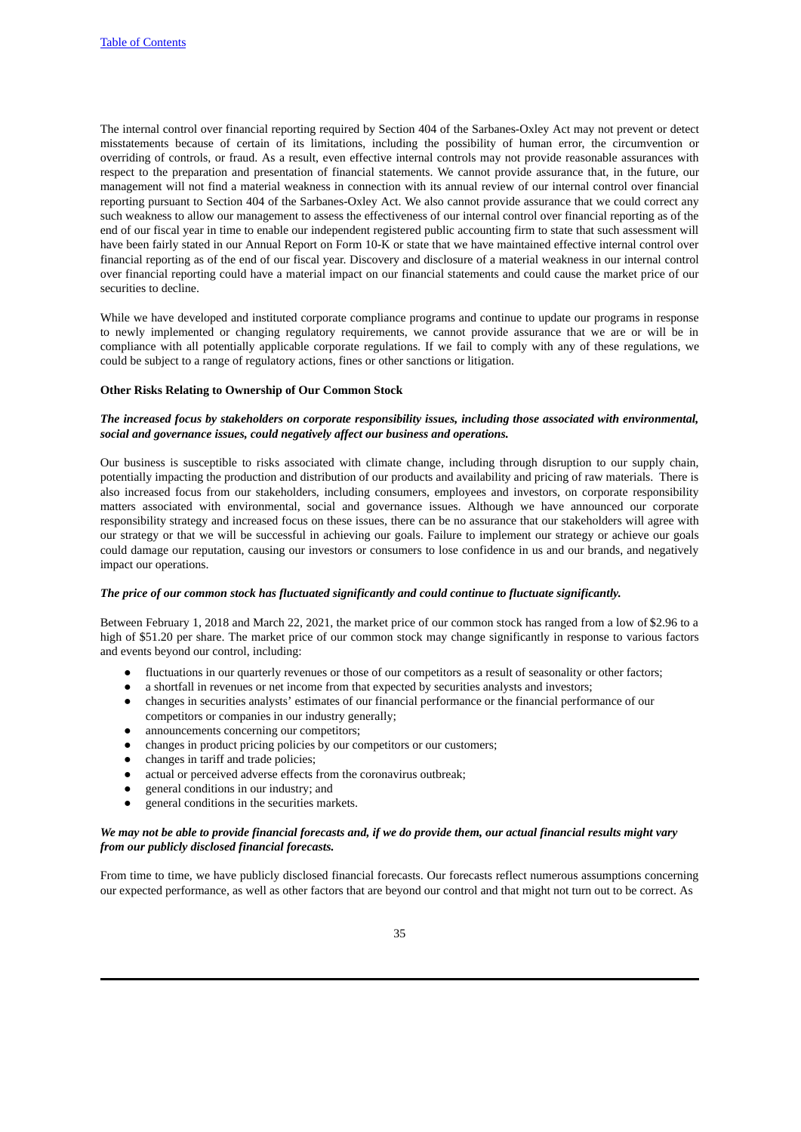The internal control over financial reporting required by Section 404 of the Sarbanes-Oxley Act may not prevent or detect misstatements because of certain of its limitations, including the possibility of human error, the circumvention or overriding of controls, or fraud. As a result, even effective internal controls may not provide reasonable assurances with respect to the preparation and presentation of financial statements. We cannot provide assurance that, in the future, our management will not find a material weakness in connection with its annual review of our internal control over financial reporting pursuant to Section 404 of the Sarbanes-Oxley Act. We also cannot provide assurance that we could correct any such weakness to allow our management to assess the effectiveness of our internal control over financial reporting as of the end of our fiscal year in time to enable our independent registered public accounting firm to state that such assessment will have been fairly stated in our Annual Report on Form 10-K or state that we have maintained effective internal control over financial reporting as of the end of our fiscal year. Discovery and disclosure of a material weakness in our internal control over financial reporting could have a material impact on our financial statements and could cause the market price of our securities to decline.

While we have developed and instituted corporate compliance programs and continue to update our programs in response to newly implemented or changing regulatory requirements, we cannot provide assurance that we are or will be in compliance with all potentially applicable corporate regulations. If we fail to comply with any of these regulations, we could be subject to a range of regulatory actions, fines or other sanctions or litigation.

#### **Other Risks Relating to Ownership of Our Common Stock**

## *The increased focus by stakeholders on corporate responsibility issues, including those associated with environmental, social and governance issues, could negatively affect our business and operations.*

Our business is susceptible to risks associated with climate change, including through disruption to our supply chain, potentially impacting the production and distribution of our products and availability and pricing of raw materials. There is also increased focus from our stakeholders, including consumers, employees and investors, on corporate responsibility matters associated with environmental, social and governance issues. Although we have announced our corporate responsibility strategy and increased focus on these issues, there can be no assurance that our stakeholders will agree with our strategy or that we will be successful in achieving our goals. Failure to implement our strategy or achieve our goals could damage our reputation, causing our investors or consumers to lose confidence in us and our brands, and negatively impact our operations.

#### *The price of our common stock has fluctuated significantly and could continue to fluctuate significantly.*

Between February 1, 2018 and March 22, 2021, the market price of our common stock has ranged from a low of \$2.96 to a high of \$51.20 per share. The market price of our common stock may change significantly in response to various factors and events beyond our control, including:

- fluctuations in our quarterly revenues or those of our competitors as a result of seasonality or other factors;
- a shortfall in revenues or net income from that expected by securities analysts and investors;
- changes in securities analysts' estimates of our financial performance or the financial performance of our competitors or companies in our industry generally;
- announcements concerning our competitors;
- changes in product pricing policies by our competitors or our customers;
- changes in tariff and trade policies;
- actual or perceived adverse effects from the coronavirus outbreak;
- general conditions in our industry; and
- general conditions in the securities markets.

#### We may not be able to provide financial forecasts and, if we do provide them, our actual financial results might vary *from our publicly disclosed financial forecasts.*

From time to time, we have publicly disclosed financial forecasts. Our forecasts reflect numerous assumptions concerning our expected performance, as well as other factors that are beyond our control and that might not turn out to be correct. As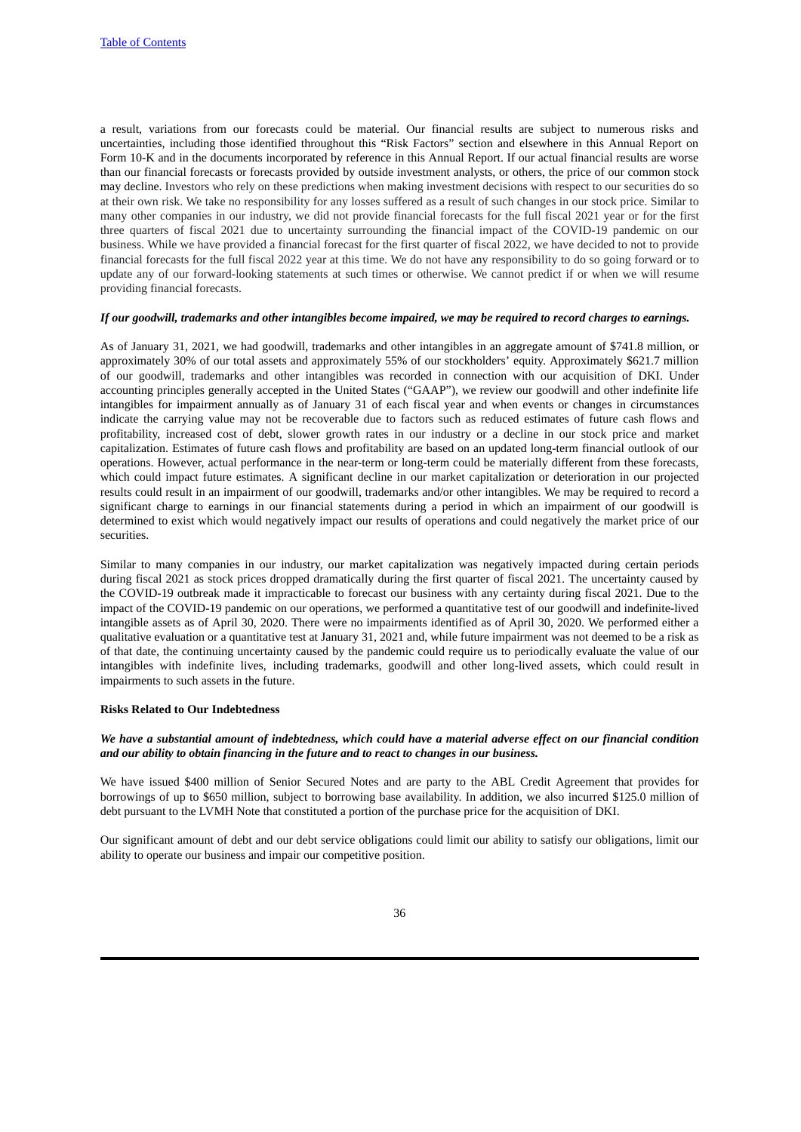a result, variations from our forecasts could be material. Our financial results are subject to numerous risks and uncertainties, including those identified throughout this "Risk Factors" section and elsewhere in this Annual Report on Form 10-K and in the documents incorporated by reference in this Annual Report. If our actual financial results are worse than our financial forecasts or forecasts provided by outside investment analysts, or others, the price of our common stock may decline. Investors who rely on these predictions when making investment decisions with respect to our securities do so at their own risk. We take no responsibility for any losses suffered as a result of such changes in our stock price. Similar to many other companies in our industry, we did not provide financial forecasts for the full fiscal 2021 year or for the first three quarters of fiscal 2021 due to uncertainty surrounding the financial impact of the COVID-19 pandemic on our business. While we have provided a financial forecast for the first quarter of fiscal 2022, we have decided to not to provide financial forecasts for the full fiscal 2022 year at this time. We do not have any responsibility to do so going forward or to update any of our forward-looking statements at such times or otherwise. We cannot predict if or when we will resume providing financial forecasts.

## If our goodwill, trademarks and other intangibles become impaired, we may be required to record charges to earnings.

As of January 31, 2021, we had goodwill, trademarks and other intangibles in an aggregate amount of \$741.8 million, or approximately 30% of our total assets and approximately 55% of our stockholders' equity. Approximately \$621.7 million of our goodwill, trademarks and other intangibles was recorded in connection with our acquisition of DKI. Under accounting principles generally accepted in the United States ("GAAP"), we review our goodwill and other indefinite life intangibles for impairment annually as of January 31 of each fiscal year and when events or changes in circumstances indicate the carrying value may not be recoverable due to factors such as reduced estimates of future cash flows and profitability, increased cost of debt, slower growth rates in our industry or a decline in our stock price and market capitalization. Estimates of future cash flows and profitability are based on an updated long-term financial outlook of our operations. However, actual performance in the near-term or long-term could be materially different from these forecasts, which could impact future estimates. A significant decline in our market capitalization or deterioration in our projected results could result in an impairment of our goodwill, trademarks and/or other intangibles. We may be required to record a significant charge to earnings in our financial statements during a period in which an impairment of our goodwill is determined to exist which would negatively impact our results of operations and could negatively the market price of our securities.

Similar to many companies in our industry, our market capitalization was negatively impacted during certain periods during fiscal 2021 as stock prices dropped dramatically during the first quarter of fiscal 2021. The uncertainty caused by the COVID-19 outbreak made it impracticable to forecast our business with any certainty during fiscal 2021. Due to the impact of the COVID-19 pandemic on our operations, we performed a quantitative test of our goodwill and indefinite-lived intangible assets as of April 30, 2020. There were no impairments identified as of April 30, 2020. We performed either a qualitative evaluation or a quantitative test at January 31, 2021 and, while future impairment was not deemed to be a risk as of that date, the continuing uncertainty caused by the pandemic could require us to periodically evaluate the value of our intangibles with indefinite lives, including trademarks, goodwill and other long-lived assets, which could result in impairments to such assets in the future.

#### **Risks Related to Our Indebtedness**

## We have a substantial amount of indebtedness, which could have a material adverse effect on our financial condition *and our ability to obtain financing in the future and to react to changes in our business.*

We have issued \$400 million of Senior Secured Notes and are party to the ABL Credit Agreement that provides for borrowings of up to \$650 million, subject to borrowing base availability. In addition, we also incurred \$125.0 million of debt pursuant to the LVMH Note that constituted a portion of the purchase price for the acquisition of DKI.

Our significant amount of debt and our debt service obligations could limit our ability to satisfy our obligations, limit our ability to operate our business and impair our competitive position.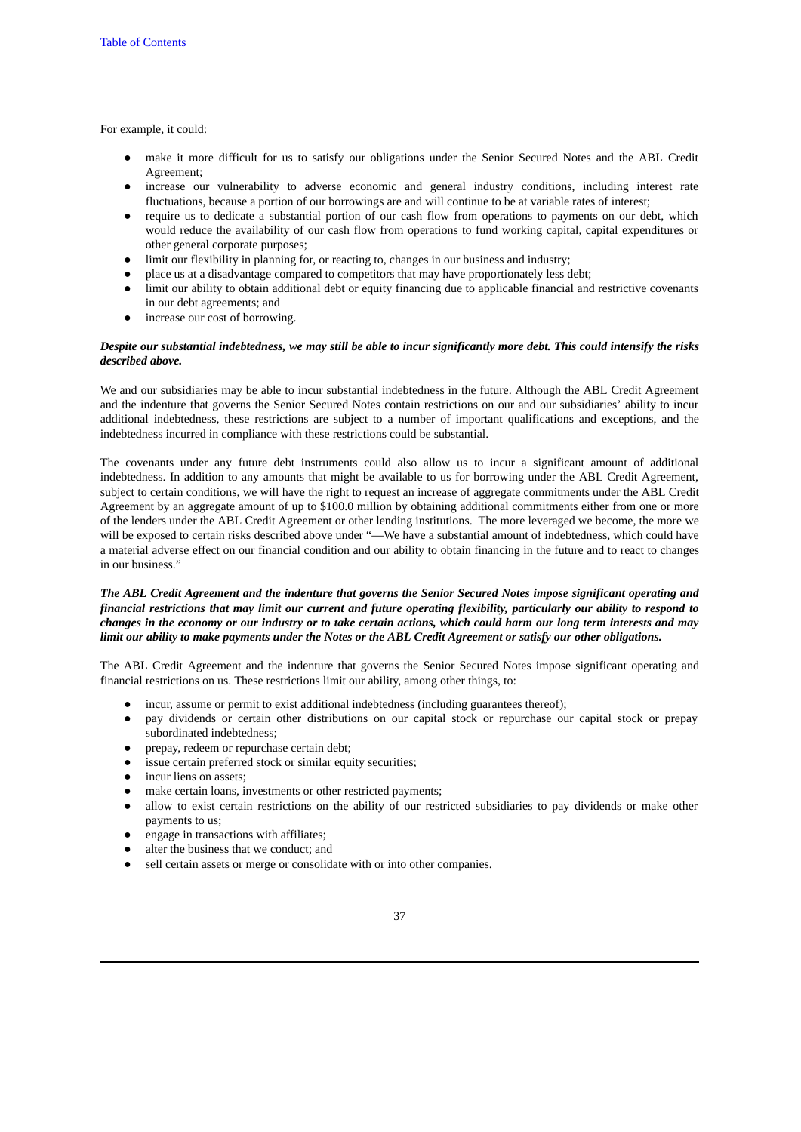For example, it could:

- make it more difficult for us to satisfy our obligations under the Senior Secured Notes and the ABL Credit Agreement;
- increase our vulnerability to adverse economic and general industry conditions, including interest rate fluctuations, because a portion of our borrowings are and will continue to be at variable rates of interest;
- require us to dedicate a substantial portion of our cash flow from operations to payments on our debt, which would reduce the availability of our cash flow from operations to fund working capital, capital expenditures or other general corporate purposes;
- limit our flexibility in planning for, or reacting to, changes in our business and industry;
- place us at a disadvantage compared to competitors that may have proportionately less debt;
- limit our ability to obtain additional debt or equity financing due to applicable financial and restrictive covenants in our debt agreements; and
- increase our cost of borrowing.

## Despite our substantial indebtedness, we may still be able to incur significantly more debt. This could intensify the risks *described above.*

We and our subsidiaries may be able to incur substantial indebtedness in the future. Although the ABL Credit Agreement and the indenture that governs the Senior Secured Notes contain restrictions on our and our subsidiaries' ability to incur additional indebtedness, these restrictions are subject to a number of important qualifications and exceptions, and the indebtedness incurred in compliance with these restrictions could be substantial.

The covenants under any future debt instruments could also allow us to incur a significant amount of additional indebtedness. In addition to any amounts that might be available to us for borrowing under the ABL Credit Agreement, subject to certain conditions, we will have the right to request an increase of aggregate commitments under the ABL Credit Agreement by an aggregate amount of up to \$100.0 million by obtaining additional commitments either from one or more of the lenders under the ABL Credit Agreement or other lending institutions. The more leveraged we become, the more we will be exposed to certain risks described above under "—We have a substantial amount of indebtedness, which could have a material adverse effect on our financial condition and our ability to obtain financing in the future and to react to changes in our business."

# The ABL Credit Agreement and the indenture that governs the Senior Secured Notes impose significant operating and financial restrictions that may limit our current and future operating flexibility, particularly our ability to respond to changes in the economy or our industry or to take certain actions, which could harm our long term interests and may limit our ability to make payments under the Notes or the ABL Credit Agreement or satisfy our other obligations.

The ABL Credit Agreement and the indenture that governs the Senior Secured Notes impose significant operating and financial restrictions on us. These restrictions limit our ability, among other things, to:

- incur, assume or permit to exist additional indebtedness (including guarantees thereof);
- pay dividends or certain other distributions on our capital stock or repurchase our capital stock or prepay subordinated indebtedness;
- prepay, redeem or repurchase certain debt;
- issue certain preferred stock or similar equity securities;
- incur liens on assets;
- make certain loans, investments or other restricted payments;
- allow to exist certain restrictions on the ability of our restricted subsidiaries to pay dividends or make other payments to us;
- engage in transactions with affiliates;
- alter the business that we conduct; and
- sell certain assets or merge or consolidate with or into other companies.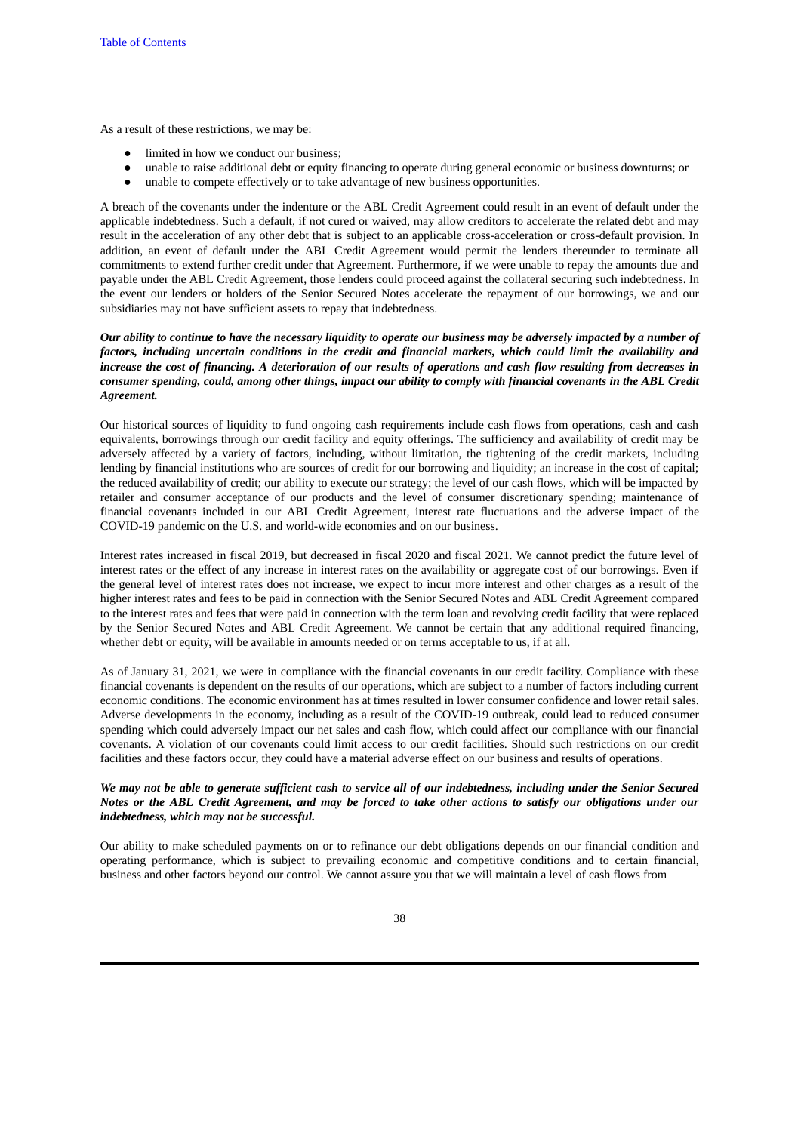As a result of these restrictions, we may be:

- limited in how we conduct our business;
- unable to raise additional debt or equity financing to operate during general economic or business downturns; or
- unable to compete effectively or to take advantage of new business opportunities.

A breach of the covenants under the indenture or the ABL Credit Agreement could result in an event of default under the applicable indebtedness. Such a default, if not cured or waived, may allow creditors to accelerate the related debt and may result in the acceleration of any other debt that is subject to an applicable cross-acceleration or cross-default provision. In addition, an event of default under the ABL Credit Agreement would permit the lenders thereunder to terminate all commitments to extend further credit under that Agreement. Furthermore, if we were unable to repay the amounts due and payable under the ABL Credit Agreement, those lenders could proceed against the collateral securing such indebtedness. In the event our lenders or holders of the Senior Secured Notes accelerate the repayment of our borrowings, we and our subsidiaries may not have sufficient assets to repay that indebtedness.

# Our ability to continue to have the necessary liquidity to operate our business may be adversely impacted by a number of factors, including uncertain conditions in the credit and financial markets, which could limit the availability and increase the cost of financing. A deterioration of our results of operations and cash flow resulting from decreases in consumer spending, could, among other things, impact our ability to comply with financial covenants in the ABL Credit *Agreement.*

Our historical sources of liquidity to fund ongoing cash requirements include cash flows from operations, cash and cash equivalents, borrowings through our credit facility and equity offerings. The sufficiency and availability of credit may be adversely affected by a variety of factors, including, without limitation, the tightening of the credit markets, including lending by financial institutions who are sources of credit for our borrowing and liquidity; an increase in the cost of capital; the reduced availability of credit; our ability to execute our strategy; the level of our cash flows, which will be impacted by retailer and consumer acceptance of our products and the level of consumer discretionary spending; maintenance of financial covenants included in our ABL Credit Agreement, interest rate fluctuations and the adverse impact of the COVID-19 pandemic on the U.S. and world-wide economies and on our business.

Interest rates increased in fiscal 2019, but decreased in fiscal 2020 and fiscal 2021. We cannot predict the future level of interest rates or the effect of any increase in interest rates on the availability or aggregate cost of our borrowings. Even if the general level of interest rates does not increase, we expect to incur more interest and other charges as a result of the higher interest rates and fees to be paid in connection with the Senior Secured Notes and ABL Credit Agreement compared to the interest rates and fees that were paid in connection with the term loan and revolving credit facility that were replaced by the Senior Secured Notes and ABL Credit Agreement. We cannot be certain that any additional required financing, whether debt or equity, will be available in amounts needed or on terms acceptable to us, if at all.

As of January 31, 2021, we were in compliance with the financial covenants in our credit facility. Compliance with these financial covenants is dependent on the results of our operations, which are subject to a number of factors including current economic conditions. The economic environment has at times resulted in lower consumer confidence and lower retail sales. Adverse developments in the economy, including as a result of the COVID-19 outbreak, could lead to reduced consumer spending which could adversely impact our net sales and cash flow, which could affect our compliance with our financial covenants. A violation of our covenants could limit access to our credit facilities. Should such restrictions on our credit facilities and these factors occur, they could have a material adverse effect on our business and results of operations.

# We may not be able to generate sufficient cash to service all of our indebtedness, including under the Senior Secured Notes or the ABL Credit Agreement, and may be forced to take other actions to satisfy our obligations under our *indebtedness, which may not be successful.*

Our ability to make scheduled payments on or to refinance our debt obligations depends on our financial condition and operating performance, which is subject to prevailing economic and competitive conditions and to certain financial, business and other factors beyond our control. We cannot assure you that we will maintain a level of cash flows from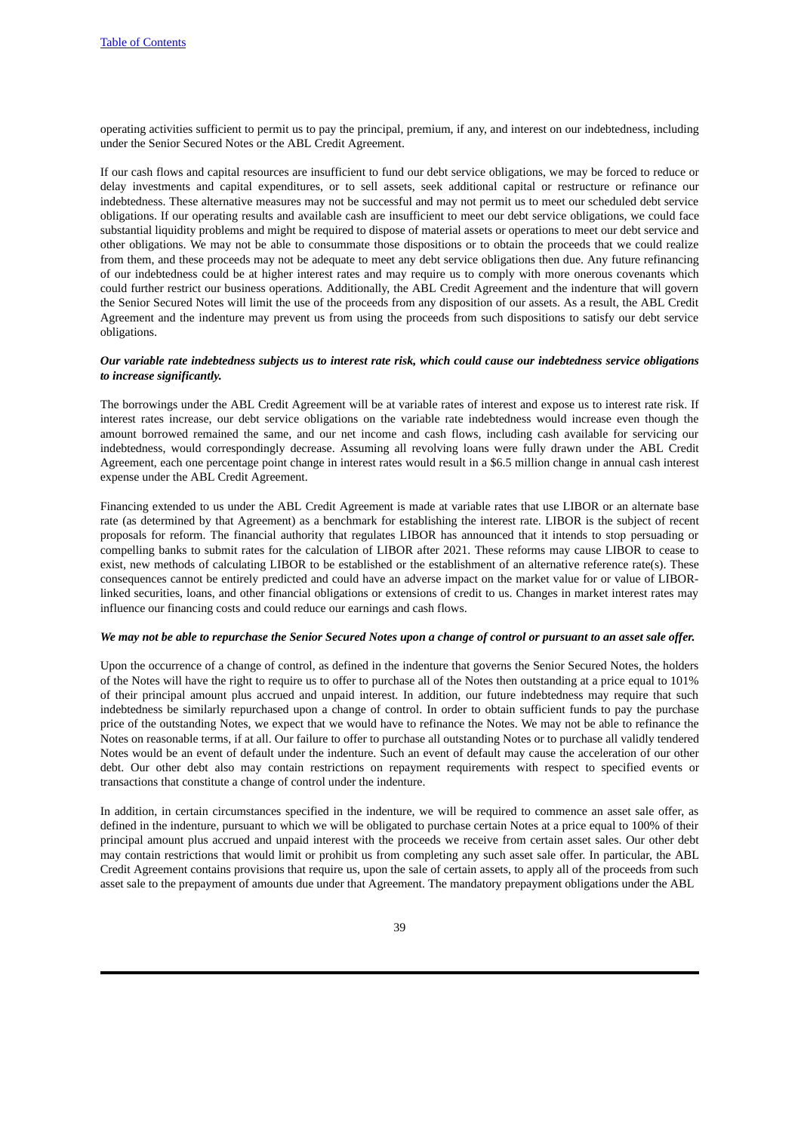operating activities sufficient to permit us to pay the principal, premium, if any, and interest on our indebtedness, including under the Senior Secured Notes or the ABL Credit Agreement.

If our cash flows and capital resources are insufficient to fund our debt service obligations, we may be forced to reduce or delay investments and capital expenditures, or to sell assets, seek additional capital or restructure or refinance our indebtedness. These alternative measures may not be successful and may not permit us to meet our scheduled debt service obligations. If our operating results and available cash are insufficient to meet our debt service obligations, we could face substantial liquidity problems and might be required to dispose of material assets or operations to meet our debt service and other obligations. We may not be able to consummate those dispositions or to obtain the proceeds that we could realize from them, and these proceeds may not be adequate to meet any debt service obligations then due. Any future refinancing of our indebtedness could be at higher interest rates and may require us to comply with more onerous covenants which could further restrict our business operations. Additionally, the ABL Credit Agreement and the indenture that will govern the Senior Secured Notes will limit the use of the proceeds from any disposition of our assets. As a result, the ABL Credit Agreement and the indenture may prevent us from using the proceeds from such dispositions to satisfy our debt service obligations.

## Our variable rate indebtedness subjects us to interest rate risk, which could cause our indebtedness service obligations *to increase significantly.*

The borrowings under the ABL Credit Agreement will be at variable rates of interest and expose us to interest rate risk. If interest rates increase, our debt service obligations on the variable rate indebtedness would increase even though the amount borrowed remained the same, and our net income and cash flows, including cash available for servicing our indebtedness, would correspondingly decrease. Assuming all revolving loans were fully drawn under the ABL Credit Agreement, each one percentage point change in interest rates would result in a \$6.5 million change in annual cash interest expense under the ABL Credit Agreement.

Financing extended to us under the ABL Credit Agreement is made at variable rates that use LIBOR or an alternate base rate (as determined by that Agreement) as a benchmark for establishing the interest rate. LIBOR is the subject of recent proposals for reform. The financial authority that regulates LIBOR has announced that it intends to stop persuading or compelling banks to submit rates for the calculation of LIBOR after 2021. These reforms may cause LIBOR to cease to exist, new methods of calculating LIBOR to be established or the establishment of an alternative reference rate(s). These consequences cannot be entirely predicted and could have an adverse impact on the market value for or value of LIBORlinked securities, loans, and other financial obligations or extensions of credit to us. Changes in market interest rates may influence our financing costs and could reduce our earnings and cash flows.

#### We may not be able to repurchase the Senior Secured Notes upon a change of control or pursuant to an asset sale offer.

Upon the occurrence of a change of control, as defined in the indenture that governs the Senior Secured Notes, the holders of the Notes will have the right to require us to offer to purchase all of the Notes then outstanding at a price equal to 101% of their principal amount plus accrued and unpaid interest. In addition, our future indebtedness may require that such indebtedness be similarly repurchased upon a change of control. In order to obtain sufficient funds to pay the purchase price of the outstanding Notes, we expect that we would have to refinance the Notes. We may not be able to refinance the Notes on reasonable terms, if at all. Our failure to offer to purchase all outstanding Notes or to purchase all validly tendered Notes would be an event of default under the indenture. Such an event of default may cause the acceleration of our other debt. Our other debt also may contain restrictions on repayment requirements with respect to specified events or transactions that constitute a change of control under the indenture.

In addition, in certain circumstances specified in the indenture, we will be required to commence an asset sale offer, as defined in the indenture, pursuant to which we will be obligated to purchase certain Notes at a price equal to 100% of their principal amount plus accrued and unpaid interest with the proceeds we receive from certain asset sales. Our other debt may contain restrictions that would limit or prohibit us from completing any such asset sale offer. In particular, the ABL Credit Agreement contains provisions that require us, upon the sale of certain assets, to apply all of the proceeds from such asset sale to the prepayment of amounts due under that Agreement. The mandatory prepayment obligations under the ABL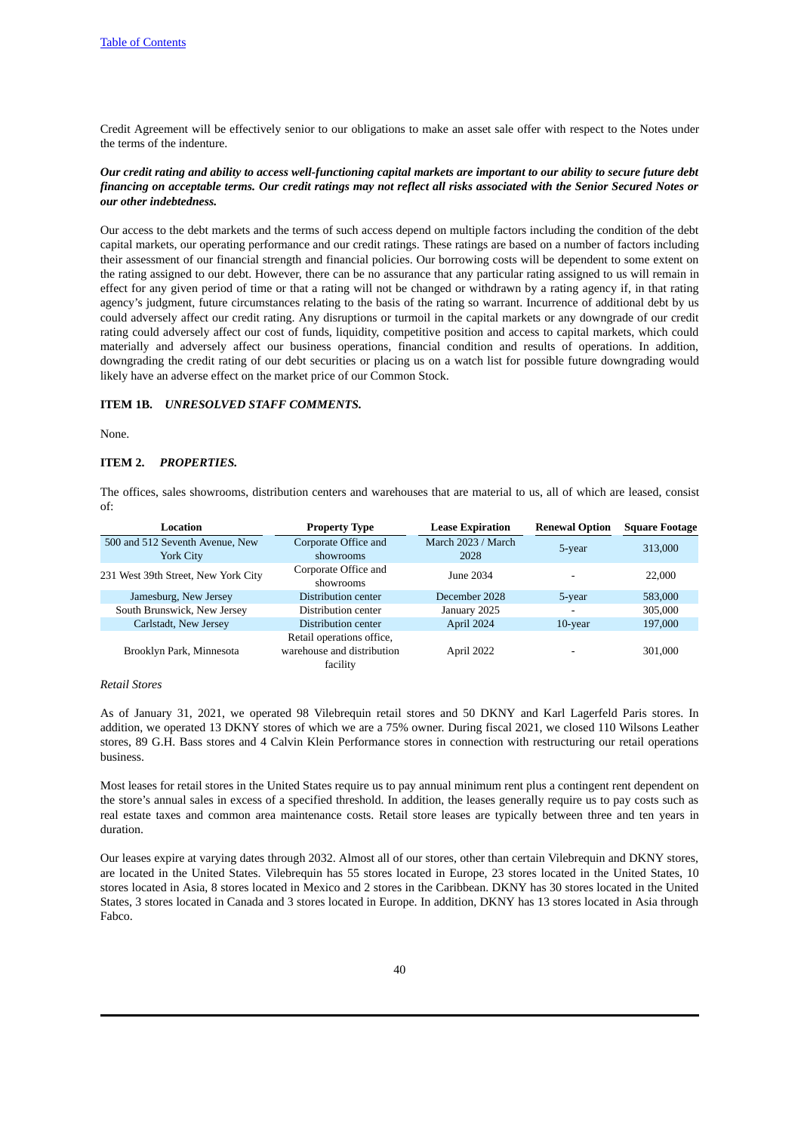Credit Agreement will be effectively senior to our obligations to make an asset sale offer with respect to the Notes under the terms of the indenture.

# Our credit rating and ability to access well-functioning capital markets are important to our ability to secure future debt financing on acceptable terms. Our credit ratings may not reflect all risks associated with the Senior Secured Notes or *our other indebtedness.*

Our access to the debt markets and the terms of such access depend on multiple factors including the condition of the debt capital markets, our operating performance and our credit ratings. These ratings are based on a number of factors including their assessment of our financial strength and financial policies. Our borrowing costs will be dependent to some extent on the rating assigned to our debt. However, there can be no assurance that any particular rating assigned to us will remain in effect for any given period of time or that a rating will not be changed or withdrawn by a rating agency if, in that rating agency's judgment, future circumstances relating to the basis of the rating so warrant. Incurrence of additional debt by us could adversely affect our credit rating. Any disruptions or turmoil in the capital markets or any downgrade of our credit rating could adversely affect our cost of funds, liquidity, competitive position and access to capital markets, which could materially and adversely affect our business operations, financial condition and results of operations. In addition, downgrading the credit rating of our debt securities or placing us on a watch list for possible future downgrading would likely have an adverse effect on the market price of our Common Stock.

# **ITEM 1B.** *UNRESOLVED STAFF COMMENTS.*

None.

### **ITEM 2.** *PROPERTIES.*

The offices, sales showrooms, distribution centers and warehouses that are material to us, all of which are leased, consist  $\theta$ 

| Location                            | <b>Property Type</b>                                                | <b>Lease Expiration</b> | <b>Renewal Option</b> | <b>Square Footage</b> |
|-------------------------------------|---------------------------------------------------------------------|-------------------------|-----------------------|-----------------------|
| 500 and 512 Seventh Avenue, New     | Corporate Office and                                                | March 2023 / March      | 5-year                | 313,000               |
| <b>York City</b>                    | showrooms                                                           | 2028                    |                       |                       |
| 231 West 39th Street, New York City | Corporate Office and<br>showrooms                                   | June 2034               |                       | 22,000                |
| Jamesburg, New Jersey               | Distribution center                                                 | December 2028           | 5-year                | 583,000               |
| South Brunswick, New Jersey         | Distribution center                                                 | January 2025            |                       | 305,000               |
| Carlstadt, New Jersey               | Distribution center                                                 | April 2024              | $10$ -year            | 197,000               |
| Brooklyn Park, Minnesota            | Retail operations office,<br>warehouse and distribution<br>facility | April 2022              |                       | 301,000               |

### *Retail Stores*

As of January 31, 2021, we operated 98 Vilebrequin retail stores and 50 DKNY and Karl Lagerfeld Paris stores. In addition, we operated 13 DKNY stores of which we are a 75% owner. During fiscal 2021, we closed 110 Wilsons Leather stores, 89 G.H. Bass stores and 4 Calvin Klein Performance stores in connection with restructuring our retail operations business.

Most leases for retail stores in the United States require us to pay annual minimum rent plus a contingent rent dependent on the store's annual sales in excess of a specified threshold. In addition, the leases generally require us to pay costs such as real estate taxes and common area maintenance costs. Retail store leases are typically between three and ten years in duration.

Our leases expire at varying dates through 2032. Almost all of our stores, other than certain Vilebrequin and DKNY stores, are located in the United States. Vilebrequin has 55 stores located in Europe, 23 stores located in the United States, 10 stores located in Asia, 8 stores located in Mexico and 2 stores in the Caribbean. DKNY has 30 stores located in the United States, 3 stores located in Canada and 3 stores located in Europe. In addition, DKNY has 13 stores located in Asia through Fabco.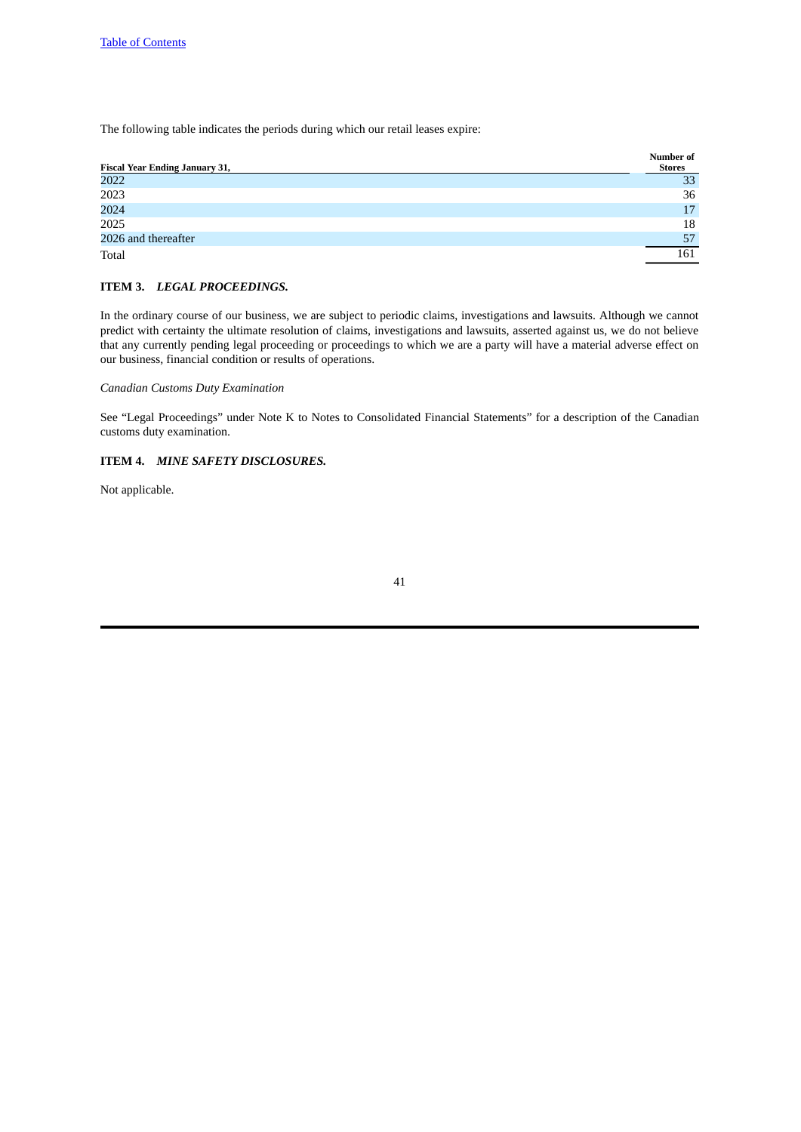The following table indicates the periods during which our retail leases expire:

| <b>Fiscal Year Ending January 31,</b> | Number of<br><b>Stores</b> |
|---------------------------------------|----------------------------|
| 2022                                  | 33                         |
| 2023                                  | 36                         |
| 2024                                  | 17                         |
| 2025                                  | 18                         |
| 2026 and thereafter                   | 57                         |
| Total                                 | 161                        |

# **ITEM 3.** *LEGAL PROCEEDINGS.*

In the ordinary course of our business, we are subject to periodic claims, investigations and lawsuits. Although we cannot predict with certainty the ultimate resolution of claims, investigations and lawsuits, asserted against us, we do not believe that any currently pending legal proceeding or proceedings to which we are a party will have a material adverse effect on our business, financial condition or results of operations.

# *Canadian Customs Duty Examination*

See "Legal Proceedings" under Note K to Notes to Consolidated Financial Statements" for a description of the Canadian customs duty examination.

### **ITEM 4.** *MINE SAFETY DISCLOSURES.*

Not applicable.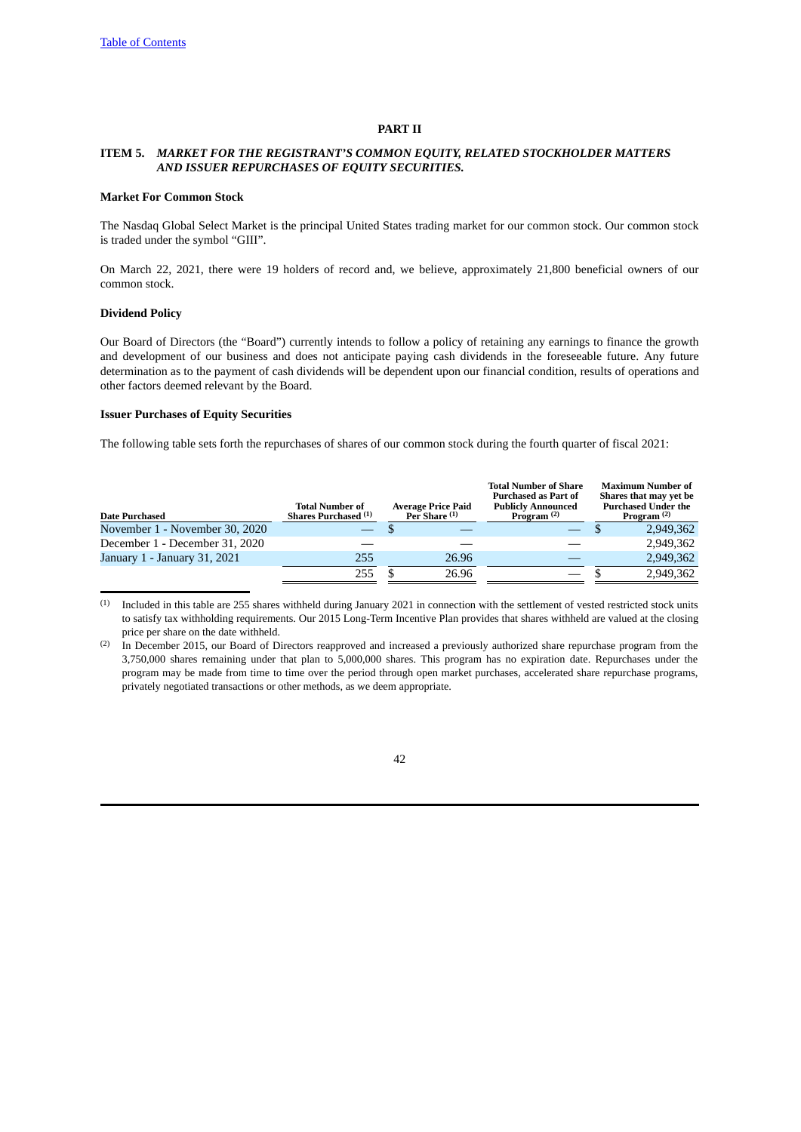## **PART II**

# **ITEM 5.** *MARKET FOR THE REGISTRANT'S COMMON EQUITY, RELATED STOCKHOLDER MATTERS AND ISSUER REPURCHASES OF EQUITY SECURITIES.*

#### **Market For Common Stock**

The Nasdaq Global Select Market is the principal United States trading market for our common stock. Our common stock is traded under the symbol "GIII".

On March 22, 2021, there were 19 holders of record and, we believe, approximately 21,800 beneficial owners of our common stock.

### **Dividend Policy**

Our Board of Directors (the "Board") currently intends to follow a policy of retaining any earnings to finance the growth and development of our business and does not anticipate paying cash dividends in the foreseeable future. Any future determination as to the payment of cash dividends will be dependent upon our financial condition, results of operations and other factors deemed relevant by the Board.

#### **Issuer Purchases of Equity Securities**

The following table sets forth the repurchases of shares of our common stock during the fourth quarter of fiscal 2021:

| <b>Date Purchased</b>          | <b>Total Number of</b><br>Shares Purchased (1) | <b>Average Price Paid</b><br>Per Share <sup>(1)</sup> | <b>Total Number of Share</b><br><b>Purchased as Part of</b><br><b>Publicly Announced</b><br>Program $(2)$ | <b>Maximum Number of</b><br>Shares that may yet be<br><b>Purchased Under the</b><br>Program $(2)$ |
|--------------------------------|------------------------------------------------|-------------------------------------------------------|-----------------------------------------------------------------------------------------------------------|---------------------------------------------------------------------------------------------------|
| November 1 - November 30, 2020 |                                                |                                                       |                                                                                                           | 2,949,362                                                                                         |
| December 1 - December 31, 2020 |                                                |                                                       |                                                                                                           | 2,949,362                                                                                         |
| January 1 - January 31, 2021   | 255                                            | 26.96                                                 |                                                                                                           | 2,949,362                                                                                         |
|                                | 255                                            | 26.96                                                 |                                                                                                           | 2,949,362                                                                                         |

(1) Included in this table are 255 shares withheld during January 2021 in connection with the settlement of vested restricted stock units to satisfy tax withholding requirements. Our 2015 Long-Term Incentive Plan provides that shares withheld are valued at the closing price per share on the date withheld.

<sup>(2)</sup> In December 2015, our Board of Directors reapproved and increased a previously authorized share repurchase program from the 3,750,000 shares remaining under that plan to 5,000,000 shares. This program has no expiration date. Repurchases under the program may be made from time to time over the period through open market purchases, accelerated share repurchase programs, privately negotiated transactions or other methods, as we deem appropriate.

<sup>42</sup>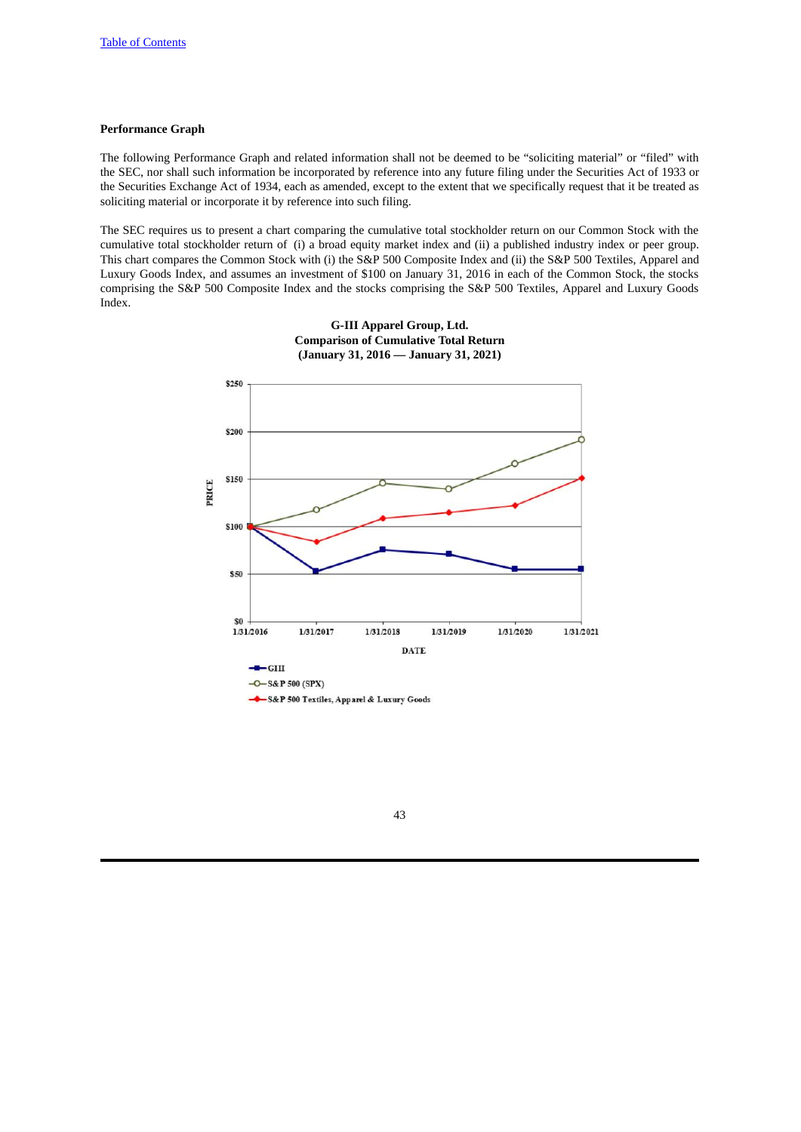# **Performance Graph**

The following Performance Graph and related information shall not be deemed to be "soliciting material" or "filed" with the SEC, nor shall such information be incorporated by reference into any future filing under the Securities Act of 1933 or the Securities Exchange Act of 1934, each as amended, except to the extent that we specifically request that it be treated as soliciting material or incorporate it by reference into such filing.

The SEC requires us to present a chart comparing the cumulative total stockholder return on our Common Stock with the cumulative total stockholder return of (i) a broad equity market index and (ii) a published industry index or peer group. This chart compares the Common Stock with (i) the S&P 500 Composite Index and (ii) the S&P 500 Textiles, Apparel and Luxury Goods Index, and assumes an investment of \$100 on January 31, 2016 in each of the Common Stock, the stocks comprising the S&P 500 Composite Index and the stocks comprising the S&P 500 Textiles, Apparel and Luxury Goods Index.



**G-III Apparel Group, Ltd. Comparison of Cumulative Total Return (January 31, 2016 — January 31, 2021)**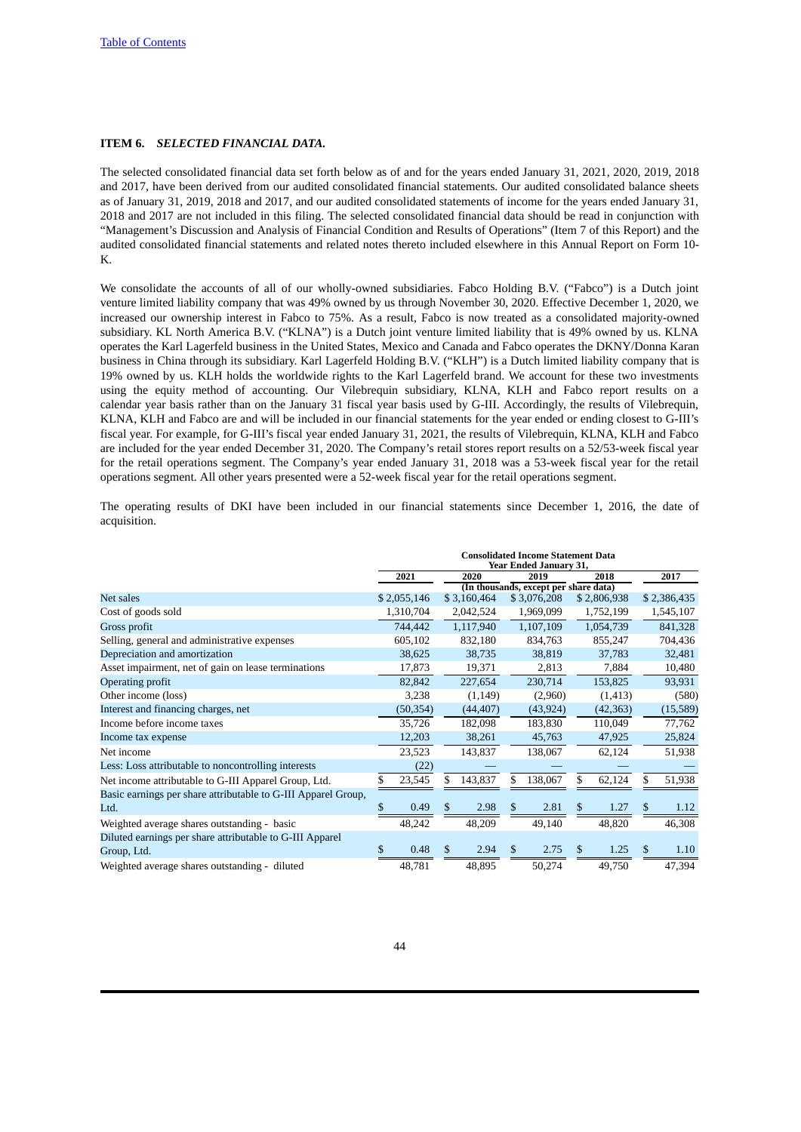# **ITEM 6.** *SELECTED FINANCIAL DATA.*

The selected consolidated financial data set forth below as of and for the years ended January 31, 2021, 2020, 2019, 2018 and 2017, have been derived from our audited consolidated financial statements. Our audited consolidated balance sheets as of January 31, 2019, 2018 and 2017, and our audited consolidated statements of income for the years ended January 31, 2018 and 2017 are not included in this filing. The selected consolidated financial data should be read in conjunction with "Management's Discussion and Analysis of Financial Condition and Results of Operations" (Item 7 of this Report) and the audited consolidated financial statements and related notes thereto included elsewhere in this Annual Report on Form 10- K.

We consolidate the accounts of all of our wholly-owned subsidiaries. Fabco Holding B.V. ("Fabco") is a Dutch joint venture limited liability company that was 49% owned by us through November 30, 2020. Effective December 1, 2020, we increased our ownership interest in Fabco to 75%. As a result, Fabco is now treated as a consolidated majority-owned subsidiary. KL North America B.V. ("KLNA") is a Dutch joint venture limited liability that is 49% owned by us. KLNA operates the Karl Lagerfeld business in the United States, Mexico and Canada and Fabco operates the DKNY/Donna Karan business in China through its subsidiary. Karl Lagerfeld Holding B.V. ("KLH") is a Dutch limited liability company that is 19% owned by us. KLH holds the worldwide rights to the Karl Lagerfeld brand. We account for these two investments using the equity method of accounting. Our Vilebrequin subsidiary, KLNA, KLH and Fabco report results on a calendar year basis rather than on the January 31 fiscal year basis used by G-III. Accordingly, the results of Vilebrequin, KLNA, KLH and Fabco are and will be included in our financial statements for the year ended or ending closest to G-III's fiscal year. For example, for G-III's fiscal year ended January 31, 2021, the results of Vilebrequin, KLNA, KLH and Fabco are included for the year ended December 31, 2020. The Company's retail stores report results on a 52/53-week fiscal year for the retail operations segment. The Company's year ended January 31, 2018 was a 53-week fiscal year for the retail operations segment. All other years presented were a 52-week fiscal year for the retail operations segment.

The operating results of DKI have been included in our financial statements since December 1, 2016, the date of acquisition.

|                                                               | <b>Consolidated Income Statement Data</b><br><b>Year Ended January 31,</b> |             |               |             |              |                                       |              |              |
|---------------------------------------------------------------|----------------------------------------------------------------------------|-------------|---------------|-------------|--------------|---------------------------------------|--------------|--------------|
|                                                               |                                                                            | 2021        |               | 2020        |              | 2019                                  | 2018         | 2017         |
|                                                               |                                                                            |             |               |             |              | (In thousands, except per share data) |              |              |
| Net sales                                                     |                                                                            | \$2,055,146 |               | \$3,160,464 |              | \$3,076,208                           | \$2,806,938  | \$2,386,435  |
| Cost of goods sold                                            |                                                                            | 1,310,704   |               | 2,042,524   |              | 1,969,099                             | 1,752,199    | 1,545,107    |
| Gross profit                                                  |                                                                            | 744,442     |               | 1,117,940   |              | 1,107,109                             | 1,054,739    | 841,328      |
| Selling, general and administrative expenses                  |                                                                            | 605,102     |               | 832,180     |              | 834,763                               | 855,247      | 704,436      |
| Depreciation and amortization                                 |                                                                            | 38,625      |               | 38,735      |              | 38,819                                | 37,783       | 32,481       |
| Asset impairment, net of gain on lease terminations           |                                                                            | 17,873      |               | 19,371      |              | 2,813                                 | 7,884        | 10,480       |
| Operating profit                                              |                                                                            | 82,842      |               | 227,654     |              | 230,714                               | 153,825      | 93,931       |
| Other income (loss)                                           |                                                                            | 3,238       |               | (1, 149)    |              | (2,960)                               | (1, 413)     | (580)        |
| Interest and financing charges, net                           |                                                                            | (50, 354)   |               | (44, 407)   |              | (43, 924)                             | (42, 363)    | (15,589)     |
| Income before income taxes                                    |                                                                            | 35,726      |               | 182,098     |              | 183,830                               | 110,049      | 77,762       |
| Income tax expense                                            |                                                                            | 12,203      |               | 38,261      |              | 45,763                                | 47,925       | 25,824       |
| Net income                                                    |                                                                            | 23,523      |               | 143,837     |              | 138,067                               | 62,124       | 51,938       |
| Less: Loss attributable to noncontrolling interests           |                                                                            | (22)        |               |             |              |                                       |              |              |
| Net income attributable to G-III Apparel Group, Ltd.          | \$                                                                         | 23,545      | S.            | 143,837     | \$           | 138,067                               | \$<br>62,124 | \$<br>51,938 |
| Basic earnings per share attributable to G-III Apparel Group, |                                                                            |             |               |             |              |                                       |              |              |
| Ltd.                                                          | S                                                                          | 0.49        | S             | 2.98        | \$           | 2.81                                  | \$<br>1.27   | \$<br>1.12   |
| Weighted average shares outstanding - basic                   |                                                                            | 48,242      |               | 48,209      |              | 49,140                                | 48,820       | 46,308       |
| Diluted earnings per share attributable to G-III Apparel      |                                                                            |             |               |             |              |                                       |              |              |
| Group, Ltd.                                                   | \$.                                                                        | 0.48        | <sup>\$</sup> | 2.94        | $\mathbf{s}$ | 2.75                                  | \$<br>1.25   | \$<br>1.10   |
| Weighted average shares outstanding - diluted                 |                                                                            | 48,781      |               | 48,895      |              | 50,274                                | 49,750       | 47,394       |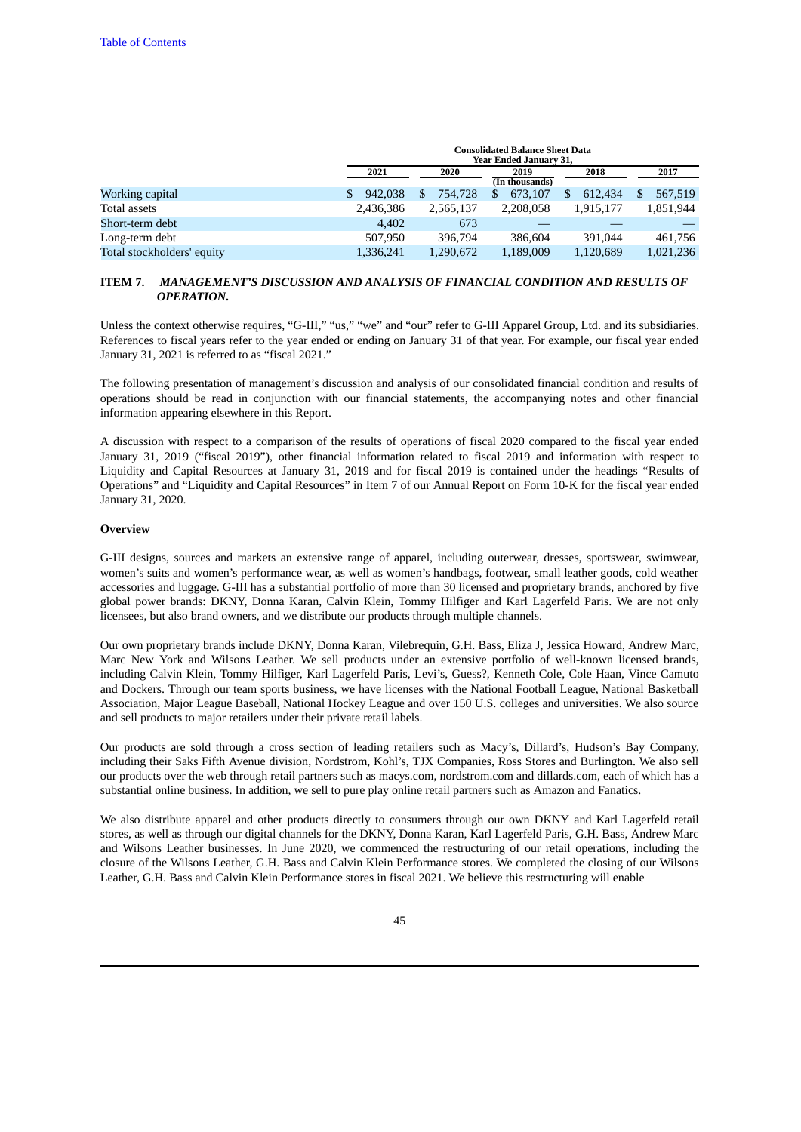|                            |           |               | <b>Consolidated Balance Sheet Data</b><br><b>Year Ended January 31,</b> |               |              |
|----------------------------|-----------|---------------|-------------------------------------------------------------------------|---------------|--------------|
|                            | 2021      | 2020          | 2019                                                                    | 2018          | 2017         |
|                            |           |               | (In thousands)                                                          |               |              |
| Working capital            | 942,038   | \$<br>754,728 | 673,107<br>S                                                            | 612,434<br>\$ | 567,519<br>S |
| Total assets               | 2,436,386 | 2,565,137     | 2.208.058                                                               | 1.915.177     | 1,851,944    |
| Short-term debt            | 4,402     | 673           |                                                                         |               |              |
| Long-term debt             | 507.950   | 396.794       | 386,604                                                                 | 391.044       | 461,756      |
| Total stockholders' equity | 1,336,241 | 1,290,672     | 1,189,009                                                               | 1,120,689     | 1,021,236    |

# **ITEM 7.** *MANAGEMENT'S DISCUSSION AND ANALYSIS OF FINANCIAL CONDITION AND RESULTS OF OPERATION.*

Unless the context otherwise requires, "G-III," "us," "we" and "our" refer to G-III Apparel Group, Ltd. and its subsidiaries. References to fiscal years refer to the year ended or ending on January 31 of that year. For example, our fiscal year ended January 31, 2021 is referred to as "fiscal 2021."

The following presentation of management's discussion and analysis of our consolidated financial condition and results of operations should be read in conjunction with our financial statements, the accompanying notes and other financial information appearing elsewhere in this Report.

A discussion with respect to a comparison of the results of operations of fiscal 2020 compared to the fiscal year ended January 31, 2019 ("fiscal 2019"), other financial information related to fiscal 2019 and information with respect to Liquidity and Capital Resources at January 31, 2019 and for fiscal 2019 is contained under the headings "Results of Operations" and "Liquidity and Capital Resources" in Item 7 of our Annual Report on Form 10-K for the fiscal year ended January 31, 2020.

## **Overview**

G-III designs, sources and markets an extensive range of apparel, including outerwear, dresses, sportswear, swimwear, women's suits and women's performance wear, as well as women's handbags, footwear, small leather goods, cold weather accessories and luggage. G-III has a substantial portfolio of more than 30 licensed and proprietary brands, anchored by five global power brands: DKNY, Donna Karan, Calvin Klein, Tommy Hilfiger and Karl Lagerfeld Paris. We are not only licensees, but also brand owners, and we distribute our products through multiple channels.

Our own proprietary brands include DKNY, Donna Karan, Vilebrequin, G.H. Bass, Eliza J, Jessica Howard, Andrew Marc, Marc New York and Wilsons Leather. We sell products under an extensive portfolio of well-known licensed brands, including Calvin Klein, Tommy Hilfiger, Karl Lagerfeld Paris, Levi's, Guess?, Kenneth Cole, Cole Haan, Vince Camuto and Dockers. Through our team sports business, we have licenses with the National Football League, National Basketball Association, Major League Baseball, National Hockey League and over 150 U.S. colleges and universities. We also source and sell products to major retailers under their private retail labels.

Our products are sold through a cross section of leading retailers such as Macy's, Dillard's, Hudson's Bay Company, including their Saks Fifth Avenue division, Nordstrom, Kohl's, TJX Companies, Ross Stores and Burlington. We also sell our products over the web through retail partners such as macys.com, nordstrom.com and dillards.com, each of which has a substantial online business. In addition, we sell to pure play online retail partners such as Amazon and Fanatics.

We also distribute apparel and other products directly to consumers through our own DKNY and Karl Lagerfeld retail stores, as well as through our digital channels for the DKNY, Donna Karan, Karl Lagerfeld Paris, G.H. Bass, Andrew Marc and Wilsons Leather businesses. In June 2020, we commenced the restructuring of our retail operations, including the closure of the Wilsons Leather, G.H. Bass and Calvin Klein Performance stores. We completed the closing of our Wilsons Leather, G.H. Bass and Calvin Klein Performance stores in fiscal 2021. We believe this restructuring will enable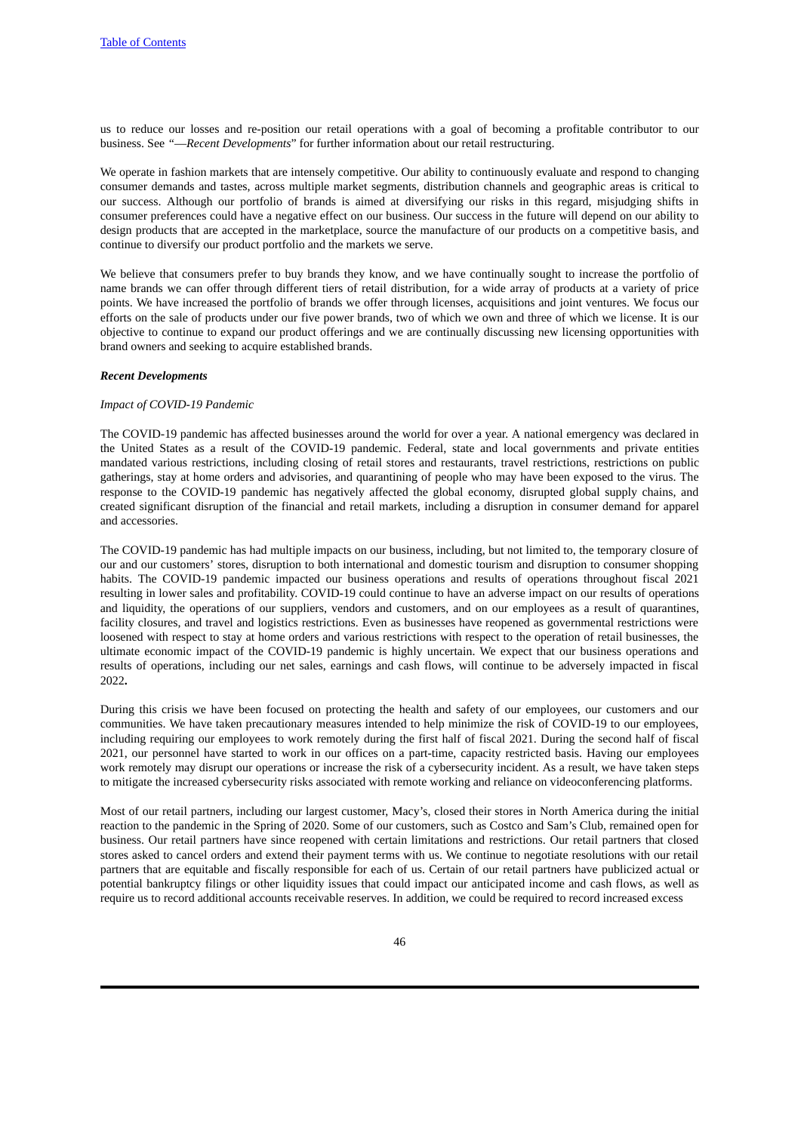us to reduce our losses and re-position our retail operations with a goal of becoming a profitable contributor to our business. See *"―Recent Developments*" for further information about our retail restructuring.

We operate in fashion markets that are intensely competitive. Our ability to continuously evaluate and respond to changing consumer demands and tastes, across multiple market segments, distribution channels and geographic areas is critical to our success. Although our portfolio of brands is aimed at diversifying our risks in this regard, misjudging shifts in consumer preferences could have a negative effect on our business. Our success in the future will depend on our ability to design products that are accepted in the marketplace, source the manufacture of our products on a competitive basis, and continue to diversify our product portfolio and the markets we serve.

We believe that consumers prefer to buy brands they know, and we have continually sought to increase the portfolio of name brands we can offer through different tiers of retail distribution, for a wide array of products at a variety of price points. We have increased the portfolio of brands we offer through licenses, acquisitions and joint ventures. We focus our efforts on the sale of products under our five power brands, two of which we own and three of which we license. It is our objective to continue to expand our product offerings and we are continually discussing new licensing opportunities with brand owners and seeking to acquire established brands.

## *Recent Developments*

## *Impact of COVID-19 Pandemic*

The COVID-19 pandemic has affected businesses around the world for over a year. A national emergency was declared in the United States as a result of the COVID-19 pandemic. Federal, state and local governments and private entities mandated various restrictions, including closing of retail stores and restaurants, travel restrictions, restrictions on public gatherings, stay at home orders and advisories, and quarantining of people who may have been exposed to the virus. The response to the COVID-19 pandemic has negatively affected the global economy, disrupted global supply chains, and created significant disruption of the financial and retail markets, including a disruption in consumer demand for apparel and accessories.

The COVID-19 pandemic has had multiple impacts on our business, including, but not limited to, the temporary closure of our and our customers' stores, disruption to both international and domestic tourism and disruption to consumer shopping habits. The COVID-19 pandemic impacted our business operations and results of operations throughout fiscal 2021 resulting in lower sales and profitability. COVID-19 could continue to have an adverse impact on our results of operations and liquidity, the operations of our suppliers, vendors and customers, and on our employees as a result of quarantines, facility closures, and travel and logistics restrictions. Even as businesses have reopened as governmental restrictions were loosened with respect to stay at home orders and various restrictions with respect to the operation of retail businesses, the ultimate economic impact of the COVID-19 pandemic is highly uncertain. We expect that our business operations and results of operations, including our net sales, earnings and cash flows, will continue to be adversely impacted in fiscal 2022**.**

During this crisis we have been focused on protecting the health and safety of our employees, our customers and our communities. We have taken precautionary measures intended to help minimize the risk of COVID-19 to our employees, including requiring our employees to work remotely during the first half of fiscal 2021. During the second half of fiscal 2021, our personnel have started to work in our offices on a part-time, capacity restricted basis. Having our employees work remotely may disrupt our operations or increase the risk of a cybersecurity incident. As a result, we have taken steps to mitigate the increased cybersecurity risks associated with remote working and reliance on videoconferencing platforms.

Most of our retail partners, including our largest customer, Macy's, closed their stores in North America during the initial reaction to the pandemic in the Spring of 2020. Some of our customers, such as Costco and Sam's Club, remained open for business. Our retail partners have since reopened with certain limitations and restrictions. Our retail partners that closed stores asked to cancel orders and extend their payment terms with us. We continue to negotiate resolutions with our retail partners that are equitable and fiscally responsible for each of us. Certain of our retail partners have publicized actual or potential bankruptcy filings or other liquidity issues that could impact our anticipated income and cash flows, as well as require us to record additional accounts receivable reserves. In addition, we could be required to record increased excess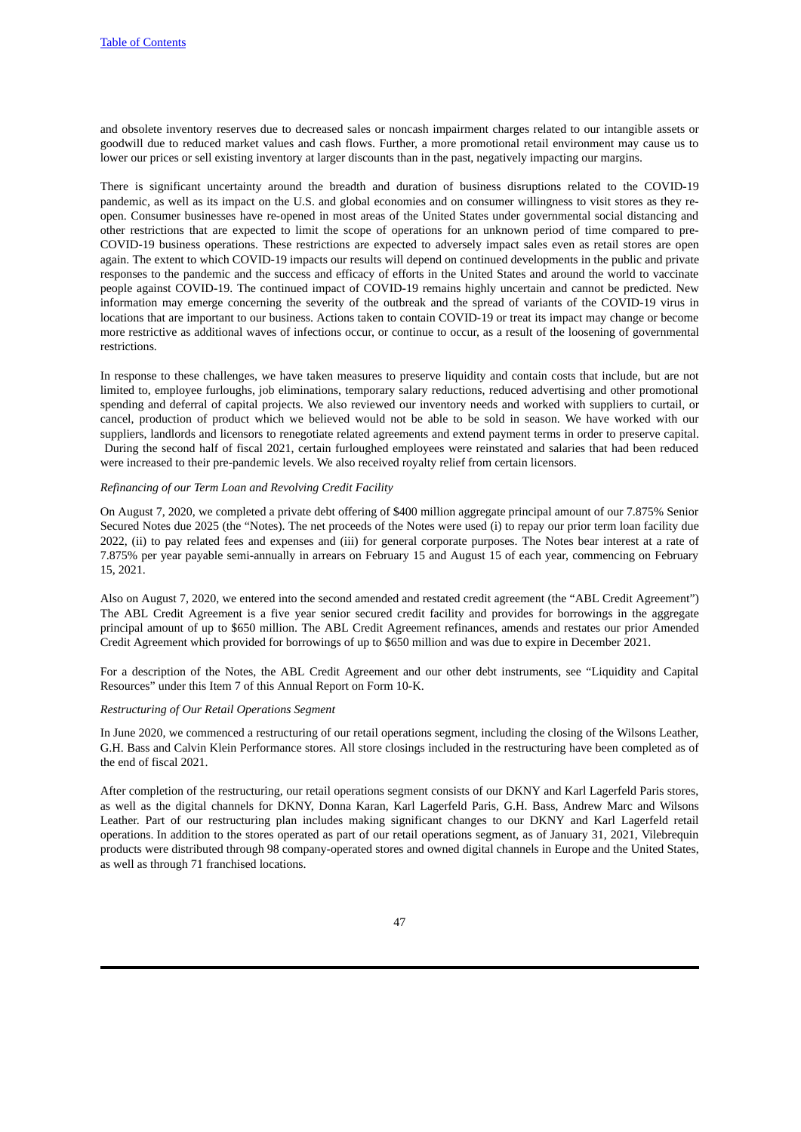and obsolete inventory reserves due to decreased sales or noncash impairment charges related to our intangible assets or goodwill due to reduced market values and cash flows. Further, a more promotional retail environment may cause us to lower our prices or sell existing inventory at larger discounts than in the past, negatively impacting our margins.

There is significant uncertainty around the breadth and duration of business disruptions related to the COVID-19 pandemic, as well as its impact on the U.S. and global economies and on consumer willingness to visit stores as they reopen. Consumer businesses have re-opened in most areas of the United States under governmental social distancing and other restrictions that are expected to limit the scope of operations for an unknown period of time compared to pre-COVID-19 business operations. These restrictions are expected to adversely impact sales even as retail stores are open again. The extent to which COVID-19 impacts our results will depend on continued developments in the public and private responses to the pandemic and the success and efficacy of efforts in the United States and around the world to vaccinate people against COVID-19. The continued impact of COVID-19 remains highly uncertain and cannot be predicted. New information may emerge concerning the severity of the outbreak and the spread of variants of the COVID-19 virus in locations that are important to our business. Actions taken to contain COVID-19 or treat its impact may change or become more restrictive as additional waves of infections occur, or continue to occur, as a result of the loosening of governmental restrictions.

In response to these challenges, we have taken measures to preserve liquidity and contain costs that include, but are not limited to, employee furloughs, job eliminations, temporary salary reductions, reduced advertising and other promotional spending and deferral of capital projects. We also reviewed our inventory needs and worked with suppliers to curtail, or cancel, production of product which we believed would not be able to be sold in season. We have worked with our suppliers, landlords and licensors to renegotiate related agreements and extend payment terms in order to preserve capital. During the second half of fiscal 2021, certain furloughed employees were reinstated and salaries that had been reduced were increased to their pre-pandemic levels. We also received royalty relief from certain licensors.

#### *Refinancing of our Term Loan and Revolving Credit Facility*

On August 7, 2020, we completed a private debt offering of \$400 million aggregate principal amount of our 7.875% Senior Secured Notes due 2025 (the "Notes). The net proceeds of the Notes were used (i) to repay our prior term loan facility due 2022, (ii) to pay related fees and expenses and (iii) for general corporate purposes. The Notes bear interest at a rate of 7.875% per year payable semi-annually in arrears on February 15 and August 15 of each year, commencing on February 15, 2021.

Also on August 7, 2020, we entered into the second amended and restated credit agreement (the "ABL Credit Agreement") The ABL Credit Agreement is a five year senior secured credit facility and provides for borrowings in the aggregate principal amount of up to \$650 million. The ABL Credit Agreement refinances, amends and restates our prior Amended Credit Agreement which provided for borrowings of up to \$650 million and was due to expire in December 2021.

For a description of the Notes, the ABL Credit Agreement and our other debt instruments, see "Liquidity and Capital Resources" under this Item 7 of this Annual Report on Form 10-K.

#### *Restructuring of Our Retail Operations Segment*

In June 2020, we commenced a restructuring of our retail operations segment, including the closing of the Wilsons Leather, G.H. Bass and Calvin Klein Performance stores. All store closings included in the restructuring have been completed as of the end of fiscal 2021.

After completion of the restructuring, our retail operations segment consists of our DKNY and Karl Lagerfeld Paris stores, as well as the digital channels for DKNY, Donna Karan, Karl Lagerfeld Paris, G.H. Bass, Andrew Marc and Wilsons Leather. Part of our restructuring plan includes making significant changes to our DKNY and Karl Lagerfeld retail operations. In addition to the stores operated as part of our retail operations segment, as of January 31, 2021, Vilebrequin products were distributed through 98 company-operated stores and owned digital channels in Europe and the United States, as well as through 71 franchised locations.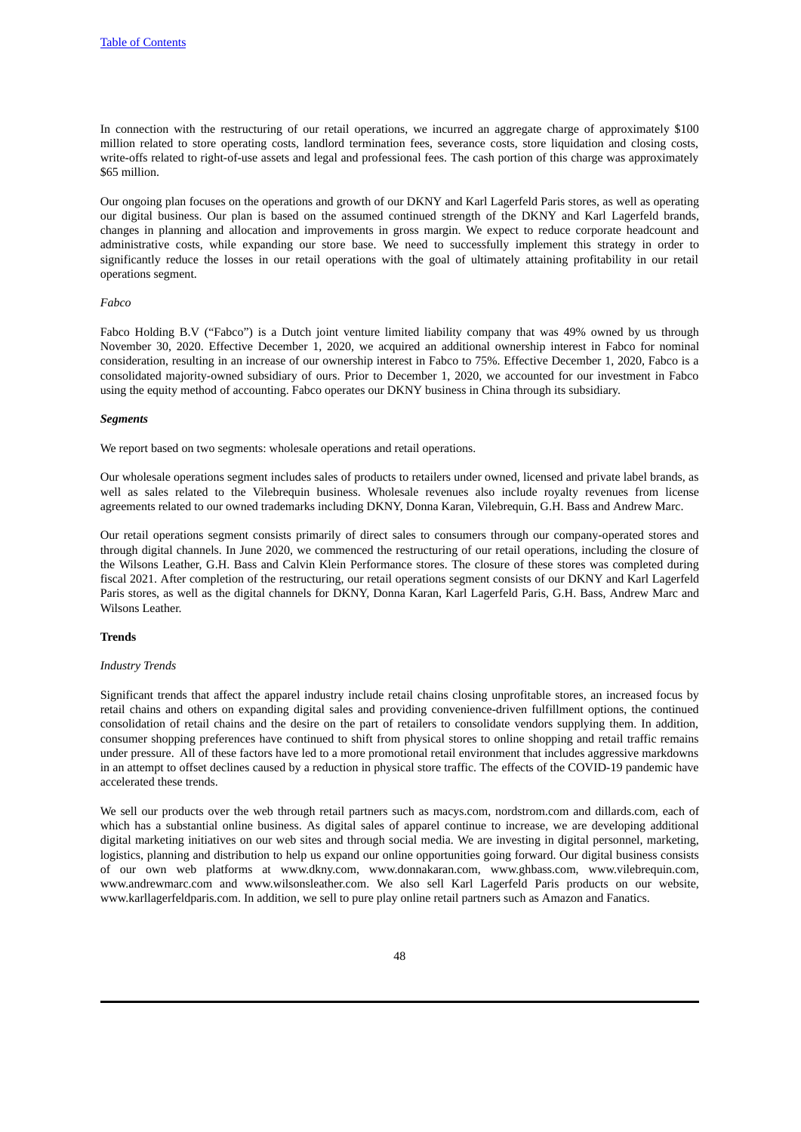In connection with the restructuring of our retail operations, we incurred an aggregate charge of approximately \$100 million related to store operating costs, landlord termination fees, severance costs, store liquidation and closing costs, write-offs related to right-of-use assets and legal and professional fees. The cash portion of this charge was approximately \$65 million.

Our ongoing plan focuses on the operations and growth of our DKNY and Karl Lagerfeld Paris stores, as well as operating our digital business. Our plan is based on the assumed continued strength of the DKNY and Karl Lagerfeld brands, changes in planning and allocation and improvements in gross margin. We expect to reduce corporate headcount and administrative costs, while expanding our store base. We need to successfully implement this strategy in order to significantly reduce the losses in our retail operations with the goal of ultimately attaining profitability in our retail operations segment.

## *Fabco*

Fabco Holding B.V ("Fabco") is a Dutch joint venture limited liability company that was 49% owned by us through November 30, 2020. Effective December 1, 2020, we acquired an additional ownership interest in Fabco for nominal consideration, resulting in an increase of our ownership interest in Fabco to 75%. Effective December 1, 2020, Fabco is a consolidated majority-owned subsidiary of ours. Prior to December 1, 2020, we accounted for our investment in Fabco using the equity method of accounting. Fabco operates our DKNY business in China through its subsidiary.

#### *Segments*

We report based on two segments: wholesale operations and retail operations.

Our wholesale operations segment includes sales of products to retailers under owned, licensed and private label brands, as well as sales related to the Vilebrequin business. Wholesale revenues also include royalty revenues from license agreements related to our owned trademarks including DKNY, Donna Karan, Vilebrequin, G.H. Bass and Andrew Marc.

Our retail operations segment consists primarily of direct sales to consumers through our company-operated stores and through digital channels. In June 2020, we commenced the restructuring of our retail operations, including the closure of the Wilsons Leather, G.H. Bass and Calvin Klein Performance stores. The closure of these stores was completed during fiscal 2021. After completion of the restructuring, our retail operations segment consists of our DKNY and Karl Lagerfeld Paris stores, as well as the digital channels for DKNY, Donna Karan, Karl Lagerfeld Paris, G.H. Bass, Andrew Marc and Wilsons Leather.

#### **Trends**

#### *Industry Trends*

Significant trends that affect the apparel industry include retail chains closing unprofitable stores, an increased focus by retail chains and others on expanding digital sales and providing convenience-driven fulfillment options, the continued consolidation of retail chains and the desire on the part of retailers to consolidate vendors supplying them. In addition, consumer shopping preferences have continued to shift from physical stores to online shopping and retail traffic remains under pressure. All of these factors have led to a more promotional retail environment that includes aggressive markdowns in an attempt to offset declines caused by a reduction in physical store traffic. The effects of the COVID-19 pandemic have accelerated these trends.

We sell our products over the web through retail partners such as macys.com, nordstrom.com and dillards.com, each of which has a substantial online business. As digital sales of apparel continue to increase, we are developing additional digital marketing initiatives on our web sites and through social media. We are investing in digital personnel, marketing, logistics, planning and distribution to help us expand our online opportunities going forward. Our digital business consists of our own web platforms at www.dkny.com, www.donnakaran.com, www.ghbass.com, www.vilebrequin.com, www.andrewmarc.com and www.wilsonsleather.com. We also sell Karl Lagerfeld Paris products on our website, www.karllagerfeldparis.com. In addition, we sell to pure play online retail partners such as Amazon and Fanatics.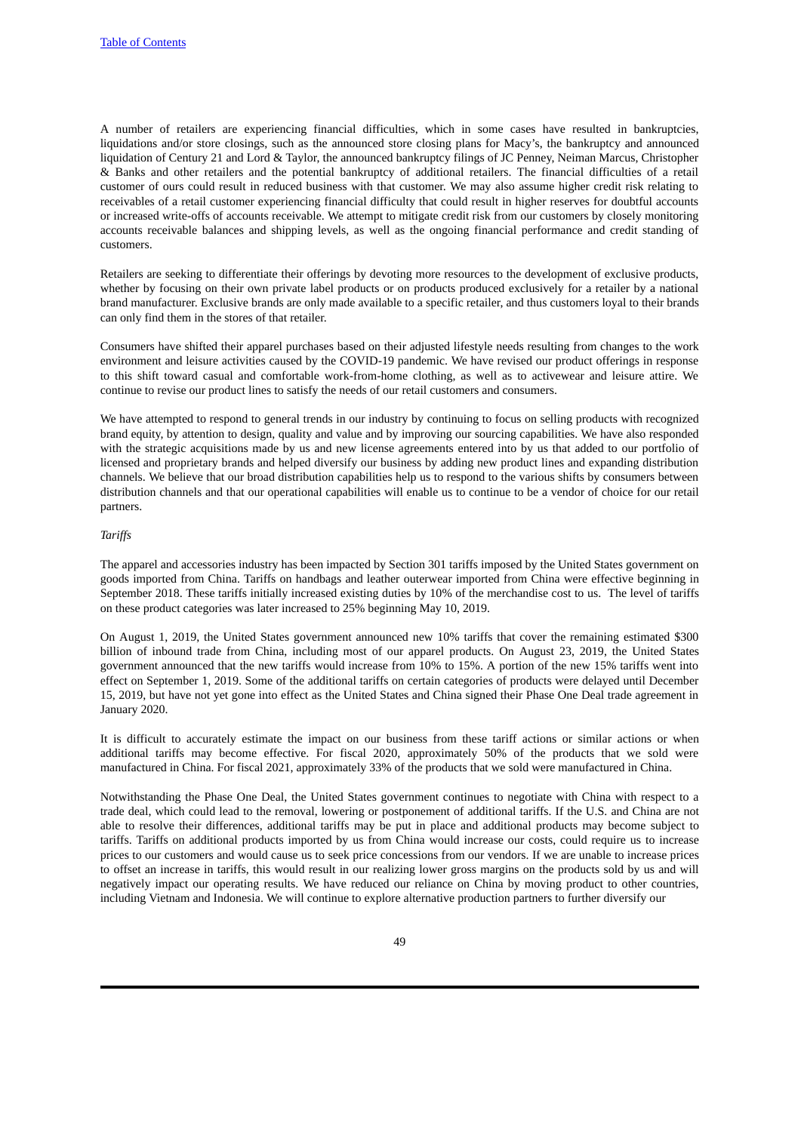A number of retailers are experiencing financial difficulties, which in some cases have resulted in bankruptcies, liquidations and/or store closings, such as the announced store closing plans for Macy's, the bankruptcy and announced liquidation of Century 21 and Lord & Taylor, the announced bankruptcy filings of JC Penney, Neiman Marcus, Christopher & Banks and other retailers and the potential bankruptcy of additional retailers. The financial difficulties of a retail customer of ours could result in reduced business with that customer. We may also assume higher credit risk relating to receivables of a retail customer experiencing financial difficulty that could result in higher reserves for doubtful accounts or increased write-offs of accounts receivable. We attempt to mitigate credit risk from our customers by closely monitoring accounts receivable balances and shipping levels, as well as the ongoing financial performance and credit standing of customers.

Retailers are seeking to differentiate their offerings by devoting more resources to the development of exclusive products, whether by focusing on their own private label products or on products produced exclusively for a retailer by a national brand manufacturer. Exclusive brands are only made available to a specific retailer, and thus customers loyal to their brands can only find them in the stores of that retailer.

Consumers have shifted their apparel purchases based on their adjusted lifestyle needs resulting from changes to the work environment and leisure activities caused by the COVID-19 pandemic. We have revised our product offerings in response to this shift toward casual and comfortable work-from-home clothing, as well as to activewear and leisure attire. We continue to revise our product lines to satisfy the needs of our retail customers and consumers.

We have attempted to respond to general trends in our industry by continuing to focus on selling products with recognized brand equity, by attention to design, quality and value and by improving our sourcing capabilities. We have also responded with the strategic acquisitions made by us and new license agreements entered into by us that added to our portfolio of licensed and proprietary brands and helped diversify our business by adding new product lines and expanding distribution channels. We believe that our broad distribution capabilities help us to respond to the various shifts by consumers between distribution channels and that our operational capabilities will enable us to continue to be a vendor of choice for our retail partners.

## *Tariffs*

The apparel and accessories industry has been impacted by Section 301 tariffs imposed by the United States government on goods imported from China. Tariffs on handbags and leather outerwear imported from China were effective beginning in September 2018. These tariffs initially increased existing duties by 10% of the merchandise cost to us. The level of tariffs on these product categories was later increased to 25% beginning May 10, 2019.

On August 1, 2019, the United States government announced new 10% tariffs that cover the remaining estimated \$300 billion of inbound trade from China, including most of our apparel products. On August 23, 2019, the United States government announced that the new tariffs would increase from 10% to 15%. A portion of the new 15% tariffs went into effect on September 1, 2019. Some of the additional tariffs on certain categories of products were delayed until December 15, 2019, but have not yet gone into effect as the United States and China signed their Phase One Deal trade agreement in January 2020.

It is difficult to accurately estimate the impact on our business from these tariff actions or similar actions or when additional tariffs may become effective. For fiscal 2020, approximately 50% of the products that we sold were manufactured in China. For fiscal 2021, approximately 33% of the products that we sold were manufactured in China.

Notwithstanding the Phase One Deal, the United States government continues to negotiate with China with respect to a trade deal, which could lead to the removal, lowering or postponement of additional tariffs. If the U.S. and China are not able to resolve their differences, additional tariffs may be put in place and additional products may become subject to tariffs. Tariffs on additional products imported by us from China would increase our costs, could require us to increase prices to our customers and would cause us to seek price concessions from our vendors. If we are unable to increase prices to offset an increase in tariffs, this would result in our realizing lower gross margins on the products sold by us and will negatively impact our operating results. We have reduced our reliance on China by moving product to other countries, including Vietnam and Indonesia. We will continue to explore alternative production partners to further diversify our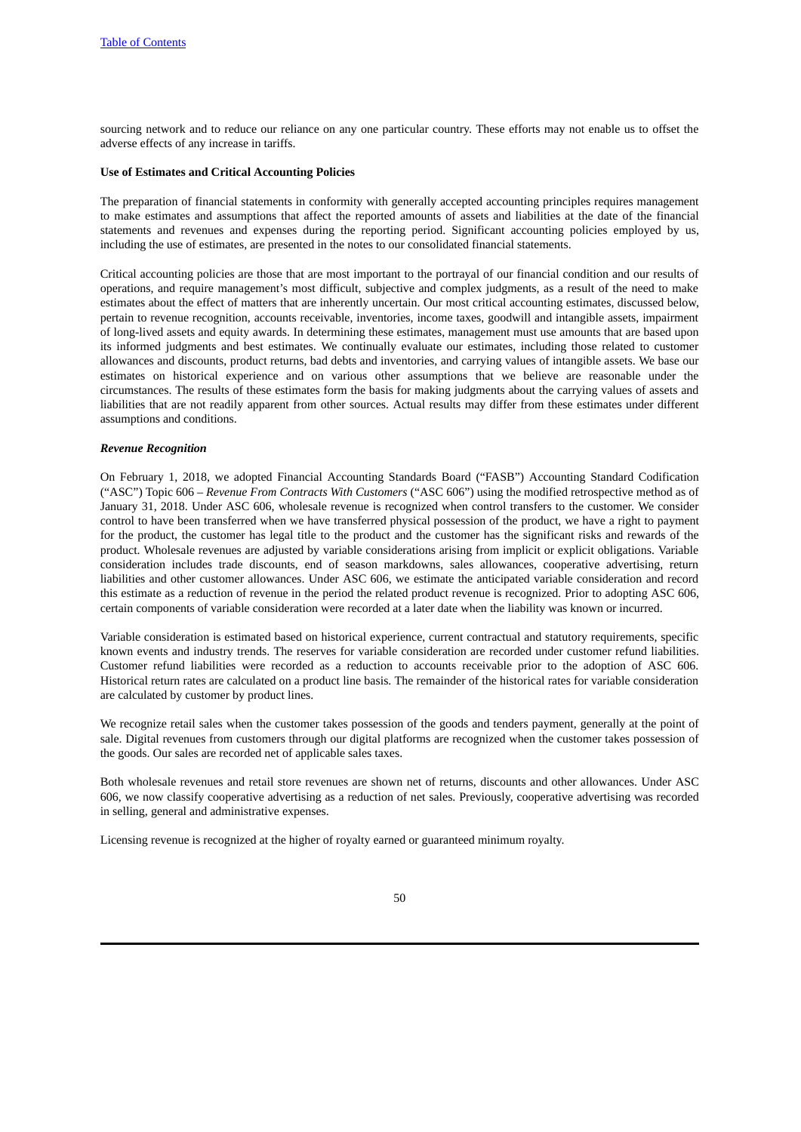sourcing network and to reduce our reliance on any one particular country. These efforts may not enable us to offset the adverse effects of any increase in tariffs.

#### **Use of Estimates and Critical Accounting Policies**

The preparation of financial statements in conformity with generally accepted accounting principles requires management to make estimates and assumptions that affect the reported amounts of assets and liabilities at the date of the financial statements and revenues and expenses during the reporting period. Significant accounting policies employed by us, including the use of estimates, are presented in the notes to our consolidated financial statements.

Critical accounting policies are those that are most important to the portrayal of our financial condition and our results of operations, and require management's most difficult, subjective and complex judgments, as a result of the need to make estimates about the effect of matters that are inherently uncertain. Our most critical accounting estimates, discussed below, pertain to revenue recognition, accounts receivable, inventories, income taxes, goodwill and intangible assets, impairment of long-lived assets and equity awards. In determining these estimates, management must use amounts that are based upon its informed judgments and best estimates. We continually evaluate our estimates, including those related to customer allowances and discounts, product returns, bad debts and inventories, and carrying values of intangible assets. We base our estimates on historical experience and on various other assumptions that we believe are reasonable under the circumstances. The results of these estimates form the basis for making judgments about the carrying values of assets and liabilities that are not readily apparent from other sources. Actual results may differ from these estimates under different assumptions and conditions.

# *Revenue Recognition*

On February 1, 2018, we adopted Financial Accounting Standards Board ("FASB") Accounting Standard Codification ("ASC") Topic 606 – *Revenue From Contracts With Customers* ("ASC 606") using the modified retrospective method as of January 31, 2018. Under ASC 606, wholesale revenue is recognized when control transfers to the customer. We consider control to have been transferred when we have transferred physical possession of the product, we have a right to payment for the product, the customer has legal title to the product and the customer has the significant risks and rewards of the product. Wholesale revenues are adjusted by variable considerations arising from implicit or explicit obligations. Variable consideration includes trade discounts, end of season markdowns, sales allowances, cooperative advertising, return liabilities and other customer allowances. Under ASC 606, we estimate the anticipated variable consideration and record this estimate as a reduction of revenue in the period the related product revenue is recognized. Prior to adopting ASC 606, certain components of variable consideration were recorded at a later date when the liability was known or incurred.

Variable consideration is estimated based on historical experience, current contractual and statutory requirements, specific known events and industry trends. The reserves for variable consideration are recorded under customer refund liabilities. Customer refund liabilities were recorded as a reduction to accounts receivable prior to the adoption of ASC 606. Historical return rates are calculated on a product line basis. The remainder of the historical rates for variable consideration are calculated by customer by product lines.

We recognize retail sales when the customer takes possession of the goods and tenders payment, generally at the point of sale. Digital revenues from customers through our digital platforms are recognized when the customer takes possession of the goods. Our sales are recorded net of applicable sales taxes.

Both wholesale revenues and retail store revenues are shown net of returns, discounts and other allowances. Under ASC 606, we now classify cooperative advertising as a reduction of net sales. Previously, cooperative advertising was recorded in selling, general and administrative expenses.

Licensing revenue is recognized at the higher of royalty earned or guaranteed minimum royalty.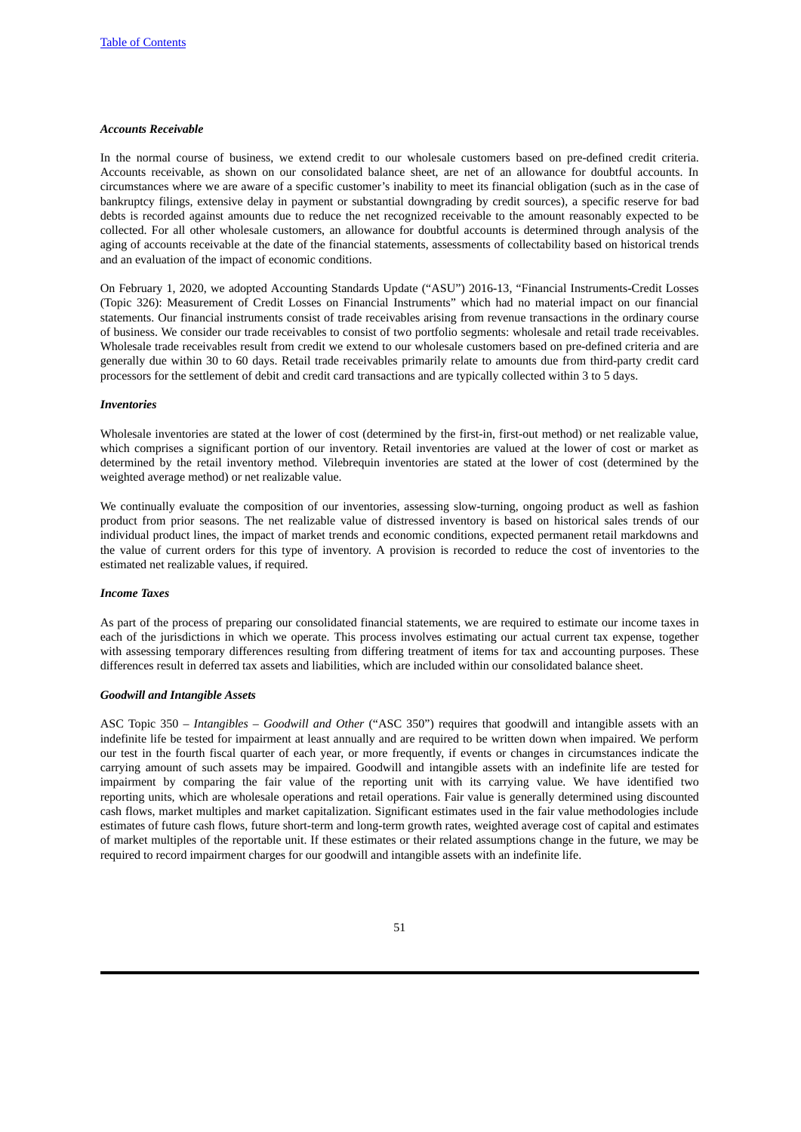## *Accounts Receivable*

In the normal course of business, we extend credit to our wholesale customers based on pre-defined credit criteria. Accounts receivable, as shown on our consolidated balance sheet, are net of an allowance for doubtful accounts. In circumstances where we are aware of a specific customer's inability to meet its financial obligation (such as in the case of bankruptcy filings, extensive delay in payment or substantial downgrading by credit sources), a specific reserve for bad debts is recorded against amounts due to reduce the net recognized receivable to the amount reasonably expected to be collected. For all other wholesale customers, an allowance for doubtful accounts is determined through analysis of the aging of accounts receivable at the date of the financial statements, assessments of collectability based on historical trends and an evaluation of the impact of economic conditions.

On February 1, 2020, we adopted Accounting Standards Update ("ASU") 2016-13, "Financial Instruments-Credit Losses (Topic 326): Measurement of Credit Losses on Financial Instruments" which had no material impact on our financial statements. Our financial instruments consist of trade receivables arising from revenue transactions in the ordinary course of business. We consider our trade receivables to consist of two portfolio segments: wholesale and retail trade receivables. Wholesale trade receivables result from credit we extend to our wholesale customers based on pre-defined criteria and are generally due within 30 to 60 days. Retail trade receivables primarily relate to amounts due from third-party credit card processors for the settlement of debit and credit card transactions and are typically collected within 3 to 5 days.

## *Inventories*

Wholesale inventories are stated at the lower of cost (determined by the first-in, first-out method) or net realizable value, which comprises a significant portion of our inventory. Retail inventories are valued at the lower of cost or market as determined by the retail inventory method. Vilebrequin inventories are stated at the lower of cost (determined by the weighted average method) or net realizable value.

We continually evaluate the composition of our inventories, assessing slow-turning, ongoing product as well as fashion product from prior seasons. The net realizable value of distressed inventory is based on historical sales trends of our individual product lines, the impact of market trends and economic conditions, expected permanent retail markdowns and the value of current orders for this type of inventory. A provision is recorded to reduce the cost of inventories to the estimated net realizable values, if required.

## *Income Taxes*

As part of the process of preparing our consolidated financial statements, we are required to estimate our income taxes in each of the jurisdictions in which we operate. This process involves estimating our actual current tax expense, together with assessing temporary differences resulting from differing treatment of items for tax and accounting purposes. These differences result in deferred tax assets and liabilities, which are included within our consolidated balance sheet.

#### *Goodwill and Intangible Assets*

ASC Topic 350 – *Intangibles – Goodwill and Other* ("ASC 350") requires that goodwill and intangible assets with an indefinite life be tested for impairment at least annually and are required to be written down when impaired. We perform our test in the fourth fiscal quarter of each year, or more frequently, if events or changes in circumstances indicate the carrying amount of such assets may be impaired. Goodwill and intangible assets with an indefinite life are tested for impairment by comparing the fair value of the reporting unit with its carrying value. We have identified two reporting units, which are wholesale operations and retail operations. Fair value is generally determined using discounted cash flows, market multiples and market capitalization. Significant estimates used in the fair value methodologies include estimates of future cash flows, future short-term and long-term growth rates, weighted average cost of capital and estimates of market multiples of the reportable unit. If these estimates or their related assumptions change in the future, we may be required to record impairment charges for our goodwill and intangible assets with an indefinite life.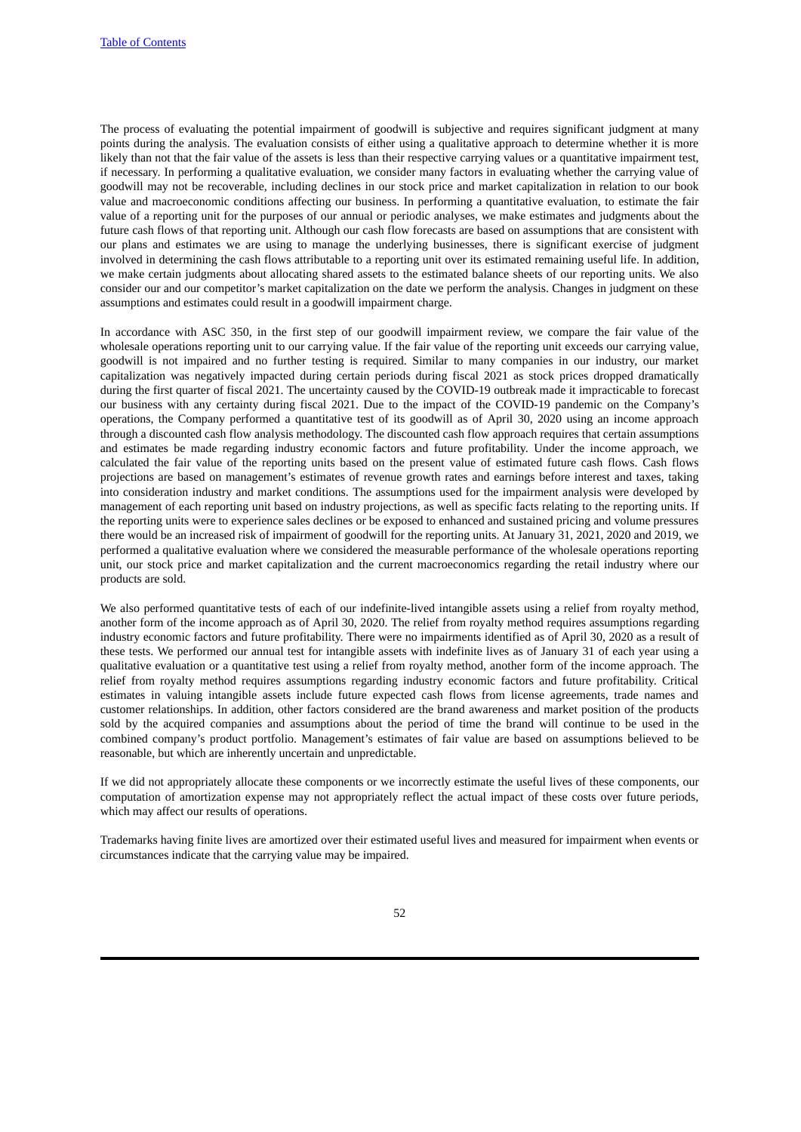The process of evaluating the potential impairment of goodwill is subjective and requires significant judgment at many points during the analysis. The evaluation consists of either using a qualitative approach to determine whether it is more likely than not that the fair value of the assets is less than their respective carrying values or a quantitative impairment test, if necessary. In performing a qualitative evaluation, we consider many factors in evaluating whether the carrying value of goodwill may not be recoverable, including declines in our stock price and market capitalization in relation to our book value and macroeconomic conditions affecting our business. In performing a quantitative evaluation, to estimate the fair value of a reporting unit for the purposes of our annual or periodic analyses, we make estimates and judgments about the future cash flows of that reporting unit. Although our cash flow forecasts are based on assumptions that are consistent with our plans and estimates we are using to manage the underlying businesses, there is significant exercise of judgment involved in determining the cash flows attributable to a reporting unit over its estimated remaining useful life. In addition, we make certain judgments about allocating shared assets to the estimated balance sheets of our reporting units. We also consider our and our competitor's market capitalization on the date we perform the analysis. Changes in judgment on these assumptions and estimates could result in a goodwill impairment charge.

In accordance with ASC 350, in the first step of our goodwill impairment review, we compare the fair value of the wholesale operations reporting unit to our carrying value. If the fair value of the reporting unit exceeds our carrying value, goodwill is not impaired and no further testing is required. Similar to many companies in our industry, our market capitalization was negatively impacted during certain periods during fiscal 2021 as stock prices dropped dramatically during the first quarter of fiscal 2021. The uncertainty caused by the COVID-19 outbreak made it impracticable to forecast our business with any certainty during fiscal 2021. Due to the impact of the COVID-19 pandemic on the Company's operations, the Company performed a quantitative test of its goodwill as of April 30, 2020 using an income approach through a discounted cash flow analysis methodology. The discounted cash flow approach requires that certain assumptions and estimates be made regarding industry economic factors and future profitability. Under the income approach, we calculated the fair value of the reporting units based on the present value of estimated future cash flows. Cash flows projections are based on management's estimates of revenue growth rates and earnings before interest and taxes, taking into consideration industry and market conditions. The assumptions used for the impairment analysis were developed by management of each reporting unit based on industry projections, as well as specific facts relating to the reporting units. If the reporting units were to experience sales declines or be exposed to enhanced and sustained pricing and volume pressures there would be an increased risk of impairment of goodwill for the reporting units. At January 31, 2021, 2020 and 2019, we performed a qualitative evaluation where we considered the measurable performance of the wholesale operations reporting unit, our stock price and market capitalization and the current macroeconomics regarding the retail industry where our products are sold.

We also performed quantitative tests of each of our indefinite-lived intangible assets using a relief from royalty method, another form of the income approach as of April 30, 2020. The relief from royalty method requires assumptions regarding industry economic factors and future profitability. There were no impairments identified as of April 30, 2020 as a result of these tests. We performed our annual test for intangible assets with indefinite lives as of January 31 of each year using a qualitative evaluation or a quantitative test using a relief from royalty method, another form of the income approach. The relief from royalty method requires assumptions regarding industry economic factors and future profitability. Critical estimates in valuing intangible assets include future expected cash flows from license agreements, trade names and customer relationships. In addition, other factors considered are the brand awareness and market position of the products sold by the acquired companies and assumptions about the period of time the brand will continue to be used in the combined company's product portfolio. Management's estimates of fair value are based on assumptions believed to be reasonable, but which are inherently uncertain and unpredictable.

If we did not appropriately allocate these components or we incorrectly estimate the useful lives of these components, our computation of amortization expense may not appropriately reflect the actual impact of these costs over future periods, which may affect our results of operations.

Trademarks having finite lives are amortized over their estimated useful lives and measured for impairment when events or circumstances indicate that the carrying value may be impaired.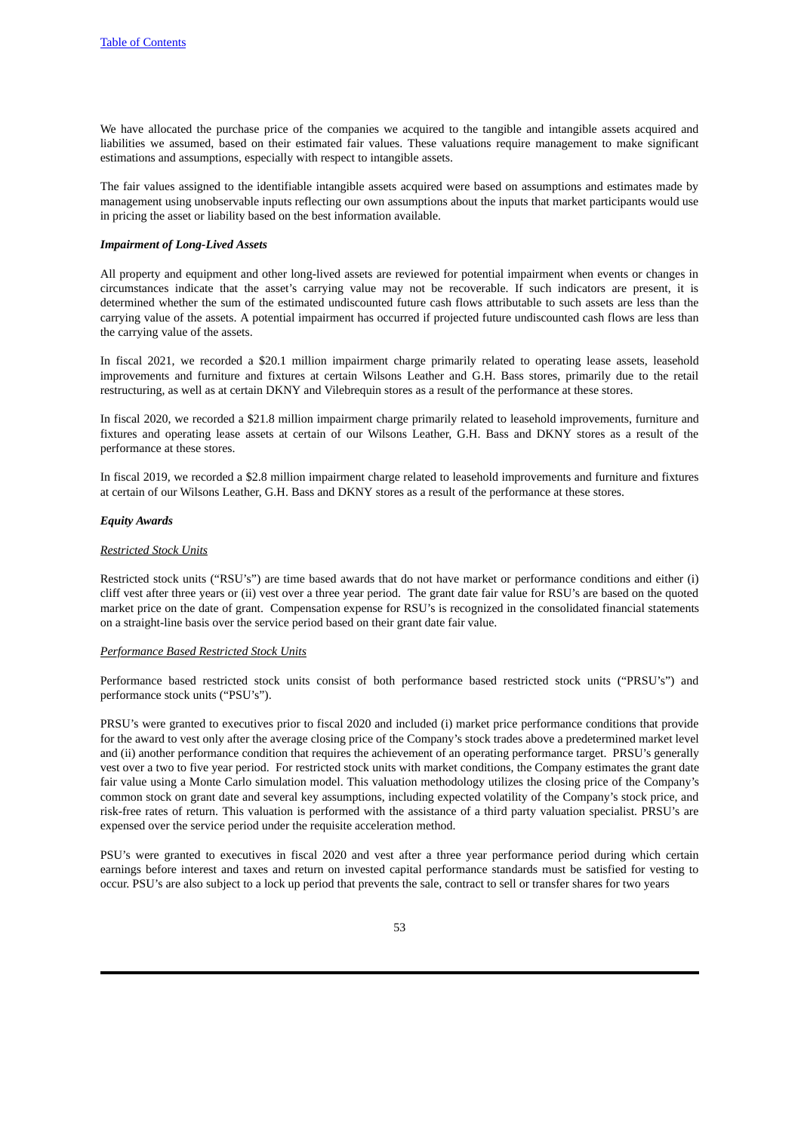We have allocated the purchase price of the companies we acquired to the tangible and intangible assets acquired and liabilities we assumed, based on their estimated fair values. These valuations require management to make significant estimations and assumptions, especially with respect to intangible assets.

The fair values assigned to the identifiable intangible assets acquired were based on assumptions and estimates made by management using unobservable inputs reflecting our own assumptions about the inputs that market participants would use in pricing the asset or liability based on the best information available.

## *Impairment of Long-Lived Assets*

All property and equipment and other long-lived assets are reviewed for potential impairment when events or changes in circumstances indicate that the asset's carrying value may not be recoverable. If such indicators are present, it is determined whether the sum of the estimated undiscounted future cash flows attributable to such assets are less than the carrying value of the assets. A potential impairment has occurred if projected future undiscounted cash flows are less than the carrying value of the assets.

In fiscal 2021, we recorded a \$20.1 million impairment charge primarily related to operating lease assets, leasehold improvements and furniture and fixtures at certain Wilsons Leather and G.H. Bass stores, primarily due to the retail restructuring, as well as at certain DKNY and Vilebrequin stores as a result of the performance at these stores.

In fiscal 2020, we recorded a \$21.8 million impairment charge primarily related to leasehold improvements, furniture and fixtures and operating lease assets at certain of our Wilsons Leather, G.H. Bass and DKNY stores as a result of the performance at these stores.

In fiscal 2019, we recorded a \$2.8 million impairment charge related to leasehold improvements and furniture and fixtures at certain of our Wilsons Leather, G.H. Bass and DKNY stores as a result of the performance at these stores.

# *Equity Awards*

### *Restricted Stock Units*

Restricted stock units ("RSU's") are time based awards that do not have market or performance conditions and either (i) cliff vest after three years or (ii) vest over a three year period. The grant date fair value for RSU's are based on the quoted market price on the date of grant. Compensation expense for RSU's is recognized in the consolidated financial statements on a straight-line basis over the service period based on their grant date fair value.

#### *Performance Based Restricted Stock Units*

Performance based restricted stock units consist of both performance based restricted stock units ("PRSU's") and performance stock units ("PSU's").

PRSU's were granted to executives prior to fiscal 2020 and included (i) market price performance conditions that provide for the award to vest only after the average closing price of the Company's stock trades above a predetermined market level and (ii) another performance condition that requires the achievement of an operating performance target. PRSU's generally vest over a two to five year period. For restricted stock units with market conditions, the Company estimates the grant date fair value using a Monte Carlo simulation model. This valuation methodology utilizes the closing price of the Company's common stock on grant date and several key assumptions, including expected volatility of the Company's stock price, and risk-free rates of return. This valuation is performed with the assistance of a third party valuation specialist. PRSU's are expensed over the service period under the requisite acceleration method.

PSU's were granted to executives in fiscal 2020 and vest after a three year performance period during which certain earnings before interest and taxes and return on invested capital performance standards must be satisfied for vesting to occur. PSU's are also subject to a lock up period that prevents the sale, contract to sell or transfer shares for two years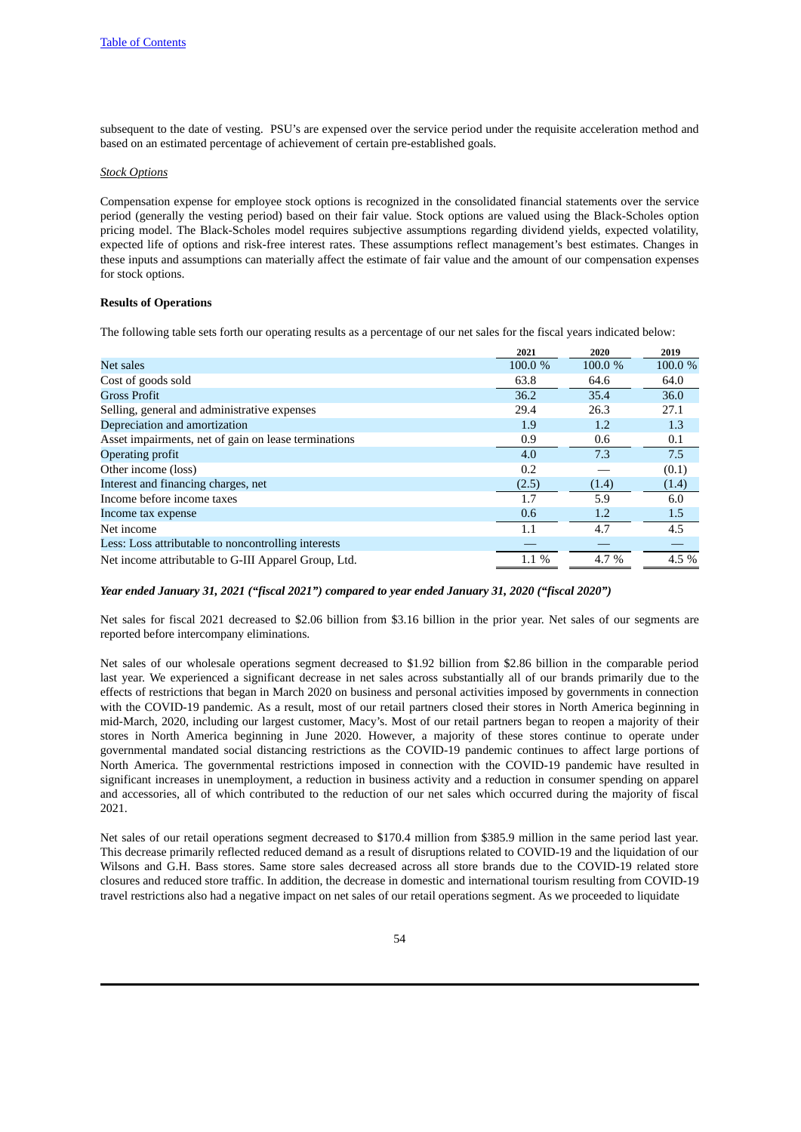subsequent to the date of vesting. PSU's are expensed over the service period under the requisite acceleration method and based on an estimated percentage of achievement of certain pre-established goals.

#### *Stock Options*

Compensation expense for employee stock options is recognized in the consolidated financial statements over the service period (generally the vesting period) based on their fair value. Stock options are valued using the Black-Scholes option pricing model. The Black-Scholes model requires subjective assumptions regarding dividend yields, expected volatility, expected life of options and risk-free interest rates. These assumptions reflect management's best estimates. Changes in these inputs and assumptions can materially affect the estimate of fair value and the amount of our compensation expenses for stock options.

# **Results of Operations**

The following table sets forth our operating results as a percentage of our net sales for the fiscal years indicated below:

|                                                      | 2021    | 2020    | 2019    |
|------------------------------------------------------|---------|---------|---------|
| Net sales                                            | 100.0 % | 100.0 % | 100.0 % |
| Cost of goods sold                                   | 63.8    | 64.6    | 64.0    |
| <b>Gross Profit</b>                                  | 36.2    | 35.4    | 36.0    |
| Selling, general and administrative expenses         | 29.4    | 26.3    | 27.1    |
| Depreciation and amortization                        | 1.9     | 1.2     | 1.3     |
| Asset impairments, net of gain on lease terminations | 0.9     | 0.6     | 0.1     |
| <b>Operating profit</b>                              | 4.0     | 7.3     | 7.5     |
| Other income (loss)                                  | 0.2     |         | (0.1)   |
| Interest and financing charges, net                  | (2.5)   | (1.4)   | (1.4)   |
| Income before income taxes                           | 1.7     | 5.9     | 6.0     |
| Income tax expense                                   | 0.6     | 1.2     | 1.5     |
| Net income                                           | 1.1     | 4.7     | 4.5     |
| Less: Loss attributable to noncontrolling interests  |         |         |         |
| Net income attributable to G-III Apparel Group, Ltd. | $1.1\%$ | 4.7 %   | $4.5\%$ |

#### *Year ended January 31, 2021 ("fiscal 2021") compared to year ended January 31, 2020 ("fiscal 2020")*

Net sales for fiscal 2021 decreased to \$2.06 billion from \$3.16 billion in the prior year. Net sales of our segments are reported before intercompany eliminations.

Net sales of our wholesale operations segment decreased to \$1.92 billion from \$2.86 billion in the comparable period last year. We experienced a significant decrease in net sales across substantially all of our brands primarily due to the effects of restrictions that began in March 2020 on business and personal activities imposed by governments in connection with the COVID-19 pandemic. As a result, most of our retail partners closed their stores in North America beginning in mid-March, 2020, including our largest customer, Macy's. Most of our retail partners began to reopen a majority of their stores in North America beginning in June 2020. However, a majority of these stores continue to operate under governmental mandated social distancing restrictions as the COVID-19 pandemic continues to affect large portions of North America. The governmental restrictions imposed in connection with the COVID-19 pandemic have resulted in significant increases in unemployment, a reduction in business activity and a reduction in consumer spending on apparel and accessories, all of which contributed to the reduction of our net sales which occurred during the majority of fiscal 2021.

Net sales of our retail operations segment decreased to \$170.4 million from \$385.9 million in the same period last year. This decrease primarily reflected reduced demand as a result of disruptions related to COVID-19 and the liquidation of our Wilsons and G.H. Bass stores. Same store sales decreased across all store brands due to the COVID-19 related store closures and reduced store traffic. In addition, the decrease in domestic and international tourism resulting from COVID-19 travel restrictions also had a negative impact on net sales of our retail operations segment. As we proceeded to liquidate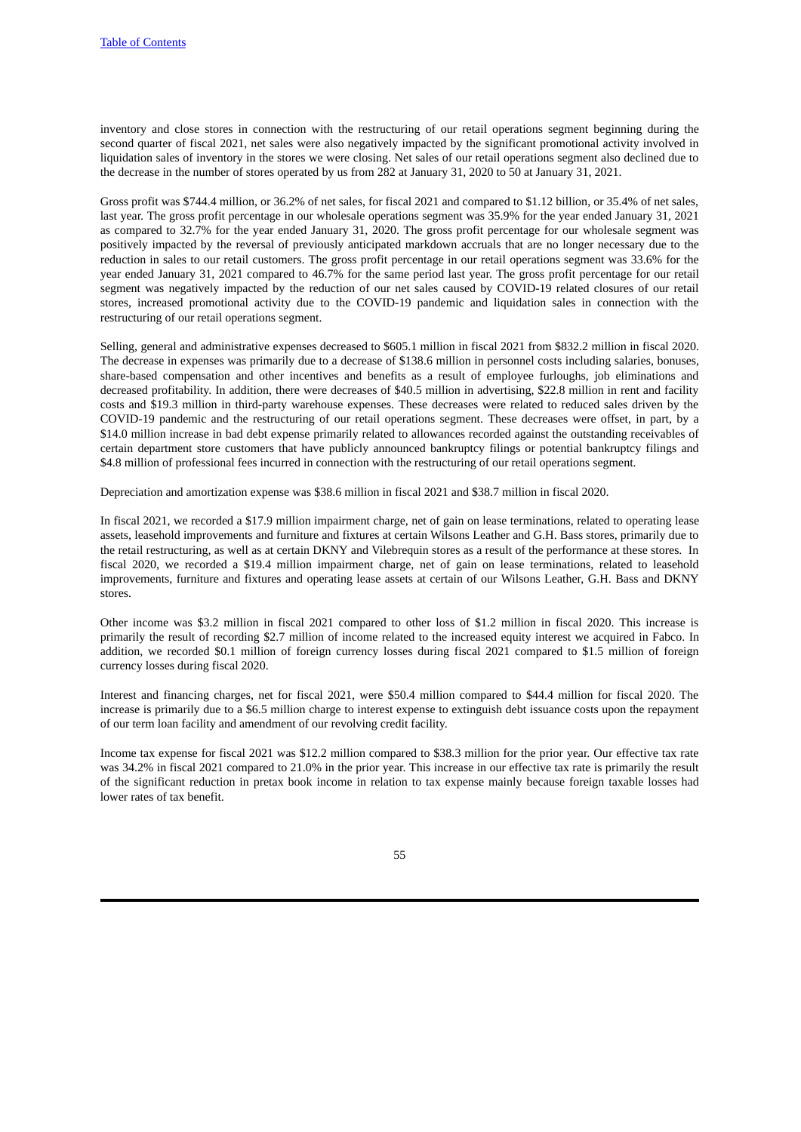inventory and close stores in connection with the restructuring of our retail operations segment beginning during the second quarter of fiscal 2021, net sales were also negatively impacted by the significant promotional activity involved in liquidation sales of inventory in the stores we were closing. Net sales of our retail operations segment also declined due to the decrease in the number of stores operated by us from 282 at January 31, 2020 to 50 at January 31, 2021.

Gross profit was \$744.4 million, or 36.2% of net sales, for fiscal 2021 and compared to \$1.12 billion, or 35.4% of net sales, last year. The gross profit percentage in our wholesale operations segment was 35.9% for the year ended January 31, 2021 as compared to 32.7% for the year ended January 31, 2020. The gross profit percentage for our wholesale segment was positively impacted by the reversal of previously anticipated markdown accruals that are no longer necessary due to the reduction in sales to our retail customers. The gross profit percentage in our retail operations segment was 33.6% for the year ended January 31, 2021 compared to 46.7% for the same period last year. The gross profit percentage for our retail segment was negatively impacted by the reduction of our net sales caused by COVID-19 related closures of our retail stores, increased promotional activity due to the COVID-19 pandemic and liquidation sales in connection with the restructuring of our retail operations segment.

Selling, general and administrative expenses decreased to \$605.1 million in fiscal 2021 from \$832.2 million in fiscal 2020. The decrease in expenses was primarily due to a decrease of \$138.6 million in personnel costs including salaries, bonuses, share-based compensation and other incentives and benefits as a result of employee furloughs, job eliminations and decreased profitability. In addition, there were decreases of \$40.5 million in advertising, \$22.8 million in rent and facility costs and \$19.3 million in third-party warehouse expenses. These decreases were related to reduced sales driven by the COVID-19 pandemic and the restructuring of our retail operations segment. These decreases were offset, in part, by a \$14.0 million increase in bad debt expense primarily related to allowances recorded against the outstanding receivables of certain department store customers that have publicly announced bankruptcy filings or potential bankruptcy filings and \$4.8 million of professional fees incurred in connection with the restructuring of our retail operations segment.

Depreciation and amortization expense was \$38.6 million in fiscal 2021 and \$38.7 million in fiscal 2020.

In fiscal 2021, we recorded a \$17.9 million impairment charge, net of gain on lease terminations, related to operating lease assets, leasehold improvements and furniture and fixtures at certain Wilsons Leather and G.H. Bass stores, primarily due to the retail restructuring, as well as at certain DKNY and Vilebrequin stores as a result of the performance at these stores. In fiscal 2020, we recorded a \$19.4 million impairment charge, net of gain on lease terminations, related to leasehold improvements, furniture and fixtures and operating lease assets at certain of our Wilsons Leather, G.H. Bass and DKNY stores.

Other income was \$3.2 million in fiscal 2021 compared to other loss of \$1.2 million in fiscal 2020. This increase is primarily the result of recording \$2.7 million of income related to the increased equity interest we acquired in Fabco. In addition, we recorded \$0.1 million of foreign currency losses during fiscal 2021 compared to \$1.5 million of foreign currency losses during fiscal 2020.

Interest and financing charges, net for fiscal 2021, were \$50.4 million compared to \$44.4 million for fiscal 2020. The increase is primarily due to a \$6.5 million charge to interest expense to extinguish debt issuance costs upon the repayment of our term loan facility and amendment of our revolving credit facility.

Income tax expense for fiscal 2021 was \$12.2 million compared to \$38.3 million for the prior year. Our effective tax rate was 34.2% in fiscal 2021 compared to 21.0% in the prior year. This increase in our effective tax rate is primarily the result of the significant reduction in pretax book income in relation to tax expense mainly because foreign taxable losses had lower rates of tax benefit.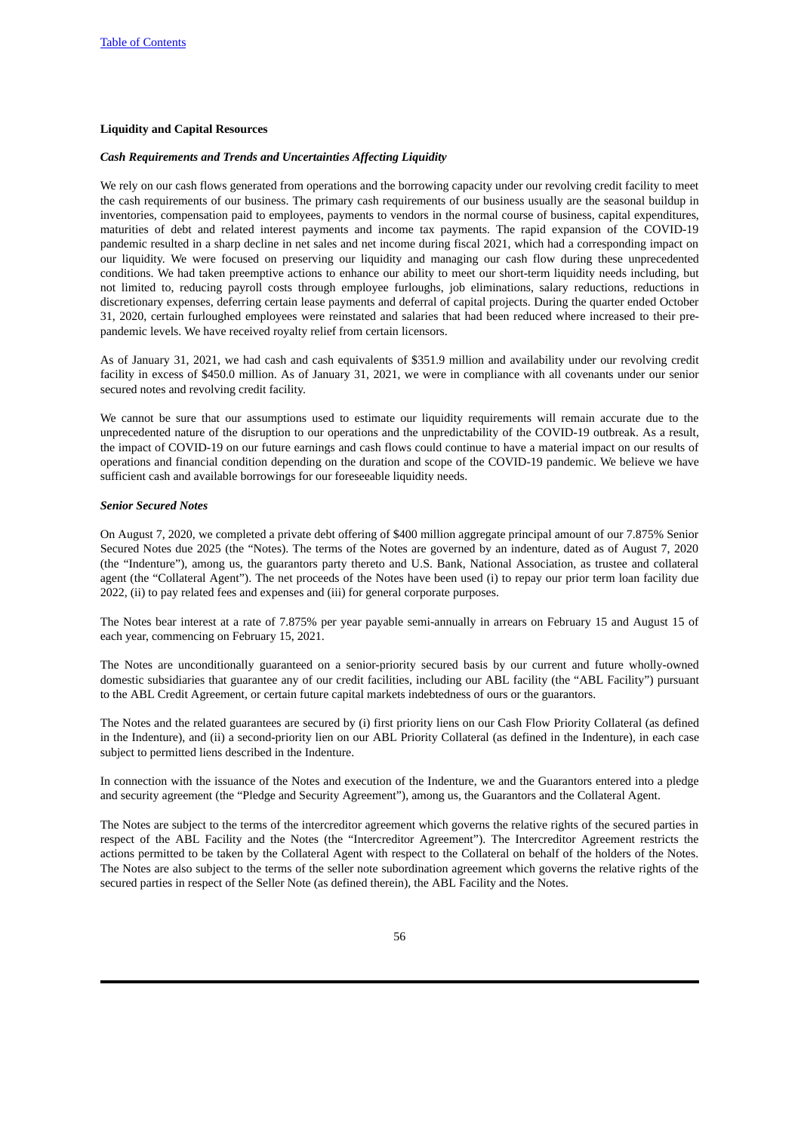# **Liquidity and Capital Resources**

#### *Cash Requirements and Trends and Uncertainties Affecting Liquidity*

We rely on our cash flows generated from operations and the borrowing capacity under our revolving credit facility to meet the cash requirements of our business. The primary cash requirements of our business usually are the seasonal buildup in inventories, compensation paid to employees, payments to vendors in the normal course of business, capital expenditures, maturities of debt and related interest payments and income tax payments. The rapid expansion of the COVID-19 pandemic resulted in a sharp decline in net sales and net income during fiscal 2021, which had a corresponding impact on our liquidity. We were focused on preserving our liquidity and managing our cash flow during these unprecedented conditions. We had taken preemptive actions to enhance our ability to meet our short-term liquidity needs including, but not limited to, reducing payroll costs through employee furloughs, job eliminations, salary reductions, reductions in discretionary expenses, deferring certain lease payments and deferral of capital projects. During the quarter ended October 31, 2020, certain furloughed employees were reinstated and salaries that had been reduced where increased to their prepandemic levels. We have received royalty relief from certain licensors.

As of January 31, 2021, we had cash and cash equivalents of \$351.9 million and availability under our revolving credit facility in excess of \$450.0 million. As of January 31, 2021, we were in compliance with all covenants under our senior secured notes and revolving credit facility.

We cannot be sure that our assumptions used to estimate our liquidity requirements will remain accurate due to the unprecedented nature of the disruption to our operations and the unpredictability of the COVID-19 outbreak. As a result, the impact of COVID-19 on our future earnings and cash flows could continue to have a material impact on our results of operations and financial condition depending on the duration and scope of the COVID-19 pandemic. We believe we have sufficient cash and available borrowings for our foreseeable liquidity needs.

## *Senior Secured Notes*

On August 7, 2020, we completed a private debt offering of \$400 million aggregate principal amount of our 7.875% Senior Secured Notes due 2025 (the "Notes). The terms of the Notes are governed by an indenture, dated as of August 7, 2020 (the "Indenture"), among us, the guarantors party thereto and U.S. Bank, National Association, as trustee and collateral agent (the "Collateral Agent"). The net proceeds of the Notes have been used (i) to repay our prior term loan facility due 2022, (ii) to pay related fees and expenses and (iii) for general corporate purposes.

The Notes bear interest at a rate of 7.875% per year payable semi-annually in arrears on February 15 and August 15 of each year, commencing on February 15, 2021.

The Notes are unconditionally guaranteed on a senior-priority secured basis by our current and future wholly-owned domestic subsidiaries that guarantee any of our credit facilities, including our ABL facility (the "ABL Facility") pursuant to the ABL Credit Agreement, or certain future capital markets indebtedness of ours or the guarantors.

The Notes and the related guarantees are secured by (i) first priority liens on our Cash Flow Priority Collateral (as defined in the Indenture), and (ii) a second-priority lien on our ABL Priority Collateral (as defined in the Indenture), in each case subject to permitted liens described in the Indenture.

In connection with the issuance of the Notes and execution of the Indenture, we and the Guarantors entered into a pledge and security agreement (the "Pledge and Security Agreement"), among us, the Guarantors and the Collateral Agent.

The Notes are subject to the terms of the intercreditor agreement which governs the relative rights of the secured parties in respect of the ABL Facility and the Notes (the "Intercreditor Agreement"). The Intercreditor Agreement restricts the actions permitted to be taken by the Collateral Agent with respect to the Collateral on behalf of the holders of the Notes. The Notes are also subject to the terms of the seller note subordination agreement which governs the relative rights of the secured parties in respect of the Seller Note (as defined therein), the ABL Facility and the Notes.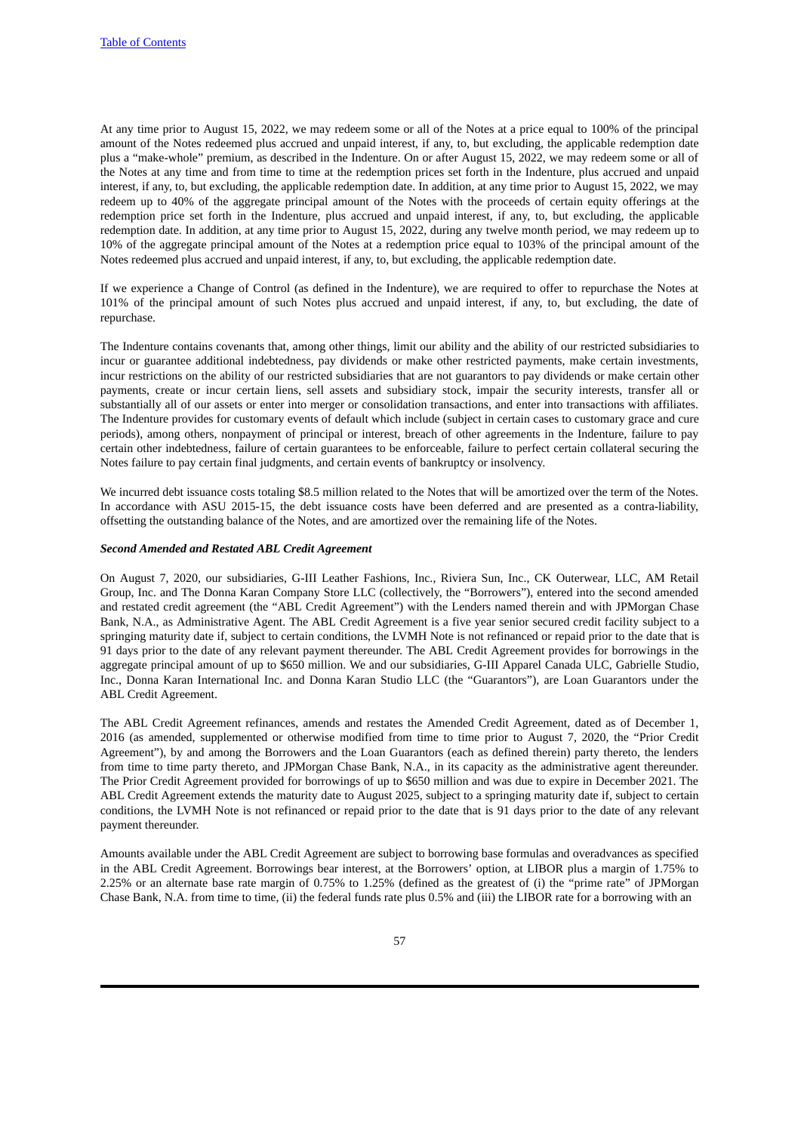At any time prior to August 15, 2022, we may redeem some or all of the Notes at a price equal to 100% of the principal amount of the Notes redeemed plus accrued and unpaid interest, if any, to, but excluding, the applicable redemption date plus a "make-whole" premium, as described in the Indenture. On or after August 15, 2022, we may redeem some or all of the Notes at any time and from time to time at the redemption prices set forth in the Indenture, plus accrued and unpaid interest, if any, to, but excluding, the applicable redemption date. In addition, at any time prior to August 15, 2022, we may redeem up to 40% of the aggregate principal amount of the Notes with the proceeds of certain equity offerings at the redemption price set forth in the Indenture, plus accrued and unpaid interest, if any, to, but excluding, the applicable redemption date. In addition, at any time prior to August 15, 2022, during any twelve month period, we may redeem up to 10% of the aggregate principal amount of the Notes at a redemption price equal to 103% of the principal amount of the Notes redeemed plus accrued and unpaid interest, if any, to, but excluding, the applicable redemption date.

If we experience a Change of Control (as defined in the Indenture), we are required to offer to repurchase the Notes at 101% of the principal amount of such Notes plus accrued and unpaid interest, if any, to, but excluding, the date of repurchase.

The Indenture contains covenants that, among other things, limit our ability and the ability of our restricted subsidiaries to incur or guarantee additional indebtedness, pay dividends or make other restricted payments, make certain investments, incur restrictions on the ability of our restricted subsidiaries that are not guarantors to pay dividends or make certain other payments, create or incur certain liens, sell assets and subsidiary stock, impair the security interests, transfer all or substantially all of our assets or enter into merger or consolidation transactions, and enter into transactions with affiliates. The Indenture provides for customary events of default which include (subject in certain cases to customary grace and cure periods), among others, nonpayment of principal or interest, breach of other agreements in the Indenture, failure to pay certain other indebtedness, failure of certain guarantees to be enforceable, failure to perfect certain collateral securing the Notes failure to pay certain final judgments, and certain events of bankruptcy or insolvency.

We incurred debt issuance costs totaling \$8.5 million related to the Notes that will be amortized over the term of the Notes. In accordance with ASU 2015-15, the debt issuance costs have been deferred and are presented as a contra-liability, offsetting the outstanding balance of the Notes, and are amortized over the remaining life of the Notes.

#### *Second Amended and Restated ABL Credit Agreement*

On August 7, 2020, our subsidiaries, G-III Leather Fashions, Inc., Riviera Sun, Inc., CK Outerwear, LLC, AM Retail Group, Inc. and The Donna Karan Company Store LLC (collectively, the "Borrowers"), entered into the second amended and restated credit agreement (the "ABL Credit Agreement") with the Lenders named therein and with JPMorgan Chase Bank, N.A., as Administrative Agent. The ABL Credit Agreement is a five year senior secured credit facility subject to a springing maturity date if, subject to certain conditions, the LVMH Note is not refinanced or repaid prior to the date that is 91 days prior to the date of any relevant payment thereunder. The ABL Credit Agreement provides for borrowings in the aggregate principal amount of up to \$650 million. We and our subsidiaries, G-III Apparel Canada ULC, Gabrielle Studio, Inc., Donna Karan International Inc. and Donna Karan Studio LLC (the "Guarantors"), are Loan Guarantors under the ABL Credit Agreement.

The ABL Credit Agreement refinances, amends and restates the Amended Credit Agreement, dated as of December 1, 2016 (as amended, supplemented or otherwise modified from time to time prior to August 7, 2020, the "Prior Credit Agreement"), by and among the Borrowers and the Loan Guarantors (each as defined therein) party thereto, the lenders from time to time party thereto, and JPMorgan Chase Bank, N.A., in its capacity as the administrative agent thereunder. The Prior Credit Agreement provided for borrowings of up to \$650 million and was due to expire in December 2021. The ABL Credit Agreement extends the maturity date to August 2025, subject to a springing maturity date if, subject to certain conditions, the LVMH Note is not refinanced or repaid prior to the date that is 91 days prior to the date of any relevant payment thereunder.

Amounts available under the ABL Credit Agreement are subject to borrowing base formulas and overadvances as specified in the ABL Credit Agreement. Borrowings bear interest, at the Borrowers' option, at LIBOR plus a margin of 1.75% to 2.25% or an alternate base rate margin of 0.75% to 1.25% (defined as the greatest of (i) the "prime rate" of JPMorgan Chase Bank, N.A. from time to time, (ii) the federal funds rate plus 0.5% and (iii) the LIBOR rate for a borrowing with an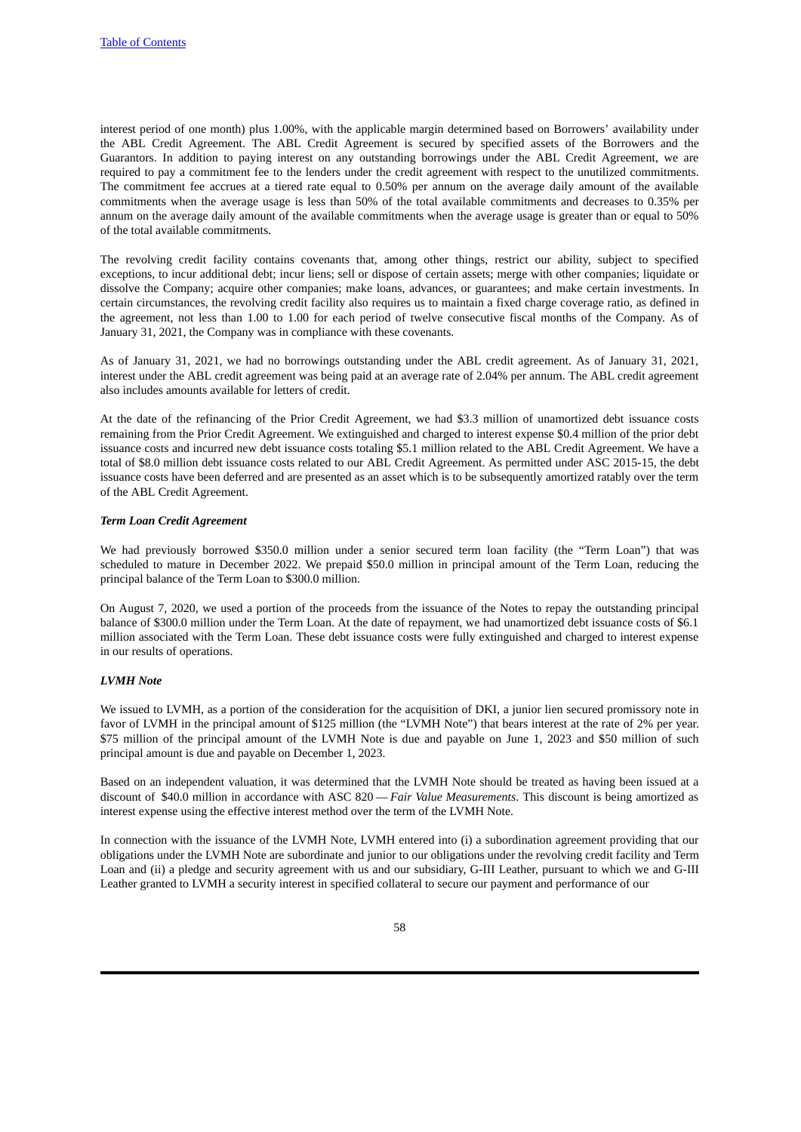interest period of one month) plus 1.00%, with the applicable margin determined based on Borrowers' availability under the ABL Credit Agreement. The ABL Credit Agreement is secured by specified assets of the Borrowers and the Guarantors. In addition to paying interest on any outstanding borrowings under the ABL Credit Agreement, we are required to pay a commitment fee to the lenders under the credit agreement with respect to the unutilized commitments. The commitment fee accrues at a tiered rate equal to 0.50% per annum on the average daily amount of the available commitments when the average usage is less than 50% of the total available commitments and decreases to 0.35% per annum on the average daily amount of the available commitments when the average usage is greater than or equal to 50% of the total available commitments.

The revolving credit facility contains covenants that, among other things, restrict our ability, subject to specified exceptions, to incur additional debt; incur liens; sell or dispose of certain assets; merge with other companies; liquidate or dissolve the Company; acquire other companies; make loans, advances, or guarantees; and make certain investments. In certain circumstances, the revolving credit facility also requires us to maintain a fixed charge coverage ratio, as defined in the agreement, not less than 1.00 to 1.00 for each period of twelve consecutive fiscal months of the Company. As of January 31, 2021, the Company was in compliance with these covenants.

As of January 31, 2021, we had no borrowings outstanding under the ABL credit agreement. As of January 31, 2021, interest under the ABL credit agreement was being paid at an average rate of 2.04% per annum. The ABL credit agreement also includes amounts available for letters of credit.

At the date of the refinancing of the Prior Credit Agreement, we had \$3.3 million of unamortized debt issuance costs remaining from the Prior Credit Agreement. We extinguished and charged to interest expense \$0.4 million of the prior debt issuance costs and incurred new debt issuance costs totaling \$5.1 million related to the ABL Credit Agreement. We have a total of \$8.0 million debt issuance costs related to our ABL Credit Agreement. As permitted under ASC 2015-15, the debt issuance costs have been deferred and are presented as an asset which is to be subsequently amortized ratably over the term of the ABL Credit Agreement.

## *Term Loan Credit Agreement*

We had previously borrowed \$350.0 million under a senior secured term loan facility (the "Term Loan") that was scheduled to mature in December 2022. We prepaid \$50.0 million in principal amount of the Term Loan, reducing the principal balance of the Term Loan to \$300.0 million.

On August 7, 2020, we used a portion of the proceeds from the issuance of the Notes to repay the outstanding principal balance of \$300.0 million under the Term Loan. At the date of repayment, we had unamortized debt issuance costs of \$6.1 million associated with the Term Loan. These debt issuance costs were fully extinguished and charged to interest expense in our results of operations.

#### *LVMH Note*

We issued to LVMH, as a portion of the consideration for the acquisition of DKI, a junior lien secured promissory note in favor of LVMH in the principal amount of \$125 million (the "LVMH Note") that bears interest at the rate of 2% per year. \$75 million of the principal amount of the LVMH Note is due and payable on June 1, 2023 and \$50 million of such principal amount is due and payable on December 1, 2023.

Based on an independent valuation, it was determined that the LVMH Note should be treated as having been issued at a discount of \$40.0 million in accordance with ASC 820 — *Fair Value Measurements*. This discount is being amortized as interest expense using the effective interest method over the term of the LVMH Note.

In connection with the issuance of the LVMH Note, LVMH entered into (i) a subordination agreement providing that our obligations under the LVMH Note are subordinate and junior to our obligations under the revolving credit facility and Term Loan and (ii) a pledge and security agreement with us and our subsidiary, G-III Leather, pursuant to which we and G-III Leather granted to LVMH a security interest in specified collateral to secure our payment and performance of our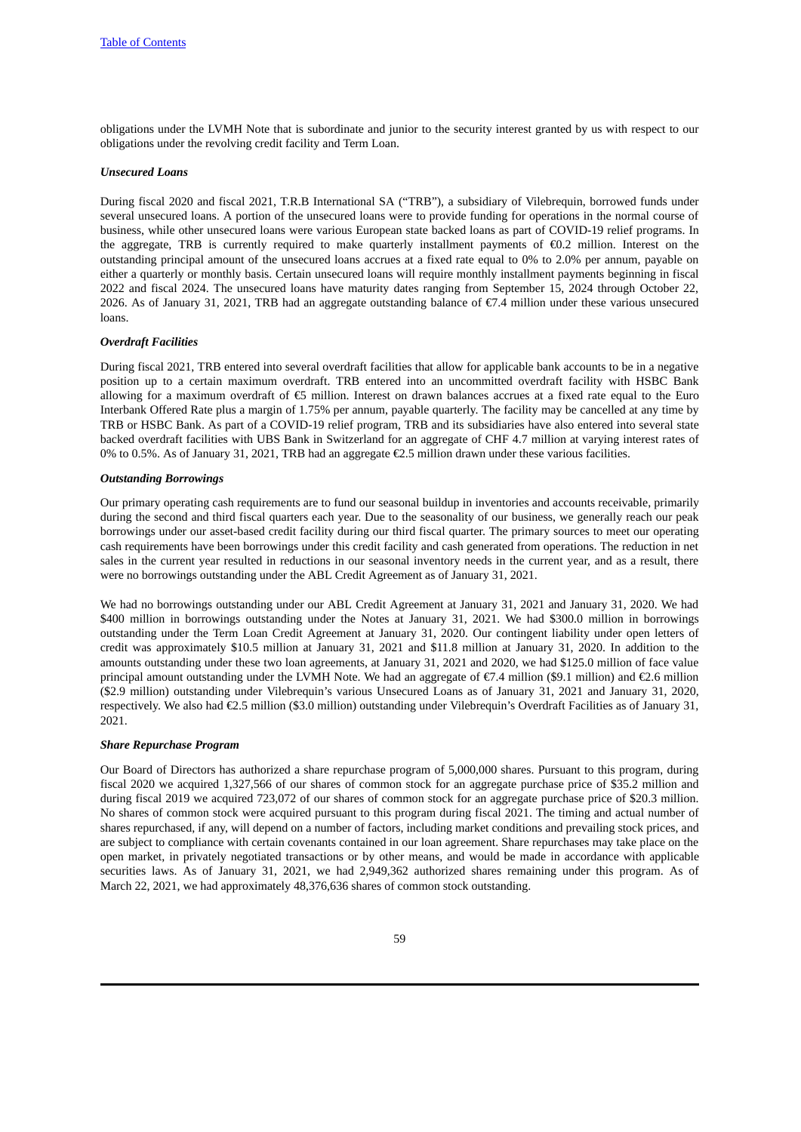obligations under the LVMH Note that is subordinate and junior to the security interest granted by us with respect to our obligations under the revolving credit facility and Term Loan.

#### *Unsecured Loans*

During fiscal 2020 and fiscal 2021, T.R.B International SA ("TRB"), a subsidiary of Vilebrequin, borrowed funds under several unsecured loans. A portion of the unsecured loans were to provide funding for operations in the normal course of business, while other unsecured loans were various European state backed loans as part of COVID-19 relief programs. In the aggregate, TRB is currently required to make quarterly installment payments of €0.2 million. Interest on the outstanding principal amount of the unsecured loans accrues at a fixed rate equal to 0% to 2.0% per annum, payable on either a quarterly or monthly basis. Certain unsecured loans will require monthly installment payments beginning in fiscal 2022 and fiscal 2024. The unsecured loans have maturity dates ranging from September 15, 2024 through October 22, 2026. As of January 31, 2021, TRB had an aggregate outstanding balance of  $\epsilon$ 7.4 million under these various unsecured loans.

#### *Overdraft Facilities*

During fiscal 2021, TRB entered into several overdraft facilities that allow for applicable bank accounts to be in a negative position up to a certain maximum overdraft. TRB entered into an uncommitted overdraft facility with HSBC Bank allowing for a maximum overdraft of €5 million. Interest on drawn balances accrues at a fixed rate equal to the Euro Interbank Offered Rate plus a margin of 1.75% per annum, payable quarterly. The facility may be cancelled at any time by TRB or HSBC Bank. As part of a COVID-19 relief program, TRB and its subsidiaries have also entered into several state backed overdraft facilities with UBS Bank in Switzerland for an aggregate of CHF 4.7 million at varying interest rates of 0% to 0.5%. As of January 31, 2021, TRB had an aggregate €2.5 million drawn under these various facilities.

### *Outstanding Borrowings*

Our primary operating cash requirements are to fund our seasonal buildup in inventories and accounts receivable, primarily during the second and third fiscal quarters each year. Due to the seasonality of our business, we generally reach our peak borrowings under our asset-based credit facility during our third fiscal quarter. The primary sources to meet our operating cash requirements have been borrowings under this credit facility and cash generated from operations. The reduction in net sales in the current year resulted in reductions in our seasonal inventory needs in the current year, and as a result, there were no borrowings outstanding under the ABL Credit Agreement as of January 31, 2021.

We had no borrowings outstanding under our ABL Credit Agreement at January 31, 2021 and January 31, 2020. We had \$400 million in borrowings outstanding under the Notes at January 31, 2021. We had \$300.0 million in borrowings outstanding under the Term Loan Credit Agreement at January 31, 2020. Our contingent liability under open letters of credit was approximately \$10.5 million at January 31, 2021 and \$11.8 million at January 31, 2020. In addition to the amounts outstanding under these two loan agreements, at January 31, 2021 and 2020, we had \$125.0 million of face value principal amount outstanding under the LVMH Note. We had an aggregate of  $\epsilon$ 7.4 million (\$9.1 million) and  $\epsilon$ 2.6 million (\$2.9 million) outstanding under Vilebrequin's various Unsecured Loans as of January 31, 2021 and January 31, 2020, respectively. We also had €2.5 million (\$3.0 million) outstanding under Vilebrequin's Overdraft Facilities as of January 31, 2021.

#### *Share Repurchase Program*

Our Board of Directors has authorized a share repurchase program of 5,000,000 shares. Pursuant to this program, during fiscal 2020 we acquired 1,327,566 of our shares of common stock for an aggregate purchase price of \$35.2 million and during fiscal 2019 we acquired 723,072 of our shares of common stock for an aggregate purchase price of \$20.3 million. No shares of common stock were acquired pursuant to this program during fiscal 2021. The timing and actual number of shares repurchased, if any, will depend on a number of factors, including market conditions and prevailing stock prices, and are subject to compliance with certain covenants contained in our loan agreement. Share repurchases may take place on the open market, in privately negotiated transactions or by other means, and would be made in accordance with applicable securities laws. As of January 31, 2021, we had 2,949,362 authorized shares remaining under this program. As of March 22, 2021, we had approximately 48,376,636 shares of common stock outstanding.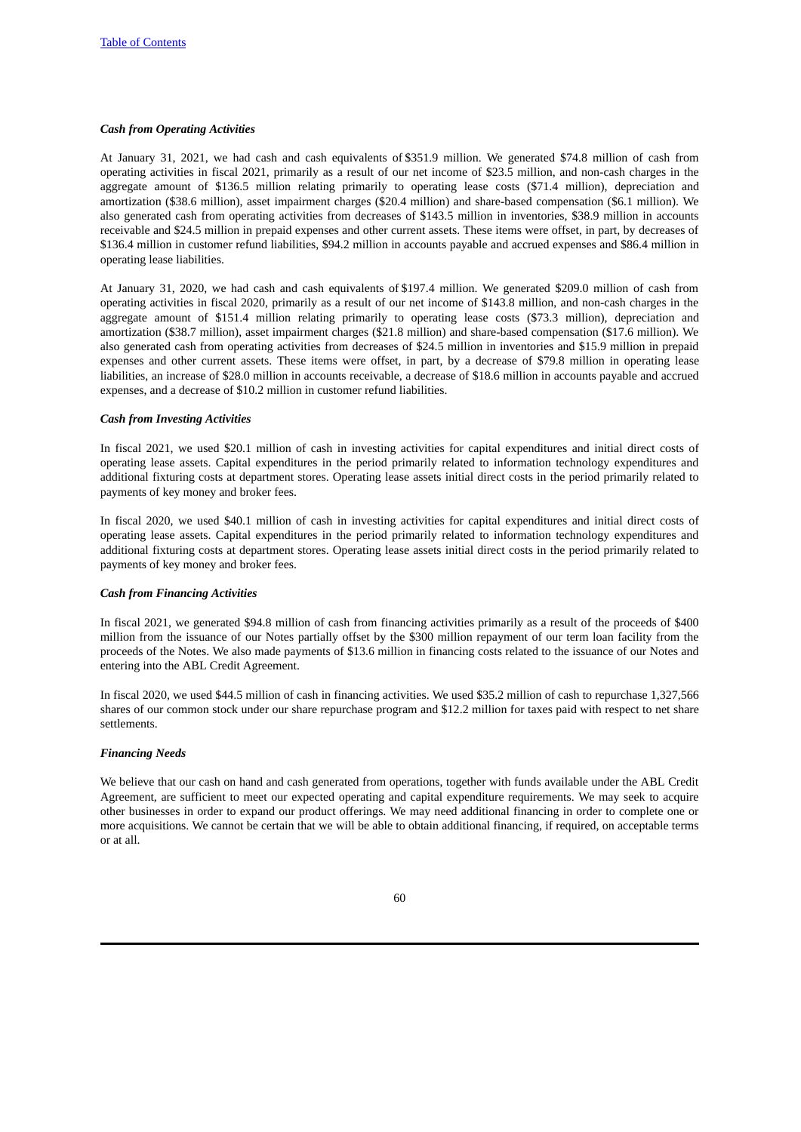# *Cash from Operating Activities*

At January 31, 2021, we had cash and cash equivalents of \$351.9 million. We generated \$74.8 million of cash from operating activities in fiscal 2021, primarily as a result of our net income of \$23.5 million, and non-cash charges in the aggregate amount of \$136.5 million relating primarily to operating lease costs (\$71.4 million), depreciation and amortization (\$38.6 million), asset impairment charges (\$20.4 million) and share-based compensation (\$6.1 million). We also generated cash from operating activities from decreases of \$143.5 million in inventories, \$38.9 million in accounts receivable and \$24.5 million in prepaid expenses and other current assets. These items were offset, in part, by decreases of \$136.4 million in customer refund liabilities, \$94.2 million in accounts payable and accrued expenses and \$86.4 million in operating lease liabilities.

At January 31, 2020, we had cash and cash equivalents of \$197.4 million. We generated \$209.0 million of cash from operating activities in fiscal 2020, primarily as a result of our net income of \$143.8 million, and non-cash charges in the aggregate amount of \$151.4 million relating primarily to operating lease costs (\$73.3 million), depreciation and amortization (\$38.7 million), asset impairment charges (\$21.8 million) and share-based compensation (\$17.6 million). We also generated cash from operating activities from decreases of \$24.5 million in inventories and \$15.9 million in prepaid expenses and other current assets. These items were offset, in part, by a decrease of \$79.8 million in operating lease liabilities, an increase of \$28.0 million in accounts receivable, a decrease of \$18.6 million in accounts payable and accrued expenses, and a decrease of \$10.2 million in customer refund liabilities.

## *Cash from Investing Activities*

In fiscal 2021, we used \$20.1 million of cash in investing activities for capital expenditures and initial direct costs of operating lease assets. Capital expenditures in the period primarily related to information technology expenditures and additional fixturing costs at department stores. Operating lease assets initial direct costs in the period primarily related to payments of key money and broker fees.

In fiscal 2020, we used \$40.1 million of cash in investing activities for capital expenditures and initial direct costs of operating lease assets. Capital expenditures in the period primarily related to information technology expenditures and additional fixturing costs at department stores. Operating lease assets initial direct costs in the period primarily related to payments of key money and broker fees.

## *Cash from Financing Activities*

In fiscal 2021, we generated \$94.8 million of cash from financing activities primarily as a result of the proceeds of \$400 million from the issuance of our Notes partially offset by the \$300 million repayment of our term loan facility from the proceeds of the Notes. We also made payments of \$13.6 million in financing costs related to the issuance of our Notes and entering into the ABL Credit Agreement.

In fiscal 2020, we used \$44.5 million of cash in financing activities. We used \$35.2 million of cash to repurchase 1,327,566 shares of our common stock under our share repurchase program and \$12.2 million for taxes paid with respect to net share settlements.

### *Financing Needs*

We believe that our cash on hand and cash generated from operations, together with funds available under the ABL Credit Agreement, are sufficient to meet our expected operating and capital expenditure requirements. We may seek to acquire other businesses in order to expand our product offerings. We may need additional financing in order to complete one or more acquisitions. We cannot be certain that we will be able to obtain additional financing, if required, on acceptable terms or at all.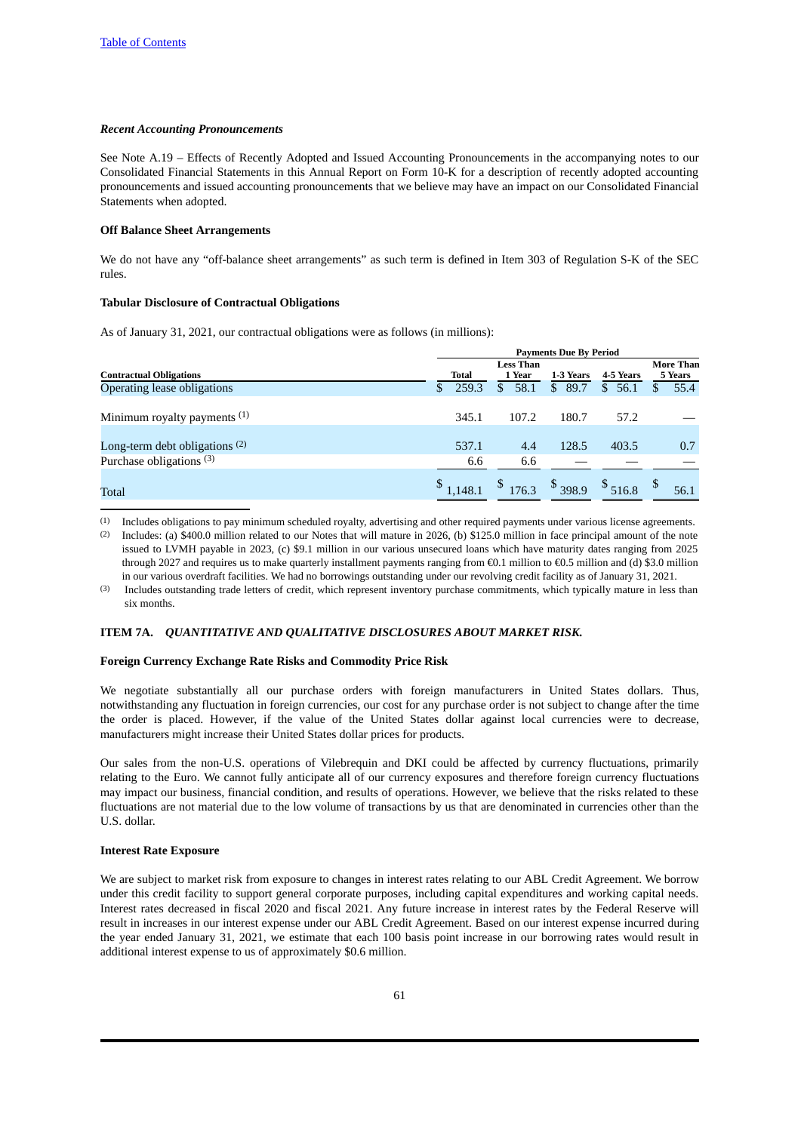## *Recent Accounting Pronouncements*

See Note A.19 – Effects of Recently Adopted and Issued Accounting Pronouncements in the accompanying notes to our Consolidated Financial Statements in this Annual Report on Form 10-K for a description of recently adopted accounting pronouncements and issued accounting pronouncements that we believe may have an impact on our Consolidated Financial Statements when adopted.

## **Off Balance Sheet Arrangements**

We do not have any "off-balance sheet arrangements" as such term is defined in Item 303 of Regulation S-K of the SEC rules.

## **Tabular Disclosure of Contractual Obligations**

As of January 31, 2021, our contractual obligations were as follows (in millions):

|                                     | <b>Payments Due By Period</b> |                                           |             |                                 |                  |
|-------------------------------------|-------------------------------|-------------------------------------------|-------------|---------------------------------|------------------|
|                                     |                               | <b>Less Than</b>                          |             |                                 | <b>More Than</b> |
| <b>Contractual Obligations</b>      | Total                         | 1 Year                                    | 1-3 Years   | 4-5 Years                       | 5 Years          |
| Operating lease obligations         | 259.3                         | 58.1<br>\$.                               | 89.7<br>\$. | \$<br>56.1                      | 55.4<br>S.       |
| Minimum royalty payments (1)        | 345.1                         | 107.2                                     | 180.7       | 57.2                            |                  |
| Long-term debt obligations $(2)$    | 537.1                         | 4.4                                       | 128.5       | 403.5                           | 0.7              |
| Purchase obligations <sup>(3)</sup> | 6.6                           | 6.6                                       |             |                                 |                  |
| Total                               | $\frac{1,148.1}{}$            | $\frac{176.3}{9}$ $\frac{176.3}{9}$ 398.9 |             | $\frac{1}{4}$ $\frac{5}{516.8}$ | 56.1             |

(1) Includes obligations to pay minimum scheduled royalty, advertising and other required payments under various license agreements.

(2) Includes: (a) \$400.0 million related to our Notes that will mature in 2026, (b) \$125.0 million in face principal amount of the note issued to LVMH payable in 2023, (c) \$9.1 million in our various unsecured loans which have maturity dates ranging from 2025 through 2027 and requires us to make quarterly installment payments ranging from  $\epsilon$ 0.1 million to  $\epsilon$ 0.5 million and (d) \$3.0 million in our various overdraft facilities. We had no borrowings outstanding under our revolving credit facility as of January 31, 2021.

(3) Includes outstanding trade letters of credit, which represent inventory purchase commitments, which typically mature in less than six months.

# **ITEM 7A.** *QUANTITATIVE AND QUALITATIVE DISCLOSURES ABOUT MARKET RISK.*

#### **Foreign Currency Exchange Rate Risks and Commodity Price Risk**

We negotiate substantially all our purchase orders with foreign manufacturers in United States dollars. Thus, notwithstanding any fluctuation in foreign currencies, our cost for any purchase order is not subject to change after the time the order is placed. However, if the value of the United States dollar against local currencies were to decrease, manufacturers might increase their United States dollar prices for products.

Our sales from the non-U.S. operations of Vilebrequin and DKI could be affected by currency fluctuations, primarily relating to the Euro. We cannot fully anticipate all of our currency exposures and therefore foreign currency fluctuations may impact our business, financial condition, and results of operations. However, we believe that the risks related to these fluctuations are not material due to the low volume of transactions by us that are denominated in currencies other than the U.S. dollar.

#### **Interest Rate Exposure**

We are subject to market risk from exposure to changes in interest rates relating to our ABL Credit Agreement. We borrow under this credit facility to support general corporate purposes, including capital expenditures and working capital needs. Interest rates decreased in fiscal 2020 and fiscal 2021. Any future increase in interest rates by the Federal Reserve will result in increases in our interest expense under our ABL Credit Agreement. Based on our interest expense incurred during the year ended January 31, 2021, we estimate that each 100 basis point increase in our borrowing rates would result in additional interest expense to us of approximately \$0.6 million.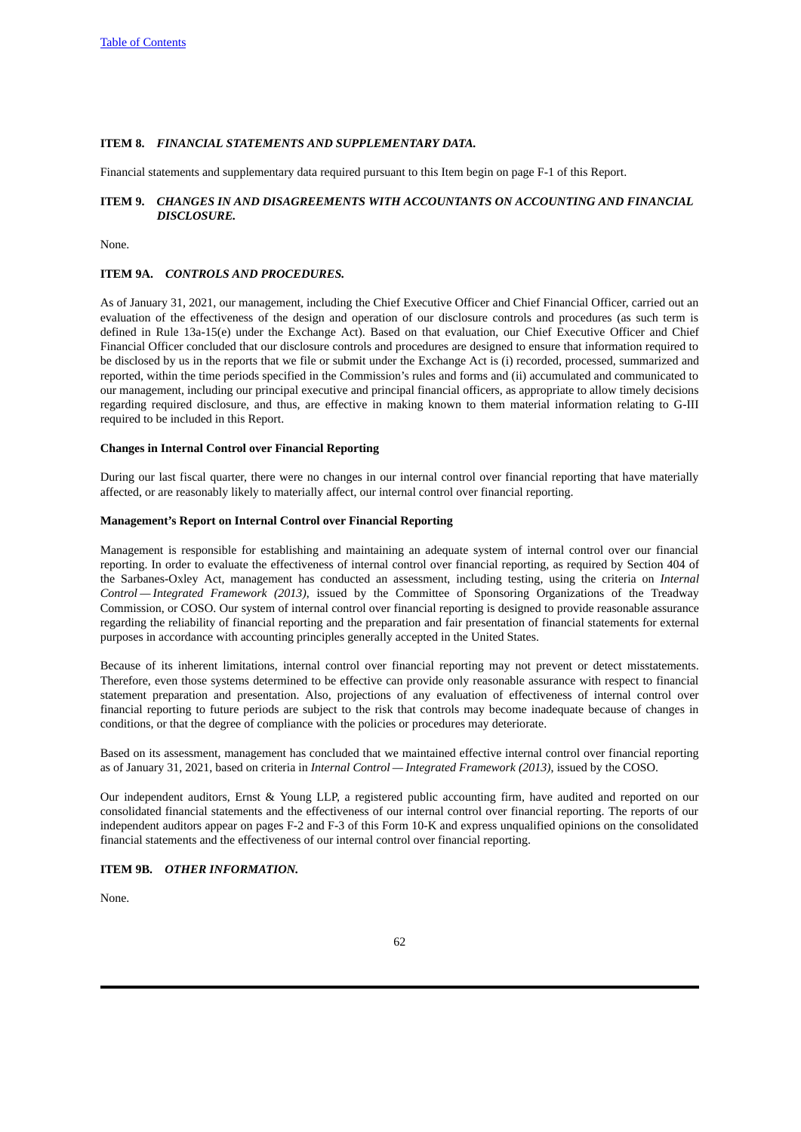## **ITEM 8.** *FINANCIAL STATEMENTS AND SUPPLEMENTARY DATA.*

Financial statements and supplementary data required pursuant to this Item begin on page F-1 of this Report.

# **ITEM 9.** *CHANGES IN AND DISAGREEMENTS WITH ACCOUNTANTS ON ACCOUNTING AND FINANCIAL DISCLOSURE.*

None.

## **ITEM 9A.** *CONTROLS AND PROCEDURES.*

As of January 31, 2021, our management, including the Chief Executive Officer and Chief Financial Officer, carried out an evaluation of the effectiveness of the design and operation of our disclosure controls and procedures (as such term is defined in Rule 13a-15(e) under the Exchange Act). Based on that evaluation, our Chief Executive Officer and Chief Financial Officer concluded that our disclosure controls and procedures are designed to ensure that information required to be disclosed by us in the reports that we file or submit under the Exchange Act is (i) recorded, processed, summarized and reported, within the time periods specified in the Commission's rules and forms and (ii) accumulated and communicated to our management, including our principal executive and principal financial officers, as appropriate to allow timely decisions regarding required disclosure, and thus, are effective in making known to them material information relating to G-III required to be included in this Report.

# **Changes in Internal Control over Financial Reporting**

During our last fiscal quarter, there were no changes in our internal control over financial reporting that have materially affected, or are reasonably likely to materially affect, our internal control over financial reporting.

## **Management's Report on Internal Control over Financial Reporting**

Management is responsible for establishing and maintaining an adequate system of internal control over our financial reporting. In order to evaluate the effectiveness of internal control over financial reporting, as required by Section 404 of the Sarbanes-Oxley Act, management has conducted an assessment, including testing, using the criteria on *Internal Control — Integrated Framework (2013)*, issued by the Committee of Sponsoring Organizations of the Treadway Commission, or COSO. Our system of internal control over financial reporting is designed to provide reasonable assurance regarding the reliability of financial reporting and the preparation and fair presentation of financial statements for external purposes in accordance with accounting principles generally accepted in the United States.

Because of its inherent limitations, internal control over financial reporting may not prevent or detect misstatements. Therefore, even those systems determined to be effective can provide only reasonable assurance with respect to financial statement preparation and presentation. Also, projections of any evaluation of effectiveness of internal control over financial reporting to future periods are subject to the risk that controls may become inadequate because of changes in conditions, or that the degree of compliance with the policies or procedures may deteriorate.

Based on its assessment, management has concluded that we maintained effective internal control over financial reporting as of January 31, 2021, based on criteria in *Internal Control — Integrated Framework (2013)*, issued by the COSO.

Our independent auditors, Ernst & Young LLP, a registered public accounting firm, have audited and reported on our consolidated financial statements and the effectiveness of our internal control over financial reporting. The reports of our independent auditors appear on pages F-2 and F-3 of this Form 10-K and express unqualified opinions on the consolidated financial statements and the effectiveness of our internal control over financial reporting.

## **ITEM 9B.** *OTHER INFORMATION.*

None.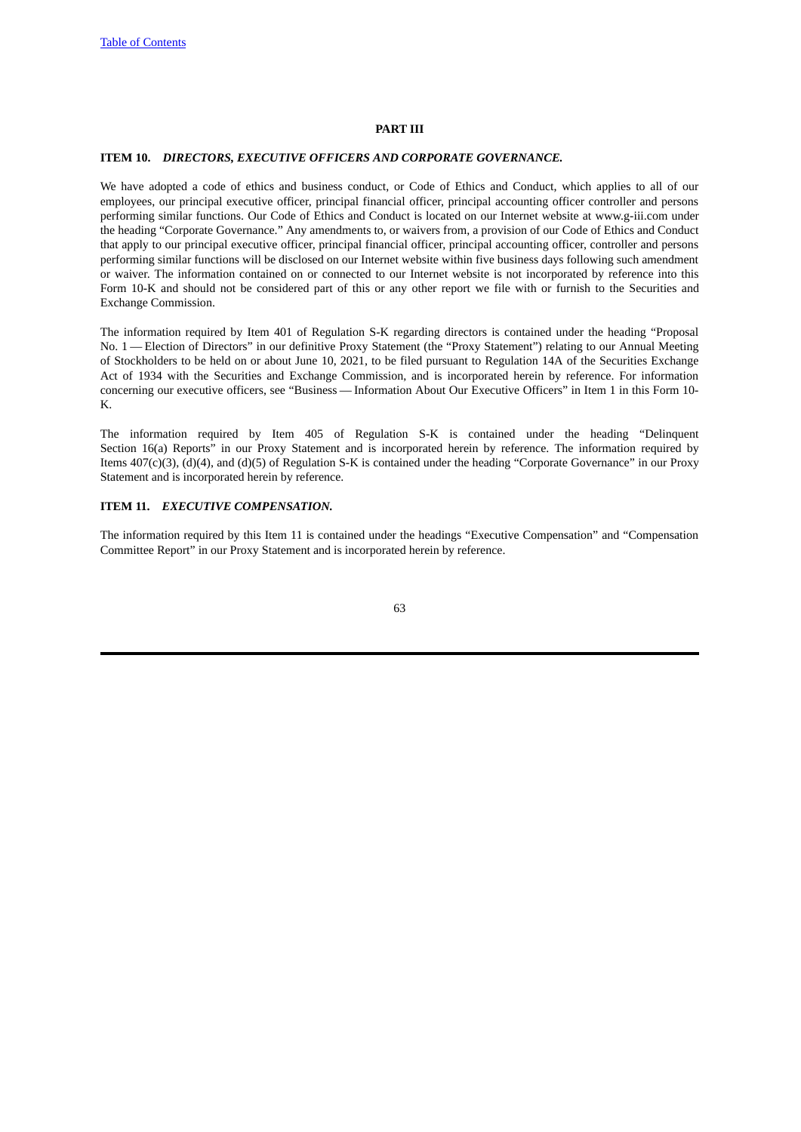# **PART III**

## **ITEM 10.** *DIRECTORS, EXECUTIVE OFFICERS AND CORPORATE GOVERNANCE.*

We have adopted a code of ethics and business conduct, or Code of Ethics and Conduct, which applies to all of our employees, our principal executive officer, principal financial officer, principal accounting officer controller and persons performing similar functions. Our Code of Ethics and Conduct is located on our Internet website at www.g-iii.com under the heading "Corporate Governance." Any amendments to, or waivers from, a provision of our Code of Ethics and Conduct that apply to our principal executive officer, principal financial officer, principal accounting officer, controller and persons performing similar functions will be disclosed on our Internet website within five business days following such amendment or waiver. The information contained on or connected to our Internet website is not incorporated by reference into this Form 10-K and should not be considered part of this or any other report we file with or furnish to the Securities and Exchange Commission.

The information required by Item 401 of Regulation S-K regarding directors is contained under the heading "Proposal No. 1 — Election of Directors" in our definitive Proxy Statement (the "Proxy Statement") relating to our Annual Meeting of Stockholders to be held on or about June 10, 2021, to be filed pursuant to Regulation 14A of the Securities Exchange Act of 1934 with the Securities and Exchange Commission, and is incorporated herein by reference. For information concerning our executive officers, see "Business — Information About Our Executive Officers" in Item 1 in this Form 10- K.

The information required by Item 405 of Regulation S-K is contained under the heading "Delinquent Section 16(a) Reports" in our Proxy Statement and is incorporated herein by reference. The information required by Items 407(c)(3), (d)(4), and (d)(5) of Regulation S-K is contained under the heading "Corporate Governance" in our Proxy Statement and is incorporated herein by reference.

# **ITEM 11.** *EXECUTIVE COMPENSATION.*

The information required by this Item 11 is contained under the headings "Executive Compensation" and "Compensation Committee Report" in our Proxy Statement and is incorporated herein by reference.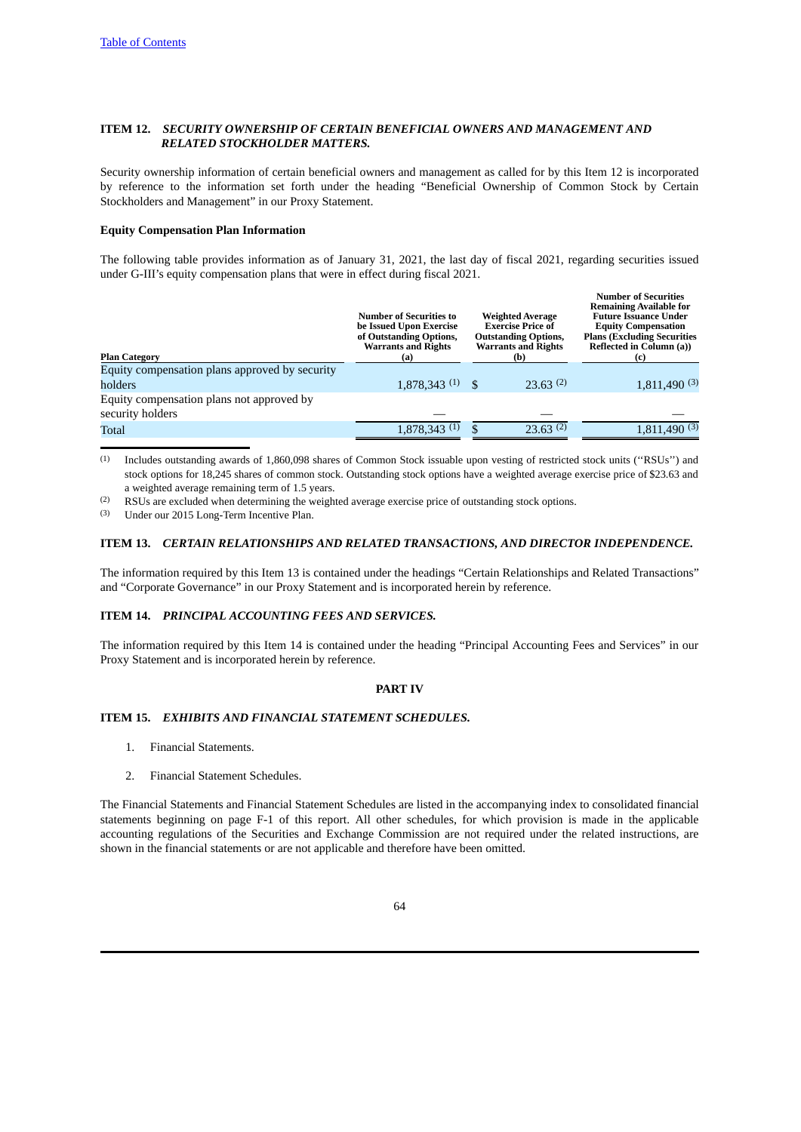# **ITEM 12.** *SECURITY OWNERSHIP OF CERTAIN BENEFICIAL OWNERS AND MANAGEMENT AND RELATED STOCKHOLDER MATTERS.*

Security ownership information of certain beneficial owners and management as called for by this Item 12 is incorporated by reference to the information set forth under the heading "Beneficial Ownership of Common Stock by Certain Stockholders and Management" in our Proxy Statement.

## **Equity Compensation Plan Information**

The following table provides information as of January 31, 2021, the last day of fiscal 2021, regarding securities issued under G-III's equity compensation plans that were in effect during fiscal 2021.

| <b>Plan Category</b>                                          | <b>Number of Securities to</b><br>be Issued Upon Exercise<br>of Outstanding Options,<br><b>Warrants and Rights</b><br>(a) | <b>Weighted Average</b><br><b>Exercise Price of</b><br><b>Outstanding Options,</b><br><b>Warrants and Rights</b><br>(b) |               | <b>Number of Securities</b><br><b>Remaining Available for</b><br><b>Future Issuance Under</b><br><b>Equity Compensation</b><br><b>Plans (Excluding Securities)</b><br><b>Reflected in Column (a))</b> |
|---------------------------------------------------------------|---------------------------------------------------------------------------------------------------------------------------|-------------------------------------------------------------------------------------------------------------------------|---------------|-------------------------------------------------------------------------------------------------------------------------------------------------------------------------------------------------------|
| Equity compensation plans approved by security<br>holders     | 1.878,343(1)                                                                                                              | - \$                                                                                                                    | $23.63^{(2)}$ | $1,811,490$ <sup>(3)</sup>                                                                                                                                                                            |
| Equity compensation plans not approved by<br>security holders |                                                                                                                           |                                                                                                                         |               |                                                                                                                                                                                                       |
| Total                                                         | $1,878,343$ <sup>(1)</sup>                                                                                                |                                                                                                                         | $23.63^{(2)}$ | $1,811,490$ <sup>(3)</sup>                                                                                                                                                                            |

(1) Includes outstanding awards of 1,860,098 shares of Common Stock issuable upon vesting of restricted stock units (''RSUs'') and stock options for 18,245 shares of common stock. Outstanding stock options have a weighted average exercise price of \$23.63 and a weighted average remaining term of 1.5 years.

(2) RSUs are excluded when determining the weighted average exercise price of outstanding stock options.

(3) Under our 2015 Long-Term Incentive Plan.

## **ITEM 13.** *CERTAIN RELATIONSHIPS AND RELATED TRANSACTIONS, AND DIRECTOR INDEPENDENCE.*

The information required by this Item 13 is contained under the headings "Certain Relationships and Related Transactions" and "Corporate Governance" in our Proxy Statement and is incorporated herein by reference.

## **ITEM 14.** *PRINCIPAL ACCOUNTING FEES AND SERVICES.*

The information required by this Item 14 is contained under the heading "Principal Accounting Fees and Services" in our Proxy Statement and is incorporated herein by reference.

## **PART IV**

# **ITEM 15.** *EXHIBITS AND FINANCIAL STATEMENT SCHEDULES.*

- 1. Financial Statements.
- 2. Financial Statement Schedules.

The Financial Statements and Financial Statement Schedules are listed in the accompanying index to consolidated financial statements beginning on page F-1 of this report. All other schedules, for which provision is made in the applicable accounting regulations of the Securities and Exchange Commission are not required under the related instructions, are shown in the financial statements or are not applicable and therefore have been omitted.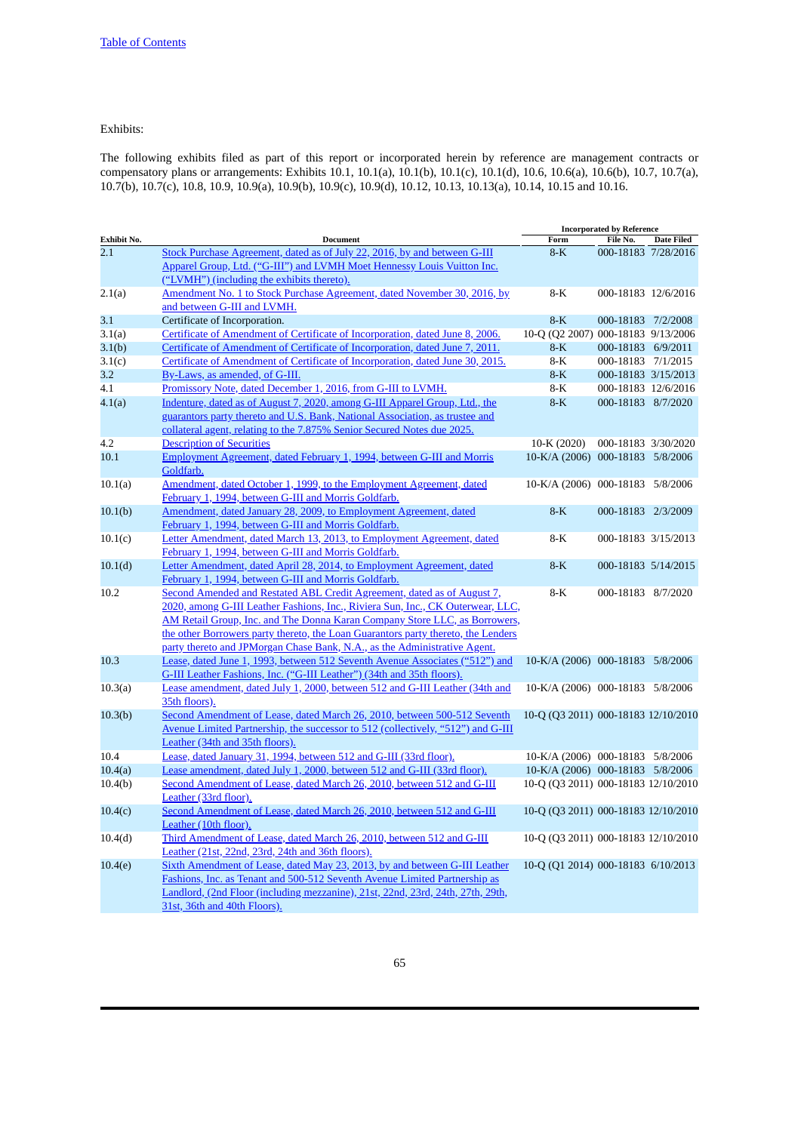# Exhibits:

The following exhibits filed as part of this report or incorporated herein by reference are management contracts or compensatory plans or arrangements: Exhibits 10.1, 10.1(a), 10.1(b), 10.1(c), 10.1(d), 10.6, 10.6(a), 10.6(b), 10.7, 10.7(a), 10.7(b), 10.7(c), 10.8, 10.9, 10.9(a), 10.9(b), 10.9(c), 10.9(d), 10.12, 10.13, 10.13(a), 10.14, 10.15 and 10.16.

|             |                                                                                   |                                     | <b>Incorporated by Reference</b> |                   |
|-------------|-----------------------------------------------------------------------------------|-------------------------------------|----------------------------------|-------------------|
| Exhibit No. | <b>Document</b>                                                                   | Form                                | File No.                         | <b>Date Filed</b> |
| 2.1         | Stock Purchase Agreement, dated as of July 22, 2016, by and between G-III         | $8-K$                               | 000-18183 7/28/2016              |                   |
|             | Apparel Group, Ltd. ("G-III") and LVMH Moet Hennessy Louis Vuitton Inc.           |                                     |                                  |                   |
|             | ("LVMH") (including the exhibits thereto).                                        |                                     |                                  |                   |
| 2.1(a)      | Amendment No. 1 to Stock Purchase Agreement, dated November 30, 2016, by          | 8-K                                 | 000-18183 12/6/2016              |                   |
|             | and between G-III and LVMH.                                                       |                                     |                                  |                   |
| 3.1         | Certificate of Incorporation.                                                     | $8-K$                               | 000-18183 7/2/2008               |                   |
| 3.1(a)      | Certificate of Amendment of Certificate of Incorporation, dated June 8, 2006.     | 10-Q (Q2 2007) 000-18183 9/13/2006  |                                  |                   |
| 3.1(b)      | Certificate of Amendment of Certificate of Incorporation, dated June 7, 2011.     | $8-K$                               | 000-18183 6/9/2011               |                   |
| 3.1(c)      | Certificate of Amendment of Certificate of Incorporation, dated June 30, 2015.    | $8-K$                               | 000-18183 7/1/2015               |                   |
| 3.2         | By-Laws, as amended, of G-III.                                                    | $8-K$                               | 000-18183 3/15/2013              |                   |
| 4.1         | Promissory Note, dated December 1, 2016, from G-III to LVMH.                      | $8-K$                               | 000-18183 12/6/2016              |                   |
| 4.1(a)      | Indenture, dated as of August 7, 2020, among G-III Apparel Group, Ltd., the       | $8-K$                               | 000-18183 8/7/2020               |                   |
|             | guarantors party thereto and U.S. Bank, National Association, as trustee and      |                                     |                                  |                   |
|             | collateral agent, relating to the 7.875% Senior Secured Notes due 2025.           |                                     |                                  |                   |
| 4.2         | <b>Description of Securities</b>                                                  | 10-K (2020)                         | 000-18183 3/30/2020              |                   |
| 10.1        | <b>Employment Agreement, dated February 1, 1994, between G-III and Morris</b>     | 10-K/A (2006) 000-18183 5/8/2006    |                                  |                   |
|             | Goldfarb.                                                                         |                                     |                                  |                   |
| 10.1(a)     | Amendment, dated October 1, 1999, to the Employment Agreement, dated              | 10-K/A (2006) 000-18183 5/8/2006    |                                  |                   |
|             | February 1, 1994, between G-III and Morris Goldfarb.                              |                                     |                                  |                   |
| 10.1(b)     | Amendment, dated January 28, 2009, to Employment Agreement, dated                 | $8-K$                               | 000-18183 2/3/2009               |                   |
|             | February 1, 1994, between G-III and Morris Goldfarb.                              |                                     |                                  |                   |
| 10.1(c)     | Letter Amendment, dated March 13, 2013, to Employment Agreement, dated            | $8-K$                               | 000-18183 3/15/2013              |                   |
|             | February 1, 1994, between G-III and Morris Goldfarb.                              |                                     |                                  |                   |
| 10.1(d)     | Letter Amendment, dated April 28, 2014, to Employment Agreement, dated            | $8-K$                               | 000-18183 5/14/2015              |                   |
|             | February 1, 1994, between G-III and Morris Goldfarb.                              |                                     |                                  |                   |
| 10.2        | Second Amended and Restated ABL Credit Agreement, dated as of August 7,           | $8-K$                               | 000-18183 8/7/2020               |                   |
|             | 2020, among G-III Leather Fashions, Inc., Riviera Sun, Inc., CK Outerwear, LLC,   |                                     |                                  |                   |
|             | AM Retail Group, Inc. and The Donna Karan Company Store LLC, as Borrowers,        |                                     |                                  |                   |
|             | the other Borrowers party thereto, the Loan Guarantors party thereto, the Lenders |                                     |                                  |                   |
|             | party thereto and JPMorgan Chase Bank, N.A., as the Administrative Agent.         |                                     |                                  |                   |
| 10.3        | Lease, dated June 1, 1993, between 512 Seventh Avenue Associates ("512") and      | 10-K/A (2006) 000-18183 5/8/2006    |                                  |                   |
|             | G-III Leather Fashions, Inc. ("G-III Leather") (34th and 35th floors).            |                                     |                                  |                   |
| 10.3(a)     | Lease amendment, dated July 1, 2000, between 512 and G-III Leather (34th and      | 10-K/A (2006) 000-18183 5/8/2006    |                                  |                   |
|             | 35th floors).                                                                     |                                     |                                  |                   |
| 10.3(b)     | Second Amendment of Lease, dated March 26, 2010, between 500-512 Seventh          | 10-Q (Q3 2011) 000-18183 12/10/2010 |                                  |                   |
|             | Avenue Limited Partnership, the successor to 512 (collectively, "512") and G-III  |                                     |                                  |                   |
|             | Leather (34th and 35th floors).                                                   |                                     |                                  |                   |
| 10.4        | Lease, dated January 31, 1994, between 512 and G-III (33rd floor).                | 10-K/A (2006) 000-18183 5/8/2006    |                                  |                   |
| 10.4(a)     | Lease amendment, dated July 1, 2000, between 512 and G-III (33rd floor).          | 10-K/A (2006) 000-18183 5/8/2006    |                                  |                   |
| 10.4(b)     | Second Amendment of Lease, dated March 26, 2010, between 512 and G-III            | 10-Q (Q3 2011) 000-18183 12/10/2010 |                                  |                   |
|             | Leather (33rd floor).                                                             |                                     |                                  |                   |
| 10.4(c)     | Second Amendment of Lease, dated March 26, 2010, between 512 and G-III            | 10-Q (Q3 2011) 000-18183 12/10/2010 |                                  |                   |
|             | Leather (10th floor).                                                             |                                     |                                  |                   |
| 10.4(d)     | Third Amendment of Lease, dated March 26, 2010, between 512 and G-III             | 10-Q (Q3 2011) 000-18183 12/10/2010 |                                  |                   |
|             | Leather (21st, 22nd, 23rd, 24th and 36th floors).                                 |                                     |                                  |                   |
| 10.4(e)     | Sixth Amendment of Lease, dated May 23, 2013, by and between G-III Leather        | 10-Q (Q1 2014) 000-18183 6/10/2013  |                                  |                   |
|             | Fashions, Inc. as Tenant and 500-512 Seventh Avenue Limited Partnership as        |                                     |                                  |                   |
|             | Landlord, (2nd Floor (including mezzanine), 21st, 22nd, 23rd, 24th, 27th, 29th,   |                                     |                                  |                   |
|             |                                                                                   |                                     |                                  |                   |
|             | 31st, 36th and 40th Floors).                                                      |                                     |                                  |                   |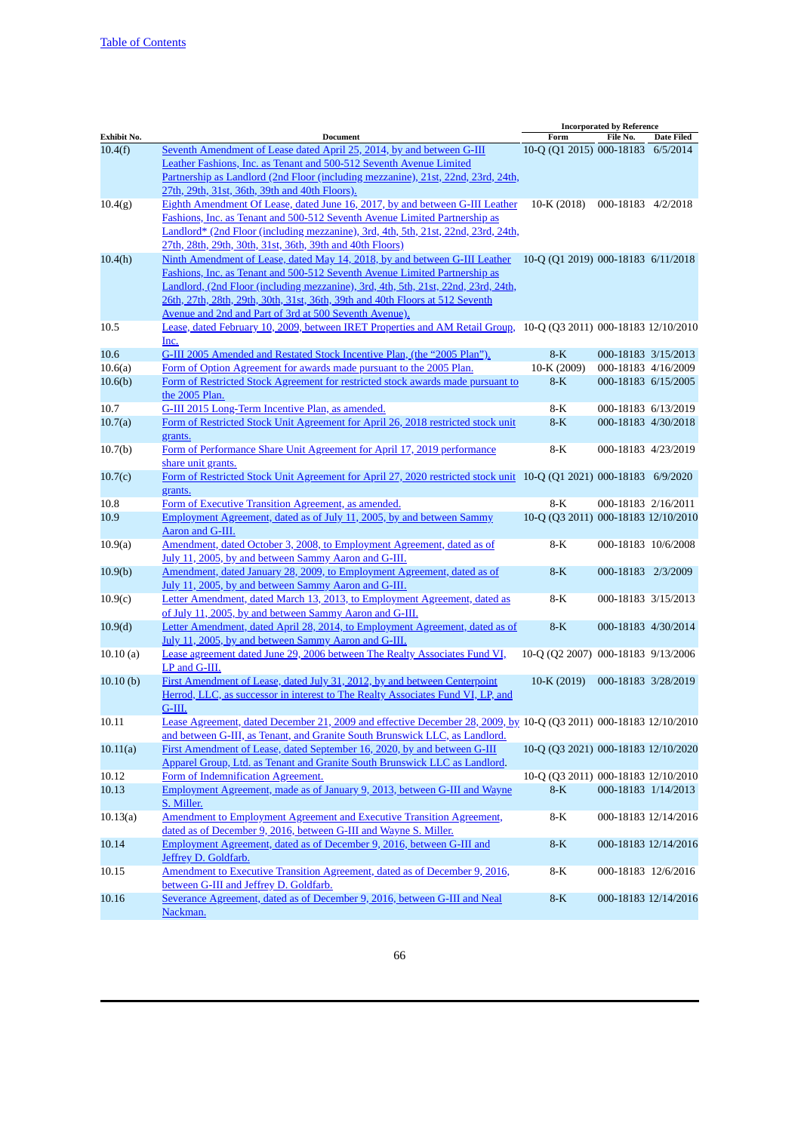| Exhibit No. | <b>Document</b>                                                                                                                      | Form                                | <b>Incorporated by Reference</b><br>File No. | <b>Date Filed</b>    |
|-------------|--------------------------------------------------------------------------------------------------------------------------------------|-------------------------------------|----------------------------------------------|----------------------|
| 10.4(f)     | Seventh Amendment of Lease dated April 25, 2014, by and between G-III                                                                | 10-Q (Q1 2015) 000-18183 6/5/2014   |                                              |                      |
|             | Leather Fashions, Inc. as Tenant and 500-512 Seventh Avenue Limited                                                                  |                                     |                                              |                      |
|             | Partnership as Landlord (2nd Floor (including mezzanine), 21st, 22nd, 23rd, 24th,                                                    |                                     |                                              |                      |
|             | 27th, 29th, 31st, 36th, 39th and 40th Floors).                                                                                       |                                     |                                              |                      |
| 10.4(g)     | Eighth Amendment Of Lease, dated June 16, 2017, by and between G-III Leather                                                         | 10-K (2018)                         | 000-18183 4/2/2018                           |                      |
|             | Fashions, Inc. as Tenant and 500-512 Seventh Avenue Limited Partnership as                                                           |                                     |                                              |                      |
|             | Landlord* (2nd Floor (including mezzanine), 3rd, 4th, 5th, 21st, 22nd, 23rd, 24th,                                                   |                                     |                                              |                      |
|             | 27th, 28th, 29th, 30th, 31st, 36th, 39th and 40th Floors)                                                                            |                                     |                                              |                      |
| 10.4(h)     | Ninth Amendment of Lease, dated May 14, 2018, by and between G-III Leather                                                           | 10-Q (Q1 2019) 000-18183 6/11/2018  |                                              |                      |
|             | Fashions, Inc. as Tenant and 500-512 Seventh Avenue Limited Partnership as                                                           |                                     |                                              |                      |
|             | Landlord, (2nd Floor (including mezzanine), 3rd, 4th, 5th, 21st, 22nd, 23rd, 24th,                                                   |                                     |                                              |                      |
|             | 26th, 27th, 28th, 29th, 30th, 31st, 36th, 39th and 40th Floors at 512 Seventh                                                        |                                     |                                              |                      |
|             | Avenue and 2nd and Part of 3rd at 500 Seventh Avenue).                                                                               |                                     |                                              |                      |
| 10.5        | Lease, dated February 10, 2009, between IRET Properties and AM Retail Group, 10-Q (Q3 2011) 000-18183 12/10/2010                     |                                     |                                              |                      |
|             | Inc.                                                                                                                                 |                                     |                                              |                      |
| 10.6        | G-III 2005 Amended and Restated Stock Incentive Plan, (the "2005 Plan").                                                             | $8-K$                               | 000-18183 3/15/2013                          |                      |
| 10.6(a)     | Form of Option Agreement for awards made pursuant to the 2005 Plan.                                                                  | 10-K (2009)                         | 000-18183 4/16/2009                          |                      |
| 10.6(b)     | Form of Restricted Stock Agreement for restricted stock awards made pursuant to                                                      | $8-K$                               | 000-18183 6/15/2005                          |                      |
|             | the 2005 Plan.                                                                                                                       |                                     |                                              |                      |
| 10.7        | G-III 2015 Long-Term Incentive Plan, as amended.                                                                                     | 8-K                                 | 000-18183 6/13/2019                          |                      |
| 10.7(a)     | Form of Restricted Stock Unit Agreement for April 26, 2018 restricted stock unit                                                     | $8-K$                               | 000-18183 4/30/2018                          |                      |
|             | grants.                                                                                                                              |                                     |                                              |                      |
| 10.7(b)     | Form of Performance Share Unit Agreement for April 17, 2019 performance                                                              | 8-K                                 | 000-18183 4/23/2019                          |                      |
|             | share unit grants.                                                                                                                   |                                     |                                              |                      |
| 10.7(c)     | Form of Restricted Stock Unit Agreement for April 27, 2020 restricted stock unit 10-Q (Q1 2021) 000-18183 6/9/2020                   |                                     |                                              |                      |
|             | grants.                                                                                                                              |                                     |                                              |                      |
| 10.8        | Form of Executive Transition Agreement, as amended.                                                                                  | $8-K$                               | 000-18183 2/16/2011                          |                      |
| 10.9        | Employment Agreement, dated as of July 11, 2005, by and between Sammy                                                                | 10-Q (Q3 2011) 000-18183 12/10/2010 |                                              |                      |
|             | Aaron and G-III.                                                                                                                     |                                     |                                              |                      |
| 10.9(a)     | Amendment, dated October 3, 2008, to Employment Agreement, dated as of                                                               | 8-K                                 | 000-18183 10/6/2008                          |                      |
|             | July 11, 2005, by and between Sammy Aaron and G-III.                                                                                 |                                     |                                              |                      |
| 10.9(b)     | Amendment, dated January 28, 2009, to Employment Agreement, dated as of                                                              | $8-K$                               | 000-18183 2/3/2009                           |                      |
|             | July 11, 2005, by and between Sammy Aaron and G-III.<br>Letter Amendment, dated March 13, 2013, to Employment Agreement, dated as    |                                     |                                              |                      |
| 10.9(c)     | of July 11, 2005, by and between Sammy Aaron and G-III.                                                                              | 8-K                                 | 000-18183 3/15/2013                          |                      |
|             |                                                                                                                                      | $8-K$                               | 000-18183 4/30/2014                          |                      |
| 10.9(d)     | Letter Amendment, dated April 28, 2014, to Employment Agreement, dated as of<br>July 11, 2005, by and between Sammy Aaron and G-III. |                                     |                                              |                      |
| 10.10(a)    | Lease agreement dated June 29, 2006 between The Realty Associates Fund VI,                                                           | 10-Q (Q2 2007) 000-18183 9/13/2006  |                                              |                      |
|             | LP and G-III.                                                                                                                        |                                     |                                              |                      |
| 10.10(b)    | First Amendment of Lease, dated July 31, 2012, by and between Centerpoint                                                            | 10-K (2019)                         | 000-18183 3/28/2019                          |                      |
|             | Herrod, LLC, as successor in interest to The Realty Associates Fund VI, LP, and                                                      |                                     |                                              |                      |
|             | G-III.                                                                                                                               |                                     |                                              |                      |
| 10.11       | Lease Agreement, dated December 21, 2009 and effective December 28, 2009, by 10-Q (Q3 2011) 000-18183 12/10/2010                     |                                     |                                              |                      |
|             | and between G-III, as Tenant, and Granite South Brunswick LLC, as Landlord.                                                          |                                     |                                              |                      |
| 10.11(a)    | First Amendment of Lease, dated September 16, 2020, by and between G-III                                                             | 10-Q (Q3 2021) 000-18183 12/10/2020 |                                              |                      |
|             | Apparel Group, Ltd. as Tenant and Granite South Brunswick LLC as Landlord.                                                           |                                     |                                              |                      |
| 10.12       | Form of Indemnification Agreement.                                                                                                   | 10-Q (Q3 2011) 000-18183 12/10/2010 |                                              |                      |
| 10.13       | Employment Agreement, made as of January 9, 2013, between G-III and Wayne                                                            | $8-K$                               | 000-18183 1/14/2013                          |                      |
|             | S. Miller.                                                                                                                           |                                     |                                              |                      |
| 10.13(a)    | <b>Amendment to Employment Agreement and Executive Transition Agreement,</b>                                                         | 8-K                                 |                                              | 000-18183 12/14/2016 |
|             | dated as of December 9, 2016, between G-III and Wayne S. Miller.                                                                     |                                     |                                              |                      |
| 10.14       | Employment Agreement, dated as of December 9, 2016, between G-III and                                                                | $8-K$                               |                                              | 000-18183 12/14/2016 |
|             | Jeffrey D. Goldfarb.                                                                                                                 |                                     |                                              |                      |
| 10.15       | Amendment to Executive Transition Agreement, dated as of December 9, 2016,                                                           | 8-K                                 | 000-18183 12/6/2016                          |                      |
|             | between G-III and Jeffrey D. Goldfarb.                                                                                               |                                     |                                              |                      |
| 10.16       | Severance Agreement, dated as of December 9, 2016, between G-III and Neal                                                            | $8-K$                               |                                              | 000-18183 12/14/2016 |
|             | Nackman.                                                                                                                             |                                     |                                              |                      |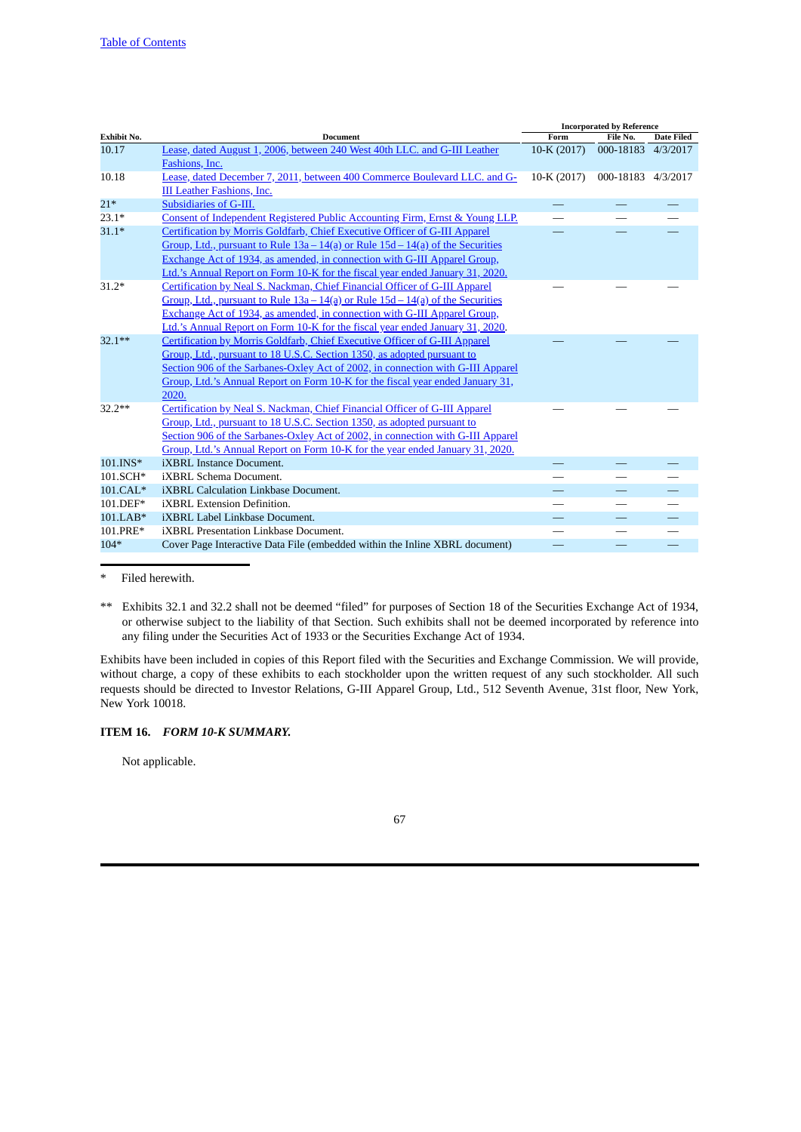|             |                                                                                     |             | <b>Incorporated by Reference</b> |                   |
|-------------|-------------------------------------------------------------------------------------|-------------|----------------------------------|-------------------|
| Exhibit No. | <b>Document</b>                                                                     | Form        | File No.                         | <b>Date Filed</b> |
| 10.17       | Lease, dated August 1, 2006, between 240 West 40th LLC. and G-III Leather           | 10-K (2017) | 000-18183 4/3/2017               |                   |
|             | Fashions, Inc.                                                                      |             |                                  |                   |
| 10.18       | Lease, dated December 7, 2011, between 400 Commerce Boulevard LLC. and G-           | 10-K (2017) | 000-18183 4/3/2017               |                   |
|             | <b>III Leather Fashions, Inc.</b>                                                   |             |                                  |                   |
| $21*$       | Subsidiaries of G-III.                                                              |             |                                  |                   |
| $23.1*$     | Consent of Independent Registered Public Accounting Firm, Ernst & Young LLP.        |             |                                  |                   |
| $31.1*$     | Certification by Morris Goldfarb, Chief Executive Officer of G-III Apparel          |             |                                  |                   |
|             | Group, Ltd., pursuant to Rule $13a - 14(a)$ or Rule $15d - 14(a)$ of the Securities |             |                                  |                   |
|             | Exchange Act of 1934, as amended, in connection with G-III Apparel Group,           |             |                                  |                   |
|             | Ltd.'s Annual Report on Form 10-K for the fiscal year ended January 31, 2020.       |             |                                  |                   |
| $31.2*$     | Certification by Neal S. Nackman, Chief Financial Officer of G-III Apparel          |             |                                  |                   |
|             | Group, Ltd., pursuant to Rule $13a - 14(a)$ or Rule $15d - 14(a)$ of the Securities |             |                                  |                   |
|             | Exchange Act of 1934, as amended, in connection with G-III Apparel Group,           |             |                                  |                   |
|             | Ltd.'s Annual Report on Form 10-K for the fiscal year ended January 31, 2020.       |             |                                  |                   |
| $32.1**$    | Certification by Morris Goldfarb, Chief Executive Officer of G-III Apparel          |             |                                  |                   |
|             | Group, Ltd., pursuant to 18 U.S.C. Section 1350, as adopted pursuant to             |             |                                  |                   |
|             | Section 906 of the Sarbanes-Oxley Act of 2002, in connection with G-III Apparel     |             |                                  |                   |
|             | Group, Ltd.'s Annual Report on Form 10-K for the fiscal year ended January 31,      |             |                                  |                   |
|             | 2020.                                                                               |             |                                  |                   |
| $32.2**$    | Certification by Neal S. Nackman, Chief Financial Officer of G-III Apparel          |             |                                  |                   |
|             | Group, Ltd., pursuant to 18 U.S.C. Section 1350, as adopted pursuant to             |             |                                  |                   |
|             | Section 906 of the Sarbanes-Oxley Act of 2002, in connection with G-III Apparel     |             |                                  |                   |
|             | Group, Ltd.'s Annual Report on Form 10-K for the year ended January 31, 2020.       |             |                                  |                   |
| 101.INS*    | <b>iXBRL</b> Instance Document.                                                     |             |                                  |                   |
| 101.SCH*    | <b>iXBRL Schema Document.</b>                                                       |             |                                  |                   |
| 101.CAL*    | <i>iXBRL</i> Calculation Linkbase Document.                                         |             |                                  |                   |
| 101.DEF*    | <b>iXBRL Extension Definition.</b>                                                  |             |                                  |                   |
| 101.LAB*    | iXBRL Label Linkbase Document.                                                      |             |                                  |                   |
| 101.PRE*    | <b>iXBRL</b> Presentation Linkbase Document.                                        |             |                                  |                   |
| $104*$      | Cover Page Interactive Data File (embedded within the Inline XBRL document)         |             |                                  |                   |
|             |                                                                                     |             |                                  |                   |

\* Filed herewith.

\*\* Exhibits 32.1 and 32.2 shall not be deemed "filed" for purposes of Section 18 of the Securities Exchange Act of 1934, or otherwise subject to the liability of that Section. Such exhibits shall not be deemed incorporated by reference into any filing under the Securities Act of 1933 or the Securities Exchange Act of 1934.

Exhibits have been included in copies of this Report filed with the Securities and Exchange Commission. We will provide, without charge, a copy of these exhibits to each stockholder upon the written request of any such stockholder. All such requests should be directed to Investor Relations, G-III Apparel Group, Ltd., 512 Seventh Avenue, 31st floor, New York, New York 10018.

# **ITEM 16.** *FORM 10-K SUMMARY.*

Not applicable.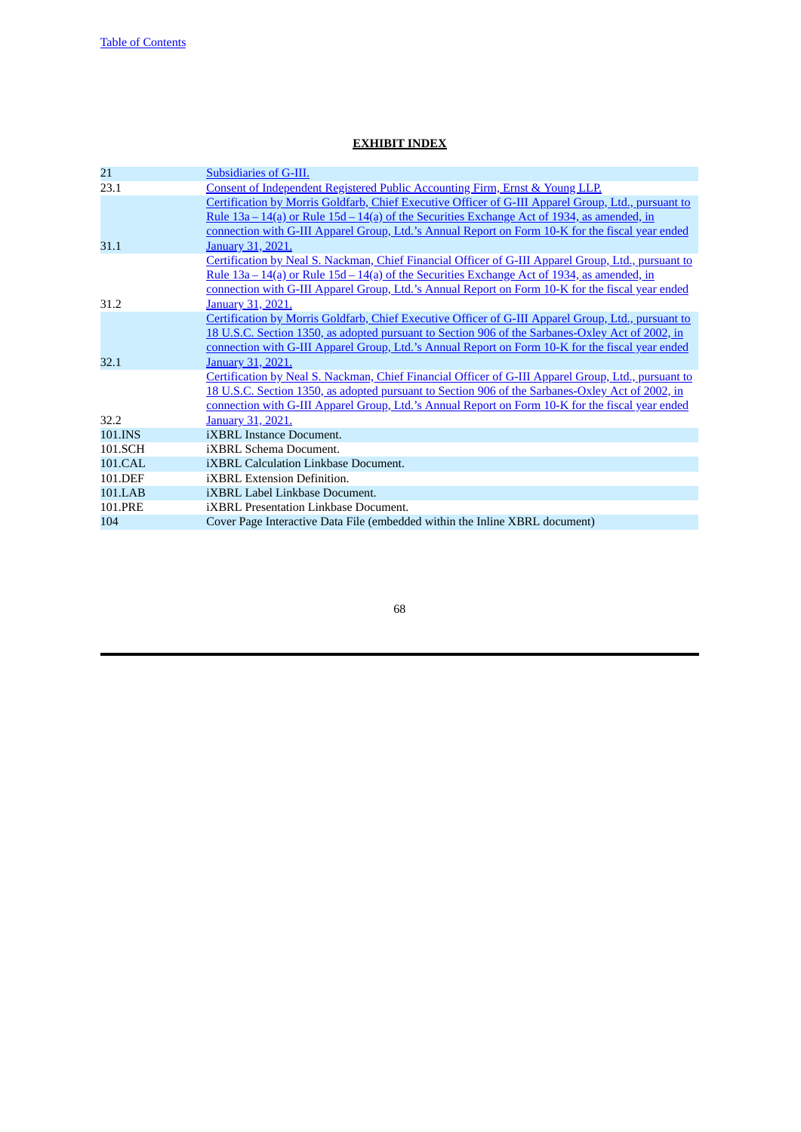# **EXHIBIT INDEX**

| 21      | Subsidiaries of G-III.                                                                              |
|---------|-----------------------------------------------------------------------------------------------------|
| 23.1    | Consent of Independent Registered Public Accounting Firm, Ernst & Young LLP.                        |
|         | Certification by Morris Goldfarb, Chief Executive Officer of G-III Apparel Group, Ltd., pursuant to |
|         | <u>Rule 13a – 14(a) or Rule 15d – 14(a) of the Securities Exchange Act of 1934, as amended, in</u>  |
|         | connection with G-III Apparel Group, Ltd.'s Annual Report on Form 10-K for the fiscal year ended    |
| 31.1    | January 31, 2021.                                                                                   |
|         | Certification by Neal S. Nackman, Chief Financial Officer of G-III Apparel Group, Ltd., pursuant to |
|         | <u>Rule 13a – 14(a) or Rule 15d – 14(a) of the Securities Exchange Act of 1934, as amended, in</u>  |
|         | connection with G-III Apparel Group, Ltd.'s Annual Report on Form 10-K for the fiscal year ended    |
| 31.2    | January 31, 2021.                                                                                   |
|         | Certification by Morris Goldfarb, Chief Executive Officer of G-III Apparel Group, Ltd., pursuant to |
|         | 18 U.S.C. Section 1350, as adopted pursuant to Section 906 of the Sarbanes-Oxley Act of 2002, in    |
|         | connection with G-III Apparel Group, Ltd.'s Annual Report on Form 10-K for the fiscal year ended    |
| 32.1    | January 31, 2021.                                                                                   |
|         | Certification by Neal S. Nackman, Chief Financial Officer of G-III Apparel Group, Ltd., pursuant to |
|         | 18 U.S.C. Section 1350, as adopted pursuant to Section 906 of the Sarbanes-Oxley Act of 2002, in    |
|         | connection with G-III Apparel Group, Ltd.'s Annual Report on Form 10-K for the fiscal year ended    |
| 32.2    | January 31, 2021.                                                                                   |
| 101.INS | <b>iXBRL</b> Instance Document.                                                                     |
| 101.SCH | iXBRL Schema Document.                                                                              |
| 101.CAL | <i>iXBRL</i> Calculation Linkbase Document.                                                         |
| 101.DEF | <b>iXBRL</b> Extension Definition.                                                                  |
| 101.LAB | <i>iXBRL Label Linkbase Document.</i>                                                               |
| 101.PRE | iXBRL Presentation Linkbase Document.                                                               |
| 104     | Cover Page Interactive Data File (embedded within the Inline XBRL document)                         |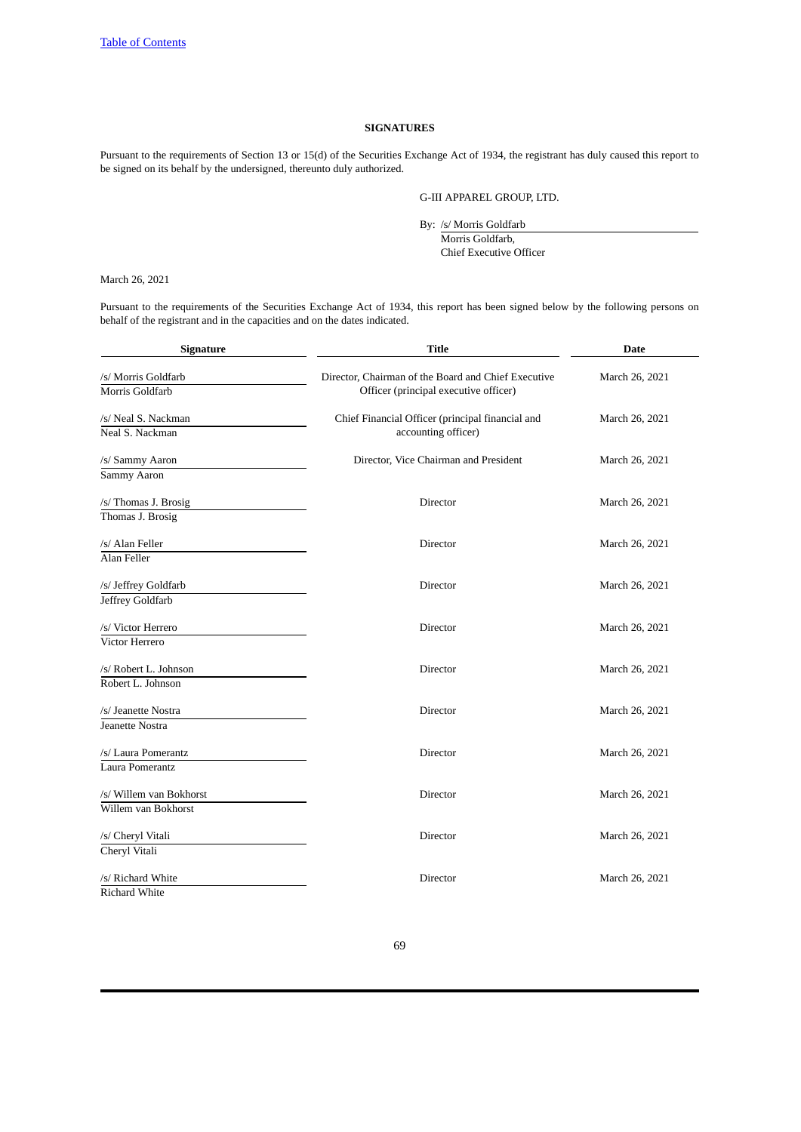# **SIGNATURES**

Pursuant to the requirements of Section 13 or 15(d) of the Securities Exchange Act of 1934, the registrant has duly caused this report to be signed on its behalf by the undersigned, thereunto duly authorized.

G-III APPAREL GROUP, LTD.

By: /s/ Morris Goldfarb

Morris Goldfarb, Chief Executive Officer

March 26, 2021

Pursuant to the requirements of the Securities Exchange Act of 1934, this report has been signed below by the following persons on behalf of the registrant and in the capacities and on the dates indicated.

| Signature                                      | <b>Title</b>                                                                                 | <b>Date</b>    |
|------------------------------------------------|----------------------------------------------------------------------------------------------|----------------|
| /s/ Morris Goldfarb<br>Morris Goldfarb         | Director, Chairman of the Board and Chief Executive<br>Officer (principal executive officer) | March 26, 2021 |
| /s/ Neal S. Nackman<br>Neal S. Nackman         | Chief Financial Officer (principal financial and<br>accounting officer)                      | March 26, 2021 |
| /s/ Sammy Aaron<br>Sammy Aaron                 | Director, Vice Chairman and President                                                        | March 26, 2021 |
| /s/ Thomas J. Brosig<br>Thomas J. Brosig       | Director                                                                                     | March 26, 2021 |
| /s/ Alan Feller<br>Alan Feller                 | Director                                                                                     | March 26, 2021 |
| /s/ Jeffrey Goldfarb<br>Jeffrey Goldfarb       | Director                                                                                     | March 26, 2021 |
| /s/ Victor Herrero<br>Victor Herrero           | Director                                                                                     | March 26, 2021 |
| /s/ Robert L. Johnson<br>Robert L. Johnson     | Director                                                                                     | March 26, 2021 |
| /s/ Jeanette Nostra<br>Jeanette Nostra         | Director                                                                                     | March 26, 2021 |
| /s/ Laura Pomerantz<br>Laura Pomerantz         | Director                                                                                     | March 26, 2021 |
| /s/ Willem van Bokhorst<br>Willem van Bokhorst | Director                                                                                     | March 26, 2021 |
| /s/ Cheryl Vitali<br>Cheryl Vitali             | Director                                                                                     | March 26, 2021 |
| /s/ Richard White<br><b>Richard White</b>      | Director                                                                                     | March 26, 2021 |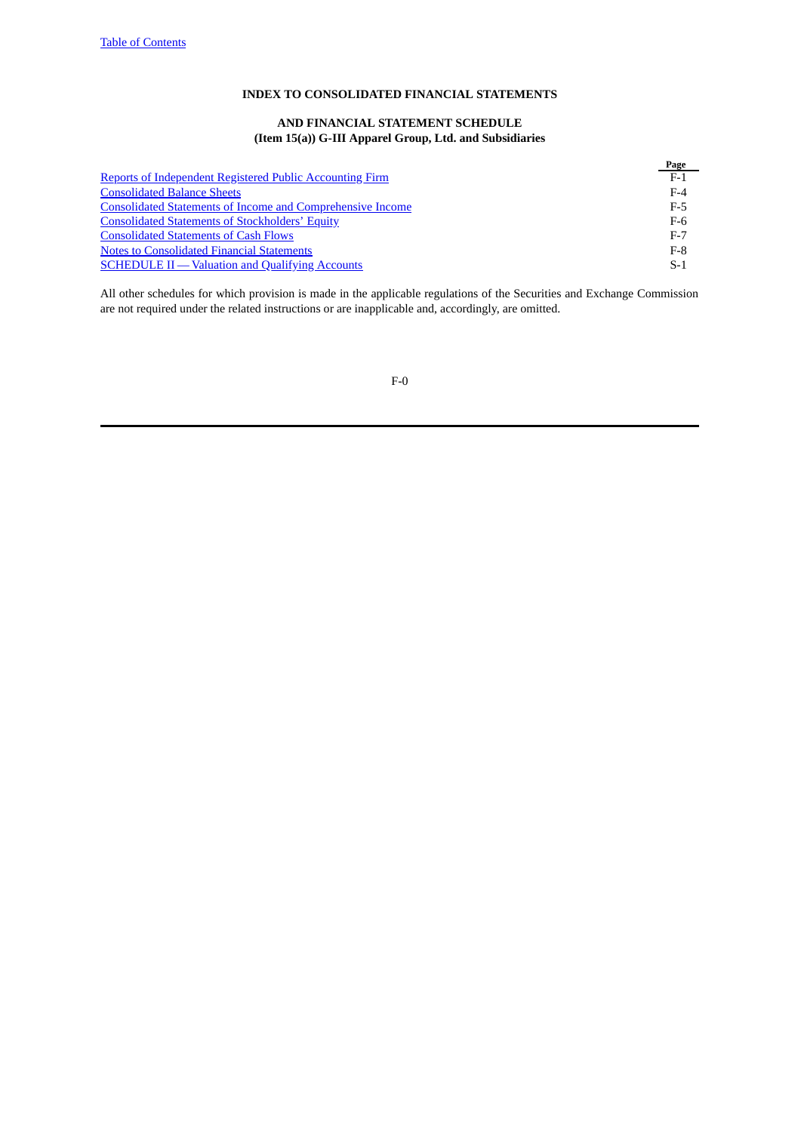# **INDEX TO CONSOLIDATED FINANCIAL STATEMENTS**

# **AND FINANCIAL STATEMENT SCHEDULE (Item 15(a)) G-III Apparel Group, Ltd. and Subsidiaries**

<span id="page-70-0"></span>

|                                                                   | Page  |
|-------------------------------------------------------------------|-------|
| Reports of Independent Registered Public Accounting Firm          | $F-1$ |
| <b>Consolidated Balance Sheets</b>                                | $F-4$ |
| <b>Consolidated Statements of Income and Comprehensive Income</b> | $F-5$ |
| <b>Consolidated Statements of Stockholders' Equity</b>            | F-6   |
| <b>Consolidated Statements of Cash Flows</b>                      | $F-7$ |
| <b>Notes to Consolidated Financial Statements</b>                 | $F-8$ |
| <b>SCHEDULE II - Valuation and Qualifying Accounts</b>            | $S-1$ |

All other schedules for which provision is made in the applicable regulations of the Securities and Exchange Commission are not required under the related instructions or are inapplicable and, accordingly, are omitted.

# F-0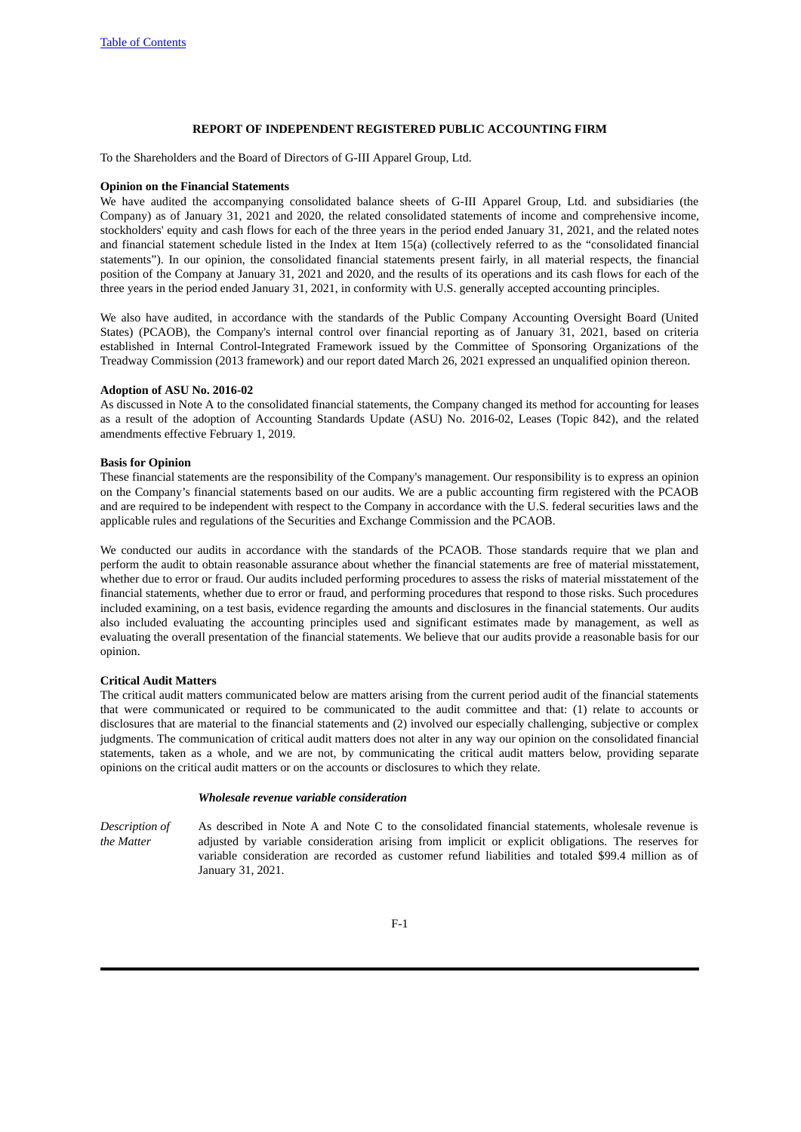# **REPORT OF INDEPENDENT REGISTERED PUBLIC ACCOUNTING FIRM**

<span id="page-71-0"></span>To the Shareholders and the Board of Directors of G-III Apparel Group, Ltd.

#### **Opinion on the Financial Statements**

We have audited the accompanying consolidated balance sheets of G-III Apparel Group, Ltd. and subsidiaries (the Company) as of January 31, 2021 and 2020, the related consolidated statements of income and comprehensive income, stockholders' equity and cash flows for each of the three years in the period ended January 31, 2021, and the related notes and financial statement schedule listed in the Index at Item 15(a) (collectively referred to as the "consolidated financial statements"). In our opinion, the consolidated financial statements present fairly, in all material respects, the financial position of the Company at January 31, 2021 and 2020, and the results of its operations and its cash flows for each of the three years in the period ended January 31, 2021, in conformity with U.S. generally accepted accounting principles.

We also have audited, in accordance with the standards of the Public Company Accounting Oversight Board (United States) (PCAOB), the Company's internal control over financial reporting as of January 31, 2021, based on criteria established in Internal Control-Integrated Framework issued by the Committee of Sponsoring Organizations of the Treadway Commission (2013 framework) and our report dated March 26, 2021 expressed an unqualified opinion thereon.

## **Adoption of ASU No. 2016-02**

As discussed in Note A to the consolidated financial statements, the Company changed its method for accounting for leases as a result of the adoption of Accounting Standards Update (ASU) No. 2016-02, Leases (Topic 842), and the related amendments effective February 1, 2019.

#### **Basis for Opinion**

These financial statements are the responsibility of the Company's management. Our responsibility is to express an opinion on the Company's financial statements based on our audits. We are a public accounting firm registered with the PCAOB and are required to be independent with respect to the Company in accordance with the U.S. federal securities laws and the applicable rules and regulations of the Securities and Exchange Commission and the PCAOB.

We conducted our audits in accordance with the standards of the PCAOB. Those standards require that we plan and perform the audit to obtain reasonable assurance about whether the financial statements are free of material misstatement, whether due to error or fraud. Our audits included performing procedures to assess the risks of material misstatement of the financial statements, whether due to error or fraud, and performing procedures that respond to those risks. Such procedures included examining, on a test basis, evidence regarding the amounts and disclosures in the financial statements. Our audits also included evaluating the accounting principles used and significant estimates made by management, as well as evaluating the overall presentation of the financial statements. We believe that our audits provide a reasonable basis for our opinion.

## **Critical Audit Matters**

The critical audit matters communicated below are matters arising from the current period audit of the financial statements that were communicated or required to be communicated to the audit committee and that: (1) relate to accounts or disclosures that are material to the financial statements and (2) involved our especially challenging, subjective or complex judgments. The communication of critical audit matters does not alter in any way our opinion on the consolidated financial statements, taken as a whole, and we are not, by communicating the critical audit matters below, providing separate opinions on the critical audit matters or on the accounts or disclosures to which they relate.

#### *Wholesale revenue variable consideration*

*Description of the Matter* As described in Note A and Note C to the consolidated financial statements, wholesale revenue is adjusted by variable consideration arising from implicit or explicit obligations. The reserves for variable consideration are recorded as customer refund liabilities and totaled \$99.4 million as of January 31, 2021.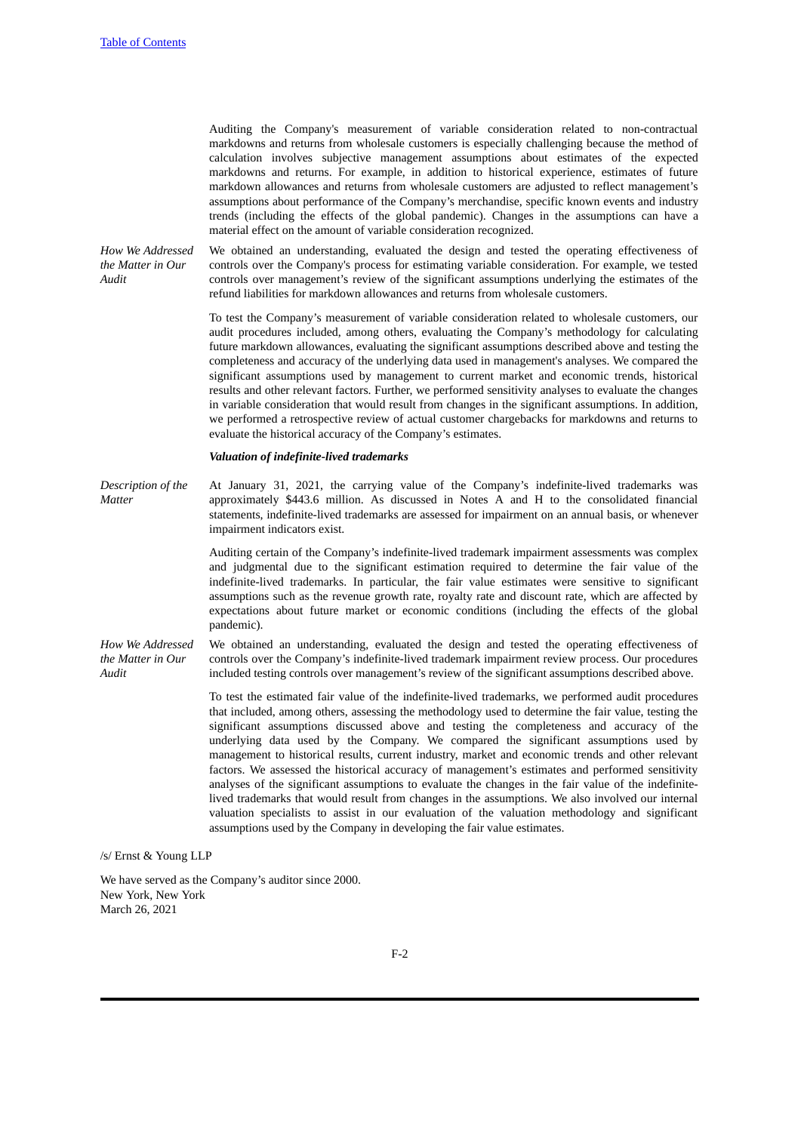| How We Addressed                               | Auditing the Company's measurement of variable consideration related to non-contractual<br>markdowns and returns from wholesale customers is especially challenging because the method of<br>calculation involves subjective management assumptions about estimates of the expected<br>markdowns and returns. For example, in addition to historical experience, estimates of future<br>markdown allowances and returns from wholesale customers are adjusted to reflect management's<br>assumptions about performance of the Company's merchandise, specific known events and industry<br>trends (including the effects of the global pandemic). Changes in the assumptions can have a<br>material effect on the amount of variable consideration recognized.<br>We obtained an understanding, evaluated the design and tested the operating effectiveness of                                  |
|------------------------------------------------|-------------------------------------------------------------------------------------------------------------------------------------------------------------------------------------------------------------------------------------------------------------------------------------------------------------------------------------------------------------------------------------------------------------------------------------------------------------------------------------------------------------------------------------------------------------------------------------------------------------------------------------------------------------------------------------------------------------------------------------------------------------------------------------------------------------------------------------------------------------------------------------------------|
| the Matter in Our<br>Audit                     | controls over the Company's process for estimating variable consideration. For example, we tested<br>controls over management's review of the significant assumptions underlying the estimates of the<br>refund liabilities for markdown allowances and returns from wholesale customers.                                                                                                                                                                                                                                                                                                                                                                                                                                                                                                                                                                                                       |
|                                                | To test the Company's measurement of variable consideration related to wholesale customers, our<br>audit procedures included, among others, evaluating the Company's methodology for calculating<br>future markdown allowances, evaluating the significant assumptions described above and testing the<br>completeness and accuracy of the underlying data used in management's analyses. We compared the<br>significant assumptions used by management to current market and economic trends, historical<br>results and other relevant factors. Further, we performed sensitivity analyses to evaluate the changes<br>in variable consideration that would result from changes in the significant assumptions. In addition,<br>we performed a retrospective review of actual customer chargebacks for markdowns and returns to<br>evaluate the historical accuracy of the Company's estimates. |
|                                                | Valuation of indefinite-lived trademarks                                                                                                                                                                                                                                                                                                                                                                                                                                                                                                                                                                                                                                                                                                                                                                                                                                                        |
| Description of the<br>Matter                   | At January 31, 2021, the carrying value of the Company's indefinite-lived trademarks was<br>approximately \$443.6 million. As discussed in Notes A and H to the consolidated financial<br>statements, indefinite-lived trademarks are assessed for impairment on an annual basis, or whenever<br>impairment indicators exist.                                                                                                                                                                                                                                                                                                                                                                                                                                                                                                                                                                   |
|                                                | Auditing certain of the Company's indefinite-lived trademark impairment assessments was complex<br>and judgmental due to the significant estimation required to determine the fair value of the<br>indefinite-lived trademarks. In particular, the fair value estimates were sensitive to significant                                                                                                                                                                                                                                                                                                                                                                                                                                                                                                                                                                                           |
|                                                | assumptions such as the revenue growth rate, royalty rate and discount rate, which are affected by<br>expectations about future market or economic conditions (including the effects of the global<br>pandemic).                                                                                                                                                                                                                                                                                                                                                                                                                                                                                                                                                                                                                                                                                |
| How We Addressed<br>the Matter in Our<br>Audit | We obtained an understanding, evaluated the design and tested the operating effectiveness of<br>controls over the Company's indefinite-lived trademark impairment review process. Our procedures<br>included testing controls over management's review of the significant assumptions described above.                                                                                                                                                                                                                                                                                                                                                                                                                                                                                                                                                                                          |

/s/ Ernst & Young LLP

We have served as the Company's auditor since 2000. New York, New York March 26, 2021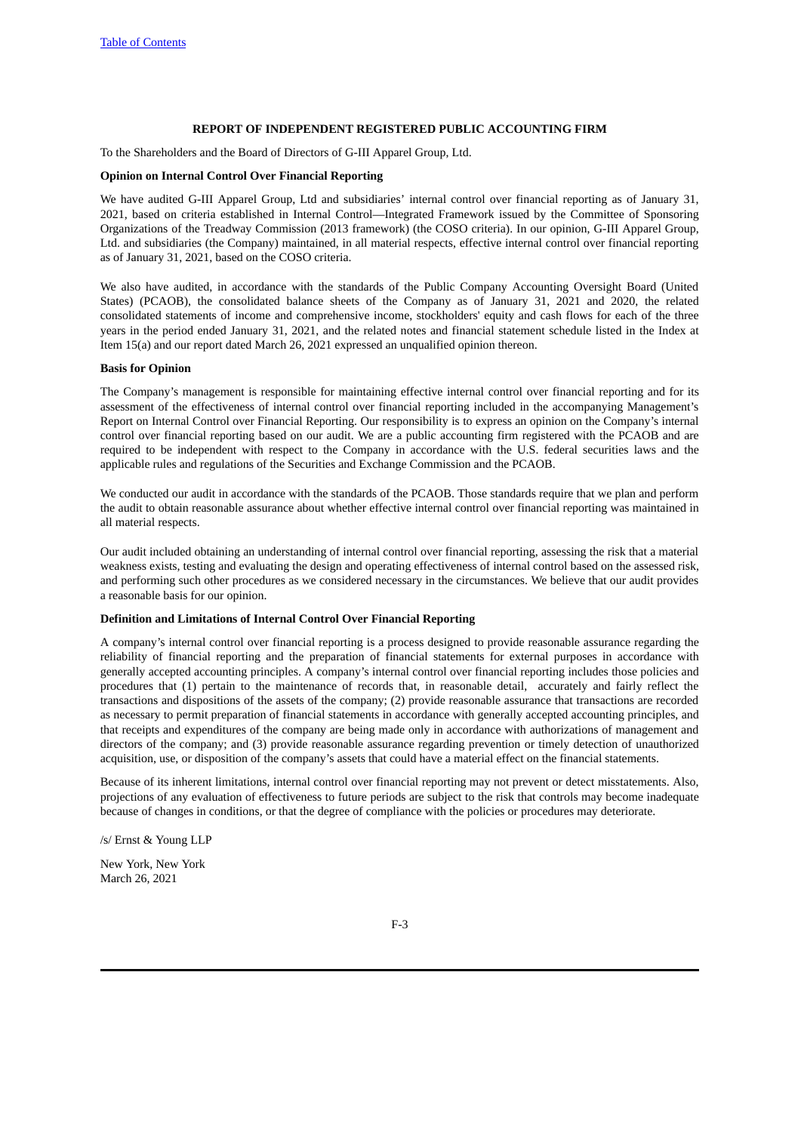#### **REPORT OF INDEPENDENT REGISTERED PUBLIC ACCOUNTING FIRM**

To the Shareholders and the Board of Directors of G-III Apparel Group, Ltd.

#### **Opinion on Internal Control Over Financial Reporting**

We have audited G-III Apparel Group, Ltd and subsidiaries' internal control over financial reporting as of January 31, 2021, based on criteria established in Internal Control—Integrated Framework issued by the Committee of Sponsoring Organizations of the Treadway Commission (2013 framework) (the COSO criteria). In our opinion, G-III Apparel Group, Ltd. and subsidiaries (the Company) maintained, in all material respects, effective internal control over financial reporting as of January 31, 2021, based on the COSO criteria.

We also have audited, in accordance with the standards of the Public Company Accounting Oversight Board (United States) (PCAOB), the consolidated balance sheets of the Company as of January 31, 2021 and 2020, the related consolidated statements of income and comprehensive income, stockholders' equity and cash flows for each of the three years in the period ended January 31, 2021, and the related notes and financial statement schedule listed in the Index at Item 15(a) and our report dated March 26, 2021 expressed an unqualified opinion thereon.

#### **Basis for Opinion**

The Company's management is responsible for maintaining effective internal control over financial reporting and for its assessment of the effectiveness of internal control over financial reporting included in the accompanying Management's Report on Internal Control over Financial Reporting. Our responsibility is to express an opinion on the Company's internal control over financial reporting based on our audit. We are a public accounting firm registered with the PCAOB and are required to be independent with respect to the Company in accordance with the U.S. federal securities laws and the applicable rules and regulations of the Securities and Exchange Commission and the PCAOB.

We conducted our audit in accordance with the standards of the PCAOB. Those standards require that we plan and perform the audit to obtain reasonable assurance about whether effective internal control over financial reporting was maintained in all material respects.

Our audit included obtaining an understanding of internal control over financial reporting, assessing the risk that a material weakness exists, testing and evaluating the design and operating effectiveness of internal control based on the assessed risk, and performing such other procedures as we considered necessary in the circumstances. We believe that our audit provides a reasonable basis for our opinion.

### **Definition and Limitations of Internal Control Over Financial Reporting**

A company's internal control over financial reporting is a process designed to provide reasonable assurance regarding the reliability of financial reporting and the preparation of financial statements for external purposes in accordance with generally accepted accounting principles. A company's internal control over financial reporting includes those policies and procedures that (1) pertain to the maintenance of records that, in reasonable detail, accurately and fairly reflect the transactions and dispositions of the assets of the company; (2) provide reasonable assurance that transactions are recorded as necessary to permit preparation of financial statements in accordance with generally accepted accounting principles, and that receipts and expenditures of the company are being made only in accordance with authorizations of management and directors of the company; and (3) provide reasonable assurance regarding prevention or timely detection of unauthorized acquisition, use, or disposition of the company's assets that could have a material effect on the financial statements.

Because of its inherent limitations, internal control over financial reporting may not prevent or detect misstatements. Also, projections of any evaluation of effectiveness to future periods are subject to the risk that controls may become inadequate because of changes in conditions, or that the degree of compliance with the policies or procedures may deteriorate.

/s/ Ernst & Young LLP

New York, New York March 26, 2021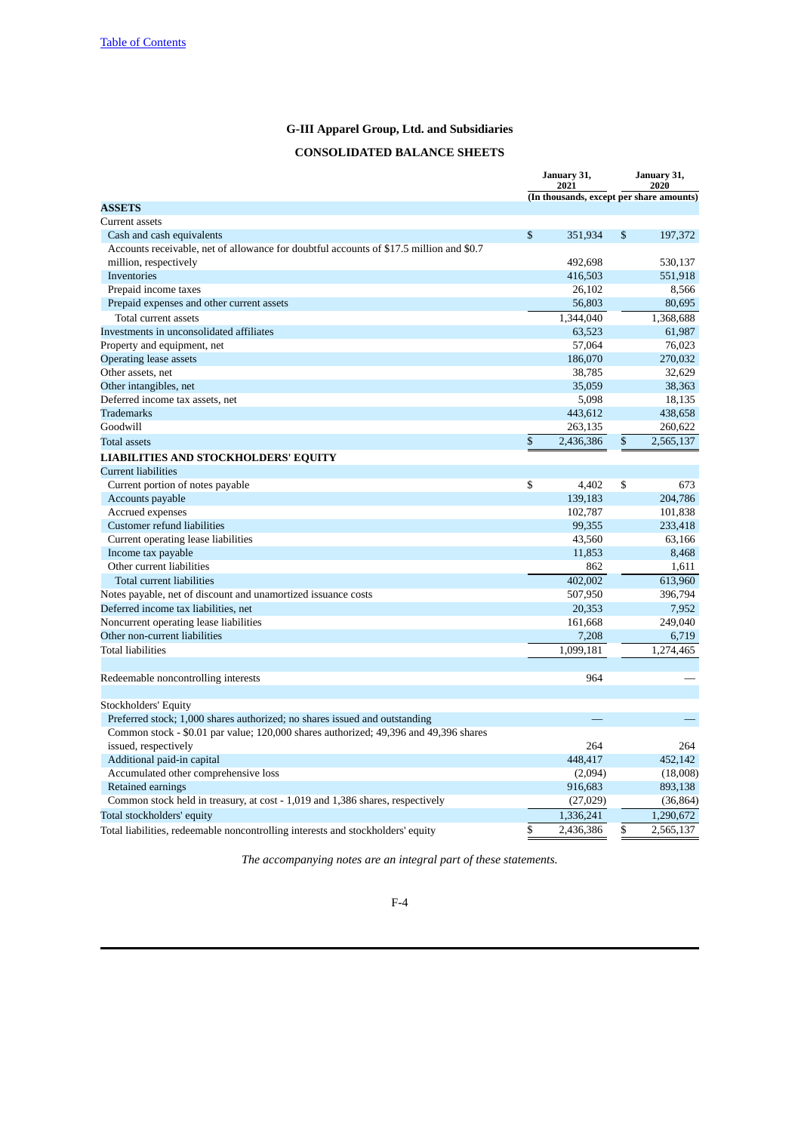# **CONSOLIDATED BALANCE SHEETS**

|                                                                                         |                 | January 31,<br>2021                      | January 31,<br>2020 |           |
|-----------------------------------------------------------------------------------------|-----------------|------------------------------------------|---------------------|-----------|
|                                                                                         |                 | (In thousands, except per share amounts) |                     |           |
| <b>ASSETS</b>                                                                           |                 |                                          |                     |           |
| Current assets                                                                          | $\mathbb{S}$    |                                          |                     |           |
| Cash and cash equivalents                                                               |                 | 351,934                                  | \$                  | 197,372   |
| Accounts receivable, net of allowance for doubtful accounts of \$17.5 million and \$0.7 |                 |                                          |                     |           |
| million, respectively                                                                   |                 | 492,698                                  |                     | 530,137   |
| Inventories                                                                             |                 | 416,503                                  |                     | 551,918   |
| Prepaid income taxes                                                                    |                 | 26,102                                   |                     | 8,566     |
| Prepaid expenses and other current assets                                               |                 | 56,803                                   |                     | 80,695    |
| Total current assets                                                                    |                 | 1,344,040                                |                     | 1,368,688 |
| Investments in unconsolidated affiliates                                                |                 | 63,523                                   |                     | 61,987    |
| Property and equipment, net                                                             |                 | 57,064                                   |                     | 76,023    |
| Operating lease assets                                                                  |                 | 186,070                                  |                     | 270,032   |
| Other assets, net                                                                       |                 | 38,785                                   |                     | 32,629    |
| Other intangibles, net                                                                  |                 | 35,059                                   |                     | 38,363    |
| Deferred income tax assets, net                                                         |                 | 5,098                                    |                     | 18,135    |
| Trademarks                                                                              |                 | 443,612                                  |                     | 438,658   |
| Goodwill                                                                                |                 | 263,135                                  |                     | 260,622   |
| <b>Total assets</b>                                                                     | $\overline{\$}$ | 2,436,386                                | \$                  | 2,565,137 |
| <b>LIABILITIES AND STOCKHOLDERS' EQUITY</b>                                             |                 |                                          |                     |           |
| <b>Current liabilities</b>                                                              |                 |                                          |                     |           |
| Current portion of notes payable                                                        | \$              | 4,402                                    | \$                  | 673       |
| Accounts payable                                                                        |                 | 139,183                                  |                     | 204,786   |
| Accrued expenses                                                                        |                 | 102,787                                  |                     | 101,838   |
| <b>Customer refund liabilities</b>                                                      |                 | 99,355                                   |                     | 233,418   |
| Current operating lease liabilities                                                     |                 | 43,560                                   |                     | 63,166    |
| Income tax payable                                                                      |                 | 11,853                                   |                     | 8,468     |
| Other current liabilities                                                               |                 | 862                                      |                     | 1,611     |
| <b>Total current liabilities</b>                                                        |                 | 402,002                                  |                     | 613,960   |
| Notes payable, net of discount and unamortized issuance costs                           |                 | 507,950                                  |                     | 396,794   |
| Deferred income tax liabilities, net                                                    |                 | 20,353                                   |                     | 7,952     |
| Noncurrent operating lease liabilities                                                  |                 | 161,668                                  |                     | 249,040   |
| Other non-current liabilities                                                           |                 | 7,208                                    |                     | 6,719     |
| <b>Total liabilities</b>                                                                |                 | 1,099,181                                |                     | 1,274,465 |
|                                                                                         |                 |                                          |                     |           |
| Redeemable noncontrolling interests                                                     |                 | 964                                      |                     |           |
|                                                                                         |                 |                                          |                     |           |
| Stockholders' Equity                                                                    |                 |                                          |                     |           |
| Preferred stock; 1,000 shares authorized; no shares issued and outstanding              |                 |                                          |                     |           |
| Common stock - \$0.01 par value; 120,000 shares authorized; 49,396 and 49,396 shares    |                 |                                          |                     |           |
| issued, respectively                                                                    |                 | 264                                      |                     | 264       |
| Additional paid-in capital                                                              |                 | 448,417                                  |                     | 452,142   |
| Accumulated other comprehensive loss                                                    |                 | (2,094)                                  |                     | (18,008)  |
| Retained earnings                                                                       |                 | 916,683                                  |                     | 893,138   |
| Common stock held in treasury, at cost - 1,019 and 1,386 shares, respectively           |                 | (27, 029)                                |                     | (36, 864) |
| Total stockholders' equity                                                              |                 | 1,336,241                                |                     | 1,290,672 |
|                                                                                         | \$              |                                          |                     |           |
| Total liabilities, redeemable noncontrolling interests and stockholders' equity         |                 | 2,436,386                                | \$                  | 2,565,137 |

*The accompanying notes are an integral part of these statements.*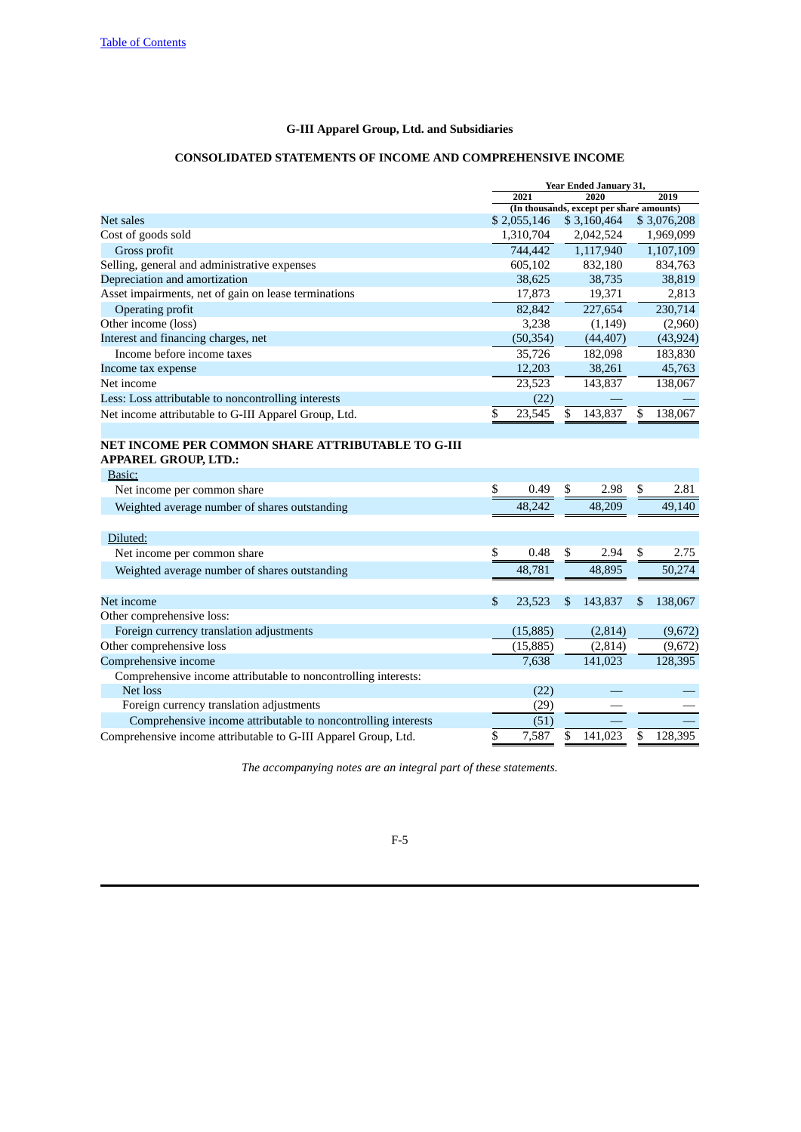# **CONSOLIDATED STATEMENTS OF INCOME AND COMPREHENSIVE INCOME**

|                                                                               | Year Ended January 31, |                          |    |                                                         |    |                          |
|-------------------------------------------------------------------------------|------------------------|--------------------------|----|---------------------------------------------------------|----|--------------------------|
|                                                                               |                        | 2021                     |    | 2020                                                    |    | 2019                     |
| Net sales                                                                     |                        |                          |    | (In thousands, except per share amounts)<br>\$3,160,464 |    |                          |
| Cost of goods sold                                                            |                        | \$2,055,146<br>1,310,704 |    | 2,042,524                                               |    | \$3,076,208<br>1,969,099 |
| Gross profit                                                                  |                        | 744,442                  |    | 1,117,940                                               |    |                          |
|                                                                               |                        | 605,102                  |    |                                                         |    | 1,107,109                |
| Selling, general and administrative expenses<br>Depreciation and amortization |                        | 38,625                   |    | 832,180<br>38,735                                       |    | 834,763<br>38,819        |
| Asset impairments, net of gain on lease terminations                          |                        | 17,873                   |    | 19,371                                                  |    | 2,813                    |
|                                                                               |                        | 82,842                   |    | 227,654                                                 |    | 230,714                  |
| Operating profit<br>Other income (loss)                                       |                        |                          |    |                                                         |    |                          |
| Interest and financing charges, net                                           |                        | 3,238                    |    | (1, 149)                                                |    | (2,960)                  |
|                                                                               |                        | (50, 354)                |    | (44, 407)                                               |    | (43, 924)                |
| Income before income taxes                                                    |                        | 35,726                   |    | 182,098                                                 |    | 183,830                  |
| Income tax expense                                                            |                        | 12,203                   |    | 38,261                                                  |    | 45,763                   |
| Net income                                                                    |                        | 23,523                   |    | 143,837                                                 |    | 138,067                  |
| Less: Loss attributable to noncontrolling interests                           |                        | (22)                     |    |                                                         |    |                          |
| Net income attributable to G-III Apparel Group, Ltd.                          | \$                     | 23,545                   |    | \$143,837                                               | \$ | 138,067                  |
|                                                                               |                        |                          |    |                                                         |    |                          |
| NET INCOME PER COMMON SHARE ATTRIBUTABLE TO G-III                             |                        |                          |    |                                                         |    |                          |
| <b>APPAREL GROUP, LTD.:</b>                                                   |                        |                          |    |                                                         |    |                          |
| Basic:                                                                        |                        | 0.49                     |    | 2.98                                                    | \$ | 2.81                     |
| Net income per common share                                                   | \$                     |                          | \$ |                                                         |    |                          |
| Weighted average number of shares outstanding                                 |                        | 48,242                   |    | 48,209                                                  |    | 49,140                   |
|                                                                               |                        |                          |    |                                                         |    |                          |
| Diluted:                                                                      |                        |                          |    |                                                         |    |                          |
| Net income per common share                                                   | \$                     | 0.48                     | \$ | 2.94                                                    | \$ | 2.75                     |
| Weighted average number of shares outstanding                                 |                        | 48,781                   |    | 48,895                                                  |    | 50,274                   |
|                                                                               |                        |                          |    |                                                         |    |                          |
| Net income                                                                    | \$                     | 23,523                   | \$ | 143,837                                                 | \$ | 138,067                  |
| Other comprehensive loss:                                                     |                        |                          |    |                                                         |    |                          |
| Foreign currency translation adjustments                                      |                        | (15, 885)                |    | (2,814)                                                 |    | (9,672)                  |
| Other comprehensive loss                                                      |                        | (15, 885)                |    | (2,814)                                                 |    | (9,672)                  |
| Comprehensive income                                                          |                        | 7,638                    |    | 141,023                                                 |    | 128,395                  |
| Comprehensive income attributable to noncontrolling interests:                |                        |                          |    |                                                         |    |                          |
| Net loss                                                                      |                        | (22)                     |    |                                                         |    |                          |
| Foreign currency translation adjustments                                      |                        | (29)                     |    |                                                         |    |                          |
| Comprehensive income attributable to noncontrolling interests                 |                        | (51)                     |    |                                                         |    |                          |
| Comprehensive income attributable to G-III Apparel Group, Ltd.                | \$                     | 7,587                    | \$ | 141,023                                                 | \$ | 128,395                  |

*The accompanying notes are an integral part of these statements.*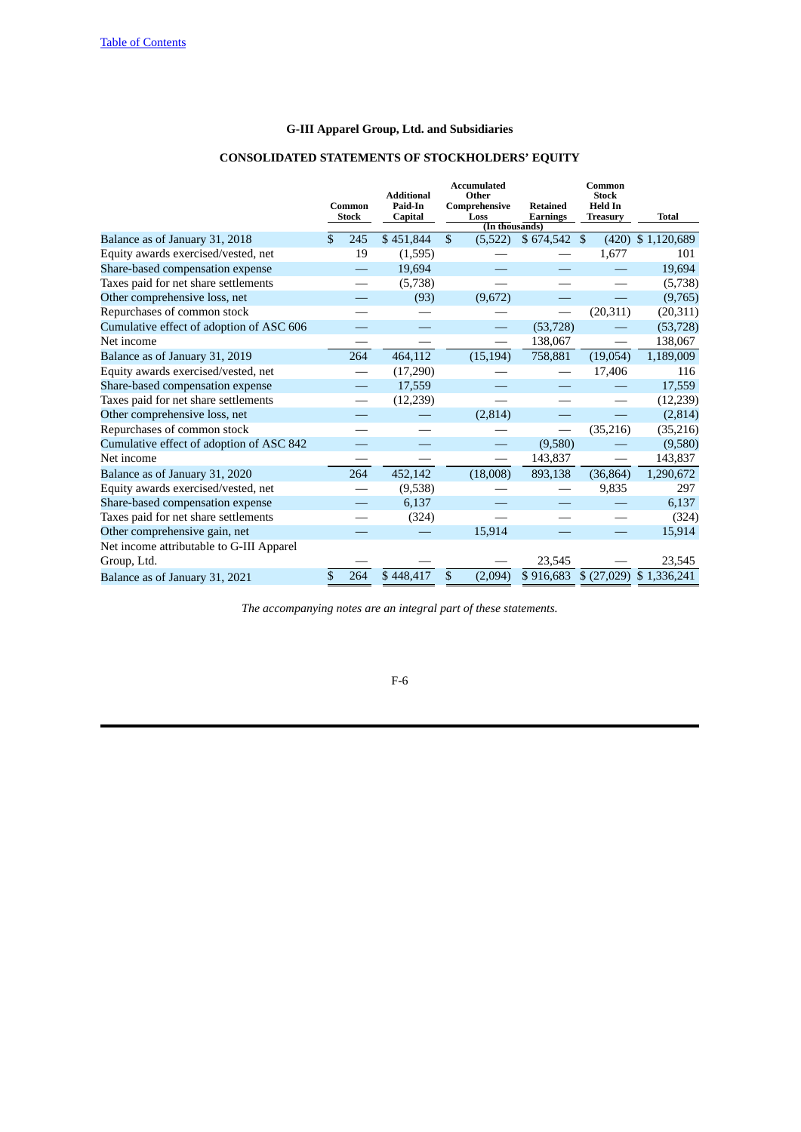# **CONSOLIDATED STATEMENTS OF STOCKHOLDERS' EQUITY**

|                                          | Common<br><b>Stock</b> | <b>Additional</b><br>Paid-In<br>Capital |               | <b>Accumulated</b><br>Other<br>Comprehensive<br>Loss | <b>Retained</b><br><b>Earnings</b> | Common<br><b>Stock</b><br>Held In<br><b>Treasury</b> | <b>Total</b>         |
|------------------------------------------|------------------------|-----------------------------------------|---------------|------------------------------------------------------|------------------------------------|------------------------------------------------------|----------------------|
| Balance as of January 31, 2018           | \$<br>245              | \$451,844                               | $\mathbf{\$}$ | (In thousands)<br>(5,522)                            | \$674,542                          | $\mathbf{s}$                                         | $(420)$ \$ 1,120,689 |
| Equity awards exercised/vested, net      | 19                     | (1,595)                                 |               |                                                      |                                    | 1,677                                                | 101                  |
| Share-based compensation expense         |                        | 19,694                                  |               |                                                      |                                    |                                                      | 19,694               |
| Taxes paid for net share settlements     |                        | (5,738)                                 |               |                                                      |                                    |                                                      | (5,738)              |
| Other comprehensive loss, net            |                        | (93)                                    |               | (9,672)                                              |                                    |                                                      | (9,765)              |
| Repurchases of common stock              |                        |                                         |               |                                                      |                                    | (20, 311)                                            | (20, 311)            |
| Cumulative effect of adoption of ASC 606 |                        |                                         |               |                                                      | (53, 728)                          |                                                      | (53, 728)            |
| Net income                               |                        |                                         |               |                                                      | 138,067                            |                                                      | 138,067              |
| Balance as of January 31, 2019           | 264                    | 464,112                                 |               | (15, 194)                                            | 758,881                            | (19,054)                                             | 1,189,009            |
| Equity awards exercised/vested, net      |                        | (17,290)                                |               |                                                      |                                    | 17,406                                               | 116                  |
| Share-based compensation expense         |                        | 17,559                                  |               |                                                      |                                    |                                                      | 17,559               |
| Taxes paid for net share settlements     |                        | (12, 239)                               |               |                                                      |                                    |                                                      | (12, 239)            |
| Other comprehensive loss, net            |                        |                                         |               | (2,814)                                              |                                    |                                                      | (2,814)              |
| Repurchases of common stock              |                        |                                         |               |                                                      |                                    | (35, 216)                                            | (35,216)             |
| Cumulative effect of adoption of ASC 842 |                        |                                         |               |                                                      | (9,580)                            |                                                      | (9,580)              |
| Net income                               |                        |                                         |               |                                                      | 143,837                            |                                                      | 143,837              |
| Balance as of January 31, 2020           | 264                    | 452,142                                 |               | (18,008)                                             | 893,138                            | (36, 864)                                            | 1,290,672            |
| Equity awards exercised/vested, net      |                        | (9,538)                                 |               |                                                      |                                    | 9,835                                                | 297                  |
| Share-based compensation expense         |                        | 6,137                                   |               |                                                      |                                    |                                                      | 6,137                |
| Taxes paid for net share settlements     |                        | (324)                                   |               |                                                      |                                    |                                                      | (324)                |
| Other comprehensive gain, net            |                        |                                         |               | 15,914                                               |                                    |                                                      | 15,914               |
| Net income attributable to G-III Apparel |                        |                                         |               |                                                      |                                    |                                                      |                      |
| Group, Ltd.                              |                        |                                         |               |                                                      | 23,545                             |                                                      | 23,545               |
| Balance as of January 31, 2021           | \$<br>264              | \$448,417                               | \$            | (2,094)                                              | \$916,683                          | \$(27,029)                                           | \$1,336,241          |

*The accompanying notes are an integral part of these statements.*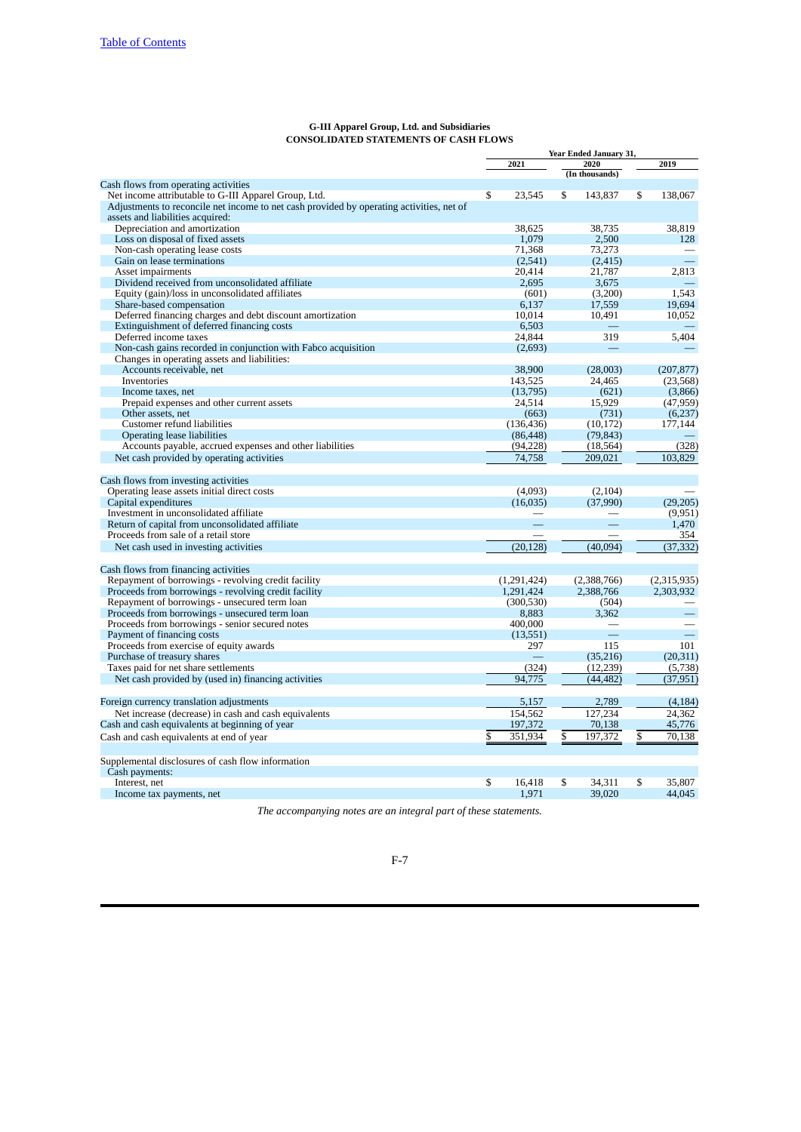#### **G-III Apparel Group, Ltd. and Subsidiaries CONSOLIDATED STATEMENTS OF CASH FLOWS**

|                                                                                                                              | Year Ended January 31, |    |                |    |             |
|------------------------------------------------------------------------------------------------------------------------------|------------------------|----|----------------|----|-------------|
|                                                                                                                              | 2021<br>2020           |    |                |    | 2019        |
|                                                                                                                              |                        |    | (In thousands) |    |             |
| Cash flows from operating activities                                                                                         |                        |    |                |    |             |
| Net income attributable to G-III Apparel Group, Ltd.                                                                         | \$<br>23,545           | \$ | 143,837        | \$ | 138,067     |
| Adjustments to reconcile net income to net cash provided by operating activities, net of<br>assets and liabilities acquired: |                        |    |                |    |             |
| Depreciation and amortization                                                                                                | 38,625                 |    | 38.735         |    | 38.819      |
| Loss on disposal of fixed assets                                                                                             | 1,079                  |    | 2,500          |    | 128         |
| Non-cash operating lease costs                                                                                               | 71,368                 |    | 73,273         |    |             |
| Gain on lease terminations                                                                                                   | (2,541)                |    | (2, 415)       |    |             |
| Asset impairments                                                                                                            | 20,414                 |    | 21,787         |    | 2,813       |
| Dividend received from unconsolidated affiliate                                                                              | 2,695                  |    | 3,675          |    |             |
| Equity (gain)/loss in unconsolidated affiliates                                                                              | (601)                  |    | (3,200)        |    | 1,543       |
| Share-based compensation                                                                                                     | 6,137                  |    | 17,559         |    | 19,694      |
| Deferred financing charges and debt discount amortization                                                                    | 10,014                 |    | 10,491         |    | 10,052      |
| Extinguishment of deferred financing costs                                                                                   | 6,503                  |    |                |    |             |
| Deferred income taxes                                                                                                        | 24,844                 |    | 319            |    | 5,404       |
| Non-cash gains recorded in conjunction with Fabco acquisition                                                                | (2,693)                |    |                |    |             |
| Changes in operating assets and liabilities:                                                                                 |                        |    |                |    |             |
| Accounts receivable, net                                                                                                     | 38,900                 |    | (28,003)       |    | (207, 877)  |
| Inventories                                                                                                                  | 143,525                |    | 24,465         |    | (23, 568)   |
| Income taxes, net                                                                                                            | (13,795)               |    | (621)          |    | (3,866)     |
| Prepaid expenses and other current assets                                                                                    | 24,514                 |    | 15,929         |    | (47, 959)   |
| Other assets, net                                                                                                            | (663)                  |    | (731)          |    | (6,237)     |
| Customer refund liabilities                                                                                                  | (136, 436)             |    | (10, 172)      |    | 177,144     |
| Operating lease liabilities                                                                                                  | (86, 448)              |    | (79, 843)      |    |             |
| Accounts payable, accrued expenses and other liabilities                                                                     | (94, 228)              |    | (18, 564)      |    | (328)       |
| Net cash provided by operating activities                                                                                    | 74,758                 |    | 209,021        |    | 103,829     |
|                                                                                                                              |                        |    |                |    |             |
| Cash flows from investing activities                                                                                         |                        |    |                |    |             |
| Operating lease assets initial direct costs                                                                                  | (4,093)                |    | (2, 104)       |    |             |
| Capital expenditures                                                                                                         | (16, 035)              |    | (37,990)       |    | (29, 205)   |
| Investment in unconsolidated affiliate                                                                                       |                        |    |                |    | (9, 951)    |
| Return of capital from unconsolidated affiliate                                                                              |                        |    |                |    | 1,470       |
| Proceeds from sale of a retail store                                                                                         |                        |    |                |    | 354         |
| Net cash used in investing activities                                                                                        | (20.128)               |    | (40.094)       |    | (37, 332)   |
|                                                                                                                              |                        |    |                |    |             |
| Cash flows from financing activities                                                                                         |                        |    |                |    |             |
| Repayment of borrowings - revolving credit facility                                                                          | (1,291,424)            |    | (2,388,766)    |    | (2,315,935) |
| Proceeds from borrowings - revolving credit facility                                                                         | 1,291,424              |    | 2,388,766      |    | 2,303,932   |
| Repayment of borrowings - unsecured term loan                                                                                | (300, 530)             |    | (504)          |    |             |
| Proceeds from borrowings - unsecured term loan                                                                               | 8,883                  |    | 3,362          |    |             |
| Proceeds from borrowings - senior secured notes                                                                              | 400,000                |    |                |    |             |
| Payment of financing costs                                                                                                   | (13, 551)              |    |                |    |             |
| Proceeds from exercise of equity awards                                                                                      | 297                    |    | 115            |    | 101         |
| Purchase of treasury shares                                                                                                  |                        |    | (35, 216)      |    | (20,311)    |
| Taxes paid for net share settlements                                                                                         | (324)                  |    | (12, 239)      |    | (5,738)     |
| Net cash provided by (used in) financing activities                                                                          | 94,775                 |    | (44, 482)      |    | (37, 951)   |
| Foreign currency translation adjustments                                                                                     | 5,157                  |    | 2,789          |    | (4, 184)    |
| Net increase (decrease) in cash and cash equivalents                                                                         | 154.562                |    | 127,234        |    | 24.362      |
| Cash and cash equivalents at beginning of year                                                                               | 197,372                |    | 70,138         |    | 45,776      |
|                                                                                                                              | \$<br>351,934          | \$ | 197,372        | \$ | 70,138      |
| Cash and cash equivalents at end of year                                                                                     |                        |    |                |    |             |
| Supplemental disclosures of cash flow information                                                                            |                        |    |                |    |             |
| Cash payments:                                                                                                               |                        |    |                |    |             |
| Interest, net                                                                                                                | \$<br>16.418           | \$ | 34.311         | \$ | 35,807      |
| Income tax payments, net                                                                                                     | 1,971                  |    | 39.020         |    | 44,045      |

*The accompanying notes are an integral part of these statements.*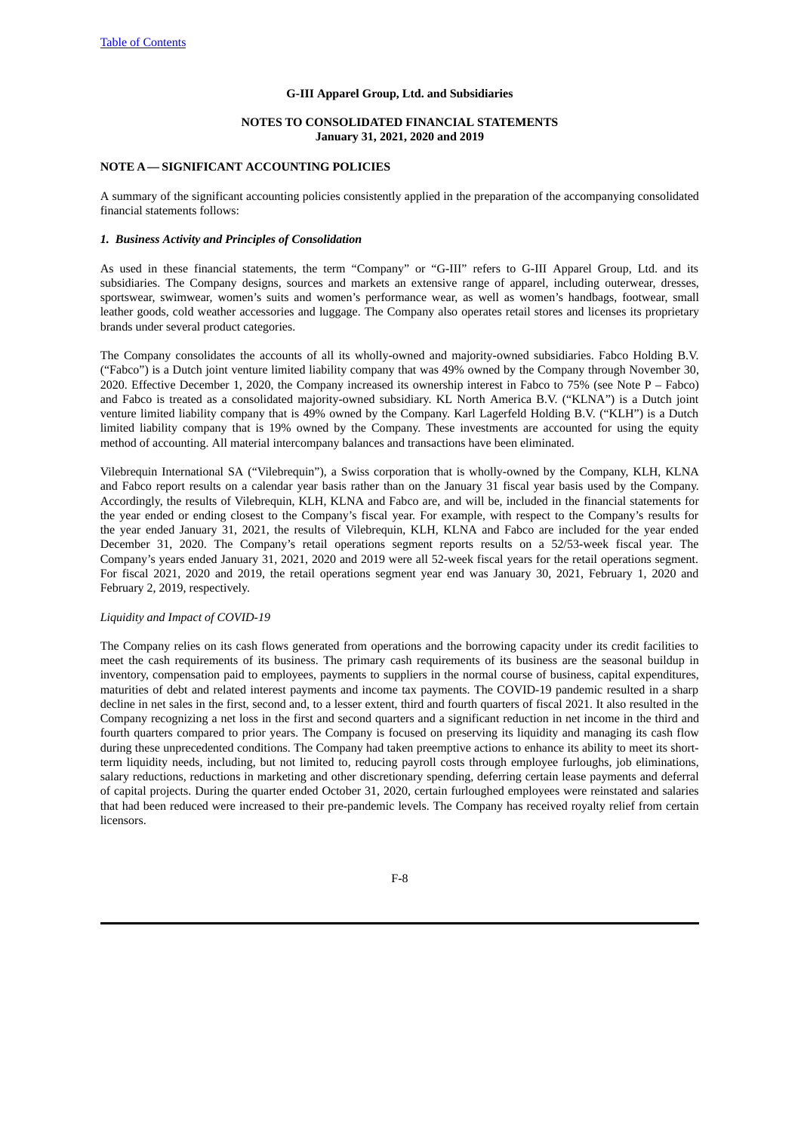## **NOTES TO CONSOLIDATED FINANCIAL STATEMENTS January 31, 2021, 2020 and 2019**

#### **NOTE A— SIGNIFICANT ACCOUNTING POLICIES**

A summary of the significant accounting policies consistently applied in the preparation of the accompanying consolidated financial statements follows:

#### *1. Business Activity and Principles of Consolidation*

As used in these financial statements, the term "Company" or "G-III" refers to G-III Apparel Group, Ltd. and its subsidiaries. The Company designs, sources and markets an extensive range of apparel, including outerwear, dresses, sportswear, swimwear, women's suits and women's performance wear, as well as women's handbags, footwear, small leather goods, cold weather accessories and luggage. The Company also operates retail stores and licenses its proprietary brands under several product categories.

The Company consolidates the accounts of all its wholly-owned and majority-owned subsidiaries. Fabco Holding B.V. ("Fabco") is a Dutch joint venture limited liability company that was 49% owned by the Company through November 30, 2020. Effective December 1, 2020, the Company increased its ownership interest in Fabco to 75% (see Note P – Fabco) and Fabco is treated as a consolidated majority-owned subsidiary. KL North America B.V. ("KLNA") is a Dutch joint venture limited liability company that is 49% owned by the Company. Karl Lagerfeld Holding B.V. ("KLH") is a Dutch limited liability company that is 19% owned by the Company. These investments are accounted for using the equity method of accounting. All material intercompany balances and transactions have been eliminated.

Vilebrequin International SA ("Vilebrequin"), a Swiss corporation that is wholly-owned by the Company, KLH, KLNA and Fabco report results on a calendar year basis rather than on the January 31 fiscal year basis used by the Company. Accordingly, the results of Vilebrequin, KLH, KLNA and Fabco are, and will be, included in the financial statements for the year ended or ending closest to the Company's fiscal year. For example, with respect to the Company's results for the year ended January 31, 2021, the results of Vilebrequin, KLH, KLNA and Fabco are included for the year ended December 31, 2020. The Company's retail operations segment reports results on a 52/53-week fiscal year. The Company's years ended January 31, 2021, 2020 and 2019 were all 52-week fiscal years for the retail operations segment. For fiscal 2021, 2020 and 2019, the retail operations segment year end was January 30, 2021, February 1, 2020 and February 2, 2019, respectively.

#### *Liquidity and Impact of COVID-19*

The Company relies on its cash flows generated from operations and the borrowing capacity under its credit facilities to meet the cash requirements of its business. The primary cash requirements of its business are the seasonal buildup in inventory, compensation paid to employees, payments to suppliers in the normal course of business, capital expenditures, maturities of debt and related interest payments and income tax payments. The COVID-19 pandemic resulted in a sharp decline in net sales in the first, second and, to a lesser extent, third and fourth quarters of fiscal 2021. It also resulted in the Company recognizing a net loss in the first and second quarters and a significant reduction in net income in the third and fourth quarters compared to prior years. The Company is focused on preserving its liquidity and managing its cash flow during these unprecedented conditions. The Company had taken preemptive actions to enhance its ability to meet its shortterm liquidity needs, including, but not limited to, reducing payroll costs through employee furloughs, job eliminations, salary reductions, reductions in marketing and other discretionary spending, deferring certain lease payments and deferral of capital projects. During the quarter ended October 31, 2020, certain furloughed employees were reinstated and salaries that had been reduced were increased to their pre-pandemic levels. The Company has received royalty relief from certain licensors.

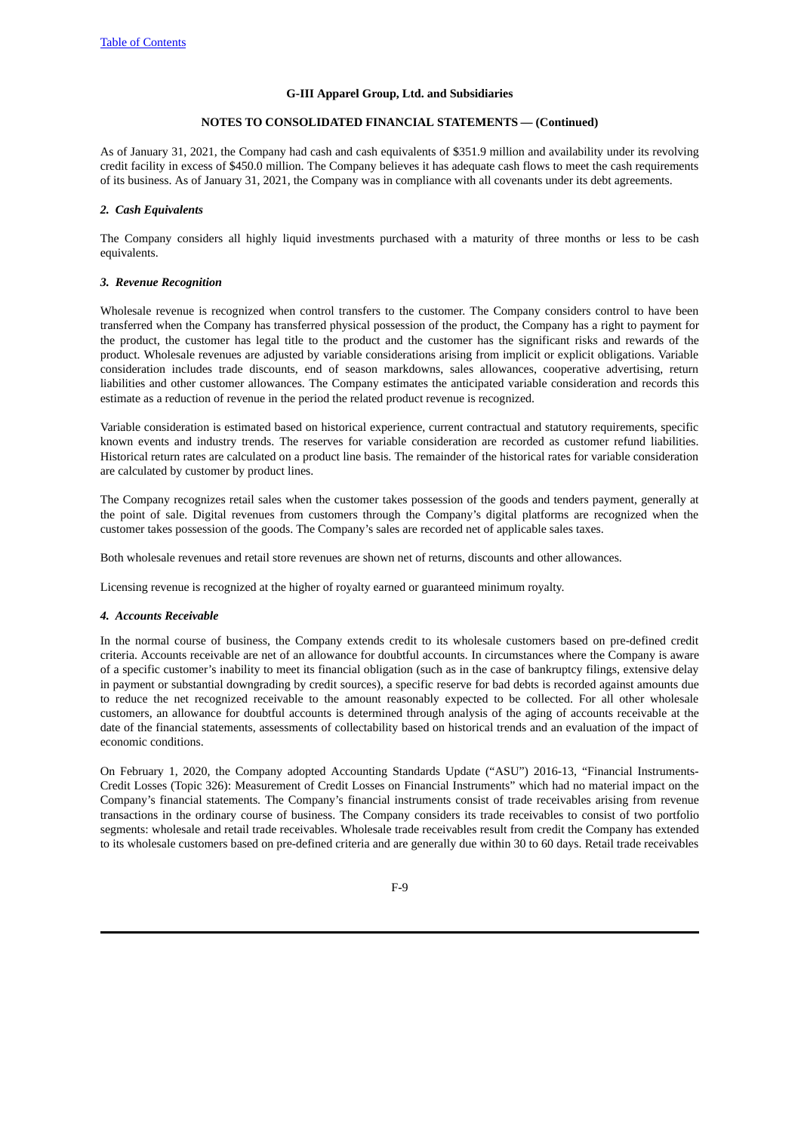## **NOTES TO CONSOLIDATED FINANCIAL STATEMENTS — (Continued)**

As of January 31, 2021, the Company had cash and cash equivalents of \$351.9 million and availability under its revolving credit facility in excess of \$450.0 million. The Company believes it has adequate cash flows to meet the cash requirements of its business. As of January 31, 2021, the Company was in compliance with all covenants under its debt agreements.

### *2. Cash Equivalents*

The Company considers all highly liquid investments purchased with a maturity of three months or less to be cash equivalents.

#### *3. Revenue Recognition*

Wholesale revenue is recognized when control transfers to the customer. The Company considers control to have been transferred when the Company has transferred physical possession of the product, the Company has a right to payment for the product, the customer has legal title to the product and the customer has the significant risks and rewards of the product. Wholesale revenues are adjusted by variable considerations arising from implicit or explicit obligations. Variable consideration includes trade discounts, end of season markdowns, sales allowances, cooperative advertising, return liabilities and other customer allowances. The Company estimates the anticipated variable consideration and records this estimate as a reduction of revenue in the period the related product revenue is recognized.

Variable consideration is estimated based on historical experience, current contractual and statutory requirements, specific known events and industry trends. The reserves for variable consideration are recorded as customer refund liabilities. Historical return rates are calculated on a product line basis. The remainder of the historical rates for variable consideration are calculated by customer by product lines.

The Company recognizes retail sales when the customer takes possession of the goods and tenders payment, generally at the point of sale. Digital revenues from customers through the Company's digital platforms are recognized when the customer takes possession of the goods. The Company's sales are recorded net of applicable sales taxes.

Both wholesale revenues and retail store revenues are shown net of returns, discounts and other allowances.

Licensing revenue is recognized at the higher of royalty earned or guaranteed minimum royalty.

## *4. Accounts Receivable*

In the normal course of business, the Company extends credit to its wholesale customers based on pre-defined credit criteria. Accounts receivable are net of an allowance for doubtful accounts. In circumstances where the Company is aware of a specific customer's inability to meet its financial obligation (such as in the case of bankruptcy filings, extensive delay in payment or substantial downgrading by credit sources), a specific reserve for bad debts is recorded against amounts due to reduce the net recognized receivable to the amount reasonably expected to be collected. For all other wholesale customers, an allowance for doubtful accounts is determined through analysis of the aging of accounts receivable at the date of the financial statements, assessments of collectability based on historical trends and an evaluation of the impact of economic conditions.

On February 1, 2020, the Company adopted Accounting Standards Update ("ASU") 2016-13, "Financial Instruments-Credit Losses (Topic 326): Measurement of Credit Losses on Financial Instruments" which had no material impact on the Company's financial statements. The Company's financial instruments consist of trade receivables arising from revenue transactions in the ordinary course of business. The Company considers its trade receivables to consist of two portfolio segments: wholesale and retail trade receivables. Wholesale trade receivables result from credit the Company has extended to its wholesale customers based on pre-defined criteria and are generally due within 30 to 60 days. Retail trade receivables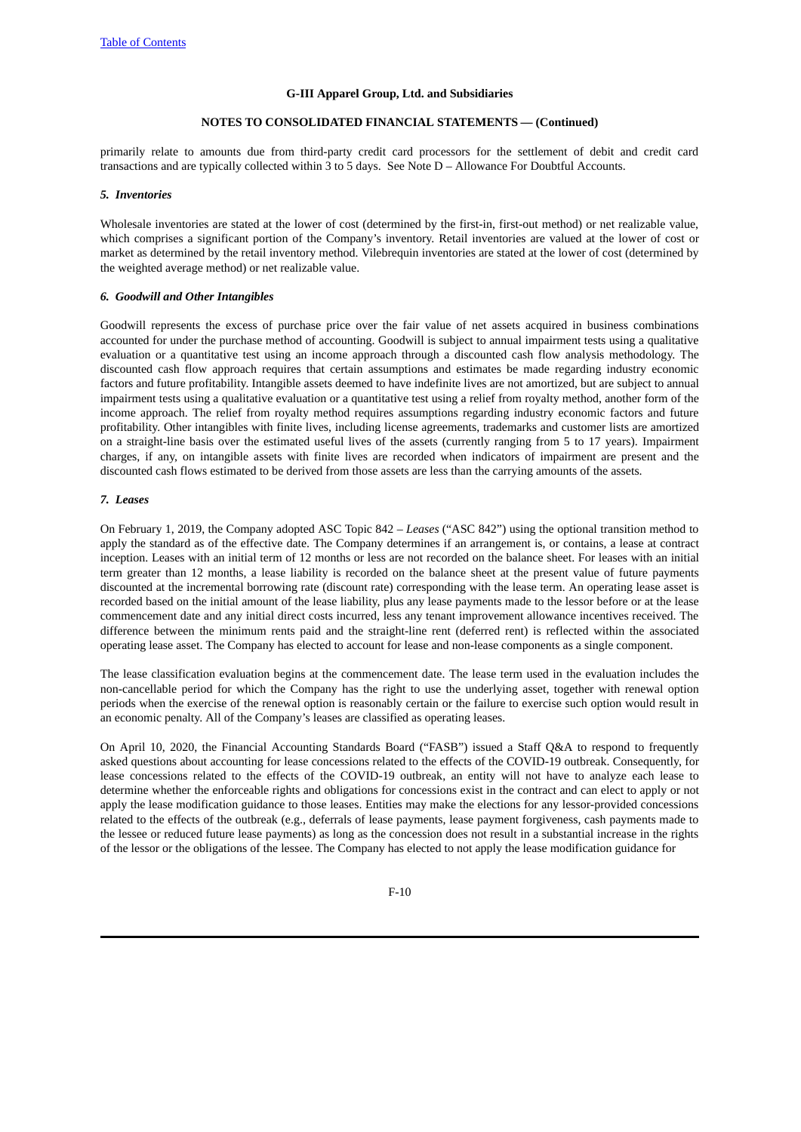## **NOTES TO CONSOLIDATED FINANCIAL STATEMENTS — (Continued)**

primarily relate to amounts due from third-party credit card processors for the settlement of debit and credit card transactions and are typically collected within 3 to 5 days. See Note D – Allowance For Doubtful Accounts.

#### *5. Inventories*

Wholesale inventories are stated at the lower of cost (determined by the first-in, first-out method) or net realizable value, which comprises a significant portion of the Company's inventory. Retail inventories are valued at the lower of cost or market as determined by the retail inventory method. Vilebrequin inventories are stated at the lower of cost (determined by the weighted average method) or net realizable value.

#### *6. Goodwill and Other Intangibles*

Goodwill represents the excess of purchase price over the fair value of net assets acquired in business combinations accounted for under the purchase method of accounting. Goodwill is subject to annual impairment tests using a qualitative evaluation or a quantitative test using an income approach through a discounted cash flow analysis methodology. The discounted cash flow approach requires that certain assumptions and estimates be made regarding industry economic factors and future profitability. Intangible assets deemed to have indefinite lives are not amortized, but are subject to annual impairment tests using a qualitative evaluation or a quantitative test using a relief from royalty method, another form of the income approach. The relief from royalty method requires assumptions regarding industry economic factors and future profitability. Other intangibles with finite lives, including license agreements, trademarks and customer lists are amortized on a straight-line basis over the estimated useful lives of the assets (currently ranging from 5 to 17 years). Impairment charges, if any, on intangible assets with finite lives are recorded when indicators of impairment are present and the discounted cash flows estimated to be derived from those assets are less than the carrying amounts of the assets.

#### *7. Leases*

On February 1, 2019, the Company adopted ASC Topic 842 – *Leases* ("ASC 842") using the optional transition method to apply the standard as of the effective date. The Company determines if an arrangement is, or contains, a lease at contract inception. Leases with an initial term of 12 months or less are not recorded on the balance sheet. For leases with an initial term greater than 12 months, a lease liability is recorded on the balance sheet at the present value of future payments discounted at the incremental borrowing rate (discount rate) corresponding with the lease term. An operating lease asset is recorded based on the initial amount of the lease liability, plus any lease payments made to the lessor before or at the lease commencement date and any initial direct costs incurred, less any tenant improvement allowance incentives received. The difference between the minimum rents paid and the straight-line rent (deferred rent) is reflected within the associated operating lease asset. The Company has elected to account for lease and non-lease components as a single component.

The lease classification evaluation begins at the commencement date. The lease term used in the evaluation includes the non-cancellable period for which the Company has the right to use the underlying asset, together with renewal option periods when the exercise of the renewal option is reasonably certain or the failure to exercise such option would result in an economic penalty. All of the Company's leases are classified as operating leases.

On April 10, 2020, the Financial Accounting Standards Board ("FASB") issued a Staff Q&A to respond to frequently asked questions about accounting for lease concessions related to the effects of the COVID-19 outbreak. Consequently, for lease concessions related to the effects of the COVID-19 outbreak, an entity will not have to analyze each lease to determine whether the enforceable rights and obligations for concessions exist in the contract and can elect to apply or not apply the lease modification guidance to those leases. Entities may make the elections for any lessor-provided concessions related to the effects of the outbreak (e.g., deferrals of lease payments, lease payment forgiveness, cash payments made to the lessee or reduced future lease payments) as long as the concession does not result in a substantial increase in the rights of the lessor or the obligations of the lessee. The Company has elected to not apply the lease modification guidance for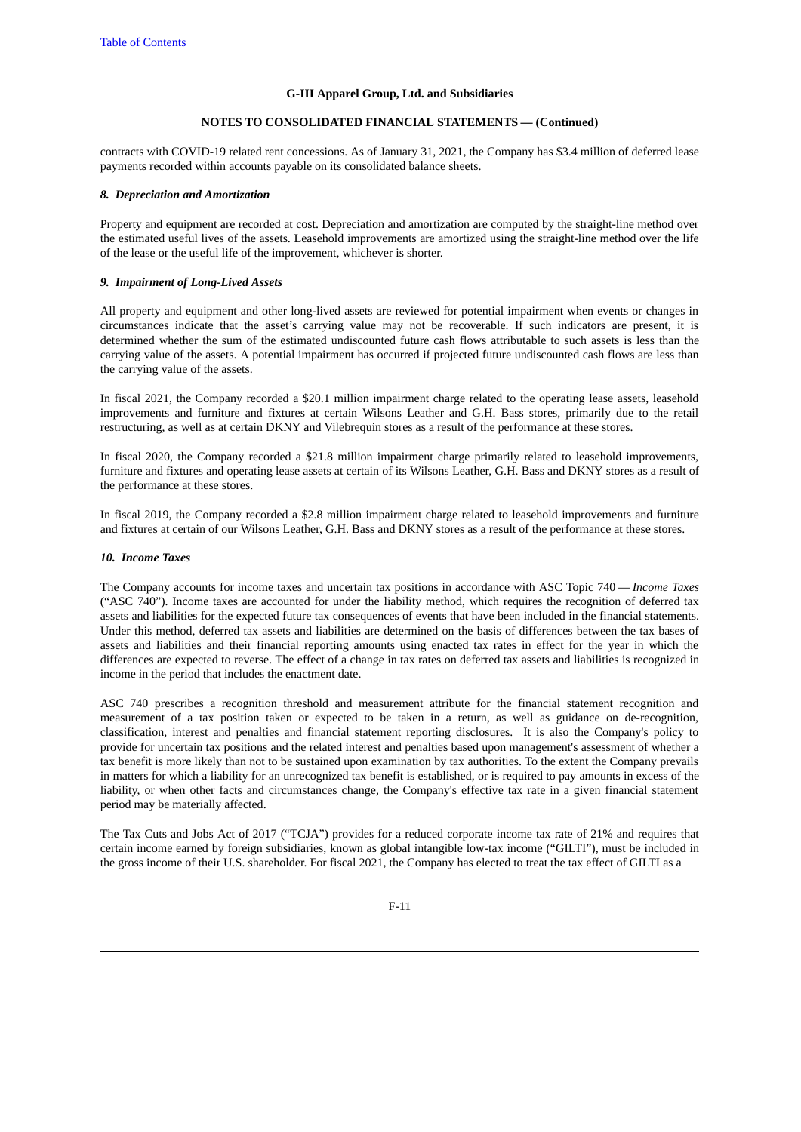## **NOTES TO CONSOLIDATED FINANCIAL STATEMENTS — (Continued)**

contracts with COVID-19 related rent concessions. As of January 31, 2021, the Company has \$3.4 million of deferred lease payments recorded within accounts payable on its consolidated balance sheets.

#### *8. Depreciation and Amortization*

Property and equipment are recorded at cost. Depreciation and amortization are computed by the straight-line method over the estimated useful lives of the assets. Leasehold improvements are amortized using the straight-line method over the life of the lease or the useful life of the improvement, whichever is shorter.

### *9. Impairment of Long-Lived Assets*

All property and equipment and other long-lived assets are reviewed for potential impairment when events or changes in circumstances indicate that the asset's carrying value may not be recoverable. If such indicators are present, it is determined whether the sum of the estimated undiscounted future cash flows attributable to such assets is less than the carrying value of the assets. A potential impairment has occurred if projected future undiscounted cash flows are less than the carrying value of the assets.

In fiscal 2021, the Company recorded a \$20.1 million impairment charge related to the operating lease assets, leasehold improvements and furniture and fixtures at certain Wilsons Leather and G.H. Bass stores, primarily due to the retail restructuring, as well as at certain DKNY and Vilebrequin stores as a result of the performance at these stores.

In fiscal 2020, the Company recorded a \$21.8 million impairment charge primarily related to leasehold improvements, furniture and fixtures and operating lease assets at certain of its Wilsons Leather, G.H. Bass and DKNY stores as a result of the performance at these stores.

In fiscal 2019, the Company recorded a \$2.8 million impairment charge related to leasehold improvements and furniture and fixtures at certain of our Wilsons Leather, G.H. Bass and DKNY stores as a result of the performance at these stores.

### *10. Income Taxes*

The Company accounts for income taxes and uncertain tax positions in accordance with ASC Topic 740 — *Income Taxes* ("ASC 740"). Income taxes are accounted for under the liability method, which requires the recognition of deferred tax assets and liabilities for the expected future tax consequences of events that have been included in the financial statements. Under this method, deferred tax assets and liabilities are determined on the basis of differences between the tax bases of assets and liabilities and their financial reporting amounts using enacted tax rates in effect for the year in which the differences are expected to reverse. The effect of a change in tax rates on deferred tax assets and liabilities is recognized in income in the period that includes the enactment date.

ASC 740 prescribes a recognition threshold and measurement attribute for the financial statement recognition and measurement of a tax position taken or expected to be taken in a return, as well as guidance on de-recognition, classification, interest and penalties and financial statement reporting disclosures. It is also the Company's policy to provide for uncertain tax positions and the related interest and penalties based upon management's assessment of whether a tax benefit is more likely than not to be sustained upon examination by tax authorities. To the extent the Company prevails in matters for which a liability for an unrecognized tax benefit is established, or is required to pay amounts in excess of the liability, or when other facts and circumstances change, the Company's effective tax rate in a given financial statement period may be materially affected.

The Tax Cuts and Jobs Act of 2017 ("TCJA") provides for a reduced corporate income tax rate of 21% and requires that certain income earned by foreign subsidiaries, known as global intangible low-tax income ("GILTI"), must be included in the gross income of their U.S. shareholder. For fiscal 2021, the Company has elected to treat the tax effect of GILTI as a

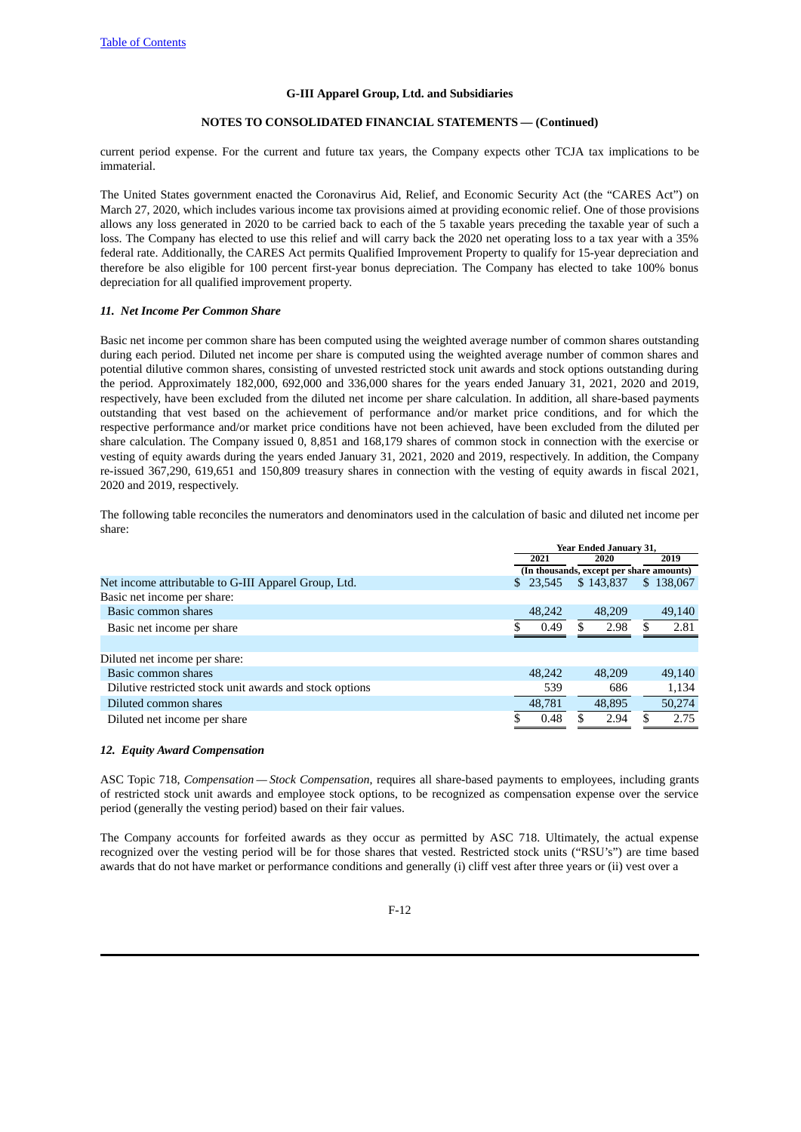## **NOTES TO CONSOLIDATED FINANCIAL STATEMENTS — (Continued)**

current period expense. For the current and future tax years, the Company expects other TCJA tax implications to be immaterial.

The United States government enacted the Coronavirus Aid, Relief, and Economic Security Act (the "CARES Act") on March 27, 2020, which includes various income tax provisions aimed at providing economic relief. One of those provisions allows any loss generated in 2020 to be carried back to each of the 5 taxable years preceding the taxable year of such a loss. The Company has elected to use this relief and will carry back the 2020 net operating loss to a tax year with a 35% federal rate. Additionally, the CARES Act permits Qualified Improvement Property to qualify for 15-year depreciation and therefore be also eligible for 100 percent first-year bonus depreciation. The Company has elected to take 100% bonus depreciation for all qualified improvement property.

#### *11. Net Income Per Common Share*

Basic net income per common share has been computed using the weighted average number of common shares outstanding during each period. Diluted net income per share is computed using the weighted average number of common shares and potential dilutive common shares, consisting of unvested restricted stock unit awards and stock options outstanding during the period. Approximately 182,000, 692,000 and 336,000 shares for the years ended January 31, 2021, 2020 and 2019, respectively, have been excluded from the diluted net income per share calculation. In addition, all share-based payments outstanding that vest based on the achievement of performance and/or market price conditions, and for which the respective performance and/or market price conditions have not been achieved, have been excluded from the diluted per share calculation. The Company issued 0, 8,851 and 168,179 shares of common stock in connection with the exercise or vesting of equity awards during the years ended January 31, 2021, 2020 and 2019, respectively. In addition, the Company re-issued 367,290, 619,651 and 150,809 treasury shares in connection with the vesting of equity awards in fiscal 2021, 2020 and 2019, respectively.

The following table reconciles the numerators and denominators used in the calculation of basic and diluted net income per share:

|                                                         | <b>Year Ended January 31,</b> |                                          |             |  |  |
|---------------------------------------------------------|-------------------------------|------------------------------------------|-------------|--|--|
|                                                         | 2021                          | 2019                                     |             |  |  |
|                                                         |                               | (In thousands, except per share amounts) |             |  |  |
| Net income attributable to G-III Apparel Group, Ltd.    | \$23,545                      | \$143,837                                | \$138,067   |  |  |
| Basic net income per share:                             |                               |                                          |             |  |  |
| Basic common shares                                     | 48.242                        | 48,209                                   | 49,140      |  |  |
| Basic net income per share                              | 0.49                          | \$.<br>2.98                              | 2.81<br>\$. |  |  |
|                                                         |                               |                                          |             |  |  |
| Diluted net income per share:                           |                               |                                          |             |  |  |
| Basic common shares                                     | 48,242                        | 48,209                                   | 49,140      |  |  |
| Dilutive restricted stock unit awards and stock options | 539                           | 686                                      | 1,134       |  |  |
| Diluted common shares                                   | 48,781                        | 48.895                                   | 50,274      |  |  |
| Diluted net income per share                            | 0.48                          | 2.94                                     | 2.75        |  |  |
|                                                         |                               |                                          |             |  |  |

### *12. Equity Award Compensation*

ASC Topic 718, *Compensation — Stock Compensation*, requires all share-based payments to employees, including grants of restricted stock unit awards and employee stock options, to be recognized as compensation expense over the service period (generally the vesting period) based on their fair values.

The Company accounts for forfeited awards as they occur as permitted by ASC 718. Ultimately, the actual expense recognized over the vesting period will be for those shares that vested. Restricted stock units ("RSU's") are time based awards that do not have market or performance conditions and generally (i) cliff vest after three years or (ii) vest over a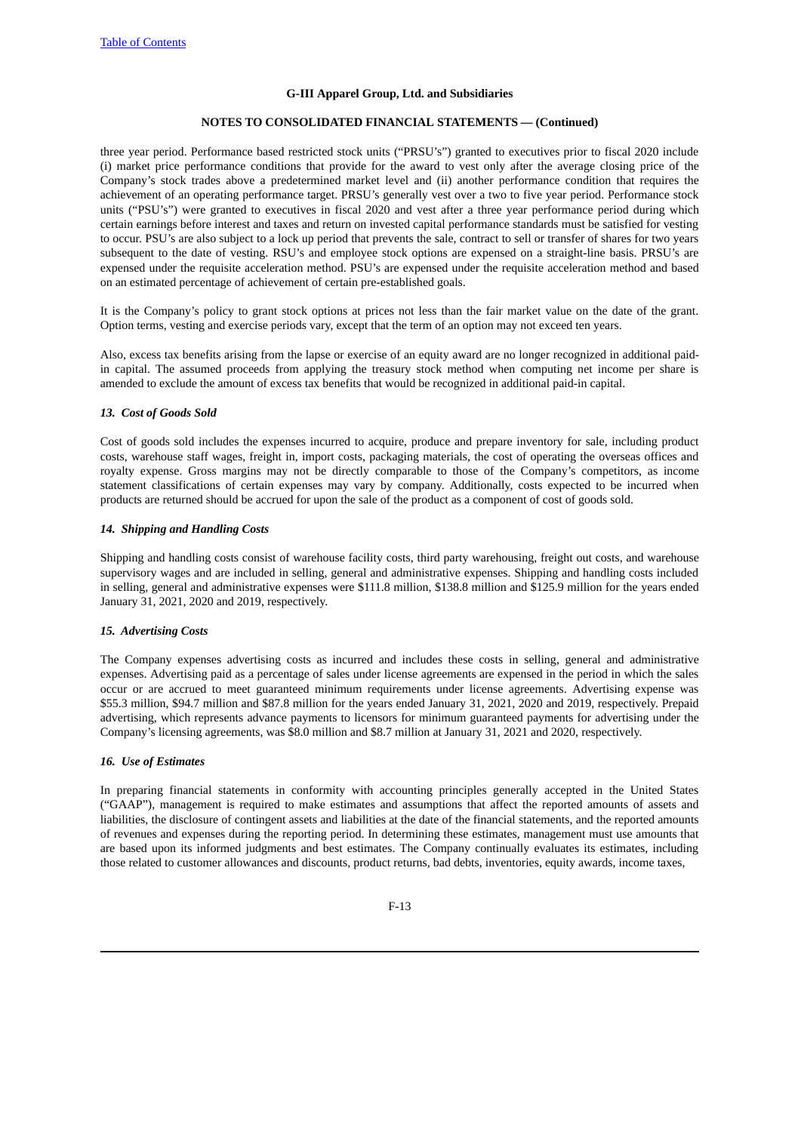## **NOTES TO CONSOLIDATED FINANCIAL STATEMENTS — (Continued)**

three year period. Performance based restricted stock units ("PRSU's") granted to executives prior to fiscal 2020 include (i) market price performance conditions that provide for the award to vest only after the average closing price of the Company's stock trades above a predetermined market level and (ii) another performance condition that requires the achievement of an operating performance target. PRSU's generally vest over a two to five year period. Performance stock units ("PSU's") were granted to executives in fiscal 2020 and vest after a three year performance period during which certain earnings before interest and taxes and return on invested capital performance standards must be satisfied for vesting to occur. PSU's are also subject to a lock up period that prevents the sale, contract to sell or transfer of shares for two years subsequent to the date of vesting. RSU's and employee stock options are expensed on a straight-line basis. PRSU's are expensed under the requisite acceleration method. PSU's are expensed under the requisite acceleration method and based on an estimated percentage of achievement of certain pre-established goals.

It is the Company's policy to grant stock options at prices not less than the fair market value on the date of the grant. Option terms, vesting and exercise periods vary, except that the term of an option may not exceed ten years.

Also, excess tax benefits arising from the lapse or exercise of an equity award are no longer recognized in additional paidin capital. The assumed proceeds from applying the treasury stock method when computing net income per share is amended to exclude the amount of excess tax benefits that would be recognized in additional paid-in capital.

#### *13. Cost of Goods Sold*

Cost of goods sold includes the expenses incurred to acquire, produce and prepare inventory for sale, including product costs, warehouse staff wages, freight in, import costs, packaging materials, the cost of operating the overseas offices and royalty expense. Gross margins may not be directly comparable to those of the Company's competitors, as income statement classifications of certain expenses may vary by company. Additionally, costs expected to be incurred when products are returned should be accrued for upon the sale of the product as a component of cost of goods sold.

### *14. Shipping and Handling Costs*

Shipping and handling costs consist of warehouse facility costs, third party warehousing, freight out costs, and warehouse supervisory wages and are included in selling, general and administrative expenses. Shipping and handling costs included in selling, general and administrative expenses were \$111.8 million, \$138.8 million and \$125.9 million for the years ended January 31, 2021, 2020 and 2019, respectively.

#### *15. Advertising Costs*

The Company expenses advertising costs as incurred and includes these costs in selling, general and administrative expenses. Advertising paid as a percentage of sales under license agreements are expensed in the period in which the sales occur or are accrued to meet guaranteed minimum requirements under license agreements. Advertising expense was \$55.3 million, \$94.7 million and \$87.8 million for the years ended January 31, 2021, 2020 and 2019, respectively. Prepaid advertising, which represents advance payments to licensors for minimum guaranteed payments for advertising under the Company's licensing agreements, was \$8.0 million and \$8.7 million at January 31, 2021 and 2020, respectively.

#### *16. Use of Estimates*

In preparing financial statements in conformity with accounting principles generally accepted in the United States ("GAAP"), management is required to make estimates and assumptions that affect the reported amounts of assets and liabilities, the disclosure of contingent assets and liabilities at the date of the financial statements, and the reported amounts of revenues and expenses during the reporting period. In determining these estimates, management must use amounts that are based upon its informed judgments and best estimates. The Company continually evaluates its estimates, including those related to customer allowances and discounts, product returns, bad debts, inventories, equity awards, income taxes,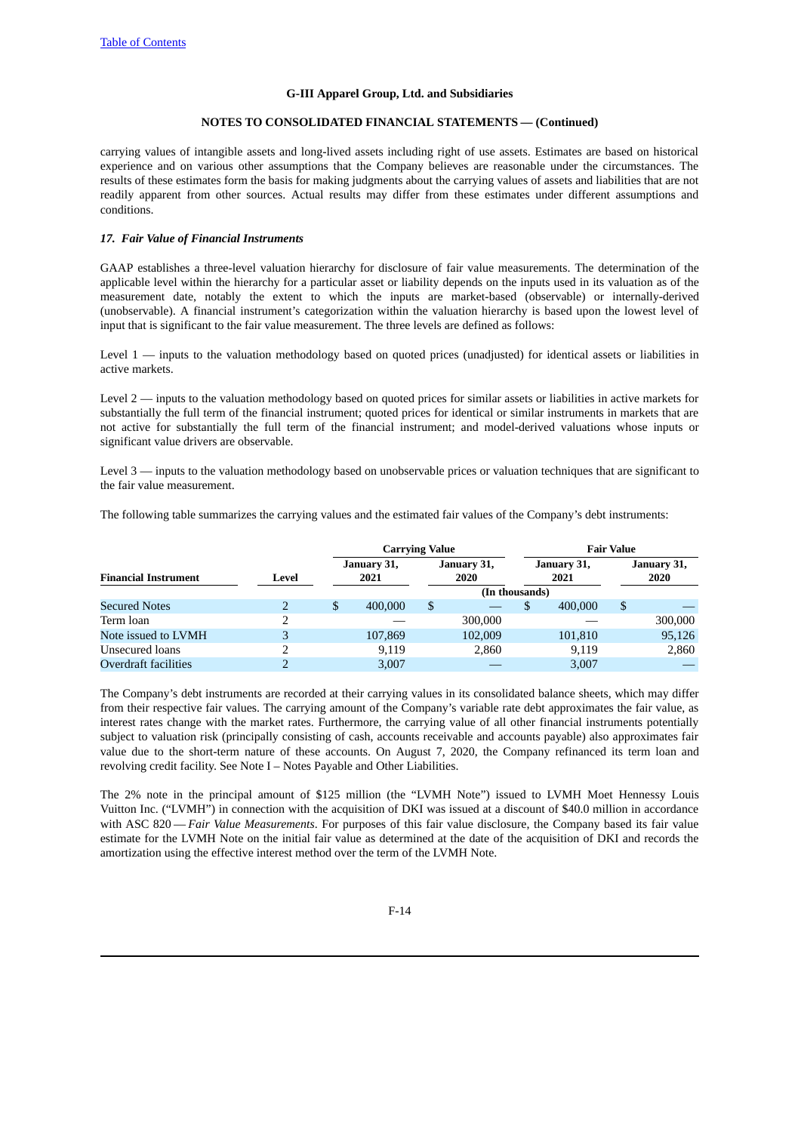## **NOTES TO CONSOLIDATED FINANCIAL STATEMENTS — (Continued)**

carrying values of intangible assets and long-lived assets including right of use assets. Estimates are based on historical experience and on various other assumptions that the Company believes are reasonable under the circumstances. The results of these estimates form the basis for making judgments about the carrying values of assets and liabilities that are not readily apparent from other sources. Actual results may differ from these estimates under different assumptions and conditions.

### *17. Fair Value of Financial Instruments*

GAAP establishes a three-level valuation hierarchy for disclosure of fair value measurements. The determination of the applicable level within the hierarchy for a particular asset or liability depends on the inputs used in its valuation as of the measurement date, notably the extent to which the inputs are market-based (observable) or internally-derived (unobservable). A financial instrument's categorization within the valuation hierarchy is based upon the lowest level of input that is significant to the fair value measurement. The three levels are defined as follows:

Level  $1$  — inputs to the valuation methodology based on quoted prices (unadjusted) for identical assets or liabilities in active markets.

Level 2 — inputs to the valuation methodology based on quoted prices for similar assets or liabilities in active markets for substantially the full term of the financial instrument; quoted prices for identical or similar instruments in markets that are not active for substantially the full term of the financial instrument; and model-derived valuations whose inputs or significant value drivers are observable.

Level 3 — inputs to the valuation methodology based on unobservable prices or valuation techniques that are significant to the fair value measurement.

The following table summarizes the carrying values and the estimated fair values of the Company's debt instruments:

|                             |       |                     | <b>Carrying Value</b> |                                       |         |                     | <b>Fair Value</b> |                     |
|-----------------------------|-------|---------------------|-----------------------|---------------------------------------|---------|---------------------|-------------------|---------------------|
| <b>Financial Instrument</b> | Level | January 31,<br>2021 |                       | January 31,<br>2020<br>(In thousands) |         | January 31,<br>2021 |                   | January 31,<br>2020 |
| <b>Secured Notes</b>        |       | \$                  | 400,000               | \$                                    |         | 400,000             | \$                |                     |
| Term loan                   |       |                     |                       |                                       | 300,000 |                     |                   | 300,000             |
| Note issued to LVMH         |       |                     | 107,869               |                                       | 102,009 | 101,810             |                   | 95,126              |
| Unsecured loans             |       |                     | 9.119                 |                                       | 2,860   | 9.119               |                   | 2,860               |
| Overdraft facilities        |       |                     | 3,007                 |                                       |         | 3,007               |                   |                     |

The Company's debt instruments are recorded at their carrying values in its consolidated balance sheets, which may differ from their respective fair values. The carrying amount of the Company's variable rate debt approximates the fair value, as interest rates change with the market rates. Furthermore, the carrying value of all other financial instruments potentially subject to valuation risk (principally consisting of cash, accounts receivable and accounts payable) also approximates fair value due to the short-term nature of these accounts. On August 7, 2020, the Company refinanced its term loan and revolving credit facility. See Note I – Notes Payable and Other Liabilities.

The 2% note in the principal amount of \$125 million (the "LVMH Note") issued to LVMH Moet Hennessy Louis Vuitton Inc. ("LVMH") in connection with the acquisition of DKI was issued at a discount of \$40.0 million in accordance with ASC 820 — *Fair Value Measurements*. For purposes of this fair value disclosure, the Company based its fair value estimate for the LVMH Note on the initial fair value as determined at the date of the acquisition of DKI and records the amortization using the effective interest method over the term of the LVMH Note.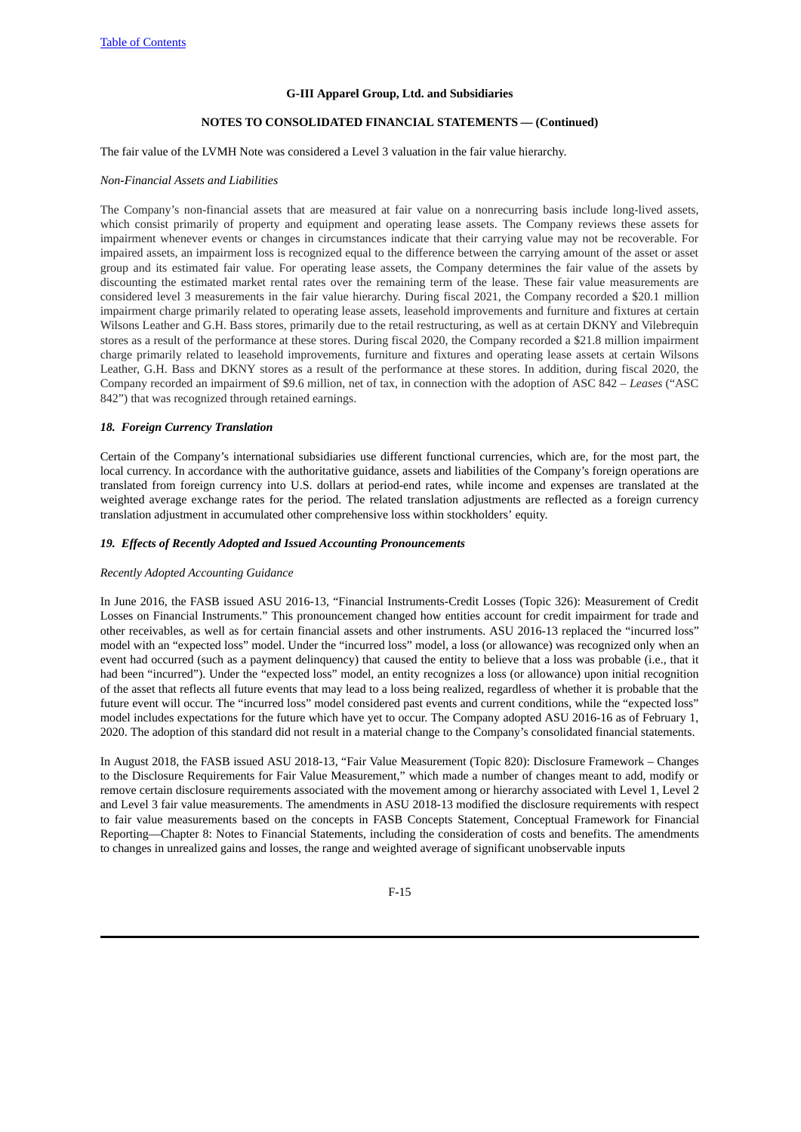## **NOTES TO CONSOLIDATED FINANCIAL STATEMENTS — (Continued)**

The fair value of the LVMH Note was considered a Level 3 valuation in the fair value hierarchy.

#### *Non-Financial Assets and Liabilities*

The Company's non-financial assets that are measured at fair value on a nonrecurring basis include long-lived assets, which consist primarily of property and equipment and operating lease assets. The Company reviews these assets for impairment whenever events or changes in circumstances indicate that their carrying value may not be recoverable. For impaired assets, an impairment loss is recognized equal to the difference between the carrying amount of the asset or asset group and its estimated fair value. For operating lease assets, the Company determines the fair value of the assets by discounting the estimated market rental rates over the remaining term of the lease. These fair value measurements are considered level 3 measurements in the fair value hierarchy. During fiscal 2021, the Company recorded a \$20.1 million impairment charge primarily related to operating lease assets, leasehold improvements and furniture and fixtures at certain Wilsons Leather and G.H. Bass stores, primarily due to the retail restructuring, as well as at certain DKNY and Vilebrequin stores as a result of the performance at these stores. During fiscal 2020, the Company recorded a \$21.8 million impairment charge primarily related to leasehold improvements, furniture and fixtures and operating lease assets at certain Wilsons Leather, G.H. Bass and DKNY stores as a result of the performance at these stores. In addition, during fiscal 2020, the Company recorded an impairment of \$9.6 million, net of tax, in connection with the adoption of ASC 842 – *Leases* ("ASC 842") that was recognized through retained earnings.

#### *18. Foreign Currency Translation*

Certain of the Company's international subsidiaries use different functional currencies, which are, for the most part, the local currency. In accordance with the authoritative guidance, assets and liabilities of the Company's foreign operations are translated from foreign currency into U.S. dollars at period-end rates, while income and expenses are translated at the weighted average exchange rates for the period. The related translation adjustments are reflected as a foreign currency translation adjustment in accumulated other comprehensive loss within stockholders' equity.

#### *19. Effects of Recently Adopted and Issued Accounting Pronouncements*

#### *Recently Adopted Accounting Guidance*

In June 2016, the FASB issued ASU 2016-13, "Financial Instruments-Credit Losses (Topic 326): Measurement of Credit Losses on Financial Instruments." This pronouncement changed how entities account for credit impairment for trade and other receivables, as well as for certain financial assets and other instruments. ASU 2016-13 replaced the "incurred loss" model with an "expected loss" model. Under the "incurred loss" model, a loss (or allowance) was recognized only when an event had occurred (such as a payment delinquency) that caused the entity to believe that a loss was probable (i.e., that it had been "incurred"). Under the "expected loss" model, an entity recognizes a loss (or allowance) upon initial recognition of the asset that reflects all future events that may lead to a loss being realized, regardless of whether it is probable that the future event will occur. The "incurred loss" model considered past events and current conditions, while the "expected loss" model includes expectations for the future which have yet to occur. The Company adopted ASU 2016-16 as of February 1, 2020. The adoption of this standard did not result in a material change to the Company's consolidated financial statements.

In August 2018, the FASB issued ASU 2018-13, "Fair Value Measurement (Topic 820): Disclosure Framework – Changes to the Disclosure Requirements for Fair Value Measurement," which made a number of changes meant to add, modify or remove certain disclosure requirements associated with the movement among or hierarchy associated with Level 1, Level 2 and Level 3 fair value measurements. The amendments in ASU 2018-13 modified the disclosure requirements with respect to fair value measurements based on the concepts in FASB Concepts Statement, Conceptual Framework for Financial Reporting—Chapter 8: Notes to Financial Statements, including the consideration of costs and benefits. The amendments to changes in unrealized gains and losses, the range and weighted average of significant unobservable inputs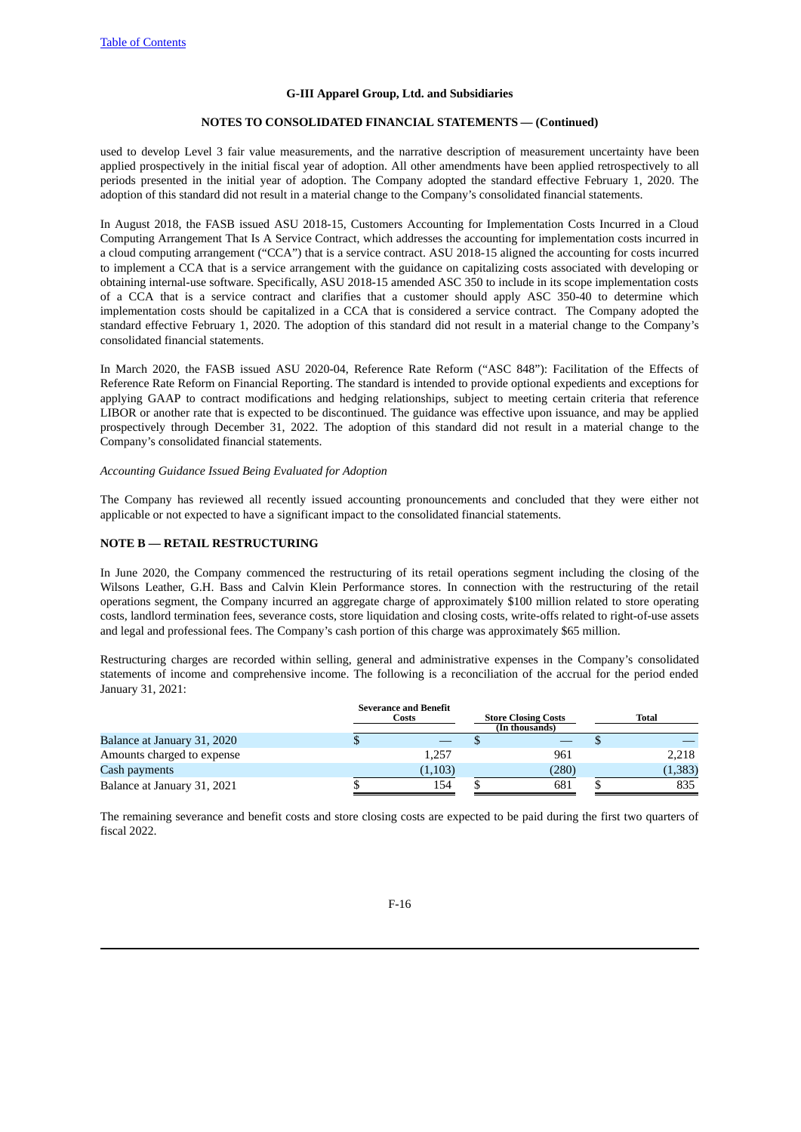## **NOTES TO CONSOLIDATED FINANCIAL STATEMENTS — (Continued)**

used to develop Level 3 fair value measurements, and the narrative description of measurement uncertainty have been applied prospectively in the initial fiscal year of adoption. All other amendments have been applied retrospectively to all periods presented in the initial year of adoption. The Company adopted the standard effective February 1, 2020. The adoption of this standard did not result in a material change to the Company's consolidated financial statements.

In August 2018, the FASB issued ASU 2018-15, Customers Accounting for Implementation Costs Incurred in a Cloud Computing Arrangement That Is A Service Contract, which addresses the accounting for implementation costs incurred in a cloud computing arrangement ("CCA") that is a service contract. ASU 2018-15 aligned the accounting for costs incurred to implement a CCA that is a service arrangement with the guidance on capitalizing costs associated with developing or obtaining internal-use software. Specifically, ASU 2018-15 amended ASC 350 to include in its scope implementation costs of a CCA that is a service contract and clarifies that a customer should apply ASC 350-40 to determine which implementation costs should be capitalized in a CCA that is considered a service contract. The Company adopted the standard effective February 1, 2020. The adoption of this standard did not result in a material change to the Company's consolidated financial statements.

In March 2020, the FASB issued ASU 2020-04, Reference Rate Reform ("ASC 848"): Facilitation of the Effects of Reference Rate Reform on Financial Reporting. The standard is intended to provide optional expedients and exceptions for applying GAAP to contract modifications and hedging relationships, subject to meeting certain criteria that reference LIBOR or another rate that is expected to be discontinued. The guidance was effective upon issuance, and may be applied prospectively through December 31, 2022. The adoption of this standard did not result in a material change to the Company's consolidated financial statements.

#### *Accounting Guidance Issued Being Evaluated for Adoption*

The Company has reviewed all recently issued accounting pronouncements and concluded that they were either not applicable or not expected to have a significant impact to the consolidated financial statements.

### **NOTE B — RETAIL RESTRUCTURING**

In June 2020, the Company commenced the restructuring of its retail operations segment including the closing of the Wilsons Leather, G.H. Bass and Calvin Klein Performance stores. In connection with the restructuring of the retail operations segment, the Company incurred an aggregate charge of approximately \$100 million related to store operating costs, landlord termination fees, severance costs, store liquidation and closing costs, write-offs related to right-of-use assets and legal and professional fees. The Company's cash portion of this charge was approximately \$65 million.

Restructuring charges are recorded within selling, general and administrative expenses in the Company's consolidated statements of income and comprehensive income. The following is a reconciliation of the accrual for the period ended January 31, 2021:

|                             | <b>Severance and Benefit</b><br>Costs | <b>Store Closing Costs</b><br>(In thousands) | Total    |
|-----------------------------|---------------------------------------|----------------------------------------------|----------|
| Balance at January 31, 2020 |                                       |                                              |          |
| Amounts charged to expense  | 1,257                                 | 961                                          | 2,218    |
| Cash payments               | (1, 103)                              | (280)                                        | (1, 383) |
| Balance at January 31, 2021 | 154                                   | 681                                          | 835      |

The remaining severance and benefit costs and store closing costs are expected to be paid during the first two quarters of fiscal 2022.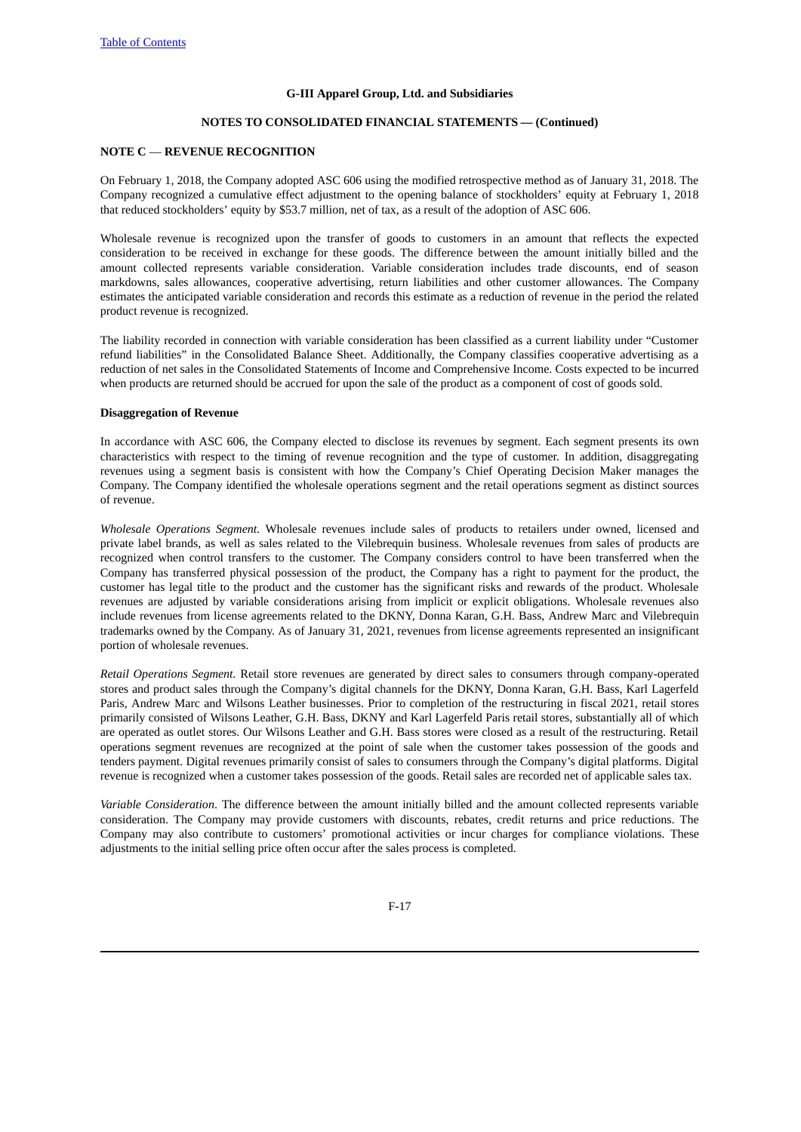## **NOTES TO CONSOLIDATED FINANCIAL STATEMENTS — (Continued)**

#### **NOTE C** — **REVENUE RECOGNITION**

On February 1, 2018, the Company adopted ASC 606 using the modified retrospective method as of January 31, 2018. The Company recognized a cumulative effect adjustment to the opening balance of stockholders' equity at February 1, 2018 that reduced stockholders' equity by \$53.7 million, net of tax, as a result of the adoption of ASC 606.

Wholesale revenue is recognized upon the transfer of goods to customers in an amount that reflects the expected consideration to be received in exchange for these goods. The difference between the amount initially billed and the amount collected represents variable consideration. Variable consideration includes trade discounts, end of season markdowns, sales allowances, cooperative advertising, return liabilities and other customer allowances. The Company estimates the anticipated variable consideration and records this estimate as a reduction of revenue in the period the related product revenue is recognized.

The liability recorded in connection with variable consideration has been classified as a current liability under "Customer refund liabilities" in the Consolidated Balance Sheet. Additionally, the Company classifies cooperative advertising as a reduction of net sales in the Consolidated Statements of Income and Comprehensive Income. Costs expected to be incurred when products are returned should be accrued for upon the sale of the product as a component of cost of goods sold.

#### **Disaggregation of Revenue**

In accordance with ASC 606, the Company elected to disclose its revenues by segment. Each segment presents its own characteristics with respect to the timing of revenue recognition and the type of customer. In addition, disaggregating revenues using a segment basis is consistent with how the Company's Chief Operating Decision Maker manages the Company. The Company identified the wholesale operations segment and the retail operations segment as distinct sources of revenue.

*Wholesale Operations Segment.* Wholesale revenues include sales of products to retailers under owned, licensed and private label brands, as well as sales related to the Vilebrequin business. Wholesale revenues from sales of products are recognized when control transfers to the customer. The Company considers control to have been transferred when the Company has transferred physical possession of the product, the Company has a right to payment for the product, the customer has legal title to the product and the customer has the significant risks and rewards of the product. Wholesale revenues are adjusted by variable considerations arising from implicit or explicit obligations. Wholesale revenues also include revenues from license agreements related to the DKNY, Donna Karan, G.H. Bass, Andrew Marc and Vilebrequin trademarks owned by the Company. As of January 31, 2021, revenues from license agreements represented an insignificant portion of wholesale revenues.

*Retail Operations Segment.* Retail store revenues are generated by direct sales to consumers through company-operated stores and product sales through the Company's digital channels for the DKNY, Donna Karan, G.H. Bass, Karl Lagerfeld Paris, Andrew Marc and Wilsons Leather businesses. Prior to completion of the restructuring in fiscal 2021, retail stores primarily consisted of Wilsons Leather, G.H. Bass, DKNY and Karl Lagerfeld Paris retail stores, substantially all of which are operated as outlet stores. Our Wilsons Leather and G.H. Bass stores were closed as a result of the restructuring. Retail operations segment revenues are recognized at the point of sale when the customer takes possession of the goods and tenders payment. Digital revenues primarily consist of sales to consumers through the Company's digital platforms. Digital revenue is recognized when a customer takes possession of the goods. Retail sales are recorded net of applicable sales tax.

*Variable Consideration*. The difference between the amount initially billed and the amount collected represents variable consideration. The Company may provide customers with discounts, rebates, credit returns and price reductions. The Company may also contribute to customers' promotional activities or incur charges for compliance violations. These adjustments to the initial selling price often occur after the sales process is completed.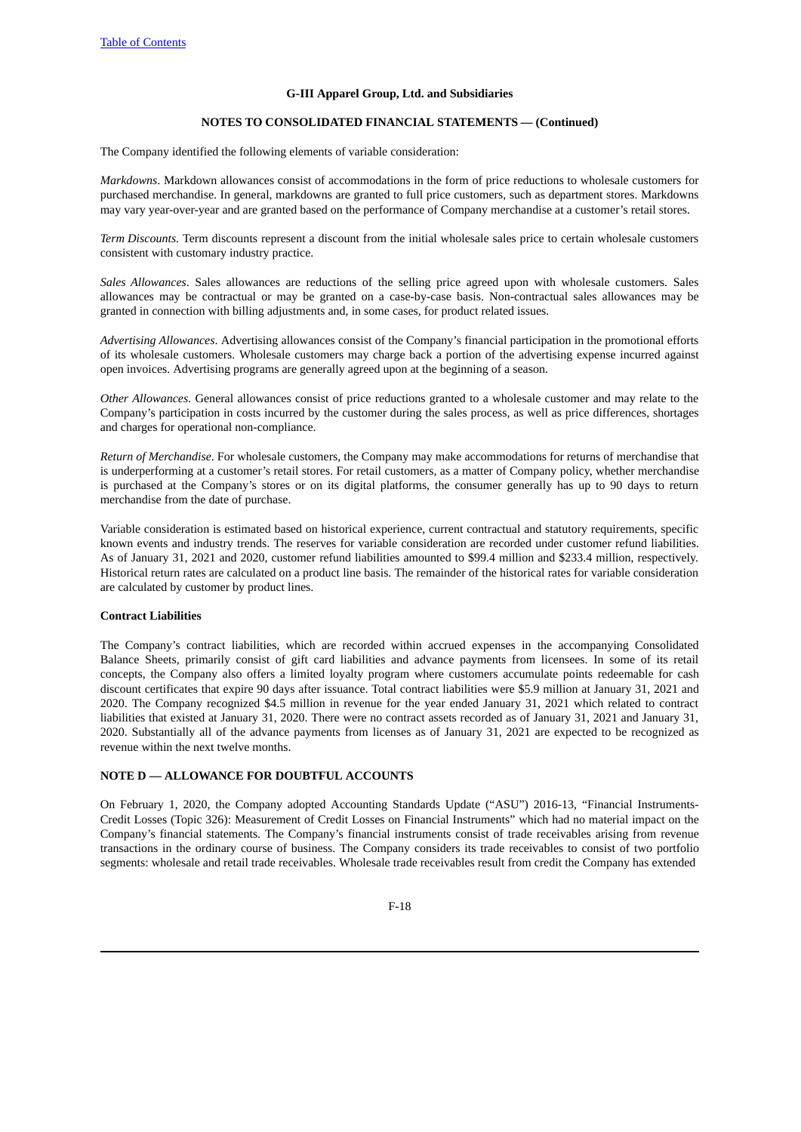## **NOTES TO CONSOLIDATED FINANCIAL STATEMENTS — (Continued)**

The Company identified the following elements of variable consideration:

*Markdowns*. Markdown allowances consist of accommodations in the form of price reductions to wholesale customers for purchased merchandise. In general, markdowns are granted to full price customers, such as department stores. Markdowns may vary year-over-year and are granted based on the performance of Company merchandise at a customer's retail stores.

*Term Discounts.* Term discounts represent a discount from the initial wholesale sales price to certain wholesale customers consistent with customary industry practice.

*Sales Allowances*. Sales allowances are reductions of the selling price agreed upon with wholesale customers. Sales allowances may be contractual or may be granted on a case-by-case basis. Non-contractual sales allowances may be granted in connection with billing adjustments and, in some cases, for product related issues.

*Advertising Allowances*. Advertising allowances consist of the Company's financial participation in the promotional efforts of its wholesale customers. Wholesale customers may charge back a portion of the advertising expense incurred against open invoices. Advertising programs are generally agreed upon at the beginning of a season.

*Other Allowances*. General allowances consist of price reductions granted to a wholesale customer and may relate to the Company's participation in costs incurred by the customer during the sales process, as well as price differences, shortages and charges for operational non-compliance.

*Return of Merchandise*. For wholesale customers, the Company may make accommodations for returns of merchandise that is underperforming at a customer's retail stores. For retail customers, as a matter of Company policy, whether merchandise is purchased at the Company's stores or on its digital platforms, the consumer generally has up to 90 days to return merchandise from the date of purchase.

Variable consideration is estimated based on historical experience, current contractual and statutory requirements, specific known events and industry trends. The reserves for variable consideration are recorded under customer refund liabilities. As of January 31, 2021 and 2020, customer refund liabilities amounted to \$99.4 million and \$233.4 million, respectively. Historical return rates are calculated on a product line basis. The remainder of the historical rates for variable consideration are calculated by customer by product lines.

## **Contract Liabilities**

The Company's contract liabilities, which are recorded within accrued expenses in the accompanying Consolidated Balance Sheets, primarily consist of gift card liabilities and advance payments from licensees. In some of its retail concepts, the Company also offers a limited loyalty program where customers accumulate points redeemable for cash discount certificates that expire 90 days after issuance. Total contract liabilities were \$5.9 million at January 31, 2021 and 2020. The Company recognized \$4.5 million in revenue for the year ended January 31, 2021 which related to contract liabilities that existed at January 31, 2020. There were no contract assets recorded as of January 31, 2021 and January 31, 2020. Substantially all of the advance payments from licenses as of January 31, 2021 are expected to be recognized as revenue within the next twelve months.

## **NOTE D — ALLOWANCE FOR DOUBTFUL ACCOUNTS**

On February 1, 2020, the Company adopted Accounting Standards Update ("ASU") 2016-13, "Financial Instruments-Credit Losses (Topic 326): Measurement of Credit Losses on Financial Instruments" which had no material impact on the Company's financial statements. The Company's financial instruments consist of trade receivables arising from revenue transactions in the ordinary course of business. The Company considers its trade receivables to consist of two portfolio segments: wholesale and retail trade receivables. Wholesale trade receivables result from credit the Company has extended

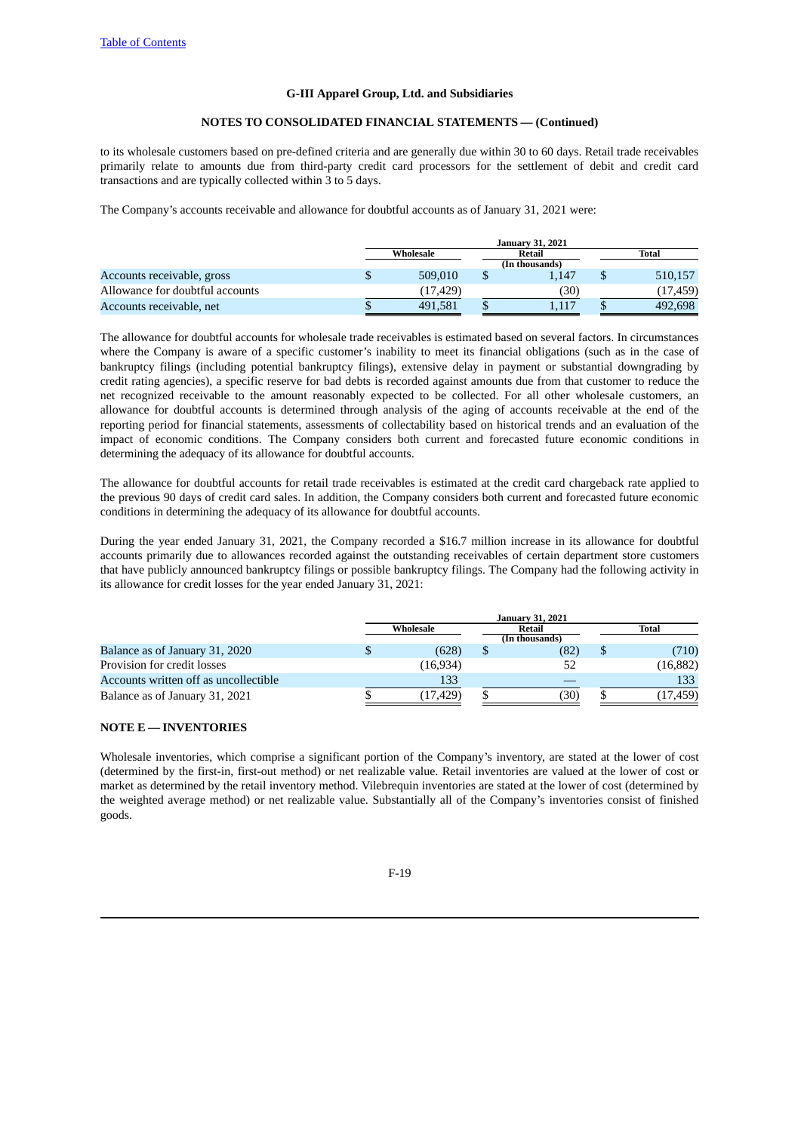## **NOTES TO CONSOLIDATED FINANCIAL STATEMENTS — (Continued)**

to its wholesale customers based on pre-defined criteria and are generally due within 30 to 60 days. Retail trade receivables primarily relate to amounts due from third-party credit card processors for the settlement of debit and credit card transactions and are typically collected within 3 to 5 days.

The Company's accounts receivable and allowance for doubtful accounts as of January 31, 2021 were:

|                                 |           |   | <b>January 31, 2021</b> |          |
|---------------------------------|-----------|---|-------------------------|----------|
|                                 | Wholesale |   | Retail                  | Total    |
|                                 |           |   | (In thousands)          |          |
| Accounts receivable, gross      | 509,010   |   | 1.147                   | 510.157  |
| Allowance for doubtful accounts | (17.429)  |   | (30)                    | (17,459) |
| Accounts receivable, net        | 491.581   | ۰ | 1,117                   | 492,698  |

The allowance for doubtful accounts for wholesale trade receivables is estimated based on several factors. In circumstances where the Company is aware of a specific customer's inability to meet its financial obligations (such as in the case of bankruptcy filings (including potential bankruptcy filings), extensive delay in payment or substantial downgrading by credit rating agencies), a specific reserve for bad debts is recorded against amounts due from that customer to reduce the net recognized receivable to the amount reasonably expected to be collected. For all other wholesale customers, an allowance for doubtful accounts is determined through analysis of the aging of accounts receivable at the end of the reporting period for financial statements, assessments of collectability based on historical trends and an evaluation of the impact of economic conditions. The Company considers both current and forecasted future economic conditions in determining the adequacy of its allowance for doubtful accounts.

The allowance for doubtful accounts for retail trade receivables is estimated at the credit card chargeback rate applied to the previous 90 days of credit card sales. In addition, the Company considers both current and forecasted future economic conditions in determining the adequacy of its allowance for doubtful accounts.

During the year ended January 31, 2021, the Company recorded a \$16.7 million increase in its allowance for doubtful accounts primarily due to allowances recorded against the outstanding receivables of certain department store customers that have publicly announced bankruptcy filings or possible bankruptcy filings. The Company had the following activity in its allowance for credit losses for the year ended January 31, 2021:

|                                       |           | <b>January 31, 2021</b> |        |                |  |           |  |  |
|---------------------------------------|-----------|-------------------------|--------|----------------|--|-----------|--|--|
|                                       | Wholesale |                         | Retail |                |  | Total     |  |  |
|                                       |           |                         |        | (In thousands) |  |           |  |  |
| Balance as of January 31, 2020        |           | (628)                   |        | (82)           |  | (710)     |  |  |
| Provision for credit losses           |           | (16, 934)               |        | 52             |  | (16, 882) |  |  |
| Accounts written off as uncollectible |           | 133                     |        |                |  | 133       |  |  |
| Balance as of January 31, 2021        |           | (17.429)                |        | (30)           |  | (17, 459) |  |  |

## **NOTE E — INVENTORIES**

Wholesale inventories, which comprise a significant portion of the Company's inventory, are stated at the lower of cost (determined by the first-in, first-out method) or net realizable value. Retail inventories are valued at the lower of cost or market as determined by the retail inventory method. Vilebrequin inventories are stated at the lower of cost (determined by the weighted average method) or net realizable value. Substantially all of the Company's inventories consist of finished goods.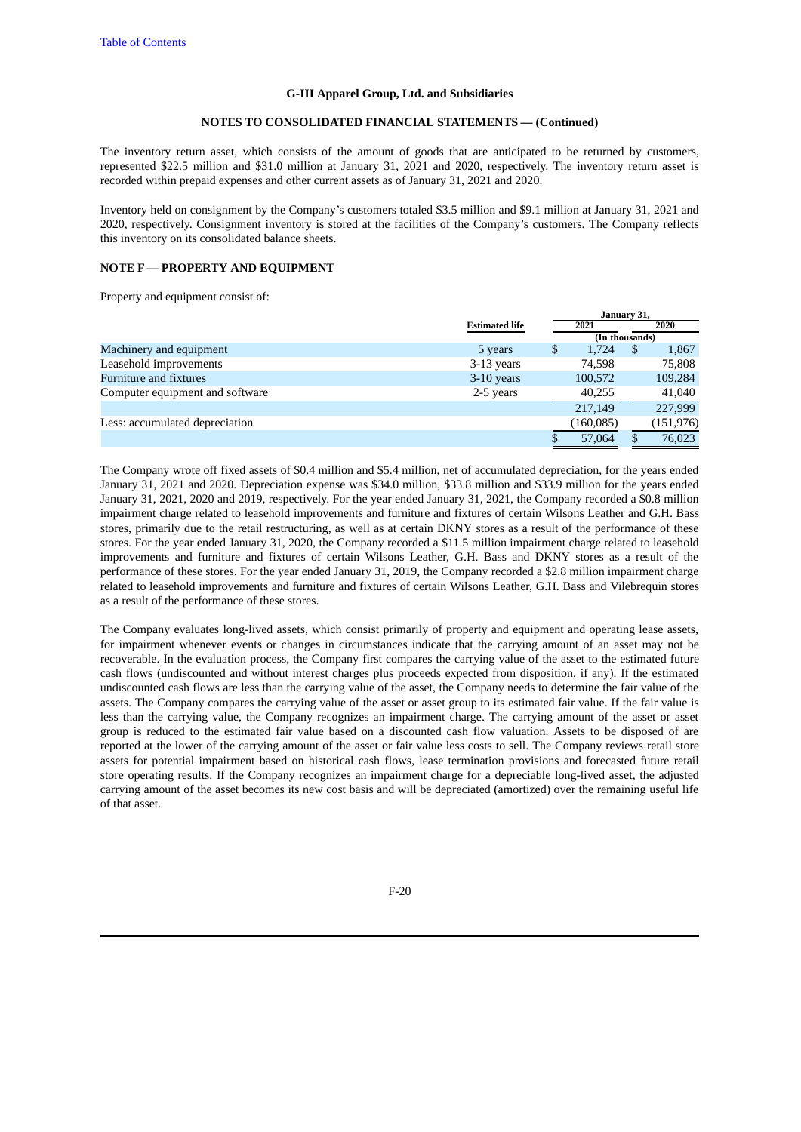## **NOTES TO CONSOLIDATED FINANCIAL STATEMENTS — (Continued)**

The inventory return asset, which consists of the amount of goods that are anticipated to be returned by customers, represented \$22.5 million and \$31.0 million at January 31, 2021 and 2020, respectively. The inventory return asset is recorded within prepaid expenses and other current assets as of January 31, 2021 and 2020.

Inventory held on consignment by the Company's customers totaled \$3.5 million and \$9.1 million at January 31, 2021 and 2020, respectively. Consignment inventory is stored at the facilities of the Company's customers. The Company reflects this inventory on its consolidated balance sheets.

## **NOTE F— PROPERTY AND EQUIPMENT**

Property and equipment consist of:

|                                 |                       |      | January 31,    |   |            |
|---------------------------------|-----------------------|------|----------------|---|------------|
|                                 | <b>Estimated life</b> | 2021 |                |   | 2020       |
|                                 |                       |      | (In thousands) |   |            |
| Machinery and equipment         | 5 years               | \$   | 1,724          | S | 1,867      |
| Leasehold improvements          | 3-13 years            |      | 74.598         |   | 75,808     |
| Furniture and fixtures          | 3-10 years            |      | 100,572        |   | 109,284    |
| Computer equipment and software | 2-5 years             |      | 40,255         |   | 41,040     |
|                                 |                       |      | 217,149        |   | 227,999    |
| Less: accumulated depreciation  |                       |      | (160, 085)     |   | (151, 976) |
|                                 |                       |      | 57,064         |   | 76,023     |
|                                 |                       |      |                |   |            |

The Company wrote off fixed assets of \$0.4 million and \$5.4 million, net of accumulated depreciation, for the years ended January 31, 2021 and 2020. Depreciation expense was \$34.0 million, \$33.8 million and \$33.9 million for the years ended January 31, 2021, 2020 and 2019, respectively. For the year ended January 31, 2021, the Company recorded a \$0.8 million impairment charge related to leasehold improvements and furniture and fixtures of certain Wilsons Leather and G.H. Bass stores, primarily due to the retail restructuring, as well as at certain DKNY stores as a result of the performance of these stores. For the year ended January 31, 2020, the Company recorded a \$11.5 million impairment charge related to leasehold improvements and furniture and fixtures of certain Wilsons Leather, G.H. Bass and DKNY stores as a result of the performance of these stores. For the year ended January 31, 2019, the Company recorded a \$2.8 million impairment charge related to leasehold improvements and furniture and fixtures of certain Wilsons Leather, G.H. Bass and Vilebrequin stores as a result of the performance of these stores.

The Company evaluates long-lived assets, which consist primarily of property and equipment and operating lease assets, for impairment whenever events or changes in circumstances indicate that the carrying amount of an asset may not be recoverable. In the evaluation process, the Company first compares the carrying value of the asset to the estimated future cash flows (undiscounted and without interest charges plus proceeds expected from disposition, if any). If the estimated undiscounted cash flows are less than the carrying value of the asset, the Company needs to determine the fair value of the assets. The Company compares the carrying value of the asset or asset group to its estimated fair value. If the fair value is less than the carrying value, the Company recognizes an impairment charge. The carrying amount of the asset or asset group is reduced to the estimated fair value based on a discounted cash flow valuation. Assets to be disposed of are reported at the lower of the carrying amount of the asset or fair value less costs to sell. The Company reviews retail store assets for potential impairment based on historical cash flows, lease termination provisions and forecasted future retail store operating results. If the Company recognizes an impairment charge for a depreciable long-lived asset, the adjusted carrying amount of the asset becomes its new cost basis and will be depreciated (amortized) over the remaining useful life of that asset.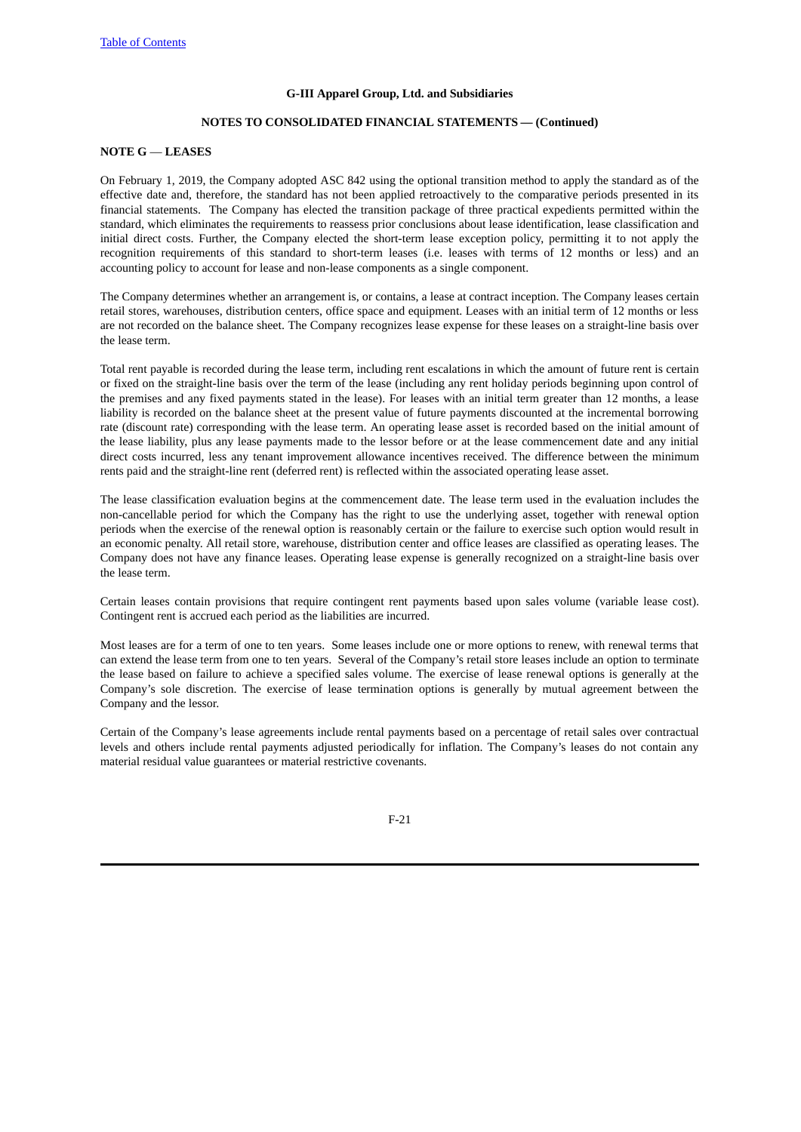## **NOTES TO CONSOLIDATED FINANCIAL STATEMENTS — (Continued)**

#### **NOTE G** — **LEASES**

On February 1, 2019, the Company adopted ASC 842 using the optional transition method to apply the standard as of the effective date and, therefore, the standard has not been applied retroactively to the comparative periods presented in its financial statements. The Company has elected the transition package of three practical expedients permitted within the standard, which eliminates the requirements to reassess prior conclusions about lease identification, lease classification and initial direct costs. Further, the Company elected the short-term lease exception policy, permitting it to not apply the recognition requirements of this standard to short-term leases (i.e. leases with terms of 12 months or less) and an accounting policy to account for lease and non-lease components as a single component.

The Company determines whether an arrangement is, or contains, a lease at contract inception. The Company leases certain retail stores, warehouses, distribution centers, office space and equipment. Leases with an initial term of 12 months or less are not recorded on the balance sheet. The Company recognizes lease expense for these leases on a straight-line basis over the lease term.

Total rent payable is recorded during the lease term, including rent escalations in which the amount of future rent is certain or fixed on the straight-line basis over the term of the lease (including any rent holiday periods beginning upon control of the premises and any fixed payments stated in the lease). For leases with an initial term greater than 12 months, a lease liability is recorded on the balance sheet at the present value of future payments discounted at the incremental borrowing rate (discount rate) corresponding with the lease term. An operating lease asset is recorded based on the initial amount of the lease liability, plus any lease payments made to the lessor before or at the lease commencement date and any initial direct costs incurred, less any tenant improvement allowance incentives received. The difference between the minimum rents paid and the straight-line rent (deferred rent) is reflected within the associated operating lease asset.

The lease classification evaluation begins at the commencement date. The lease term used in the evaluation includes the non-cancellable period for which the Company has the right to use the underlying asset, together with renewal option periods when the exercise of the renewal option is reasonably certain or the failure to exercise such option would result in an economic penalty. All retail store, warehouse, distribution center and office leases are classified as operating leases. The Company does not have any finance leases. Operating lease expense is generally recognized on a straight-line basis over the lease term.

Certain leases contain provisions that require contingent rent payments based upon sales volume (variable lease cost). Contingent rent is accrued each period as the liabilities are incurred.

Most leases are for a term of one to ten years. Some leases include one or more options to renew, with renewal terms that can extend the lease term from one to ten years. Several of the Company's retail store leases include an option to terminate the lease based on failure to achieve a specified sales volume. The exercise of lease renewal options is generally at the Company's sole discretion. The exercise of lease termination options is generally by mutual agreement between the Company and the lessor.

Certain of the Company's lease agreements include rental payments based on a percentage of retail sales over contractual levels and others include rental payments adjusted periodically for inflation. The Company's leases do not contain any material residual value guarantees or material restrictive covenants.

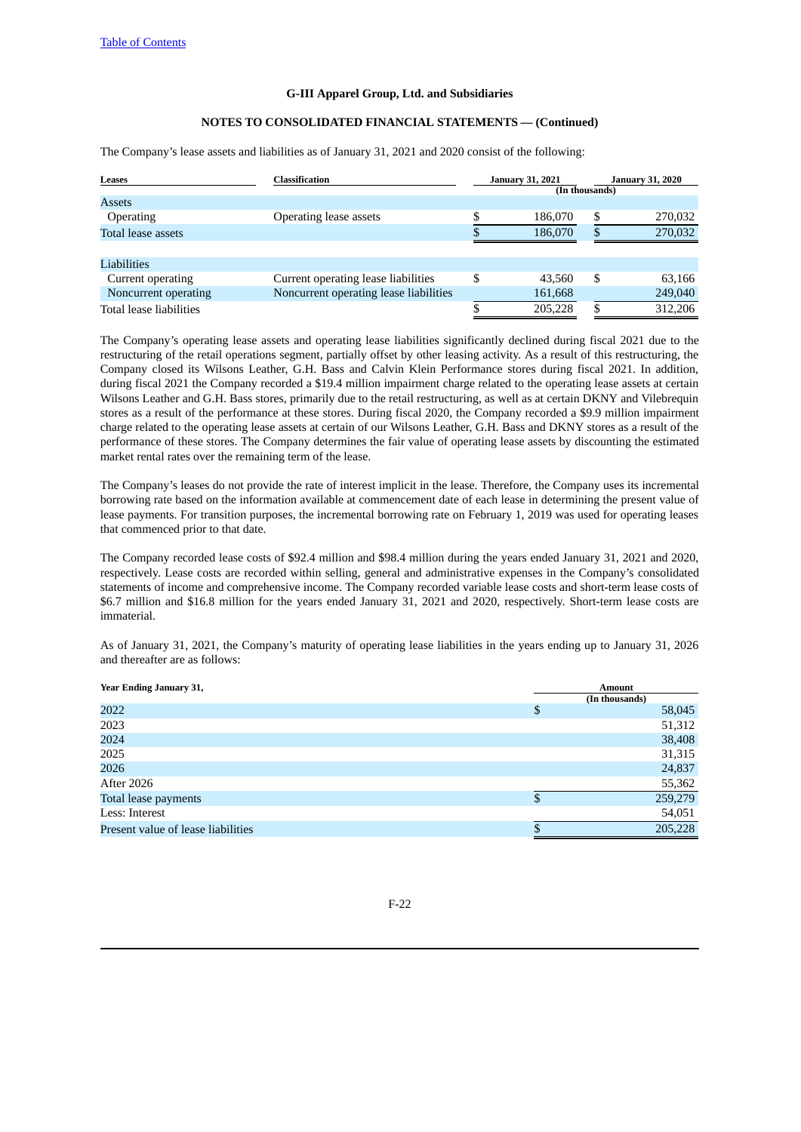## **NOTES TO CONSOLIDATED FINANCIAL STATEMENTS — (Continued)**

The Company's lease assets and liabilities as of January 31, 2021 and 2020 consist of the following:

| <b>Leases</b>           | <b>Classification</b>                  | <b>January 31, 2021</b> |                | <b>January 31, 2020</b> |
|-------------------------|----------------------------------------|-------------------------|----------------|-------------------------|
|                         |                                        |                         | (In thousands) |                         |
| Assets                  |                                        |                         |                |                         |
| <b>Operating</b>        | Operating lease assets                 | 186,070                 | \$             | 270,032                 |
| Total lease assets      |                                        | 186,070                 | \$             | 270,032                 |
|                         |                                        |                         |                |                         |
| Liabilities             |                                        |                         |                |                         |
| Current operating       | Current operating lease liabilities    | 43.560                  | \$             | 63,166                  |
| Noncurrent operating    | Noncurrent operating lease liabilities | 161,668                 |                | 249,040                 |
| Total lease liabilities |                                        | 205.228                 | \$             | 312,206                 |

The Company's operating lease assets and operating lease liabilities significantly declined during fiscal 2021 due to the restructuring of the retail operations segment, partially offset by other leasing activity. As a result of this restructuring, the Company closed its Wilsons Leather, G.H. Bass and Calvin Klein Performance stores during fiscal 2021. In addition, during fiscal 2021 the Company recorded a \$19.4 million impairment charge related to the operating lease assets at certain Wilsons Leather and G.H. Bass stores, primarily due to the retail restructuring, as well as at certain DKNY and Vilebrequin stores as a result of the performance at these stores. During fiscal 2020, the Company recorded a \$9.9 million impairment charge related to the operating lease assets at certain of our Wilsons Leather, G.H. Bass and DKNY stores as a result of the performance of these stores. The Company determines the fair value of operating lease assets by discounting the estimated market rental rates over the remaining term of the lease.

The Company's leases do not provide the rate of interest implicit in the lease. Therefore, the Company uses its incremental borrowing rate based on the information available at commencement date of each lease in determining the present value of lease payments. For transition purposes, the incremental borrowing rate on February 1, 2019 was used for operating leases that commenced prior to that date.

The Company recorded lease costs of \$92.4 million and \$98.4 million during the years ended January 31, 2021 and 2020, respectively. Lease costs are recorded within selling, general and administrative expenses in the Company's consolidated statements of income and comprehensive income. The Company recorded variable lease costs and short-term lease costs of \$6.7 million and \$16.8 million for the years ended January 31, 2021 and 2020, respectively. Short-term lease costs are immaterial.

As of January 31, 2021, the Company's maturity of operating lease liabilities in the years ending up to January 31, 2026 and thereafter are as follows:

| Year Ending January 31,            | <b>Amount</b> |                |  |
|------------------------------------|---------------|----------------|--|
|                                    |               | (In thousands) |  |
| 2022                               | \$            | 58,045         |  |
| 2023                               |               | 51,312         |  |
| 2024                               |               | 38,408         |  |
| 2025                               |               | 31,315         |  |
| 2026                               |               | 24,837         |  |
| <b>After 2026</b>                  |               | 55,362         |  |
| Total lease payments               | \$            | 259,279        |  |
| Less: Interest                     |               | 54,051         |  |
| Present value of lease liabilities |               | 205,228        |  |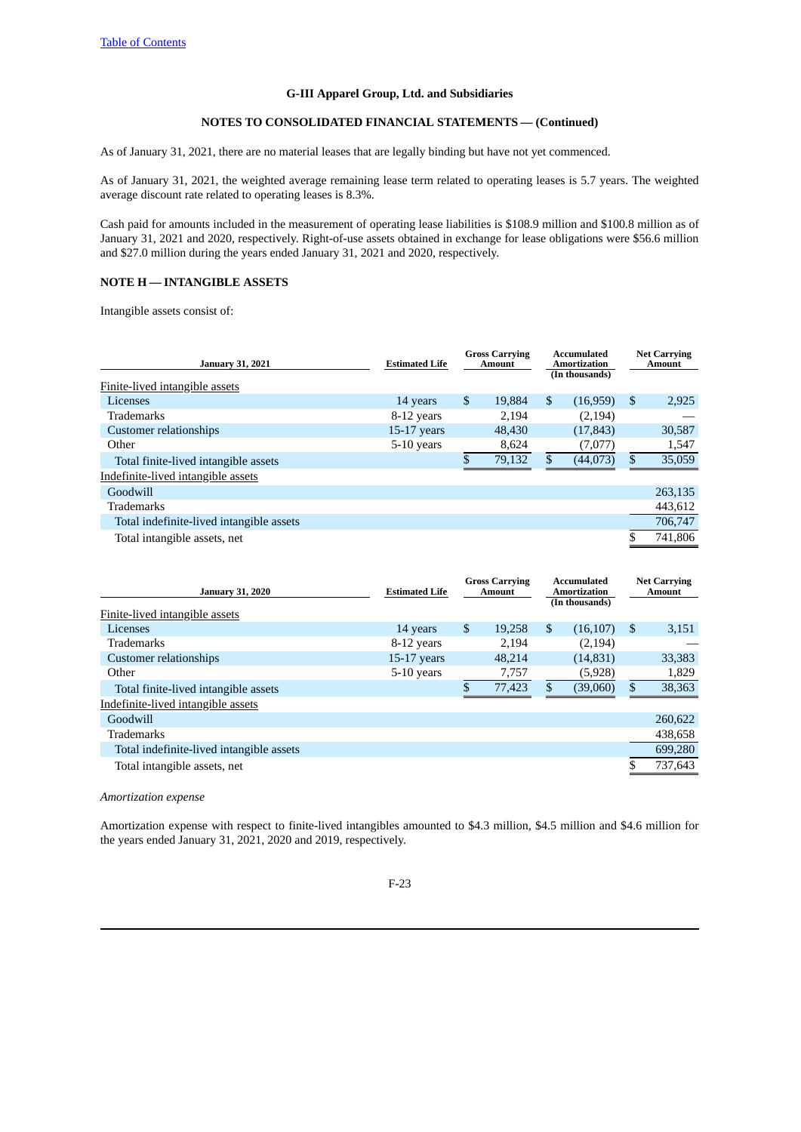## **NOTES TO CONSOLIDATED FINANCIAL STATEMENTS — (Continued)**

As of January 31, 2021, there are no material leases that are legally binding but have not yet commenced.

As of January 31, 2021, the weighted average remaining lease term related to operating leases is 5.7 years. The weighted average discount rate related to operating leases is 8.3%.

Cash paid for amounts included in the measurement of operating lease liabilities is \$108.9 million and \$100.8 million as of January 31, 2021 and 2020, respectively. Right-of-use assets obtained in exchange for lease obligations were \$56.6 million and \$27.0 million during the years ended January 31, 2021 and 2020, respectively.

### **NOTE H — INTANGIBLE ASSETS**

Intangible assets consist of:

| <b>January 31, 2021</b>                  | <b>Estimated Life</b> | <b>Gross Carrying</b><br>Amount |        |                 |               |  |  | Accumulated<br>Amortization<br>(In thousands) | <b>Net Carrying</b><br><b>Amount</b> |
|------------------------------------------|-----------------------|---------------------------------|--------|-----------------|---------------|--|--|-----------------------------------------------|--------------------------------------|
| Finite-lived intangible assets           |                       |                                 |        |                 |               |  |  |                                               |                                      |
| Licenses                                 | 14 years              | \$                              | 19,884 | \$<br>(16,959)  | \$<br>2,925   |  |  |                                               |                                      |
| <b>Trademarks</b>                        | 8-12 years            |                                 | 2,194  | (2, 194)        |               |  |  |                                               |                                      |
| Customer relationships                   | $15-17$ years         |                                 | 48,430 | (17, 843)       | 30,587        |  |  |                                               |                                      |
| Other                                    | 5-10 years            |                                 | 8,624  | (7,077)         | 1,547         |  |  |                                               |                                      |
| Total finite-lived intangible assets     |                       | ፍ                               | 79,132 | \$<br>(44, 073) | \$<br>35,059  |  |  |                                               |                                      |
| Indefinite-lived intangible assets       |                       |                                 |        |                 |               |  |  |                                               |                                      |
| Goodwill                                 |                       |                                 |        |                 | 263,135       |  |  |                                               |                                      |
| Trademarks                               |                       |                                 |        |                 | 443,612       |  |  |                                               |                                      |
| Total indefinite-lived intangible assets |                       |                                 |        |                 | 706,747       |  |  |                                               |                                      |
| Total intangible assets, net             |                       |                                 |        |                 | \$<br>741.806 |  |  |                                               |                                      |

| <b>January 31, 2020</b>                  | <b>Estimated Life</b> | <b>Gross Carrying</b><br>Amount |        |                |           |              |  |  |  |  |  |  |  |  |  |  |  |  |  |  |  |  | Accumulated<br>Amortization<br>(In thousands) | <b>Net Carrying</b><br><b>Amount</b> |
|------------------------------------------|-----------------------|---------------------------------|--------|----------------|-----------|--------------|--|--|--|--|--|--|--|--|--|--|--|--|--|--|--|--|-----------------------------------------------|--------------------------------------|
| Finite-lived intangible assets           |                       |                                 |        |                |           |              |  |  |  |  |  |  |  |  |  |  |  |  |  |  |  |  |                                               |                                      |
| Licenses                                 | 14 years              | \$                              | 19.258 | $\mathfrak{L}$ | (16, 107) | \$<br>3,151  |  |  |  |  |  |  |  |  |  |  |  |  |  |  |  |  |                                               |                                      |
| Trademarks                               | 8-12 years            |                                 | 2.194  |                | (2, 194)  |              |  |  |  |  |  |  |  |  |  |  |  |  |  |  |  |  |                                               |                                      |
| Customer relationships                   | $15-17$ years         |                                 | 48.214 |                | (14, 831) | 33,383       |  |  |  |  |  |  |  |  |  |  |  |  |  |  |  |  |                                               |                                      |
| Other                                    | 5-10 years            |                                 | 7,757  |                | (5,928)   | 1,829        |  |  |  |  |  |  |  |  |  |  |  |  |  |  |  |  |                                               |                                      |
| Total finite-lived intangible assets     |                       |                                 | 77,423 | \$.            | (39,060)  | \$<br>38,363 |  |  |  |  |  |  |  |  |  |  |  |  |  |  |  |  |                                               |                                      |
| Indefinite-lived intangible assets       |                       |                                 |        |                |           |              |  |  |  |  |  |  |  |  |  |  |  |  |  |  |  |  |                                               |                                      |
| Goodwill                                 |                       |                                 |        |                |           | 260,622      |  |  |  |  |  |  |  |  |  |  |  |  |  |  |  |  |                                               |                                      |
| Trademarks                               |                       |                                 |        |                |           | 438,658      |  |  |  |  |  |  |  |  |  |  |  |  |  |  |  |  |                                               |                                      |
| Total indefinite-lived intangible assets |                       |                                 |        |                |           | 699,280      |  |  |  |  |  |  |  |  |  |  |  |  |  |  |  |  |                                               |                                      |
| Total intangible assets, net             |                       |                                 |        |                |           | 737,643      |  |  |  |  |  |  |  |  |  |  |  |  |  |  |  |  |                                               |                                      |

### *Amortization expense*

Amortization expense with respect to finite-lived intangibles amounted to \$4.3 million, \$4.5 million and \$4.6 million for the years ended January 31, 2021, 2020 and 2019, respectively.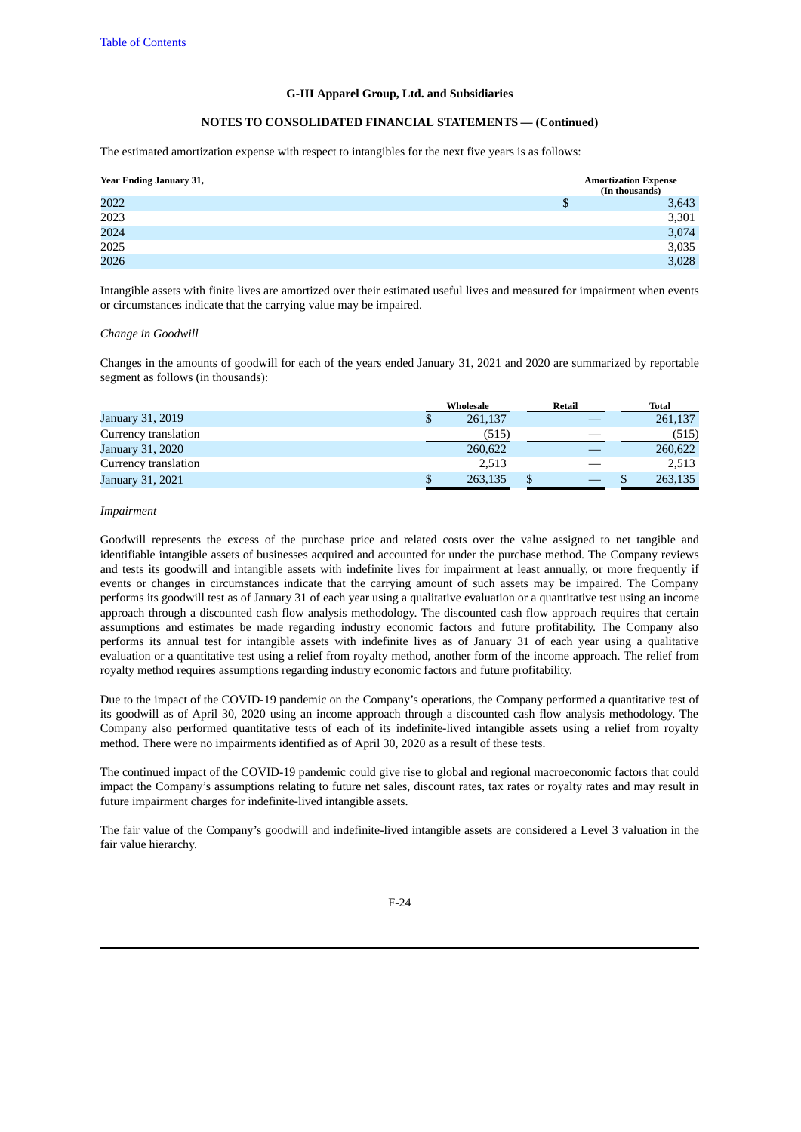## **NOTES TO CONSOLIDATED FINANCIAL STATEMENTS — (Continued)**

The estimated amortization expense with respect to intangibles for the next five years is as follows:

| <b>Year Ending January 31,</b> | <b>Amortization Expense</b> |       |
|--------------------------------|-----------------------------|-------|
|                                | (In thousands)              |       |
| 2022                           | \$                          | 3,643 |
| 2023                           |                             | 3,301 |
| 2024                           |                             | 3,074 |
| 2025                           |                             | 3,035 |
| 2026                           |                             | 3,028 |

Intangible assets with finite lives are amortized over their estimated useful lives and measured for impairment when events or circumstances indicate that the carrying value may be impaired.

#### *Change in Goodwill*

Changes in the amounts of goodwill for each of the years ended January 31, 2021 and 2020 are summarized by reportable segment as follows (in thousands):

|                      | Wholesale | Retail | <b>Total</b> |
|----------------------|-----------|--------|--------------|
| January 31, 2019     | 261,137   |        | 261,137      |
| Currency translation | (515)     |        | (515)        |
| January 31, 2020     | 260,622   |        | 260,622      |
| Currency translation | 2,513     |        | 2,513        |
| January 31, 2021     | 263,135   |        | 263,135      |

#### *Impairment*

Goodwill represents the excess of the purchase price and related costs over the value assigned to net tangible and identifiable intangible assets of businesses acquired and accounted for under the purchase method. The Company reviews and tests its goodwill and intangible assets with indefinite lives for impairment at least annually, or more frequently if events or changes in circumstances indicate that the carrying amount of such assets may be impaired. The Company performs its goodwill test as of January 31 of each year using a qualitative evaluation or a quantitative test using an income approach through a discounted cash flow analysis methodology. The discounted cash flow approach requires that certain assumptions and estimates be made regarding industry economic factors and future profitability. The Company also performs its annual test for intangible assets with indefinite lives as of January 31 of each year using a qualitative evaluation or a quantitative test using a relief from royalty method, another form of the income approach. The relief from royalty method requires assumptions regarding industry economic factors and future profitability.

Due to the impact of the COVID-19 pandemic on the Company's operations, the Company performed a quantitative test of its goodwill as of April 30, 2020 using an income approach through a discounted cash flow analysis methodology. The Company also performed quantitative tests of each of its indefinite-lived intangible assets using a relief from royalty method. There were no impairments identified as of April 30, 2020 as a result of these tests.

The continued impact of the COVID-19 pandemic could give rise to global and regional macroeconomic factors that could impact the Company's assumptions relating to future net sales, discount rates, tax rates or royalty rates and may result in future impairment charges for indefinite-lived intangible assets.

The fair value of the Company's goodwill and indefinite-lived intangible assets are considered a Level 3 valuation in the fair value hierarchy.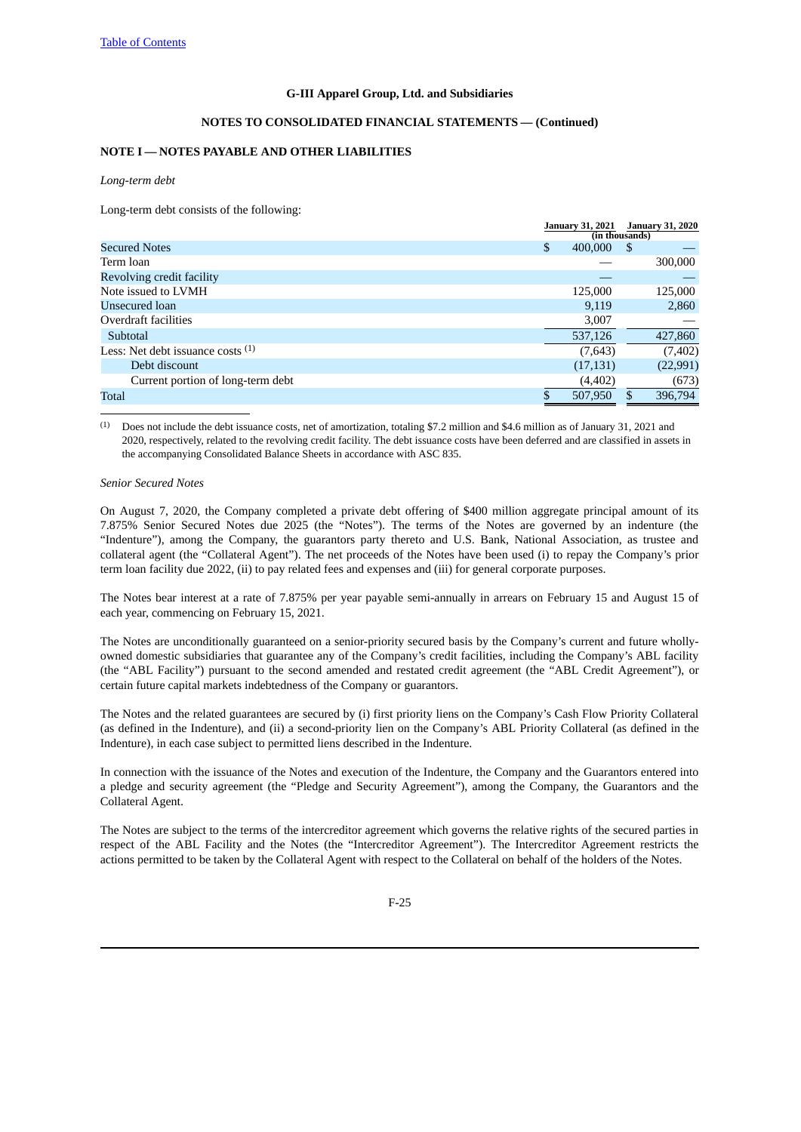## **NOTES TO CONSOLIDATED FINANCIAL STATEMENTS — (Continued)**

### **NOTE I — NOTES PAYABLE AND OTHER LIABILITIES**

*Long-term debt*

Long-term debt consists of the following:

| (in thousands)<br><b>Secured Notes</b><br>\$<br>400,000<br>-S<br>Term loan<br>Revolving credit facility<br>Note issued to LVMH<br>125,000<br><b>Unsecured loan</b><br>9,119 | <b>January 31, 2021</b> |  |       |  | <b>January 31, 2020</b> |  |
|-----------------------------------------------------------------------------------------------------------------------------------------------------------------------------|-------------------------|--|-------|--|-------------------------|--|
|                                                                                                                                                                             |                         |  |       |  |                         |  |
|                                                                                                                                                                             |                         |  |       |  |                         |  |
|                                                                                                                                                                             |                         |  |       |  | 300,000                 |  |
|                                                                                                                                                                             |                         |  |       |  |                         |  |
|                                                                                                                                                                             |                         |  |       |  | 125,000                 |  |
|                                                                                                                                                                             |                         |  |       |  | 2,860                   |  |
|                                                                                                                                                                             | Overdraft facilities    |  | 3,007 |  |                         |  |
| Subtotal<br>537,126                                                                                                                                                         |                         |  |       |  | 427,860                 |  |
| Less: Net debt issuance costs $(1)$<br>(7,643)                                                                                                                              |                         |  |       |  | (7, 402)                |  |
| Debt discount<br>(17, 131)                                                                                                                                                  |                         |  |       |  | (22, 991)               |  |
| Current portion of long-term debt<br>(4, 402)                                                                                                                               |                         |  |       |  | (673)                   |  |
| 507,950<br>S.<br>Total                                                                                                                                                      |                         |  |       |  | 396,794                 |  |

(1) Does not include the debt issuance costs, net of amortization, totaling \$7.2 million and \$4.6 million as of January 31, 2021 and 2020, respectively, related to the revolving credit facility. The debt issuance costs have been deferred and are classified in assets in the accompanying Consolidated Balance Sheets in accordance with ASC 835.

## *Senior Secured Notes*

On August 7, 2020, the Company completed a private debt offering of \$400 million aggregate principal amount of its 7.875% Senior Secured Notes due 2025 (the "Notes"). The terms of the Notes are governed by an indenture (the "Indenture"), among the Company, the guarantors party thereto and U.S. Bank, National Association, as trustee and collateral agent (the "Collateral Agent"). The net proceeds of the Notes have been used (i) to repay the Company's prior term loan facility due 2022, (ii) to pay related fees and expenses and (iii) for general corporate purposes.

The Notes bear interest at a rate of 7.875% per year payable semi-annually in arrears on February 15 and August 15 of each year, commencing on February 15, 2021.

The Notes are unconditionally guaranteed on a senior-priority secured basis by the Company's current and future whollyowned domestic subsidiaries that guarantee any of the Company's credit facilities, including the Company's ABL facility (the "ABL Facility") pursuant to the second amended and restated credit agreement (the "ABL Credit Agreement"), or certain future capital markets indebtedness of the Company or guarantors.

The Notes and the related guarantees are secured by (i) first priority liens on the Company's Cash Flow Priority Collateral (as defined in the Indenture), and (ii) a second-priority lien on the Company's ABL Priority Collateral (as defined in the Indenture), in each case subject to permitted liens described in the Indenture.

In connection with the issuance of the Notes and execution of the Indenture, the Company and the Guarantors entered into a pledge and security agreement (the "Pledge and Security Agreement"), among the Company, the Guarantors and the Collateral Agent.

The Notes are subject to the terms of the intercreditor agreement which governs the relative rights of the secured parties in respect of the ABL Facility and the Notes (the "Intercreditor Agreement"). The Intercreditor Agreement restricts the actions permitted to be taken by the Collateral Agent with respect to the Collateral on behalf of the holders of the Notes.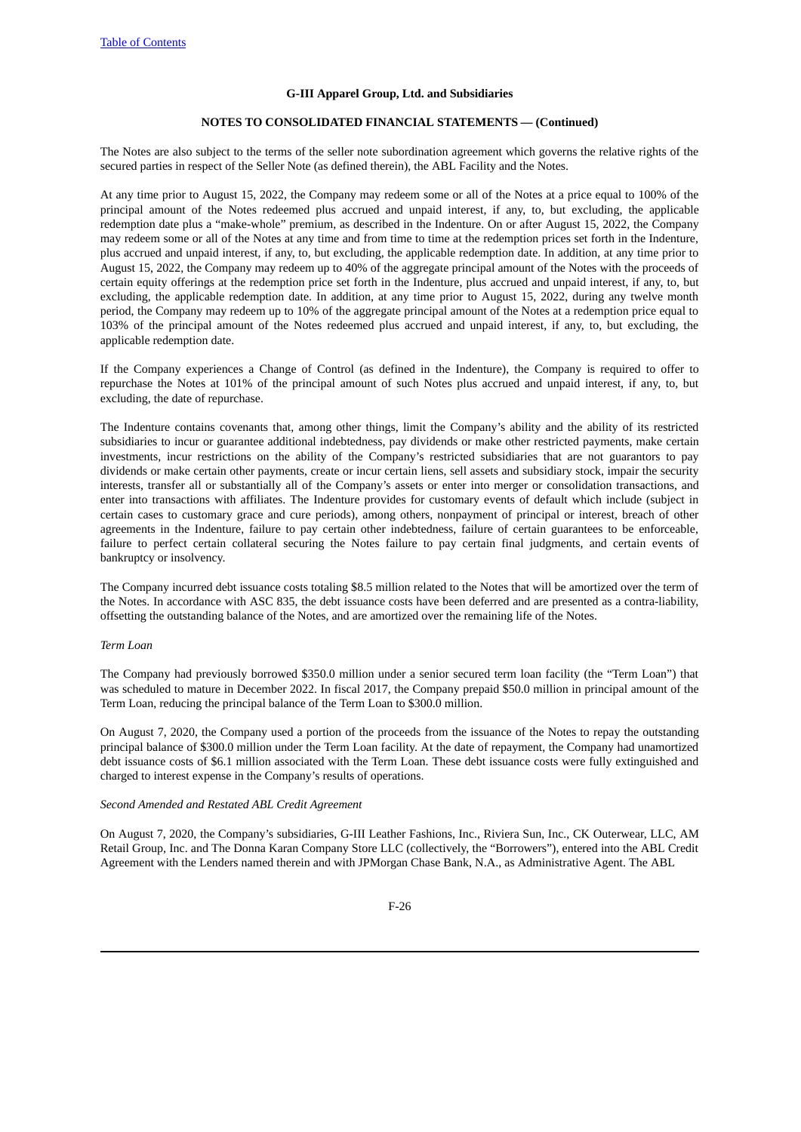## **NOTES TO CONSOLIDATED FINANCIAL STATEMENTS — (Continued)**

The Notes are also subject to the terms of the seller note subordination agreement which governs the relative rights of the secured parties in respect of the Seller Note (as defined therein), the ABL Facility and the Notes.

At any time prior to August 15, 2022, the Company may redeem some or all of the Notes at a price equal to 100% of the principal amount of the Notes redeemed plus accrued and unpaid interest, if any, to, but excluding, the applicable redemption date plus a "make-whole" premium, as described in the Indenture. On or after August 15, 2022, the Company may redeem some or all of the Notes at any time and from time to time at the redemption prices set forth in the Indenture, plus accrued and unpaid interest, if any, to, but excluding, the applicable redemption date. In addition, at any time prior to August 15, 2022, the Company may redeem up to 40% of the aggregate principal amount of the Notes with the proceeds of certain equity offerings at the redemption price set forth in the Indenture, plus accrued and unpaid interest, if any, to, but excluding, the applicable redemption date. In addition, at any time prior to August 15, 2022, during any twelve month period, the Company may redeem up to 10% of the aggregate principal amount of the Notes at a redemption price equal to 103% of the principal amount of the Notes redeemed plus accrued and unpaid interest, if any, to, but excluding, the applicable redemption date.

If the Company experiences a Change of Control (as defined in the Indenture), the Company is required to offer to repurchase the Notes at 101% of the principal amount of such Notes plus accrued and unpaid interest, if any, to, but excluding, the date of repurchase.

The Indenture contains covenants that, among other things, limit the Company's ability and the ability of its restricted subsidiaries to incur or guarantee additional indebtedness, pay dividends or make other restricted payments, make certain investments, incur restrictions on the ability of the Company's restricted subsidiaries that are not guarantors to pay dividends or make certain other payments, create or incur certain liens, sell assets and subsidiary stock, impair the security interests, transfer all or substantially all of the Company's assets or enter into merger or consolidation transactions, and enter into transactions with affiliates. The Indenture provides for customary events of default which include (subject in certain cases to customary grace and cure periods), among others, nonpayment of principal or interest, breach of other agreements in the Indenture, failure to pay certain other indebtedness, failure of certain guarantees to be enforceable, failure to perfect certain collateral securing the Notes failure to pay certain final judgments, and certain events of bankruptcy or insolvency.

The Company incurred debt issuance costs totaling \$8.5 million related to the Notes that will be amortized over the term of the Notes. In accordance with ASC 835, the debt issuance costs have been deferred and are presented as a contra-liability, offsetting the outstanding balance of the Notes, and are amortized over the remaining life of the Notes.

## *Term Loan*

The Company had previously borrowed \$350.0 million under a senior secured term loan facility (the "Term Loan") that was scheduled to mature in December 2022. In fiscal 2017, the Company prepaid \$50.0 million in principal amount of the Term Loan, reducing the principal balance of the Term Loan to \$300.0 million.

On August 7, 2020, the Company used a portion of the proceeds from the issuance of the Notes to repay the outstanding principal balance of \$300.0 million under the Term Loan facility. At the date of repayment, the Company had unamortized debt issuance costs of \$6.1 million associated with the Term Loan. These debt issuance costs were fully extinguished and charged to interest expense in the Company's results of operations.

#### *Second Amended and Restated ABL Credit Agreement*

On August 7, 2020, the Company's subsidiaries, G-III Leather Fashions, Inc., Riviera Sun, Inc., CK Outerwear, LLC, AM Retail Group, Inc. and The Donna Karan Company Store LLC (collectively, the "Borrowers"), entered into the ABL Credit Agreement with the Lenders named therein and with JPMorgan Chase Bank, N.A., as Administrative Agent. The ABL

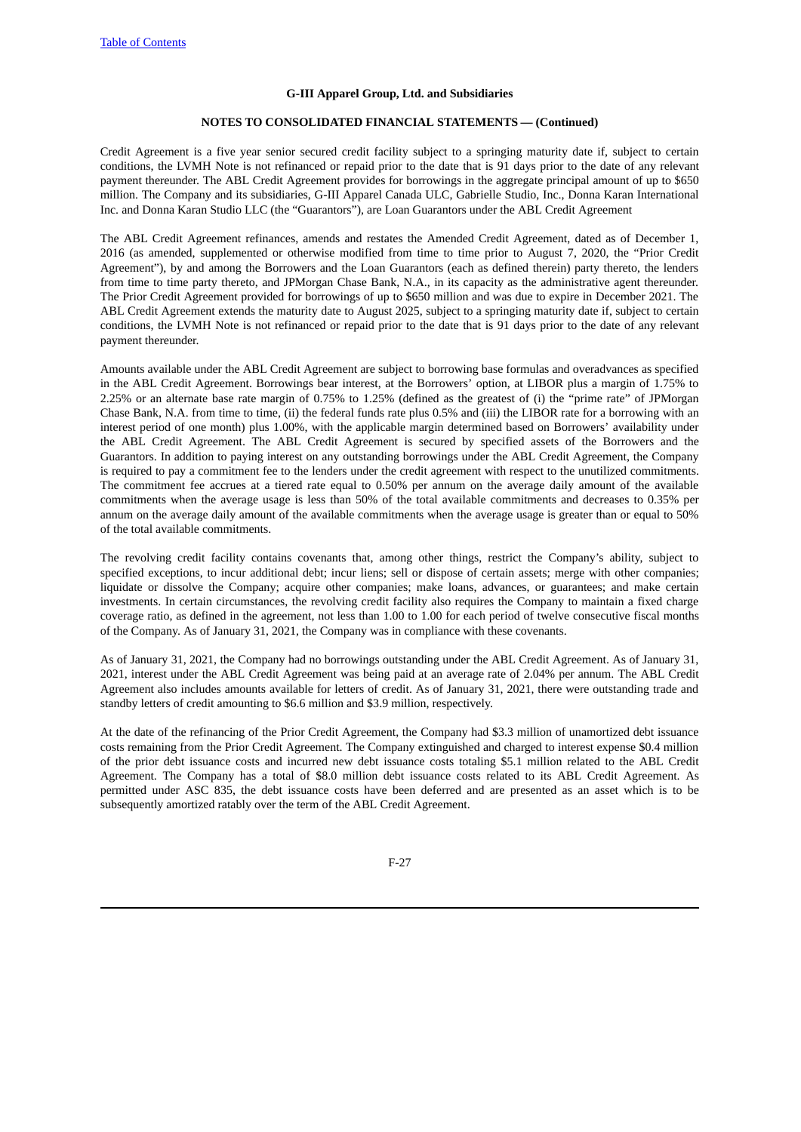## **NOTES TO CONSOLIDATED FINANCIAL STATEMENTS — (Continued)**

Credit Agreement is a five year senior secured credit facility subject to a springing maturity date if, subject to certain conditions, the LVMH Note is not refinanced or repaid prior to the date that is 91 days prior to the date of any relevant payment thereunder. The ABL Credit Agreement provides for borrowings in the aggregate principal amount of up to \$650 million. The Company and its subsidiaries, G-III Apparel Canada ULC, Gabrielle Studio, Inc., Donna Karan International Inc. and Donna Karan Studio LLC (the "Guarantors"), are Loan Guarantors under the ABL Credit Agreement

The ABL Credit Agreement refinances, amends and restates the Amended Credit Agreement, dated as of December 1, 2016 (as amended, supplemented or otherwise modified from time to time prior to August 7, 2020, the "Prior Credit Agreement"), by and among the Borrowers and the Loan Guarantors (each as defined therein) party thereto, the lenders from time to time party thereto, and JPMorgan Chase Bank, N.A., in its capacity as the administrative agent thereunder. The Prior Credit Agreement provided for borrowings of up to \$650 million and was due to expire in December 2021. The ABL Credit Agreement extends the maturity date to August 2025, subject to a springing maturity date if, subject to certain conditions, the LVMH Note is not refinanced or repaid prior to the date that is 91 days prior to the date of any relevant payment thereunder.

Amounts available under the ABL Credit Agreement are subject to borrowing base formulas and overadvances as specified in the ABL Credit Agreement. Borrowings bear interest, at the Borrowers' option, at LIBOR plus a margin of 1.75% to 2.25% or an alternate base rate margin of 0.75% to 1.25% (defined as the greatest of (i) the "prime rate" of JPMorgan Chase Bank, N.A. from time to time, (ii) the federal funds rate plus 0.5% and (iii) the LIBOR rate for a borrowing with an interest period of one month) plus 1.00%, with the applicable margin determined based on Borrowers' availability under the ABL Credit Agreement. The ABL Credit Agreement is secured by specified assets of the Borrowers and the Guarantors. In addition to paying interest on any outstanding borrowings under the ABL Credit Agreement, the Company is required to pay a commitment fee to the lenders under the credit agreement with respect to the unutilized commitments. The commitment fee accrues at a tiered rate equal to 0.50% per annum on the average daily amount of the available commitments when the average usage is less than 50% of the total available commitments and decreases to 0.35% per annum on the average daily amount of the available commitments when the average usage is greater than or equal to 50% of the total available commitments.

The revolving credit facility contains covenants that, among other things, restrict the Company's ability, subject to specified exceptions, to incur additional debt; incur liens; sell or dispose of certain assets; merge with other companies; liquidate or dissolve the Company; acquire other companies; make loans, advances, or guarantees; and make certain investments. In certain circumstances, the revolving credit facility also requires the Company to maintain a fixed charge coverage ratio, as defined in the agreement, not less than 1.00 to 1.00 for each period of twelve consecutive fiscal months of the Company. As of January 31, 2021, the Company was in compliance with these covenants.

As of January 31, 2021, the Company had no borrowings outstanding under the ABL Credit Agreement. As of January 31, 2021, interest under the ABL Credit Agreement was being paid at an average rate of 2.04% per annum. The ABL Credit Agreement also includes amounts available for letters of credit. As of January 31, 2021, there were outstanding trade and standby letters of credit amounting to \$6.6 million and \$3.9 million, respectively.

At the date of the refinancing of the Prior Credit Agreement, the Company had \$3.3 million of unamortized debt issuance costs remaining from the Prior Credit Agreement. The Company extinguished and charged to interest expense \$0.4 million of the prior debt issuance costs and incurred new debt issuance costs totaling \$5.1 million related to the ABL Credit Agreement. The Company has a total of \$8.0 million debt issuance costs related to its ABL Credit Agreement. As permitted under ASC 835, the debt issuance costs have been deferred and are presented as an asset which is to be subsequently amortized ratably over the term of the ABL Credit Agreement.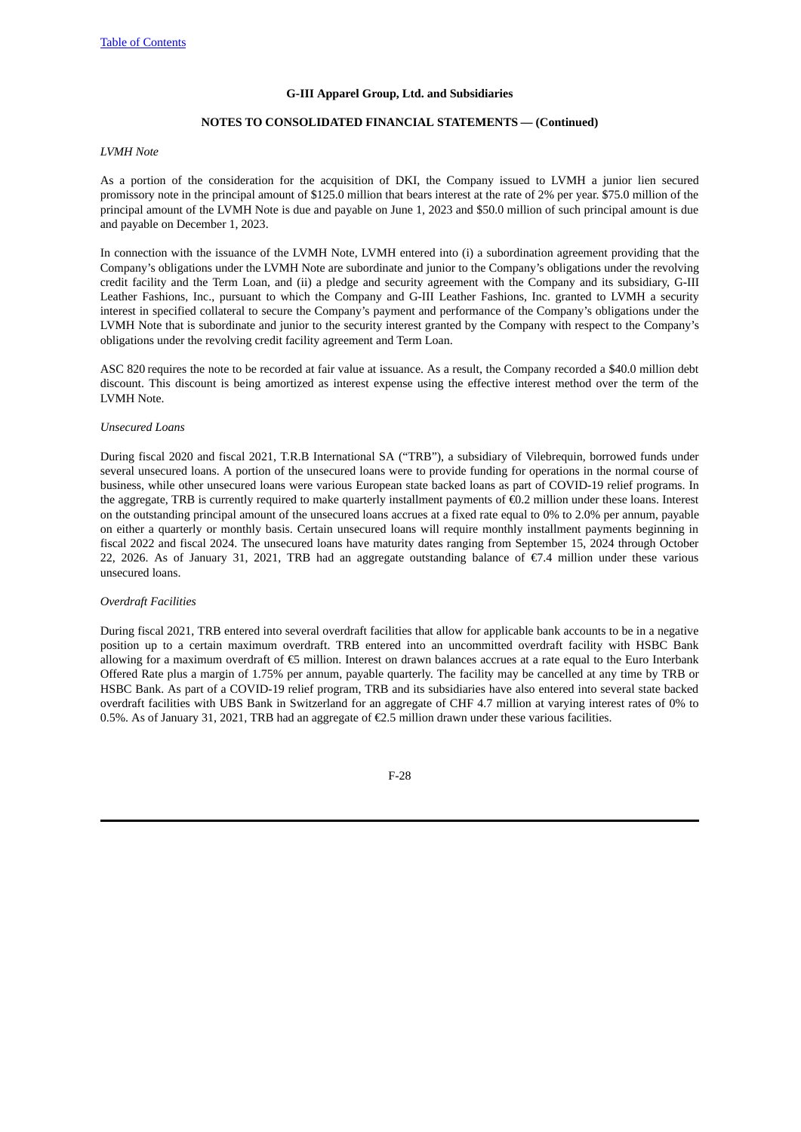## **NOTES TO CONSOLIDATED FINANCIAL STATEMENTS — (Continued)**

#### *LVMH Note*

As a portion of the consideration for the acquisition of DKI, the Company issued to LVMH a junior lien secured promissory note in the principal amount of \$125.0 million that bears interest at the rate of 2% per year. \$75.0 million of the principal amount of the LVMH Note is due and payable on June 1, 2023 and \$50.0 million of such principal amount is due and payable on December 1, 2023.

In connection with the issuance of the LVMH Note, LVMH entered into (i) a subordination agreement providing that the Company's obligations under the LVMH Note are subordinate and junior to the Company's obligations under the revolving credit facility and the Term Loan, and (ii) a pledge and security agreement with the Company and its subsidiary, G-III Leather Fashions, Inc., pursuant to which the Company and G-III Leather Fashions, Inc. granted to LVMH a security interest in specified collateral to secure the Company's payment and performance of the Company's obligations under the LVMH Note that is subordinate and junior to the security interest granted by the Company with respect to the Company's obligations under the revolving credit facility agreement and Term Loan.

ASC 820 requires the note to be recorded at fair value at issuance. As a result, the Company recorded a \$40.0 million debt discount. This discount is being amortized as interest expense using the effective interest method over the term of the LVMH Note.

#### *Unsecured Loans*

During fiscal 2020 and fiscal 2021, T.R.B International SA ("TRB"), a subsidiary of Vilebrequin, borrowed funds under several unsecured loans. A portion of the unsecured loans were to provide funding for operations in the normal course of business, while other unsecured loans were various European state backed loans as part of COVID-19 relief programs. In the aggregate, TRB is currently required to make quarterly installment payments of €0.2 million under these loans. Interest on the outstanding principal amount of the unsecured loans accrues at a fixed rate equal to 0% to 2.0% per annum, payable on either a quarterly or monthly basis. Certain unsecured loans will require monthly installment payments beginning in fiscal 2022 and fiscal 2024. The unsecured loans have maturity dates ranging from September 15, 2024 through October 22, 2026. As of January 31, 2021, TRB had an aggregate outstanding balance of  $\epsilon$ 7.4 million under these various unsecured loans.

#### *Overdraft Facilities*

During fiscal 2021, TRB entered into several overdraft facilities that allow for applicable bank accounts to be in a negative position up to a certain maximum overdraft. TRB entered into an uncommitted overdraft facility with HSBC Bank allowing for a maximum overdraft of €5 million. Interest on drawn balances accrues at a rate equal to the Euro Interbank Offered Rate plus a margin of 1.75% per annum, payable quarterly. The facility may be cancelled at any time by TRB or HSBC Bank. As part of a COVID-19 relief program, TRB and its subsidiaries have also entered into several state backed overdraft facilities with UBS Bank in Switzerland for an aggregate of CHF 4.7 million at varying interest rates of 0% to 0.5%. As of January 31, 2021, TRB had an aggregate of €2.5 million drawn under these various facilities.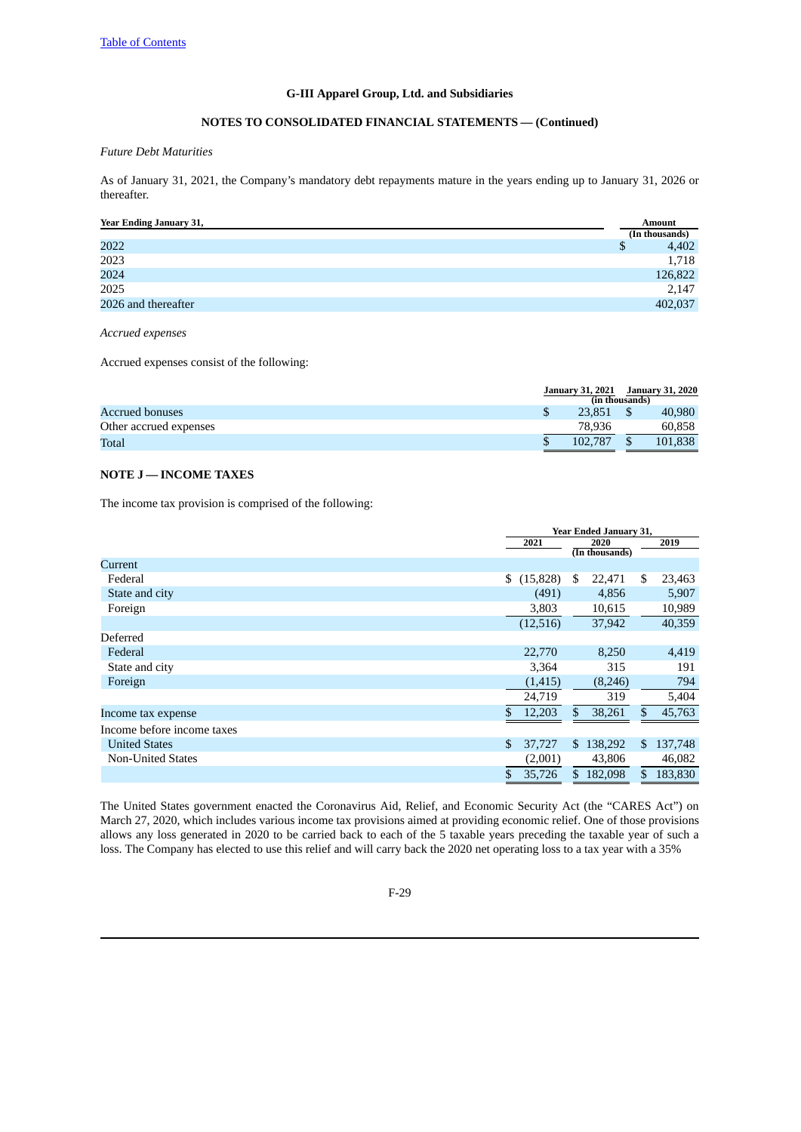## **NOTES TO CONSOLIDATED FINANCIAL STATEMENTS — (Continued)**

### *Future Debt Maturities*

As of January 31, 2021, the Company's mandatory debt repayments mature in the years ending up to January 31, 2026 or thereafter.

| Year Ending January 31, |   | Amount         |
|-------------------------|---|----------------|
|                         |   | (In thousands) |
| 2022                    | Φ | 4,402          |
| 2023                    |   | 1.718          |
| 2024                    |   | 126,822        |
| 2025                    |   | 2,147          |
| 2026 and thereafter     |   | 402,037        |

*Accrued expenses*

Accrued expenses consist of the following:

|                        | January 31, 2021 January 31, 2020 |         |
|------------------------|-----------------------------------|---------|
|                        | (in thousands)                    |         |
| <b>Accrued bonuses</b> | $23,851$ \$                       | 40,980  |
| Other accrued expenses | 78.936                            | 60.858  |
| Total                  | 102.787                           | 101.838 |

## **NOTE J — INCOME TAXES**

The income tax provision is comprised of the following:

|                            |                | <b>Year Ended January 31,</b> |              |          |                |         |
|----------------------------|----------------|-------------------------------|--------------|----------|----------------|---------|
|                            |                | 2021                          |              | 2020     |                | 2019    |
|                            |                | (In thousands)                |              |          |                |         |
| Current                    |                |                               |              |          |                |         |
| Federal                    | \$             | (15, 828)                     | \$           | 22,471   | \$             | 23,463  |
| State and city             |                | (491)                         |              | 4,856    |                | 5,907   |
| Foreign                    |                | 3,803                         |              | 10,615   |                | 10,989  |
|                            |                | (12,516)                      |              | 37,942   |                | 40,359  |
| Deferred                   |                |                               |              |          |                |         |
| Federal                    |                | 22,770                        |              | 8,250    |                | 4,419   |
| State and city             |                | 3,364                         |              | 315      |                | 191     |
| Foreign                    |                | (1, 415)                      |              | (8, 246) |                | 794     |
|                            |                | 24,719                        |              | 319      |                | 5,404   |
| Income tax expense         | $\mathbb{S}^-$ | 12,203                        | \$           | 38,261   | $\mathfrak{S}$ | 45,763  |
| Income before income taxes |                |                               |              |          |                |         |
| <b>United States</b>       | \$             | 37,727                        | $\mathbf{s}$ | 138,292  | $\mathbb{S}$   | 137,748 |
| <b>Non-United States</b>   |                | (2,001)                       |              | 43,806   |                | 46,082  |
|                            | \$             | 35,726                        | \$.          | 182,098  | \$             | 183,830 |

The United States government enacted the Coronavirus Aid, Relief, and Economic Security Act (the "CARES Act") on March 27, 2020, which includes various income tax provisions aimed at providing economic relief. One of those provisions allows any loss generated in 2020 to be carried back to each of the 5 taxable years preceding the taxable year of such a loss. The Company has elected to use this relief and will carry back the 2020 net operating loss to a tax year with a 35%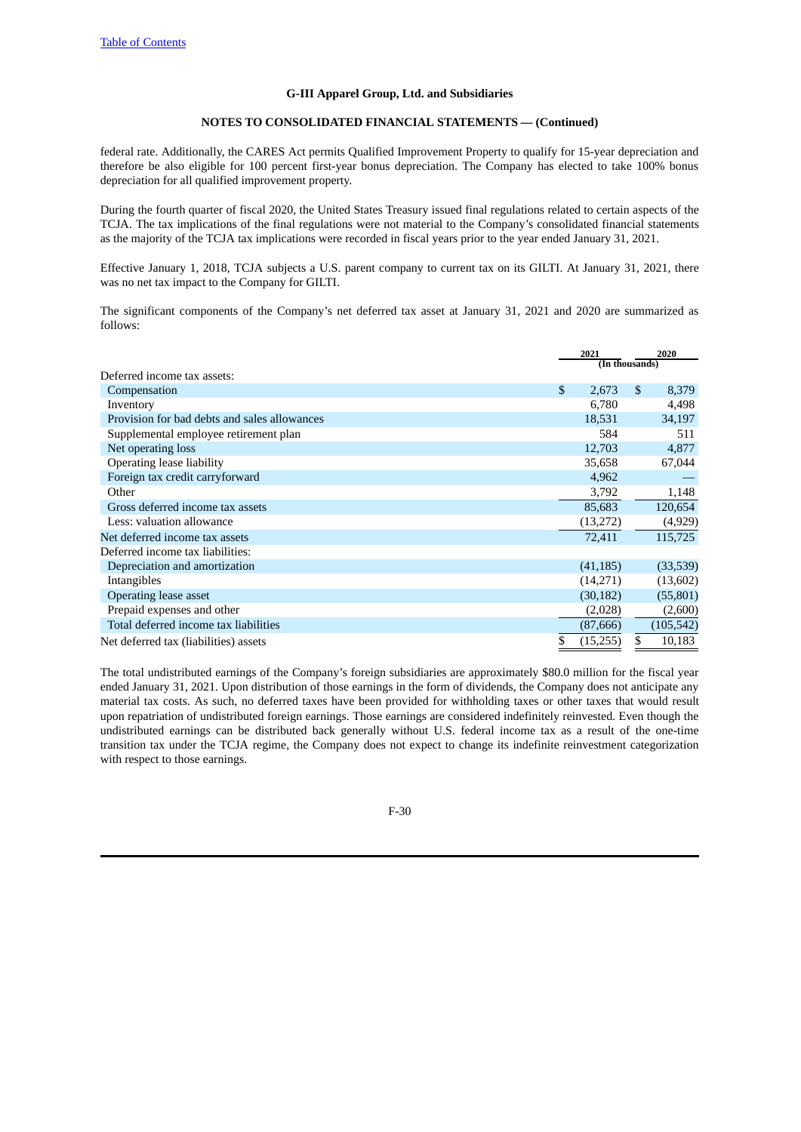## **NOTES TO CONSOLIDATED FINANCIAL STATEMENTS — (Continued)**

federal rate. Additionally, the CARES Act permits Qualified Improvement Property to qualify for 15-year depreciation and therefore be also eligible for 100 percent first-year bonus depreciation. The Company has elected to take 100% bonus depreciation for all qualified improvement property.

During the fourth quarter of fiscal 2020, the United States Treasury issued final regulations related to certain aspects of the TCJA. The tax implications of the final regulations were not material to the Company's consolidated financial statements as the majority of the TCJA tax implications were recorded in fiscal years prior to the year ended January 31, 2021.

Effective January 1, 2018, TCJA subjects a U.S. parent company to current tax on its GILTI. At January 31, 2021, there was no net tax impact to the Company for GILTI.

The significant components of the Company's net deferred tax asset at January 31, 2021 and 2020 are summarized as follows:

|                                              |              | 2021           | 2020         |  |
|----------------------------------------------|--------------|----------------|--------------|--|
| Deferred income tax assets:                  |              | (In thousands) |              |  |
| Compensation                                 | $\mathbb{S}$ | 2,673          | \$<br>8,379  |  |
| Inventory                                    |              | 6,780          | 4,498        |  |
| Provision for bad debts and sales allowances |              | 18,531         | 34,197       |  |
| Supplemental employee retirement plan        |              | 584            | 511          |  |
| Net operating loss                           |              | 12,703         | 4,877        |  |
| Operating lease liability                    |              | 35,658         | 67,044       |  |
| Foreign tax credit carryforward              |              | 4,962          |              |  |
| Other                                        |              | 3,792          | 1,148        |  |
| Gross deferred income tax assets             |              | 85,683         | 120,654      |  |
| Less: valuation allowance                    |              | (13,272)       | (4,929)      |  |
| Net deferred income tax assets               |              | 72,411         | 115,725      |  |
| Deferred income tax liabilities:             |              |                |              |  |
| Depreciation and amortization                |              | (41, 185)      | (33,539)     |  |
| Intangibles                                  |              | (14,271)       | (13,602)     |  |
| Operating lease asset                        |              | (30, 182)      | (55, 801)    |  |
| Prepaid expenses and other                   |              | (2,028)        | (2,600)      |  |
| Total deferred income tax liabilities        |              | (87, 666)      | (105, 542)   |  |
| Net deferred tax (liabilities) assets        | \$           | (15,255)       | \$<br>10,183 |  |

The total undistributed earnings of the Company's foreign subsidiaries are approximately \$80.0 million for the fiscal year ended January 31, 2021. Upon distribution of those earnings in the form of dividends, the Company does not anticipate any material tax costs. As such, no deferred taxes have been provided for withholding taxes or other taxes that would result upon repatriation of undistributed foreign earnings. Those earnings are considered indefinitely reinvested. Even though the undistributed earnings can be distributed back generally without U.S. federal income tax as a result of the one-time transition tax under the TCJA regime, the Company does not expect to change its indefinite reinvestment categorization with respect to those earnings.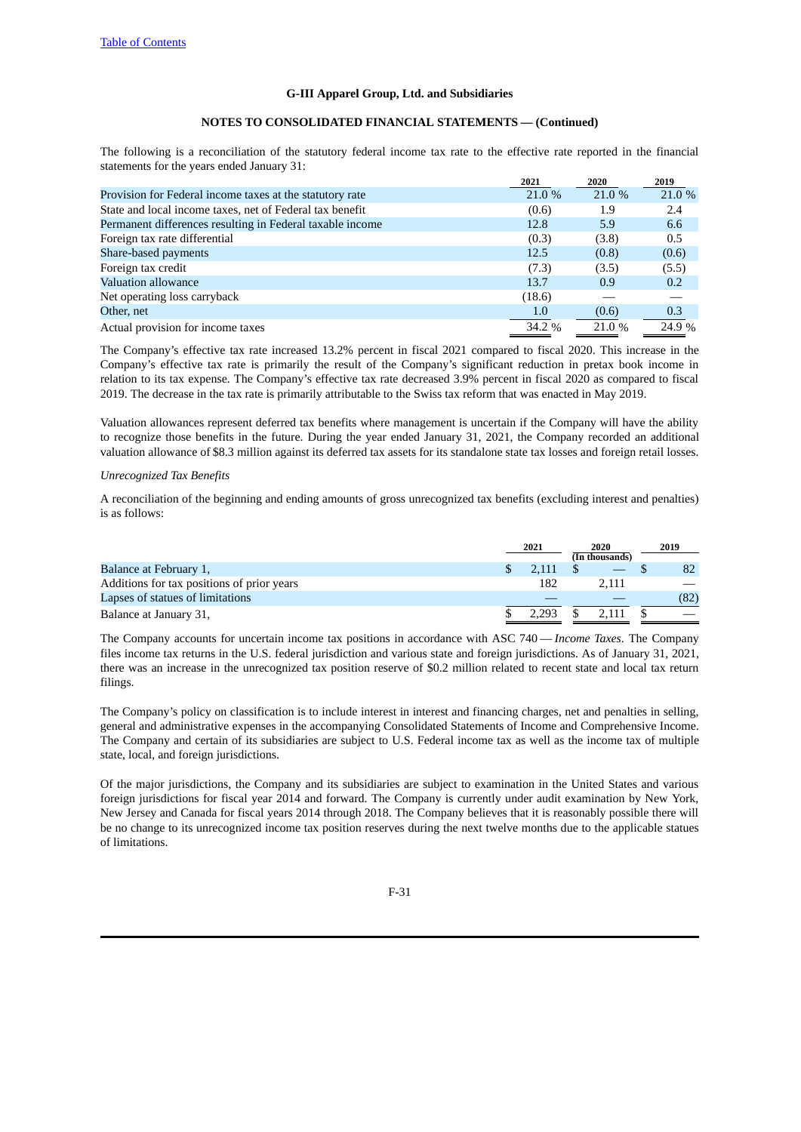## **NOTES TO CONSOLIDATED FINANCIAL STATEMENTS — (Continued)**

The following is a reconciliation of the statutory federal income tax rate to the effective rate reported in the financial statements for the years ended January 31:

|                                                           | 2021   | 2020   | 2019   |
|-----------------------------------------------------------|--------|--------|--------|
| Provision for Federal income taxes at the statutory rate  | 21.0 % | 21.0 % | 21.0 % |
| State and local income taxes, net of Federal tax benefit  | (0.6)  | 1.9    | 2.4    |
| Permanent differences resulting in Federal taxable income | 12.8   | 5.9    | 6.6    |
| Foreign tax rate differential                             | (0.3)  | (3.8)  | 0.5    |
| Share-based payments                                      | 12.5   | (0.8)  | (0.6)  |
| Foreign tax credit                                        | (7.3)  | (3.5)  | (5.5)  |
| Valuation allowance                                       | 13.7   | 0.9    | 0.2    |
| Net operating loss carryback                              | (18.6) |        |        |
| Other, net                                                | 1.0    | (0.6)  | 0.3    |
| Actual provision for income taxes                         | 34.2%  | 21.0%  | 24.9 % |

The Company's effective tax rate increased 13.2% percent in fiscal 2021 compared to fiscal 2020. This increase in the Company's effective tax rate is primarily the result of the Company's significant reduction in pretax book income in relation to its tax expense. The Company's effective tax rate decreased 3.9% percent in fiscal 2020 as compared to fiscal 2019. The decrease in the tax rate is primarily attributable to the Swiss tax reform that was enacted in May 2019.

Valuation allowances represent deferred tax benefits where management is uncertain if the Company will have the ability to recognize those benefits in the future. During the year ended January 31, 2021, the Company recorded an additional valuation allowance of \$8.3 million against its deferred tax assets for its standalone state tax losses and foreign retail losses.

### *Unrecognized Tax Benefits*

A reconciliation of the beginning and ending amounts of gross unrecognized tax benefits (excluding interest and penalties) is as follows:

|                                            | 2021  | 2020<br>(In thousands) | 2019 |
|--------------------------------------------|-------|------------------------|------|
| Balance at February 1,                     | 2.111 |                        | 82   |
| Additions for tax positions of prior years | 182   | 2.111                  |      |
| Lapses of statues of limitations           |       |                        | (82) |
| Balance at January 31,                     | 2.293 |                        |      |

The Company accounts for uncertain income tax positions in accordance with ASC 740 — *Income Taxes*. The Company files income tax returns in the U.S. federal jurisdiction and various state and foreign jurisdictions. As of January 31, 2021, there was an increase in the unrecognized tax position reserve of \$0.2 million related to recent state and local tax return filings.

The Company's policy on classification is to include interest in interest and financing charges, net and penalties in selling, general and administrative expenses in the accompanying Consolidated Statements of Income and Comprehensive Income. The Company and certain of its subsidiaries are subject to U.S. Federal income tax as well as the income tax of multiple state, local, and foreign jurisdictions.

Of the major jurisdictions, the Company and its subsidiaries are subject to examination in the United States and various foreign jurisdictions for fiscal year 2014 and forward. The Company is currently under audit examination by New York, New Jersey and Canada for fiscal years 2014 through 2018. The Company believes that it is reasonably possible there will be no change to its unrecognized income tax position reserves during the next twelve months due to the applicable statues of limitations.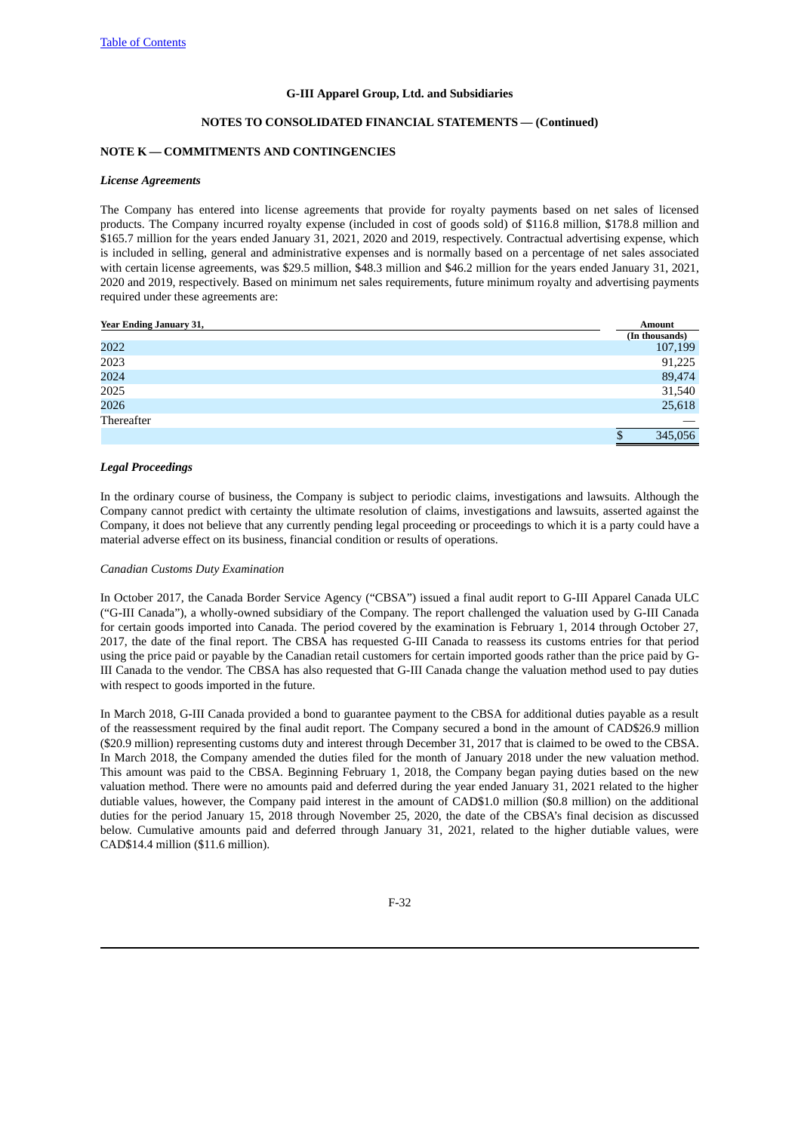## **NOTES TO CONSOLIDATED FINANCIAL STATEMENTS — (Continued)**

## **NOTE K — COMMITMENTS AND CONTINGENCIES**

#### *License Agreements*

The Company has entered into license agreements that provide for royalty payments based on net sales of licensed products. The Company incurred royalty expense (included in cost of goods sold) of \$116.8 million, \$178.8 million and \$165.7 million for the years ended January 31, 2021, 2020 and 2019, respectively. Contractual advertising expense, which is included in selling, general and administrative expenses and is normally based on a percentage of net sales associated with certain license agreements, was \$29.5 million, \$48.3 million and \$46.2 million for the years ended January 31, 2021, 2020 and 2019, respectively. Based on minimum net sales requirements, future minimum royalty and advertising payments required under these agreements are:

#### **Year Ending January 31, Amount**

|            | (In thousands) |
|------------|----------------|
| 2022       | 107,199        |
| 2023       | 91,225         |
| 2024       | 89,474         |
| 2025       | 31,540         |
| 2026       | 25,618         |
| Thereafter |                |
|            | 345,056<br>Φ   |

## *Legal Proceedings*

In the ordinary course of business, the Company is subject to periodic claims, investigations and lawsuits. Although the Company cannot predict with certainty the ultimate resolution of claims, investigations and lawsuits, asserted against the Company, it does not believe that any currently pending legal proceeding or proceedings to which it is a party could have a material adverse effect on its business, financial condition or results of operations.

#### *Canadian Customs Duty Examination*

In October 2017, the Canada Border Service Agency ("CBSA") issued a final audit report to G-III Apparel Canada ULC ("G-III Canada"), a wholly-owned subsidiary of the Company. The report challenged the valuation used by G-III Canada for certain goods imported into Canada. The period covered by the examination is February 1, 2014 through October 27, 2017, the date of the final report. The CBSA has requested G-III Canada to reassess its customs entries for that period using the price paid or payable by the Canadian retail customers for certain imported goods rather than the price paid by G-III Canada to the vendor. The CBSA has also requested that G-III Canada change the valuation method used to pay duties with respect to goods imported in the future.

In March 2018, G-III Canada provided a bond to guarantee payment to the CBSA for additional duties payable as a result of the reassessment required by the final audit report. The Company secured a bond in the amount of CAD\$26.9 million (\$20.9 million) representing customs duty and interest through December 31, 2017 that is claimed to be owed to the CBSA. In March 2018, the Company amended the duties filed for the month of January 2018 under the new valuation method. This amount was paid to the CBSA. Beginning February 1, 2018, the Company began paying duties based on the new valuation method. There were no amounts paid and deferred during the year ended January 31, 2021 related to the higher dutiable values, however, the Company paid interest in the amount of CAD\$1.0 million (\$0.8 million) on the additional duties for the period January 15, 2018 through November 25, 2020, the date of the CBSA's final decision as discussed below. Cumulative amounts paid and deferred through January 31, 2021, related to the higher dutiable values, were CAD\$14.4 million (\$11.6 million).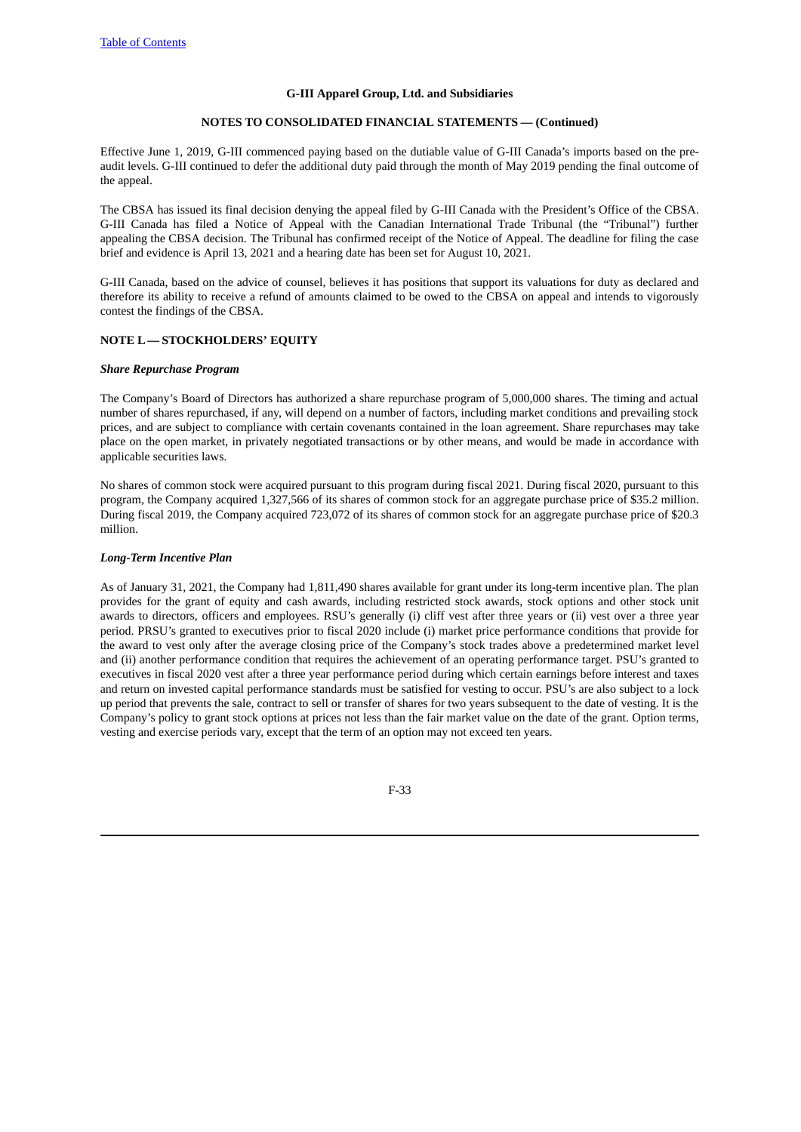## **NOTES TO CONSOLIDATED FINANCIAL STATEMENTS — (Continued)**

Effective June 1, 2019, G-III commenced paying based on the dutiable value of G-III Canada's imports based on the preaudit levels. G-III continued to defer the additional duty paid through the month of May 2019 pending the final outcome of the appeal.

The CBSA has issued its final decision denying the appeal filed by G-III Canada with the President's Office of the CBSA. G-III Canada has filed a Notice of Appeal with the Canadian International Trade Tribunal (the "Tribunal") further appealing the CBSA decision. The Tribunal has confirmed receipt of the Notice of Appeal. The deadline for filing the case brief and evidence is April 13, 2021 and a hearing date has been set for August 10, 2021.

G-III Canada, based on the advice of counsel, believes it has positions that support its valuations for duty as declared and therefore its ability to receive a refund of amounts claimed to be owed to the CBSA on appeal and intends to vigorously contest the findings of the CBSA.

### **NOTE L— STOCKHOLDERS' EQUITY**

#### *Share Repurchase Program*

The Company's Board of Directors has authorized a share repurchase program of 5,000,000 shares. The timing and actual number of shares repurchased, if any, will depend on a number of factors, including market conditions and prevailing stock prices, and are subject to compliance with certain covenants contained in the loan agreement. Share repurchases may take place on the open market, in privately negotiated transactions or by other means, and would be made in accordance with applicable securities laws.

No shares of common stock were acquired pursuant to this program during fiscal 2021. During fiscal 2020, pursuant to this program, the Company acquired 1,327,566 of its shares of common stock for an aggregate purchase price of \$35.2 million. During fiscal 2019, the Company acquired 723,072 of its shares of common stock for an aggregate purchase price of \$20.3 million.

### *Long-Term Incentive Plan*

As of January 31, 2021, the Company had 1,811,490 shares available for grant under its long-term incentive plan. The plan provides for the grant of equity and cash awards, including restricted stock awards, stock options and other stock unit awards to directors, officers and employees. RSU's generally (i) cliff vest after three years or (ii) vest over a three year period. PRSU's granted to executives prior to fiscal 2020 include (i) market price performance conditions that provide for the award to vest only after the average closing price of the Company's stock trades above a predetermined market level and (ii) another performance condition that requires the achievement of an operating performance target. PSU's granted to executives in fiscal 2020 vest after a three year performance period during which certain earnings before interest and taxes and return on invested capital performance standards must be satisfied for vesting to occur. PSU's are also subject to a lock up period that prevents the sale, contract to sell or transfer of shares for two years subsequent to the date of vesting. It is the Company's policy to grant stock options at prices not less than the fair market value on the date of the grant. Option terms, vesting and exercise periods vary, except that the term of an option may not exceed ten years.

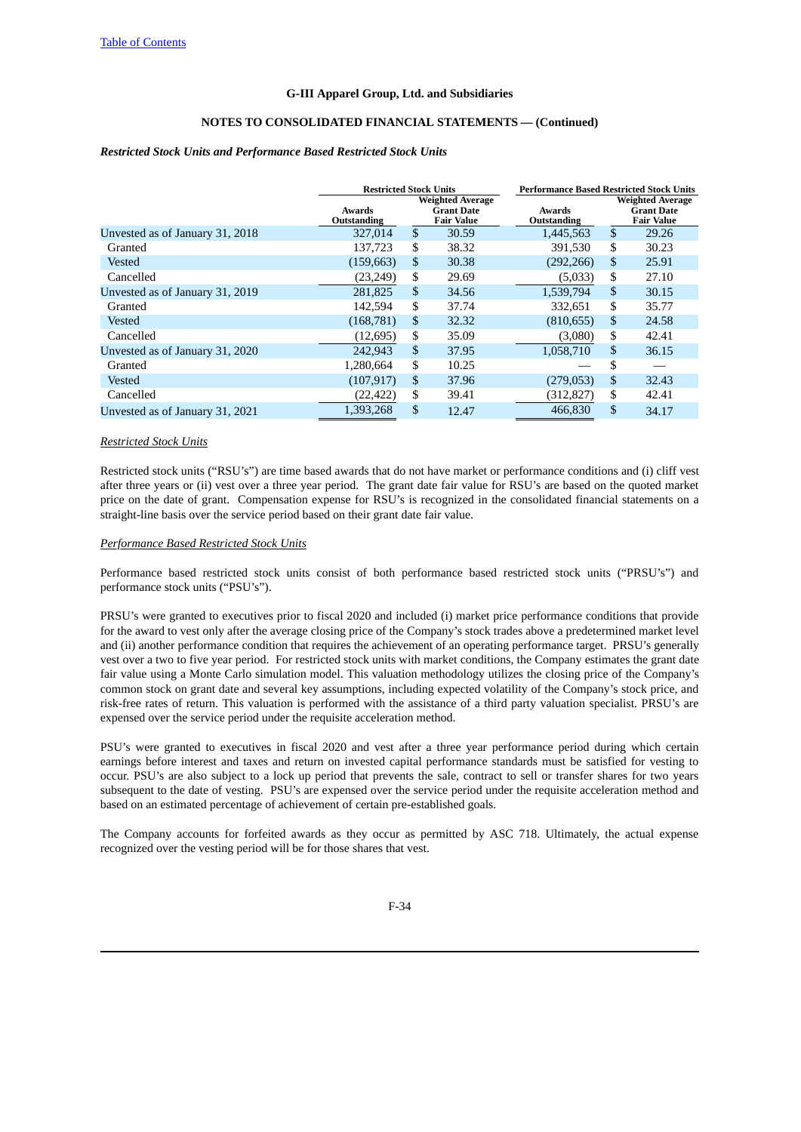## **NOTES TO CONSOLIDATED FINANCIAL STATEMENTS — (Continued)**

#### *Restricted Stock Units and Performance Based Restricted Stock Units*

|                                 | <b>Restricted Stock Units</b> |                                                                   | <b>Performance Based Restricted Stock Units</b> |    |                                                                   |
|---------------------------------|-------------------------------|-------------------------------------------------------------------|-------------------------------------------------|----|-------------------------------------------------------------------|
|                                 | Awards<br>Outstanding         | <b>Weighted Average</b><br><b>Grant Date</b><br><b>Fair Value</b> | <b>Awards</b><br>Outstanding                    |    | <b>Weighted Average</b><br><b>Grant Date</b><br><b>Fair Value</b> |
| Unvested as of January 31, 2018 | 327,014                       | \$<br>30.59                                                       | 1,445,563                                       | \$ | 29.26                                                             |
| Granted                         | 137,723                       | \$<br>38.32                                                       | 391,530                                         | \$ | 30.23                                                             |
| Vested                          | (159, 663)                    | \$<br>30.38                                                       | (292, 266)                                      | \$ | 25.91                                                             |
| Cancelled                       | (23, 249)                     | \$<br>29.69                                                       | (5,033)                                         | \$ | 27.10                                                             |
| Unvested as of January 31, 2019 | 281.825                       | \$<br>34.56                                                       | 1,539,794                                       | \$ | 30.15                                                             |
| Granted                         | 142.594                       | \$<br>37.74                                                       | 332.651                                         | \$ | 35.77                                                             |
| <b>Vested</b>                   | (168, 781)                    | \$<br>32.32                                                       | (810, 655)                                      | \$ | 24.58                                                             |
| Cancelled                       | (12, 695)                     | \$<br>35.09                                                       | (3,080)                                         | \$ | 42.41                                                             |
| Unvested as of January 31, 2020 | 242,943                       | \$<br>37.95                                                       | 1,058,710                                       | \$ | 36.15                                                             |
| Granted                         | 1,280,664                     | \$<br>10.25                                                       |                                                 | \$ |                                                                   |
| <b>Vested</b>                   | (107, 917)                    | \$<br>37.96                                                       | (279,053)                                       | \$ | 32.43                                                             |
| Cancelled                       | (22, 422)                     | \$<br>39.41                                                       | (312, 827)                                      | \$ | 42.41                                                             |
| Unvested as of January 31, 2021 | 1,393,268                     | \$<br>12.47                                                       | 466,830                                         | \$ | 34.17                                                             |

#### *Restricted Stock Units*

Restricted stock units ("RSU's") are time based awards that do not have market or performance conditions and (i) cliff vest after three years or (ii) vest over a three year period. The grant date fair value for RSU's are based on the quoted market price on the date of grant. Compensation expense for RSU's is recognized in the consolidated financial statements on a straight-line basis over the service period based on their grant date fair value.

#### *Performance Based Restricted Stock Units*

Performance based restricted stock units consist of both performance based restricted stock units ("PRSU's") and performance stock units ("PSU's").

PRSU's were granted to executives prior to fiscal 2020 and included (i) market price performance conditions that provide for the award to vest only after the average closing price of the Company's stock trades above a predetermined market level and (ii) another performance condition that requires the achievement of an operating performance target. PRSU's generally vest over a two to five year period. For restricted stock units with market conditions, the Company estimates the grant date fair value using a Monte Carlo simulation model. This valuation methodology utilizes the closing price of the Company's common stock on grant date and several key assumptions, including expected volatility of the Company's stock price, and risk-free rates of return. This valuation is performed with the assistance of a third party valuation specialist. PRSU's are expensed over the service period under the requisite acceleration method.

PSU's were granted to executives in fiscal 2020 and vest after a three year performance period during which certain earnings before interest and taxes and return on invested capital performance standards must be satisfied for vesting to occur. PSU's are also subject to a lock up period that prevents the sale, contract to sell or transfer shares for two years subsequent to the date of vesting. PSU's are expensed over the service period under the requisite acceleration method and based on an estimated percentage of achievement of certain pre-established goals.

The Company accounts for forfeited awards as they occur as permitted by ASC 718. Ultimately, the actual expense recognized over the vesting period will be for those shares that vest.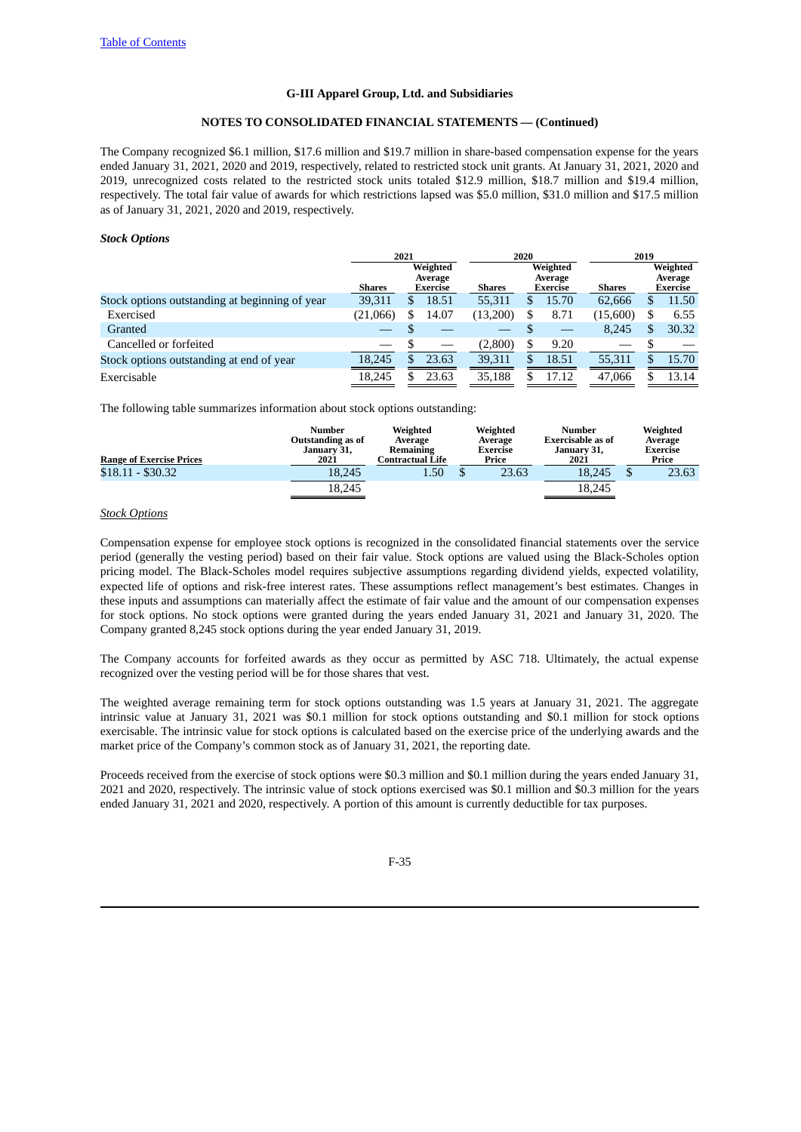## **NOTES TO CONSOLIDATED FINANCIAL STATEMENTS — (Continued)**

The Company recognized \$6.1 million, \$17.6 million and \$19.7 million in share-based compensation expense for the years ended January 31, 2021, 2020 and 2019, respectively, related to restricted stock unit grants. At January 31, 2021, 2020 and 2019, unrecognized costs related to the restricted stock units totaled \$12.9 million, \$18.7 million and \$19.4 million, respectively. The total fair value of awards for which restrictions lapsed was \$5.0 million, \$31.0 million and \$17.5 million as of January 31, 2021, 2020 and 2019, respectively.

#### *Stock Options*

|                                                | 2021                                             |    |       | 2020                                                    |   | 2019  |          |   |                                        |
|------------------------------------------------|--------------------------------------------------|----|-------|---------------------------------------------------------|---|-------|----------|---|----------------------------------------|
|                                                | Weighted<br>Average<br><b>Shares</b><br>Exercise |    |       | Weighted<br>Average<br><b>Shares</b><br><b>Exercise</b> |   |       | Shares   |   | Weighted<br>Average<br><b>Exercise</b> |
| Stock options outstanding at beginning of year | 39,311                                           | S  | 18.51 | 55,311                                                  | S | 15.70 | 62,666   | S | 11.50                                  |
| Exercised                                      | (21,066)                                         | \$ | 14.07 | (13,200)                                                | S | 8.71  | (15,600) |   | 6.55                                   |
| Granted                                        |                                                  |    |       |                                                         |   |       | 8.245    |   | 30.32                                  |
| Cancelled or forfeited                         |                                                  |    |       | (2,800)                                                 | S | 9.20  |          |   |                                        |
| Stock options outstanding at end of year       | 18,245                                           |    | 23.63 | 39,311                                                  |   | 18.51 | 55,311   |   | 15.70                                  |
| Exercisable                                    | 18,245                                           |    | 23.63 | 35,188                                                  |   | 17.12 | 47,066   |   | 13.14                                  |

The following table summarizes information about stock options outstanding:

| <b>Range of Exercise Prices</b> | <b>Number</b><br><b>Outstanding as of</b><br>January 31,<br>2021 | Weighted<br>Average<br><b>Remaining</b><br>Contractual Life |   | Weighted<br>Average<br><b>Exercise</b><br>Price | Number<br><b>Exercisable as of</b><br>January 31,<br>2021 | Weighted<br>Average<br><b>Exercise</b><br>Price |
|---------------------------------|------------------------------------------------------------------|-------------------------------------------------------------|---|-------------------------------------------------|-----------------------------------------------------------|-------------------------------------------------|
| $$18.11 - $30.32$               | 18.245                                                           | 1.50                                                        | Ť | 23.63                                           | 18.245                                                    | 23.63                                           |
|                                 | 18.245                                                           |                                                             |   |                                                 | 18,245                                                    |                                                 |

## *Stock Options*

Compensation expense for employee stock options is recognized in the consolidated financial statements over the service period (generally the vesting period) based on their fair value. Stock options are valued using the Black-Scholes option pricing model. The Black-Scholes model requires subjective assumptions regarding dividend yields, expected volatility, expected life of options and risk-free interest rates. These assumptions reflect management's best estimates. Changes in these inputs and assumptions can materially affect the estimate of fair value and the amount of our compensation expenses for stock options. No stock options were granted during the years ended January 31, 2021 and January 31, 2020. The Company granted 8,245 stock options during the year ended January 31, 2019.

The Company accounts for forfeited awards as they occur as permitted by ASC 718. Ultimately, the actual expense recognized over the vesting period will be for those shares that vest.

The weighted average remaining term for stock options outstanding was 1.5 years at January 31, 2021. The aggregate intrinsic value at January 31, 2021 was \$0.1 million for stock options outstanding and \$0.1 million for stock options exercisable. The intrinsic value for stock options is calculated based on the exercise price of the underlying awards and the market price of the Company's common stock as of January 31, 2021, the reporting date.

Proceeds received from the exercise of stock options were \$0.3 million and \$0.1 million during the years ended January 31, 2021 and 2020, respectively. The intrinsic value of stock options exercised was \$0.1 million and \$0.3 million for the years ended January 31, 2021 and 2020, respectively. A portion of this amount is currently deductible for tax purposes.

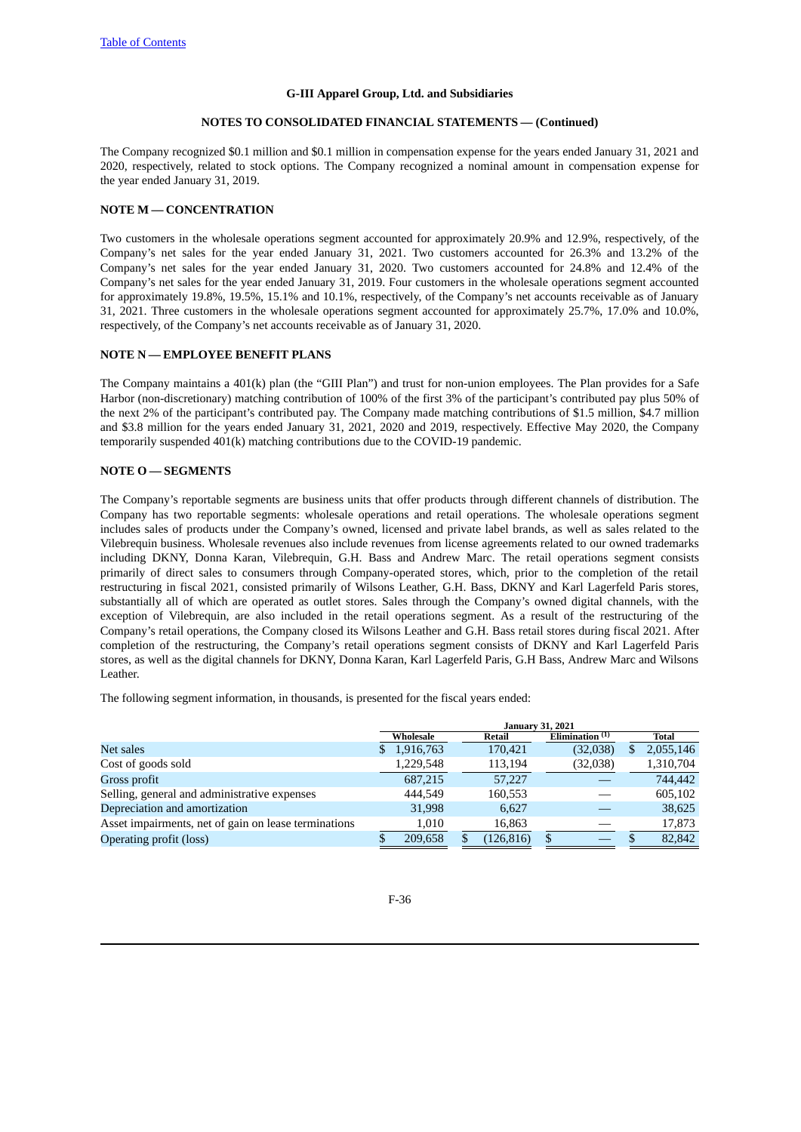## **NOTES TO CONSOLIDATED FINANCIAL STATEMENTS — (Continued)**

The Company recognized \$0.1 million and \$0.1 million in compensation expense for the years ended January 31, 2021 and 2020, respectively, related to stock options. The Company recognized a nominal amount in compensation expense for the year ended January 31, 2019.

### **NOTE M — CONCENTRATION**

Two customers in the wholesale operations segment accounted for approximately 20.9% and 12.9%, respectively, of the Company's net sales for the year ended January 31, 2021. Two customers accounted for 26.3% and 13.2% of the Company's net sales for the year ended January 31, 2020. Two customers accounted for 24.8% and 12.4% of the Company's net sales for the year ended January 31, 2019. Four customers in the wholesale operations segment accounted for approximately 19.8%, 19.5%, 15.1% and 10.1%, respectively, of the Company's net accounts receivable as of January 31, 2021. Three customers in the wholesale operations segment accounted for approximately 25.7%, 17.0% and 10.0%, respectively, of the Company's net accounts receivable as of January 31, 2020.

### **NOTE N — EMPLOYEE BENEFIT PLANS**

The Company maintains a 401(k) plan (the "GIII Plan") and trust for non-union employees. The Plan provides for a Safe Harbor (non-discretionary) matching contribution of 100% of the first 3% of the participant's contributed pay plus 50% of the next 2% of the participant's contributed pay. The Company made matching contributions of \$1.5 million, \$4.7 million and \$3.8 million for the years ended January 31, 2021, 2020 and 2019, respectively. Effective May 2020, the Company temporarily suspended 401(k) matching contributions due to the COVID-19 pandemic.

#### **NOTE O — SEGMENTS**

The Company's reportable segments are business units that offer products through different channels of distribution. The Company has two reportable segments: wholesale operations and retail operations. The wholesale operations segment includes sales of products under the Company's owned, licensed and private label brands, as well as sales related to the Vilebrequin business. Wholesale revenues also include revenues from license agreements related to our owned trademarks including DKNY, Donna Karan, Vilebrequin, G.H. Bass and Andrew Marc. The retail operations segment consists primarily of direct sales to consumers through Company-operated stores, which, prior to the completion of the retail restructuring in fiscal 2021, consisted primarily of Wilsons Leather, G.H. Bass, DKNY and Karl Lagerfeld Paris stores, substantially all of which are operated as outlet stores. Sales through the Company's owned digital channels, with the exception of Vilebrequin, are also included in the retail operations segment. As a result of the restructuring of the Company's retail operations, the Company closed its Wilsons Leather and G.H. Bass retail stores during fiscal 2021. After completion of the restructuring, the Company's retail operations segment consists of DKNY and Karl Lagerfeld Paris stores, as well as the digital channels for DKNY, Donna Karan, Karl Lagerfeld Paris, G.H Bass, Andrew Marc and Wilsons Leather.

The following segment information, in thousands, is presented for the fiscal years ended:

|                                                      | <b>January 31, 2021</b> |           |  |            |    |                   |   |              |
|------------------------------------------------------|-------------------------|-----------|--|------------|----|-------------------|---|--------------|
|                                                      |                         | Wholesale |  | Retail     |    | Elimination $(1)$ |   | <b>Total</b> |
| Net sales                                            | S.                      | 1,916,763 |  | 170,421    |    | (32,038)          | S | 2,055,146    |
| Cost of goods sold                                   |                         | 1,229,548 |  | 113,194    |    | (32,038)          |   | 1,310,704    |
| Gross profit                                         |                         | 687,215   |  | 57,227     |    |                   |   | 744,442      |
| Selling, general and administrative expenses         |                         | 444,549   |  | 160,553    |    |                   |   | 605,102      |
| Depreciation and amortization                        |                         | 31,998    |  | 6.627      |    |                   |   | 38,625       |
| Asset impairments, net of gain on lease terminations |                         | 1,010     |  | 16,863     |    |                   |   | 17,873       |
| Operating profit (loss)                              |                         | 209,658   |  | (126, 816) | \$ |                   |   | 82,842       |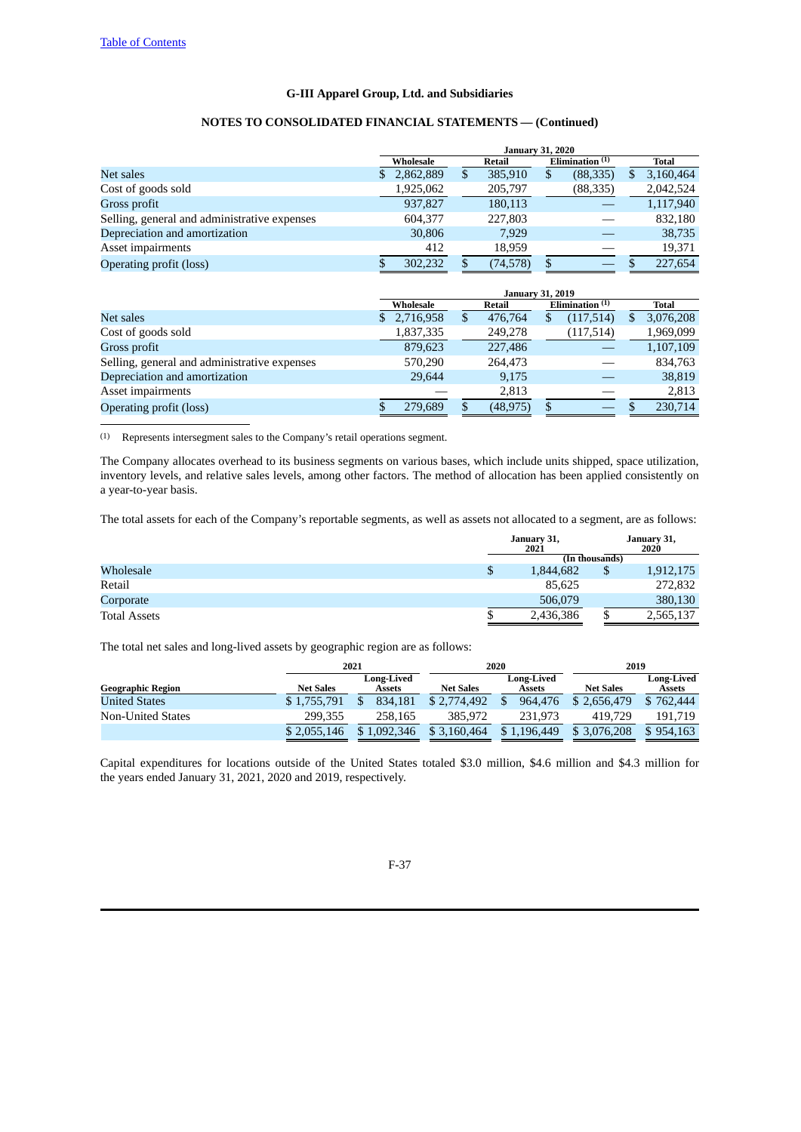## **NOTES TO CONSOLIDATED FINANCIAL STATEMENTS — (Continued)**

|                                              | <b>January 31, 2020</b> |  |           |    |                   |   |              |  |
|----------------------------------------------|-------------------------|--|-----------|----|-------------------|---|--------------|--|
|                                              | Wholesale               |  | Retail    |    | Elimination $(1)$ |   | <b>Total</b> |  |
| Net sales                                    | 2,862,889               |  | 385,910   | S  | (88, 335)         | S | 3,160,464    |  |
| Cost of goods sold                           | 1,925,062               |  | 205,797   |    | (88, 335)         |   | 2,042,524    |  |
| Gross profit                                 | 937,827                 |  | 180,113   |    |                   |   | 1,117,940    |  |
| Selling, general and administrative expenses | 604,377                 |  | 227,803   |    |                   |   | 832,180      |  |
| Depreciation and amortization                | 30,806                  |  | 7.929     |    |                   |   | 38,735       |  |
| Asset impairments                            | 412                     |  | 18.959    |    |                   |   | 19,371       |  |
| Operating profit (loss)                      | 302.232                 |  | (74, 578) | \$ |                   |   | 227,654      |  |

|                                              | <b>January 31, 2019</b> |           |   |           |     |                   |    |              |
|----------------------------------------------|-------------------------|-----------|---|-----------|-----|-------------------|----|--------------|
|                                              |                         | Wholesale |   | Retail    |     | Elimination $(1)$ |    | <b>Total</b> |
| Net sales                                    | S.                      | 2,716,958 | S | 476.764   | \$. | (117,514)         | \$ | 3,076,208    |
| Cost of goods sold                           |                         | 1,837,335 |   | 249,278   |     | (117, 514)        |    | 1,969,099    |
| Gross profit                                 |                         | 879,623   |   | 227,486   |     |                   |    | 1,107,109    |
| Selling, general and administrative expenses |                         | 570,290   |   | 264,473   |     |                   |    | 834,763      |
| Depreciation and amortization                |                         | 29.644    |   | 9,175     |     |                   |    | 38,819       |
| Asset impairments                            |                         |           |   | 2,813     |     |                   |    | 2,813        |
| <b>Operating profit (loss)</b>               |                         | 279.689   |   | (48, 975) | \$  |                   | -S | 230,714      |

(1) Represents intersegment sales to the Company's retail operations segment.

The Company allocates overhead to its business segments on various bases, which include units shipped, space utilization, inventory levels, and relative sales levels, among other factors. The method of allocation has been applied consistently on a year-to-year basis.

The total assets for each of the Company's reportable segments, as well as assets not allocated to a segment, are as follows:

|                     |   | January 31,<br>2021 |           |                | January 31,<br>2020 |
|---------------------|---|---------------------|-----------|----------------|---------------------|
|                     |   |                     |           | (In thousands) |                     |
| Wholesale           | Φ |                     | 1,844,682 | \$             | 1,912,175           |
| Retail              |   |                     | 85.625    |                | 272,832             |
| Corporate           |   |                     | 506,079   |                | 380,130             |
| <b>Total Assets</b> |   |                     | 2,436,386 |                | 2,565,137           |

The total net sales and long-lived assets by geographic region are as follows:

|                          | 2021             |                             |             |                  | 2020 |                             | 2019             |                             |  |
|--------------------------|------------------|-----------------------------|-------------|------------------|------|-----------------------------|------------------|-----------------------------|--|
| <b>Geographic Region</b> | <b>Net Sales</b> | <b>Long-Lived</b><br>Assets |             | <b>Net Sales</b> |      | <b>Long-Lived</b><br>Assets | <b>Net Sales</b> | <b>Long-Lived</b><br>Assets |  |
| United States            | \$1,755,791      |                             | 834.181     | \$2,774,492      |      | 964.476                     | \$2.656,479      | \$762,444                   |  |
| Non-United States        | 299.355          |                             | 258.165     | 385.972          |      | 231.973                     | 419,729          | 191.719                     |  |
|                          | \$2.055.146      |                             | \$1,092,346 | \$3.160.464      |      | \$1.196.449                 | \$ 3,076,208     | \$954.163                   |  |

Capital expenditures for locations outside of the United States totaled \$3.0 million, \$4.6 million and \$4.3 million for the years ended January 31, 2021, 2020 and 2019, respectively.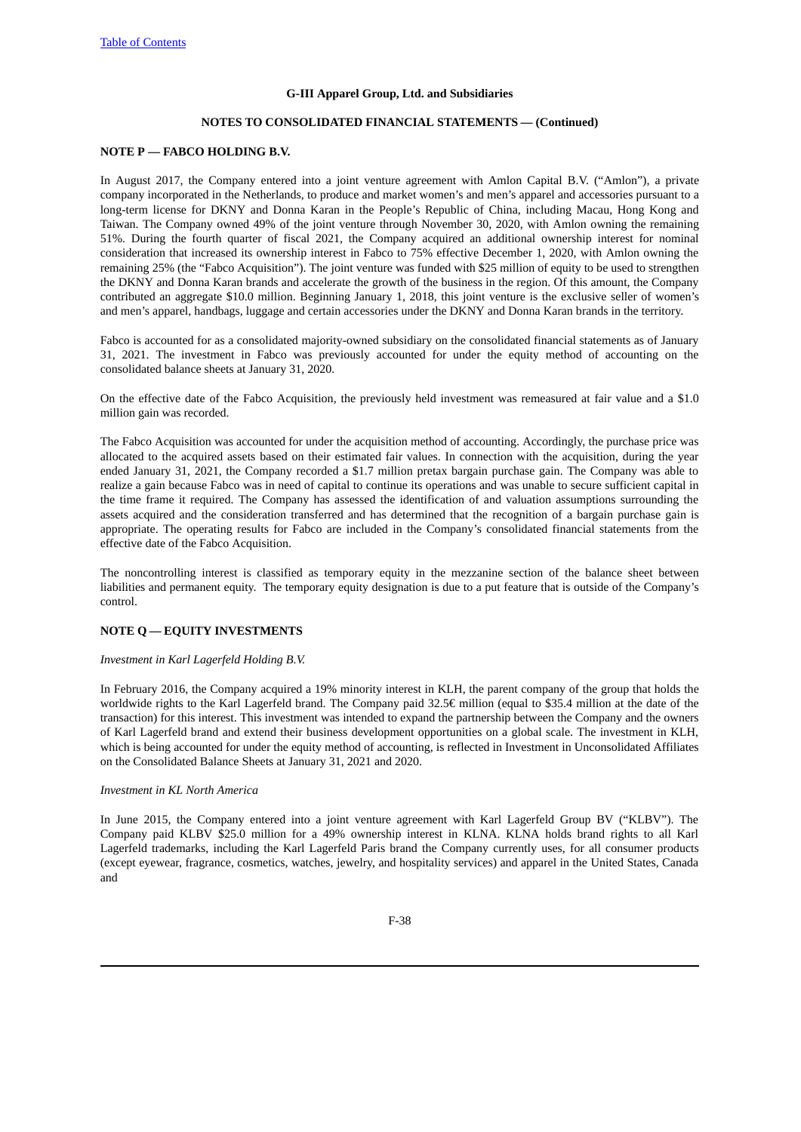### **G-III Apparel Group, Ltd. and Subsidiaries**

## **NOTES TO CONSOLIDATED FINANCIAL STATEMENTS — (Continued)**

### **NOTE P — FABCO HOLDING B.V.**

In August 2017, the Company entered into a joint venture agreement with Amlon Capital B.V. ("Amlon"), a private company incorporated in the Netherlands, to produce and market women's and men's apparel and accessories pursuant to a long-term license for DKNY and Donna Karan in the People's Republic of China, including Macau, Hong Kong and Taiwan. The Company owned 49% of the joint venture through November 30, 2020, with Amlon owning the remaining 51%. During the fourth quarter of fiscal 2021, the Company acquired an additional ownership interest for nominal consideration that increased its ownership interest in Fabco to 75% effective December 1, 2020, with Amlon owning the remaining 25% (the "Fabco Acquisition"). The joint venture was funded with \$25 million of equity to be used to strengthen the DKNY and Donna Karan brands and accelerate the growth of the business in the region. Of this amount, the Company contributed an aggregate \$10.0 million. Beginning January 1, 2018, this joint venture is the exclusive seller of women's and men's apparel, handbags, luggage and certain accessories under the DKNY and Donna Karan brands in the territory.

Fabco is accounted for as a consolidated majority-owned subsidiary on the consolidated financial statements as of January 31, 2021. The investment in Fabco was previously accounted for under the equity method of accounting on the consolidated balance sheets at January 31, 2020.

On the effective date of the Fabco Acquisition, the previously held investment was remeasured at fair value and a \$1.0 million gain was recorded.

The Fabco Acquisition was accounted for under the acquisition method of accounting. Accordingly, the purchase price was allocated to the acquired assets based on their estimated fair values. In connection with the acquisition, during the year ended January 31, 2021, the Company recorded a \$1.7 million pretax bargain purchase gain. The Company was able to realize a gain because Fabco was in need of capital to continue its operations and was unable to secure sufficient capital in the time frame it required. The Company has assessed the identification of and valuation assumptions surrounding the assets acquired and the consideration transferred and has determined that the recognition of a bargain purchase gain is appropriate. The operating results for Fabco are included in the Company's consolidated financial statements from the effective date of the Fabco Acquisition.

The noncontrolling interest is classified as temporary equity in the mezzanine section of the balance sheet between liabilities and permanent equity. The temporary equity designation is due to a put feature that is outside of the Company's control.

## **NOTE Q — EQUITY INVESTMENTS**

#### *Investment in Karl Lagerfeld Holding B.V.*

In February 2016, the Company acquired a 19% minority interest in KLH, the parent company of the group that holds the worldwide rights to the Karl Lagerfeld brand. The Company paid 32.5€ million (equal to \$35.4 million at the date of the transaction) for this interest. This investment was intended to expand the partnership between the Company and the owners of Karl Lagerfeld brand and extend their business development opportunities on a global scale. The investment in KLH, which is being accounted for under the equity method of accounting, is reflected in Investment in Unconsolidated Affiliates on the Consolidated Balance Sheets at January 31, 2021 and 2020.

### *Investment in KL North America*

In June 2015, the Company entered into a joint venture agreement with Karl Lagerfeld Group BV ("KLBV"). The Company paid KLBV \$25.0 million for a 49% ownership interest in KLNA. KLNA holds brand rights to all Karl Lagerfeld trademarks, including the Karl Lagerfeld Paris brand the Company currently uses, for all consumer products (except eyewear, fragrance, cosmetics, watches, jewelry, and hospitality services) and apparel in the United States, Canada and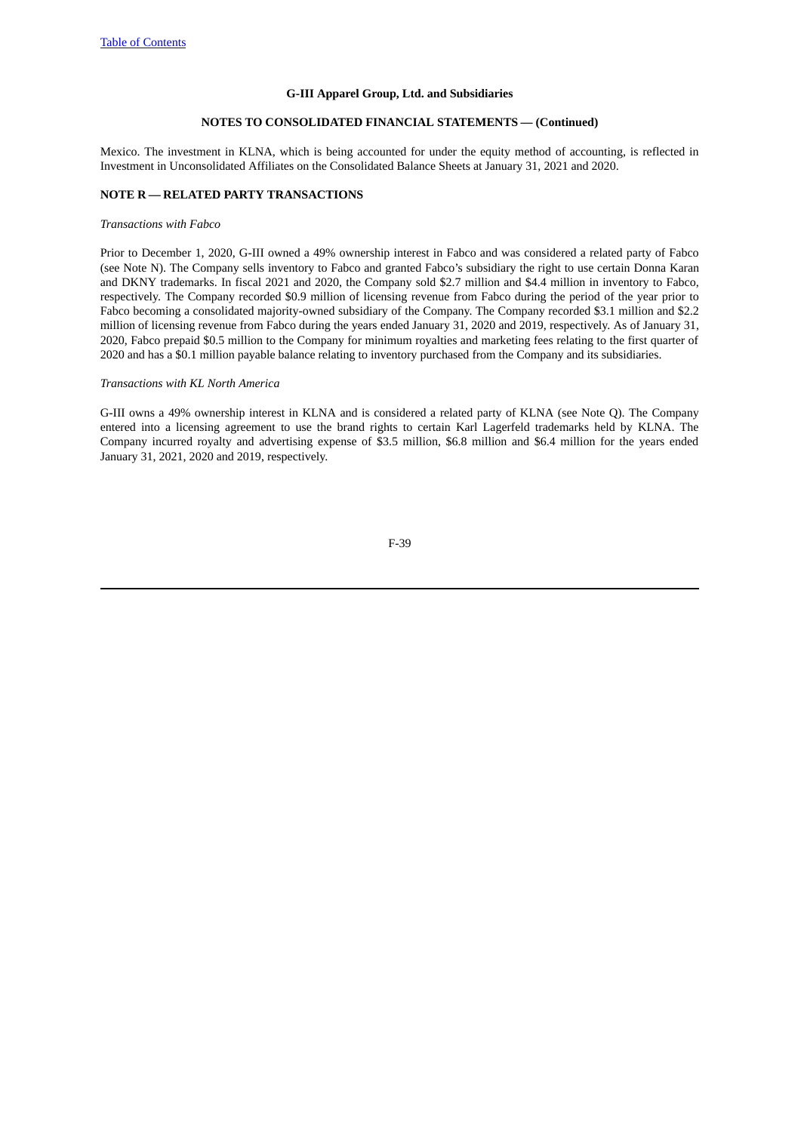### **G-III Apparel Group, Ltd. and Subsidiaries**

## **NOTES TO CONSOLIDATED FINANCIAL STATEMENTS — (Continued)**

Mexico. The investment in KLNA, which is being accounted for under the equity method of accounting, is reflected in Investment in Unconsolidated Affiliates on the Consolidated Balance Sheets at January 31, 2021 and 2020.

### **NOTE R — RELATED PARTY TRANSACTIONS**

### *Transactions with Fabco*

Prior to December 1, 2020, G-III owned a 49% ownership interest in Fabco and was considered a related party of Fabco (see Note N). The Company sells inventory to Fabco and granted Fabco's subsidiary the right to use certain Donna Karan and DKNY trademarks. In fiscal 2021 and 2020, the Company sold \$2.7 million and \$4.4 million in inventory to Fabco, respectively. The Company recorded \$0.9 million of licensing revenue from Fabco during the period of the year prior to Fabco becoming a consolidated majority-owned subsidiary of the Company. The Company recorded \$3.1 million and \$2.2 million of licensing revenue from Fabco during the years ended January 31, 2020 and 2019, respectively. As of January 31, 2020, Fabco prepaid \$0.5 million to the Company for minimum royalties and marketing fees relating to the first quarter of 2020 and has a \$0.1 million payable balance relating to inventory purchased from the Company and its subsidiaries.

#### *Transactions with KL North America*

G-III owns a 49% ownership interest in KLNA and is considered a related party of KLNA (see Note Q). The Company entered into a licensing agreement to use the brand rights to certain Karl Lagerfeld trademarks held by KLNA. The Company incurred royalty and advertising expense of \$3.5 million, \$6.8 million and \$6.4 million for the years ended January 31, 2021, 2020 and 2019, respectively.

### F-39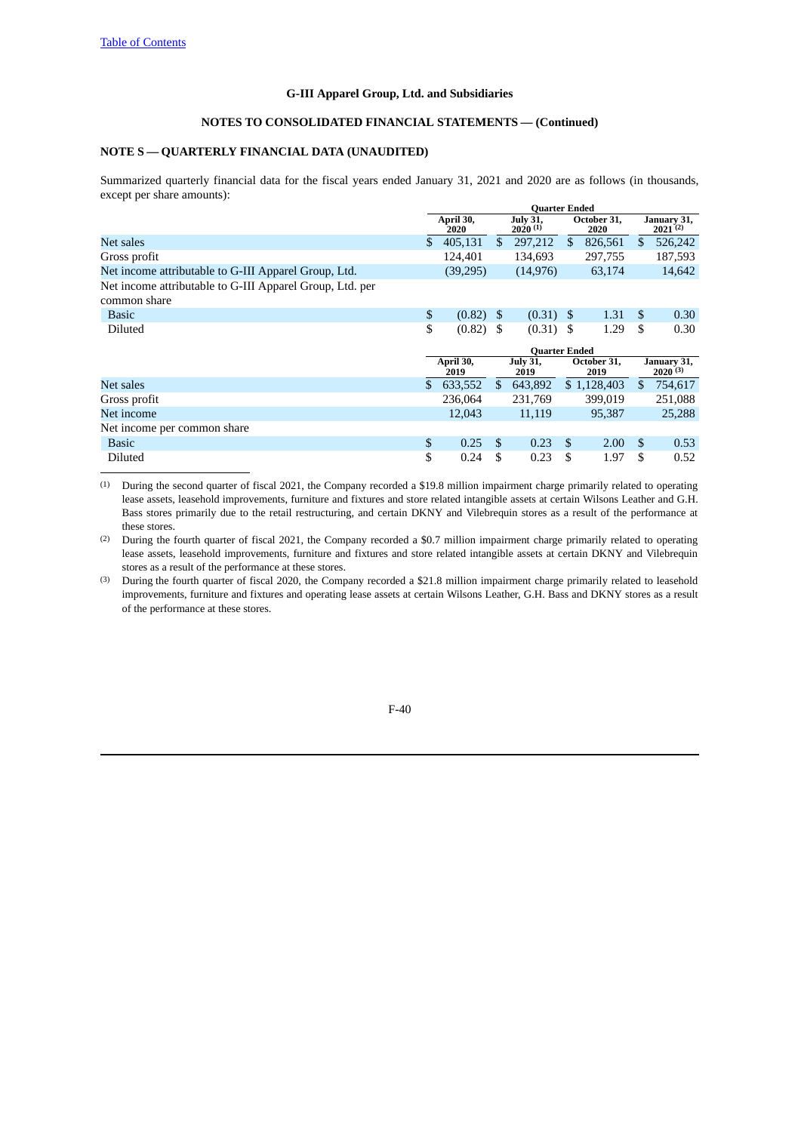### **G-III Apparel Group, Ltd. and Subsidiaries**

## **NOTES TO CONSOLIDATED FINANCIAL STATEMENTS — (Continued)**

## **NOTE S — QUARTERLY FINANCIAL DATA (UNAUDITED)**

Summarized quarterly financial data for the fiscal years ended January 31, 2021 and 2020 are as follows (in thousands, except per share amounts): **Quarter Ended**

|                                                          |                | үнагіег вінен        |              |                                 |               |                     |                             |                        |  |
|----------------------------------------------------------|----------------|----------------------|--------------|---------------------------------|---------------|---------------------|-----------------------------|------------------------|--|
|                                                          |                | April 30,<br>2020    |              | <b>July 31,</b><br>$2020^{(1)}$ |               | October 31,<br>2020 | January 31,<br>$2021^{(2)}$ |                        |  |
| Net sales                                                |                | 405,131              | \$           | 297,212                         | \$            | 826,561             | \$                          | 526,242                |  |
| Gross profit                                             |                | 124,401              |              | 134,693                         |               | 297,755             |                             | 187,593                |  |
| Net income attributable to G-III Apparel Group, Ltd.     |                | (39,295)             |              | (14, 976)                       |               | 63,174              |                             | 14,642                 |  |
| Net income attributable to G-III Apparel Group, Ltd. per |                |                      |              |                                 |               |                     |                             |                        |  |
| common share                                             |                |                      |              |                                 |               |                     |                             |                        |  |
| <b>Basic</b>                                             | \$             | (0.82)               | -S           | $(0.31)$ \$                     |               | 1.31                | -\$                         | 0.30                   |  |
| Diluted                                                  | \$             | (0.82)               | \$           | $(0.31)$ \$                     |               | 1.29                | \$                          | 0.30                   |  |
|                                                          |                | <b>Ouarter Ended</b> |              |                                 |               |                     |                             |                        |  |
|                                                          |                | April 30,<br>2019    |              | <b>July 31,</b><br>2019         |               | October 31.<br>2019 |                             | January 31,<br>2020(3) |  |
| Net sales                                                | \$             | 633,552              | $\mathbb{S}$ | 643,892                         |               | \$1,128,403         | \$                          | 754,617                |  |
| Gross profit                                             |                | 236,064              |              | 231,769                         |               | 399,019             |                             | 251,088                |  |
| Net income                                               |                | 12,043               |              | 11,119                          |               | 95,387              |                             | 25,288                 |  |
| Net income per common share                              |                |                      |              |                                 |               |                     |                             |                        |  |
| <b>Basic</b>                                             | $\mathfrak{s}$ | 0.25                 | \$.          | 0.23                            | <sup>\$</sup> | 2.00                | \$                          | 0.53                   |  |
| Diluted                                                  | \$             | 0.24                 | \$           | 0.23                            | \$            | 1.97                | \$                          | 0.52                   |  |

(1) During the second quarter of fiscal 2021, the Company recorded a \$19.8 million impairment charge primarily related to operating lease assets, leasehold improvements, furniture and fixtures and store related intangible assets at certain Wilsons Leather and G.H. Bass stores primarily due to the retail restructuring, and certain DKNY and Vilebrequin stores as a result of the performance at these stores.

(2) During the fourth quarter of fiscal 2021, the Company recorded a \$0.7 million impairment charge primarily related to operating lease assets, leasehold improvements, furniture and fixtures and store related intangible assets at certain DKNY and Vilebrequin stores as a result of the performance at these stores.

(3) During the fourth quarter of fiscal 2020, the Company recorded a \$21.8 million impairment charge primarily related to leasehold improvements, furniture and fixtures and operating lease assets at certain Wilsons Leather, G.H. Bass and DKNY stores as a result of the performance at these stores.

F-40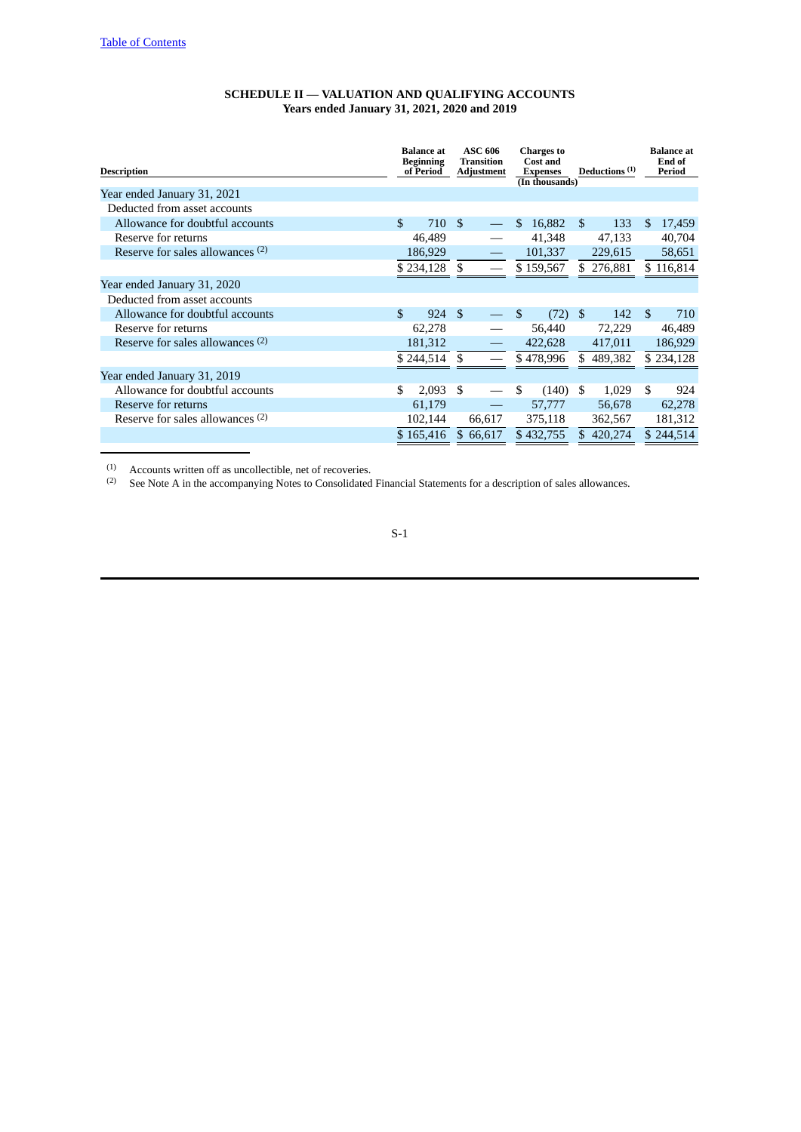## **SCHEDULE II** — **VALUATION AND QUALIFYING ACCOUNTS Years ended January 31, 2021, 2020 and 2019**

| <b>Description</b>                 | <b>Balance</b> at<br><b>Beginning</b><br>of Period |           | <b>ASC 606</b><br><b>Transition</b><br><b>Adjustment</b> |          | <b>Charges to</b><br>Cost and<br><b>Expenses</b> |                | Deductions <sup>(1)</sup> |           | <b>Balance</b> at<br>End of<br>Period |           |
|------------------------------------|----------------------------------------------------|-----------|----------------------------------------------------------|----------|--------------------------------------------------|----------------|---------------------------|-----------|---------------------------------------|-----------|
|                                    |                                                    |           |                                                          |          |                                                  | (In thousands) |                           |           |                                       |           |
| Year ended January 31, 2021        |                                                    |           |                                                          |          |                                                  |                |                           |           |                                       |           |
| Deducted from asset accounts       |                                                    |           |                                                          |          |                                                  |                |                           |           |                                       |           |
| Allowance for doubtful accounts    | $\mathcal{S}$                                      | 710       | <sup>\$</sup>                                            |          | S.                                               | 16,882         | <sup>\$</sup>             | 133       | S                                     | 17,459    |
| Reserve for returns                |                                                    | 46,489    |                                                          |          |                                                  | 41,348         |                           | 47,133    |                                       | 40,704    |
| Reserve for sales allowances $(2)$ |                                                    | 186,929   |                                                          |          |                                                  | 101,337        |                           | 229,615   |                                       | 58,651    |
|                                    |                                                    | \$234,128 | \$                                                       |          |                                                  | \$159,567      |                           | \$276,881 |                                       | \$116,814 |
| Year ended January 31, 2020        |                                                    |           |                                                          |          |                                                  |                |                           |           |                                       |           |
| Deducted from asset accounts       |                                                    |           |                                                          |          |                                                  |                |                           |           |                                       |           |
| Allowance for doubtful accounts    | \$                                                 | 924       | -\$                                                      |          | <sup>\$</sup>                                    | $(72)$ \$      |                           | 142       | -\$                                   | 710       |
| Reserve for returns                |                                                    | 62,278    |                                                          |          |                                                  | 56,440         |                           | 72,229    |                                       | 46,489    |
| Reserve for sales allowances $(2)$ |                                                    | 181,312   |                                                          |          |                                                  | 422,628        |                           | 417,011   |                                       | 186,929   |
|                                    |                                                    | \$244,514 | \$                                                       |          |                                                  | \$478,996      |                           | \$489,382 |                                       | \$234,128 |
| Year ended January 31, 2019        |                                                    |           |                                                          |          |                                                  |                |                           |           |                                       |           |
| Allowance for doubtful accounts    | \$                                                 | 2,093     | S                                                        |          | \$                                               | (140)          | -S                        | 1,029     | \$.                                   | 924       |
| Reserve for returns                |                                                    | 61,179    |                                                          |          |                                                  | 57,777         |                           | 56,678    |                                       | 62,278    |
| Reserve for sales allowances $(2)$ |                                                    | 102,144   |                                                          | 66,617   |                                                  | 375,118        |                           | 362,567   |                                       | 181,312   |
|                                    |                                                    | \$165,416 |                                                          | \$66,617 |                                                  | \$432,755      |                           | \$420,274 |                                       | \$244,514 |

(1) Accounts written off as uncollectible, net of recoveries.<br>  $(2)$  See Note A in the accompanying Notes to Consolidated

See Note A in the accompanying Notes to Consolidated Financial Statements for a description of sales allowances.

## S-1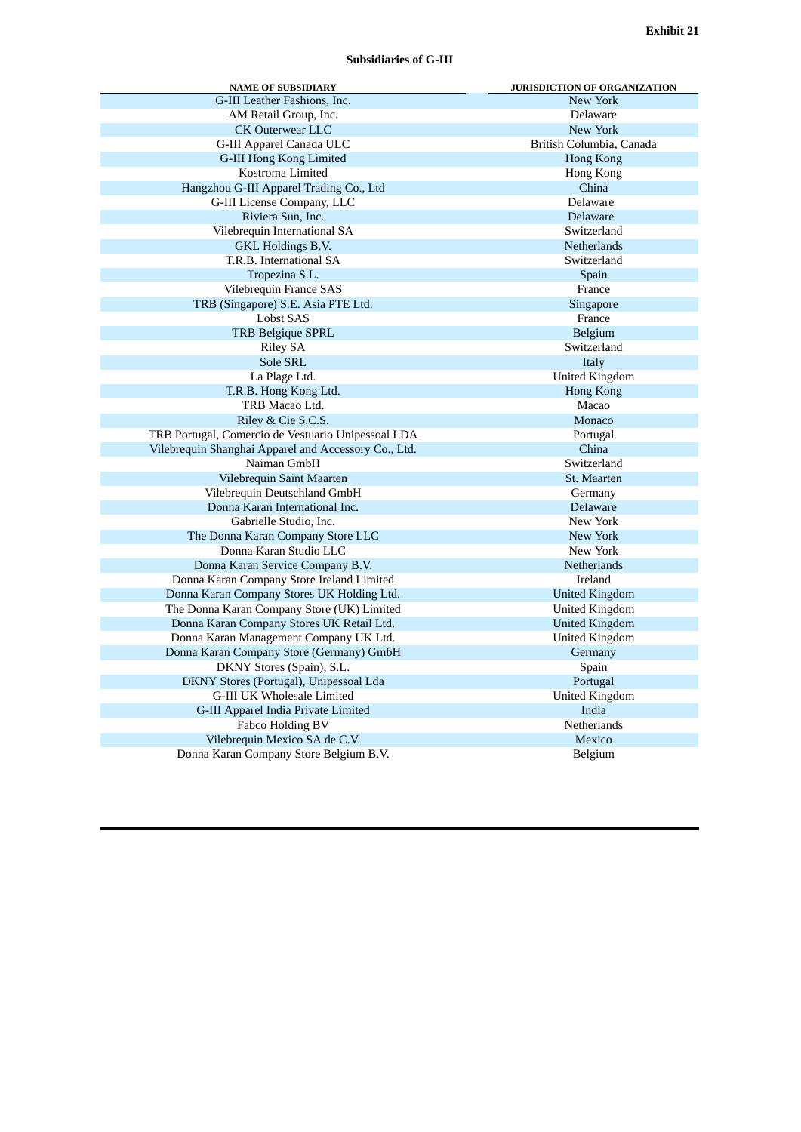# **Subsidiaries of G-III**

| <b>NAME OF SUBSIDIARY</b>                            | <b>JURISDICTION OF ORGANIZATION</b> |
|------------------------------------------------------|-------------------------------------|
| G-III Leather Fashions, Inc.                         | New York                            |
| AM Retail Group, Inc.                                | Delaware                            |
| <b>CK Outerwear LLC</b>                              | New York                            |
| G-III Apparel Canada ULC                             | British Columbia, Canada            |
| G-III Hong Kong Limited                              | <b>Hong Kong</b>                    |
| Kostroma Limited                                     | Hong Kong                           |
| Hangzhou G-III Apparel Trading Co., Ltd              | China                               |
| G-III License Company, LLC                           | Delaware                            |
| Riviera Sun, Inc.                                    | Delaware                            |
| Vilebrequin International SA                         | Switzerland                         |
| GKL Holdings B.V.                                    | <b>Netherlands</b>                  |
| T.R.B. International SA                              | Switzerland                         |
| Tropezina S.L.                                       | Spain                               |
| Vilebrequin France SAS                               | France                              |
| TRB (Singapore) S.E. Asia PTE Ltd.                   | Singapore                           |
| <b>Lobst SAS</b>                                     | France                              |
| <b>TRB Belgique SPRL</b>                             | Belgium                             |
| Riley SA                                             | Switzerland                         |
| Sole SRL                                             | Italy                               |
| La Plage Ltd.                                        | <b>United Kingdom</b>               |
| T.R.B. Hong Kong Ltd.                                | <b>Hong Kong</b>                    |
| TRB Macao Ltd.                                       | Macao                               |
| Riley & Cie S.C.S.                                   | Monaco                              |
| TRB Portugal, Comercio de Vestuario Unipessoal LDA   | Portugal                            |
| Vilebrequin Shanghai Apparel and Accessory Co., Ltd. | China                               |
| Naiman GmbH                                          | Switzerland                         |
| Vilebrequin Saint Maarten                            | St. Maarten                         |
| Vilebrequin Deutschland GmbH                         | Germany                             |
| Donna Karan International Inc.                       | <b>Delaware</b>                     |
| Gabrielle Studio, Inc.                               | New York                            |
| The Donna Karan Company Store LLC                    | New York                            |
| Donna Karan Studio LLC                               | New York                            |
| Donna Karan Service Company B.V.                     | Netherlands                         |
| Donna Karan Company Store Ireland Limited            | Ireland                             |
| Donna Karan Company Stores UK Holding Ltd.           | United Kingdom                      |
| The Donna Karan Company Store (UK) Limited           | <b>United Kingdom</b>               |
| Donna Karan Company Stores UK Retail Ltd.            | <b>United Kingdom</b>               |
| Donna Karan Management Company UK Ltd.               | United Kingdom                      |
| Donna Karan Company Store (Germany) GmbH             | Germany                             |
| DKNY Stores (Spain), S.L.                            | Spain                               |
| DKNY Stores (Portugal), Unipessoal Lda               | Portugal                            |
| G-III UK Wholesale Limited                           | <b>United Kingdom</b>               |
| G-III Apparel India Private Limited                  | India                               |
| Fabco Holding BV                                     | Netherlands                         |
| Vilebrequin Mexico SA de C.V.                        | Mexico                              |
| Donna Karan Company Store Belgium B.V.               | Belgium                             |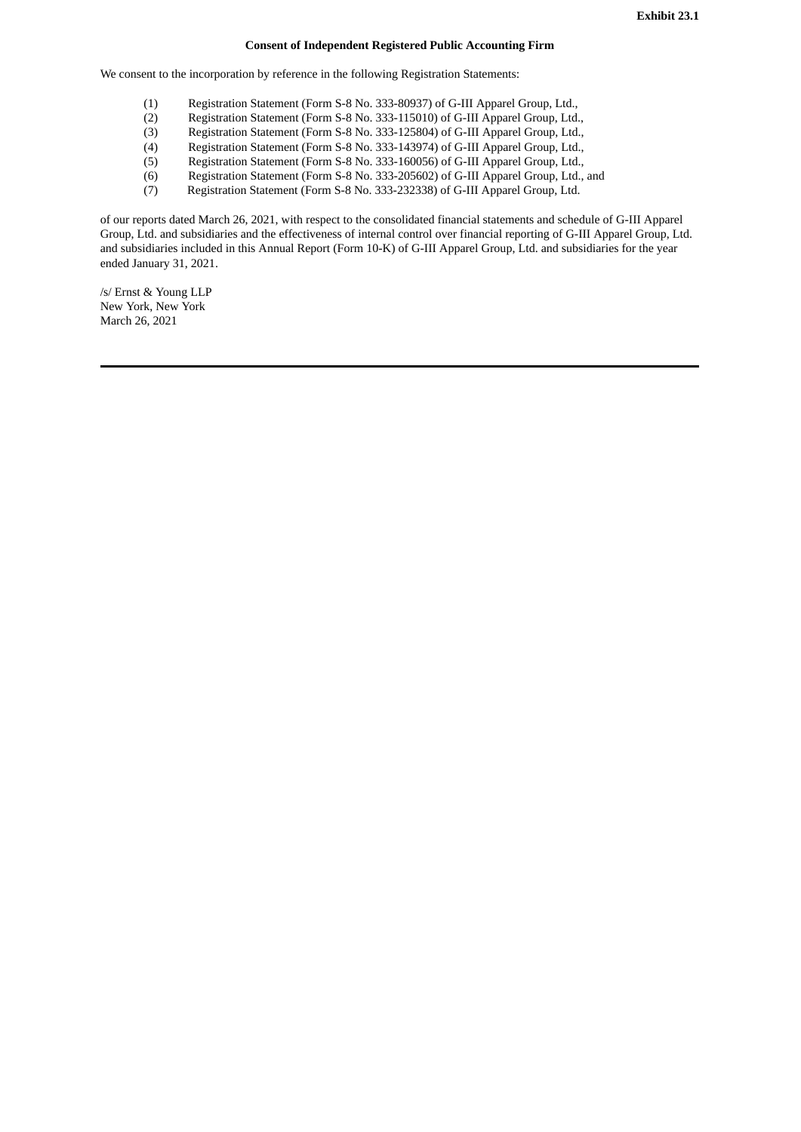### **Consent of Independent Registered Public Accounting Firm**

We consent to the incorporation by reference in the following Registration Statements:

- (1) Registration Statement (Form S-8 No. 333-80937) of G-III Apparel Group, Ltd.,<br>(2) Registration Statement (Form S-8 No. 333-115010) of G-III Apparel Group, Ltd.
- Registration Statement (Form S-8 No. 333-115010) of G-III Apparel Group, Ltd.,
- (3) Registration Statement (Form S-8 No. 333-125804) of G-III Apparel Group, Ltd.,
- (4) Registration Statement (Form S-8 No. 333-143974) of G-III Apparel Group, Ltd.,
- (5) Registration Statement (Form S-8 No. 333-160056) of G-III Apparel Group, Ltd.,
- (6) Registration Statement (Form S-8 No. 333-205602) of G-III Apparel Group, Ltd., and Registration Statement (Form S-8 No. 333-232338) of G-III Apparel Group, Ltd.

of our reports dated March 26, 2021, with respect to the consolidated financial statements and schedule of G-III Apparel Group, Ltd. and subsidiaries and the effectiveness of internal control over financial reporting of G-III Apparel Group, Ltd. and subsidiaries included in this Annual Report (Form 10-K) of G-III Apparel Group, Ltd. and subsidiaries for the year ended January 31, 2021.

/s/ Ernst & Young LLP New York, New York March 26, 2021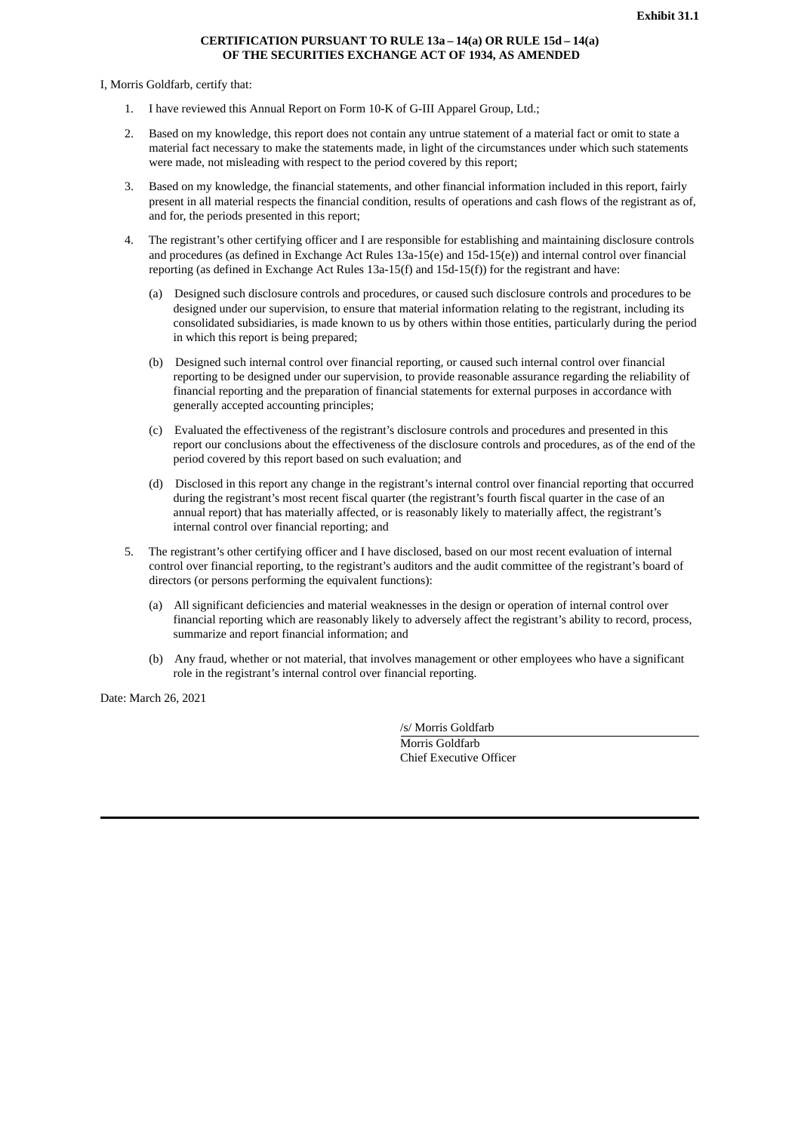## **CERTIFICATION PURSUANT TO RULE 13a – 14(a) OR RULE 15d – 14(a) OF THE SECURITIES EXCHANGE ACT OF 1934, AS AMENDED**

### I, Morris Goldfarb, certify that:

- 1. I have reviewed this Annual Report on Form 10-K of G-III Apparel Group, Ltd.;
- 2. Based on my knowledge, this report does not contain any untrue statement of a material fact or omit to state a material fact necessary to make the statements made, in light of the circumstances under which such statements were made, not misleading with respect to the period covered by this report;
- 3. Based on my knowledge, the financial statements, and other financial information included in this report, fairly present in all material respects the financial condition, results of operations and cash flows of the registrant as of, and for, the periods presented in this report;
- 4. The registrant's other certifying officer and I are responsible for establishing and maintaining disclosure controls and procedures (as defined in Exchange Act Rules 13a-15(e) and 15d-15(e)) and internal control over financial reporting (as defined in Exchange Act Rules 13a-15(f) and 15d-15(f)) for the registrant and have:
	- (a) Designed such disclosure controls and procedures, or caused such disclosure controls and procedures to be designed under our supervision, to ensure that material information relating to the registrant, including its consolidated subsidiaries, is made known to us by others within those entities, particularly during the period in which this report is being prepared;
	- (b) Designed such internal control over financial reporting, or caused such internal control over financial reporting to be designed under our supervision, to provide reasonable assurance regarding the reliability of financial reporting and the preparation of financial statements for external purposes in accordance with generally accepted accounting principles;
	- (c) Evaluated the effectiveness of the registrant's disclosure controls and procedures and presented in this report our conclusions about the effectiveness of the disclosure controls and procedures, as of the end of the period covered by this report based on such evaluation; and
	- (d) Disclosed in this report any change in the registrant's internal control over financial reporting that occurred during the registrant's most recent fiscal quarter (the registrant's fourth fiscal quarter in the case of an annual report) that has materially affected, or is reasonably likely to materially affect, the registrant's internal control over financial reporting; and
- 5. The registrant's other certifying officer and I have disclosed, based on our most recent evaluation of internal control over financial reporting, to the registrant's auditors and the audit committee of the registrant's board of directors (or persons performing the equivalent functions):
	- (a) All significant deficiencies and material weaknesses in the design or operation of internal control over financial reporting which are reasonably likely to adversely affect the registrant's ability to record, process, summarize and report financial information; and
	- (b) Any fraud, whether or not material, that involves management or other employees who have a significant role in the registrant's internal control over financial reporting.

Date: March 26, 2021

/s/ Morris Goldfarb

Morris Goldfarb Chief Executive Officer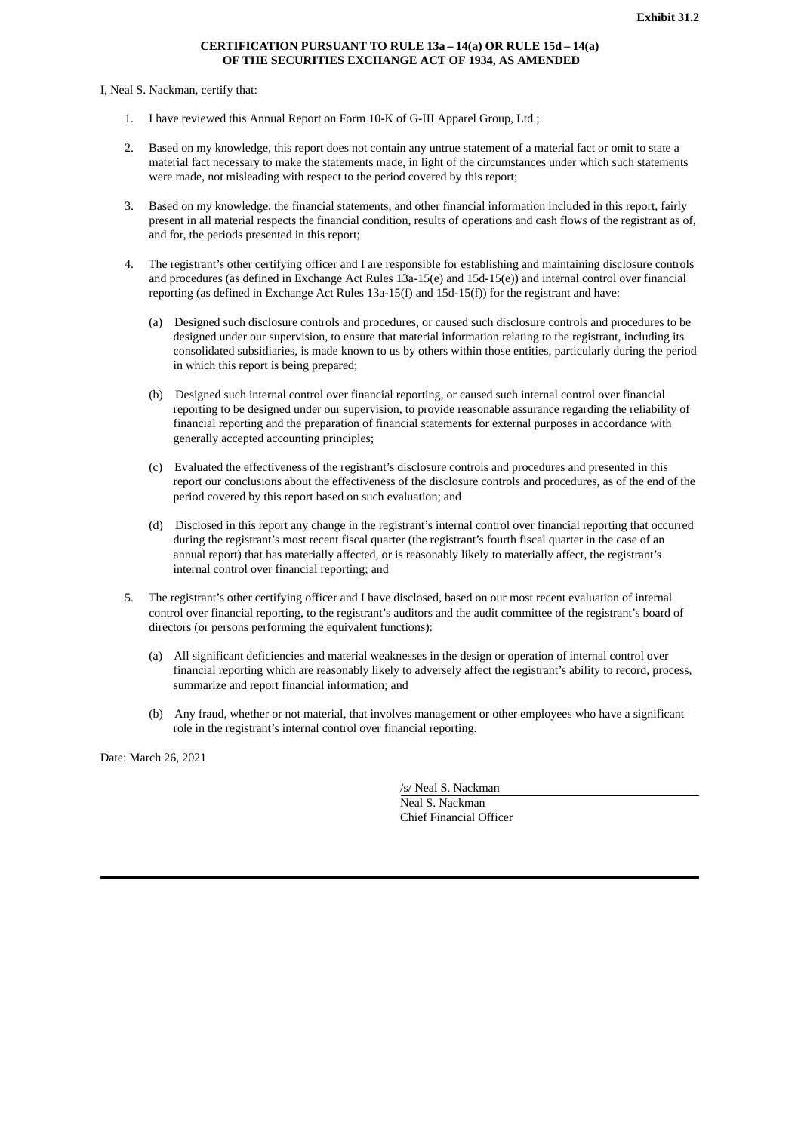### **CERTIFICATION PURSUANT TO RULE 13a – 14(a) OR RULE 15d – 14(a) OF THE SECURITIES EXCHANGE ACT OF 1934, AS AMENDED**

#### I, Neal S. Nackman, certify that:

- 1. I have reviewed this Annual Report on Form 10-K of G-III Apparel Group, Ltd.;
- 2. Based on my knowledge, this report does not contain any untrue statement of a material fact or omit to state a material fact necessary to make the statements made, in light of the circumstances under which such statements were made, not misleading with respect to the period covered by this report;
- 3. Based on my knowledge, the financial statements, and other financial information included in this report, fairly present in all material respects the financial condition, results of operations and cash flows of the registrant as of, and for, the periods presented in this report;
- 4. The registrant's other certifying officer and I are responsible for establishing and maintaining disclosure controls and procedures (as defined in Exchange Act Rules 13a-15(e) and 15d-15(e)) and internal control over financial reporting (as defined in Exchange Act Rules 13a-15(f) and 15d-15(f)) for the registrant and have:
	- (a) Designed such disclosure controls and procedures, or caused such disclosure controls and procedures to be designed under our supervision, to ensure that material information relating to the registrant, including its consolidated subsidiaries, is made known to us by others within those entities, particularly during the period in which this report is being prepared;
	- (b) Designed such internal control over financial reporting, or caused such internal control over financial reporting to be designed under our supervision, to provide reasonable assurance regarding the reliability of financial reporting and the preparation of financial statements for external purposes in accordance with generally accepted accounting principles;
	- (c) Evaluated the effectiveness of the registrant's disclosure controls and procedures and presented in this report our conclusions about the effectiveness of the disclosure controls and procedures, as of the end of the period covered by this report based on such evaluation; and
	- (d) Disclosed in this report any change in the registrant's internal control over financial reporting that occurred during the registrant's most recent fiscal quarter (the registrant's fourth fiscal quarter in the case of an annual report) that has materially affected, or is reasonably likely to materially affect, the registrant's internal control over financial reporting; and
- 5. The registrant's other certifying officer and I have disclosed, based on our most recent evaluation of internal control over financial reporting, to the registrant's auditors and the audit committee of the registrant's board of directors (or persons performing the equivalent functions):
	- (a) All significant deficiencies and material weaknesses in the design or operation of internal control over financial reporting which are reasonably likely to adversely affect the registrant's ability to record, process, summarize and report financial information; and
	- (b) Any fraud, whether or not material, that involves management or other employees who have a significant role in the registrant's internal control over financial reporting.

Date: March 26, 2021

/s/ Neal S. Nackman Neal S. Nackman Chief Financial Officer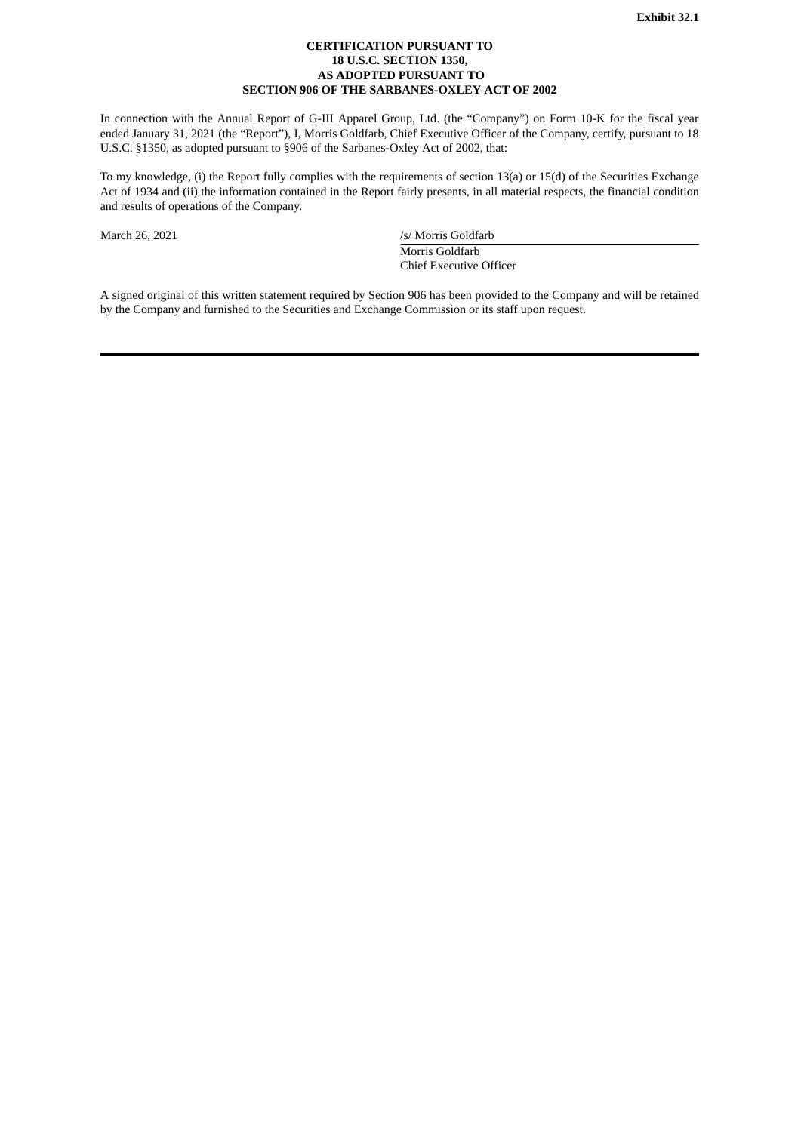## **CERTIFICATION PURSUANT TO 18 U.S.C. SECTION 1350, AS ADOPTED PURSUANT TO SECTION 906 OF THE SARBANES-OXLEY ACT OF 2002**

In connection with the Annual Report of G-III Apparel Group, Ltd. (the "Company") on Form 10-K for the fiscal year ended January 31, 2021 (the "Report"), I, Morris Goldfarb, Chief Executive Officer of the Company, certify, pursuant to 18 U.S.C. §1350, as adopted pursuant to §906 of the Sarbanes-Oxley Act of 2002, that:

To my knowledge, (i) the Report fully complies with the requirements of section 13(a) or 15(d) of the Securities Exchange Act of 1934 and (ii) the information contained in the Report fairly presents, in all material respects, the financial condition and results of operations of the Company.

March 26, 2021 /s/ Morris Goldfarb Morris Goldfarb Chief Executive Officer

A signed original of this written statement required by Section 906 has been provided to the Company and will be retained by the Company and furnished to the Securities and Exchange Commission or its staff upon request.